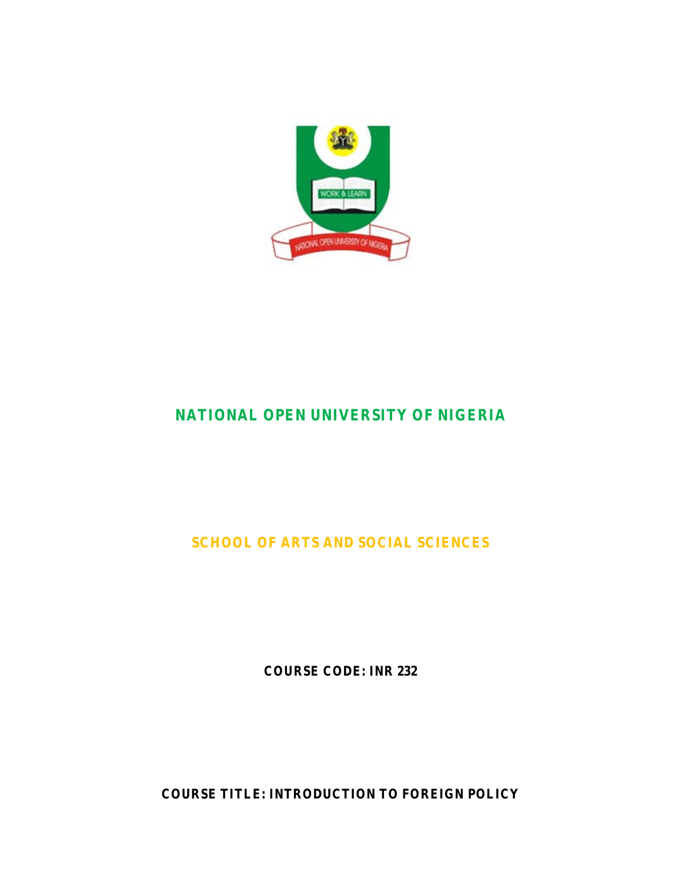

## **NATIONAL OPEN UNIVERSITY OF NIGERIA**

**SCHOOL OF ARTS AND SOCIAL SCIENCES**

**COURSE CODE: INR 232**

**COURSE TITLE: INTRODUCTION TO FOREIGN POLICY**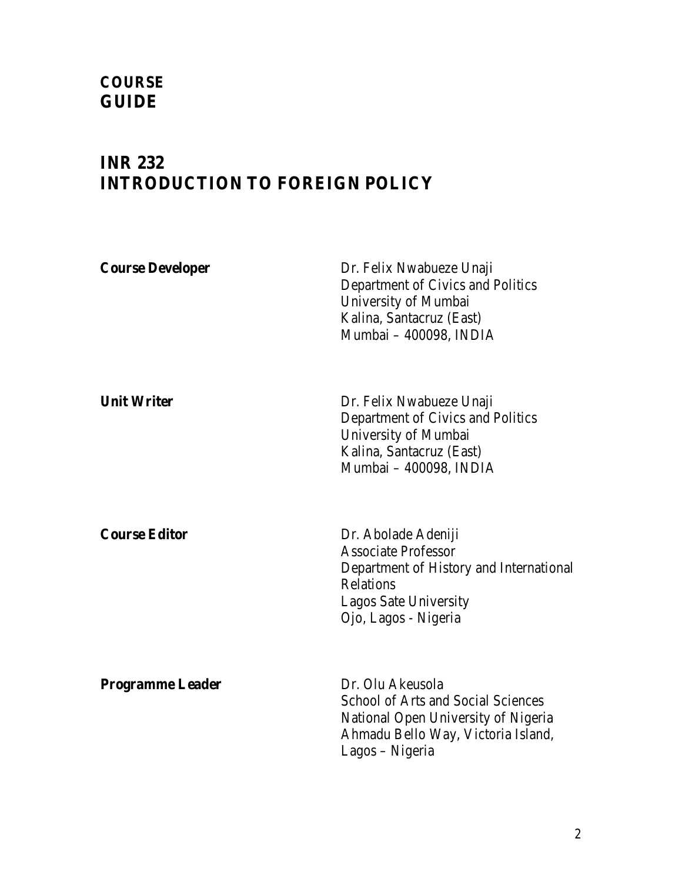## **COURSE GUIDE**

# **INR 232 INTRODUCTION TO FOREIGN POLICY**

| <b>Course Developer</b> | Dr. Felix Nwabueze Unaji<br>Department of Civics and Politics<br>University of Mumbai<br>Kalina, Santacruz (East)<br>Mumbai - 400098, INDIA                       |
|-------------------------|-------------------------------------------------------------------------------------------------------------------------------------------------------------------|
| <b>Unit Writer</b>      | Dr. Felix Nwabueze Unaji<br>Department of Civics and Politics<br>University of Mumbai<br>Kalina, Santacruz (East)<br>Mumbai - 400098, INDIA                       |
| <b>Course Editor</b>    | Dr. Abolade Adeniji<br><b>Associate Professor</b><br>Department of History and International<br>Relations<br><b>Lagos Sate University</b><br>Ojo, Lagos - Nigeria |
| <b>Programme Leader</b> | Dr. Olu Akeusola<br><b>School of Arts and Social Sciences</b><br>National Open University of Nigeria<br>Ahmadu Bello Way, Victoria Island,<br>Lagos – Nigeria     |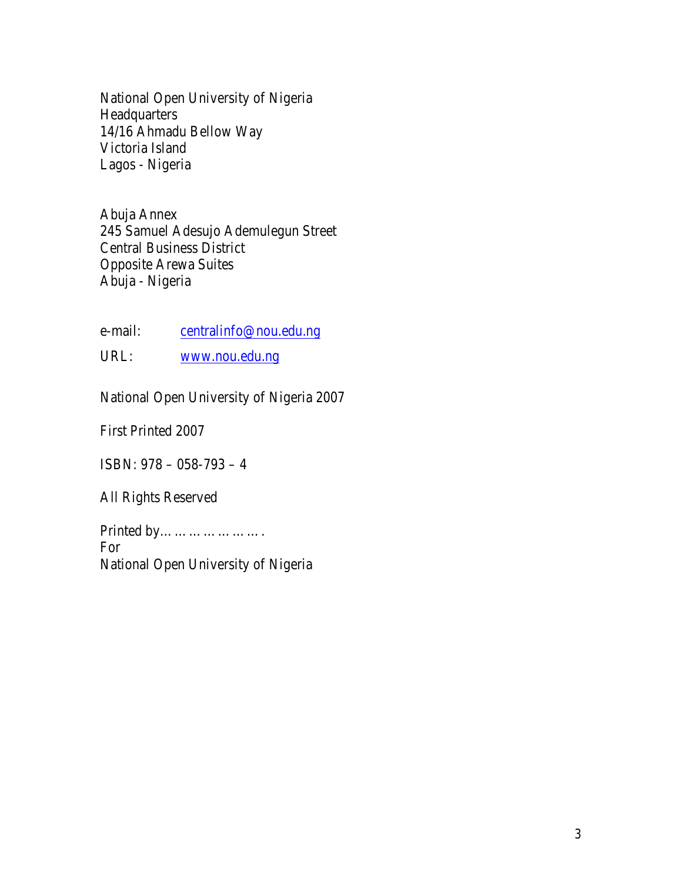National Open University of Nigeria Headquarters 14/16 Ahmadu Bellow Way Victoria Island Lagos - Nigeria

Abuja Annex 245 Samuel Adesujo Ademulegun Street Central Business District Opposite Arewa Suites Abuja - Nigeria

e-mail: [centralinfo@nou.edu.ng](mailto:centralinfo@nou.edu.ng)

URL: [www.nou.edu.ng](http://www.nou.edu.ng/)

National Open University of Nigeria 2007

First Printed 2007

ISBN: 978 – 058-793 – 4

All Rights Reserved

Printed by…………………. For National Open University of Nigeria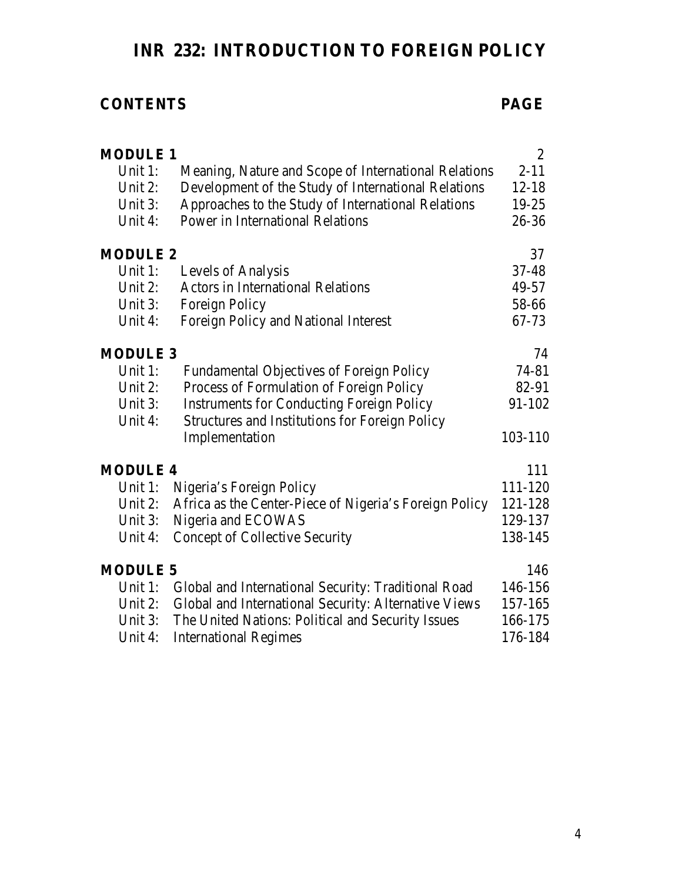# **INR 232: INTRODUCTION TO FOREIGN POLICY**

## **CONTENTS PAGE**

| <b>MODULE 1</b> |                                                        | $\overline{2}$ |
|-----------------|--------------------------------------------------------|----------------|
| Unit 1:         | Meaning, Nature and Scope of International Relations   | $2 - 11$       |
| Unit 2:         | Development of the Study of International Relations    | $12 - 18$      |
| Unit 3:         | Approaches to the Study of International Relations     | 19-25          |
| Unit 4:         | Power in International Relations                       | $26 - 36$      |
| <b>MODULE 2</b> |                                                        | 37             |
| Unit 1:         | Levels of Analysis                                     | 37-48          |
| Unit 2:         | <b>Actors in International Relations</b>               | 49-57          |
| Unit 3:         | Foreign Policy                                         | 58-66          |
| Unit 4:         | Foreign Policy and National Interest                   | 67-73          |
| <b>MODULE 3</b> |                                                        | 74             |
| Unit 1:         | <b>Fundamental Objectives of Foreign Policy</b>        | 74-81          |
| Unit 2:         | Process of Formulation of Foreign Policy               | 82-91          |
| Unit 3:         | <b>Instruments for Conducting Foreign Policy</b>       | 91-102         |
| Unit 4:         | <b>Structures and Institutions for Foreign Policy</b>  |                |
|                 | Implementation                                         | 103-110        |
| <b>MODULE 4</b> |                                                        | 111            |
| Unit 1:         | Nigeria's Foreign Policy                               | 111-120        |
| Unit 2:         | Africa as the Center-Piece of Nigeria's Foreign Policy | 121-128        |
| Unit 3:         | Nigeria and ECOWAS                                     | 129-137        |
| Unit 4:         | Concept of Collective Security                         | 138-145        |
| <b>MODULE 5</b> |                                                        | 146            |
| Unit 1:         | Global and International Security: Traditional Road    | 146-156        |
| Unit 2:         | Global and International Security: Alternative Views   | 157-165        |
| Unit 3:         | The United Nations: Political and Security Issues      | 166-175        |
| Unit 4:         | <b>International Regimes</b>                           | 176-184        |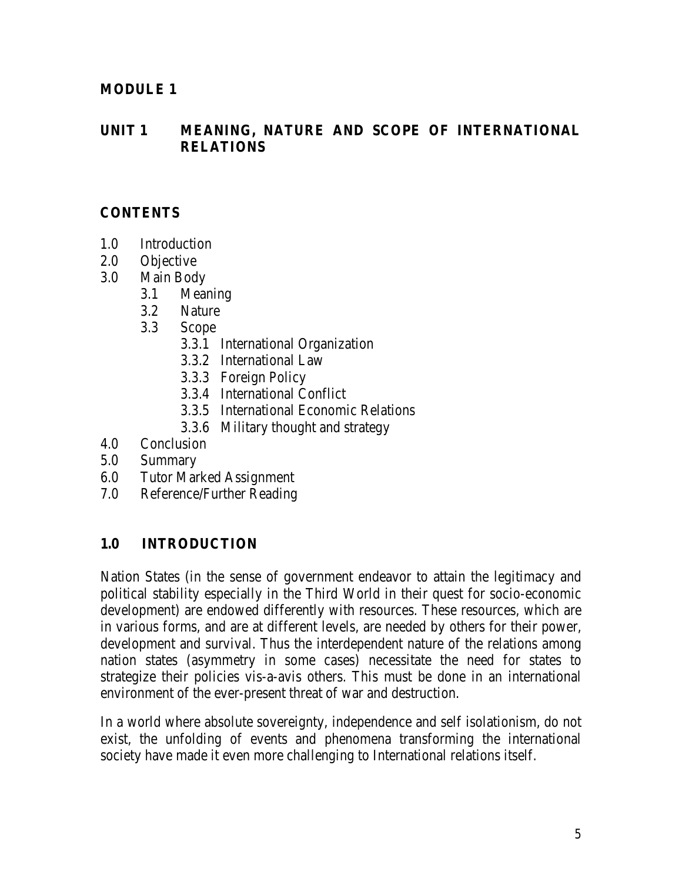#### **MODULE 1**

#### **UNIT 1 MEANING, NATURE AND SCOPE OF INTERNATIONAL RELATIONS**

#### **CONTENTS**

- 1.0 Introduction
- 2.0 Objective
- 3.0 Main Body
	- 3.1 Meaning
	- 3.2 Nature
	- 3.3 Scope
		- 3.3.1 International Organization
		- 3.3.2 International Law
		- 3.3.3 Foreign Policy
		- 3.3.4 International Conflict
		- 3.3.5 International Economic Relations
		- 3.3.6 Military thought and strategy
- 4.0 Conclusion
- 5.0 Summary
- 6.0 Tutor Marked Assignment
- 7.0 Reference/Further Reading

#### **1.0 INTRODUCTION**

Nation States (in the sense of government endeavor to attain the legitimacy and political stability especially in the Third World in their quest for socio-economic development) are endowed differently with resources. These resources, which are in various forms, and are at different levels, are needed by others for their power, development and survival. Thus the interdependent nature of the relations among nation states (asymmetry in some cases) necessitate the need for states to strategize their policies vis-a-avis others. This must be done in an international environment of the ever-present threat of war and destruction.

In a world where absolute sovereignty, independence and self isolationism, do not exist, the unfolding of events and phenomena transforming the international society have made it even more challenging to International relations itself.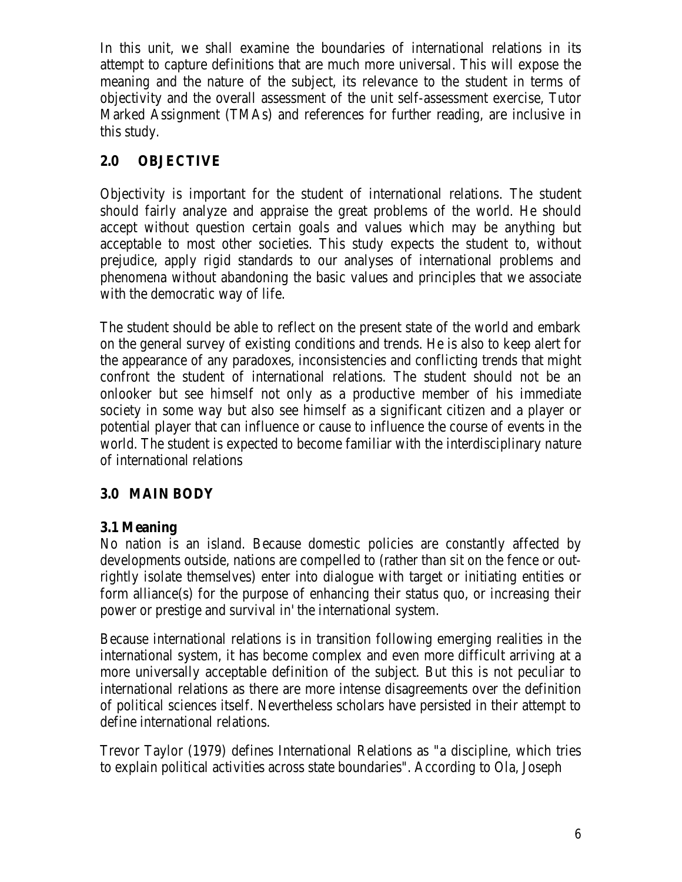In this unit, we shall examine the boundaries of international relations in its attempt to capture definitions that are much more universal. This will expose the meaning and the nature of the subject, its relevance to the student in terms of objectivity and the overall assessment of the unit self-assessment exercise, Tutor Marked Assignment (TMAs) and references for further reading, are inclusive in this study.

## **2.0 OBJECTIVE**

Objectivity is important for the student of international relations. The student should fairly analyze and appraise the great problems of the world. He should accept without question certain goals and values which may be anything but acceptable to most other societies. This study expects the student to, without prejudice, apply rigid standards to our analyses of international problems and phenomena without abandoning the basic values and principles that we associate with the democratic way of life.

The student should be able to reflect on the present state of the world and embark on the general survey of existing conditions and trends. He is also to keep alert for the appearance of any paradoxes, inconsistencies and conflicting trends that might confront the student of international relations. The student should not be an onlooker but see himself not only as a productive member of his immediate society in some way but also see himself as a significant citizen and a player or potential player that can influence or cause to influence the course of events in the world. The student is expected to become familiar with the interdisciplinary nature of international relations

## **3.0 MAIN BODY**

#### **3.1 Meaning**

No nation is an island. Because domestic policies are constantly affected by developments outside, nations are compelled to (rather than sit on the fence or outrightly isolate themselves) enter into dialogue with target or initiating entities or form alliance(s) for the purpose of enhancing their status quo, or increasing their power or prestige and survival in' the international system.

Because international relations is in transition following emerging realities in the international system, it has become complex and even more difficult arriving at a more universally acceptable definition of the subject. But this is not peculiar to international relations as there are more intense disagreements over the definition of political sciences itself. Nevertheless scholars have persisted in their attempt to define international relations.

Trevor Taylor (1979) defines International Relations as "a discipline, which tries to explain political activities across state boundaries". According to Ola, Joseph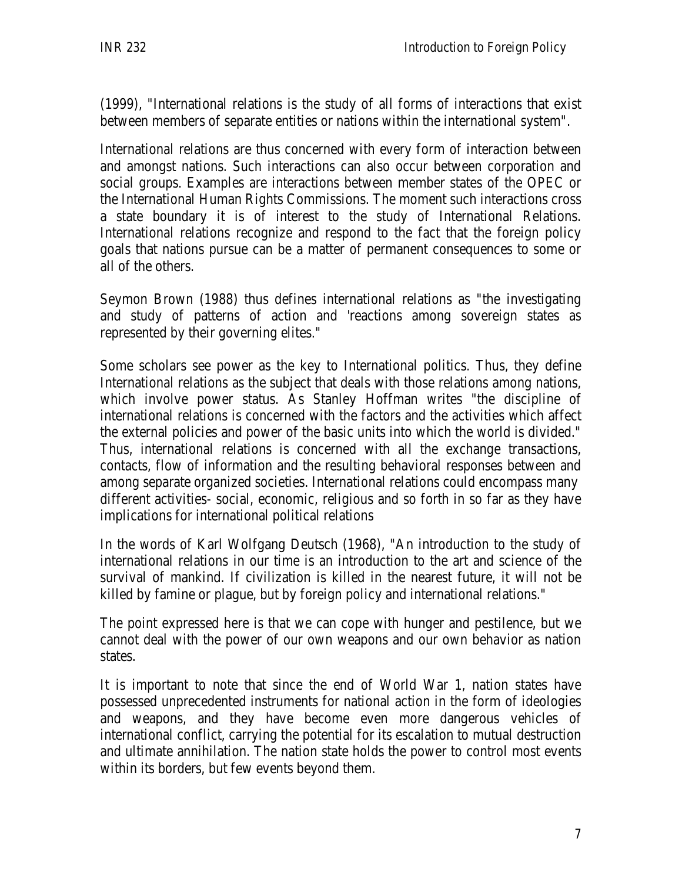(1999), "International relations is the study of all forms of interactions that exist between members of separate entities or nations within the international system".

International relations are thus concerned with every form of interaction between and amongst nations. Such interactions can also occur between corporation and social groups. Examples are interactions between member states of the OPEC or the International Human Rights Commissions. The moment such interactions cross a state boundary it is of interest to the study of International Relations. International relations recognize and respond to the fact that the foreign policy goals that nations pursue can be a matter of permanent consequences to some or all of the others.

Seymon Brown (1988) thus defines international relations as "the investigating and study of patterns of action and 'reactions among sovereign states as represented by their governing elites."

Some scholars see power as the key to International politics. Thus, they define International relations as the subject that deals with those relations among nations, which involve power status. As Stanley Hoffman writes "the discipline of international relations is concerned with the factors and the activities which affect the external policies and power of the basic units into which the world is divided." Thus, international relations is concerned with all the exchange transactions, contacts, flow of information and the resulting behavioral responses between and among separate organized societies. International relations could encompass many different activities- social, economic, religious and so forth in so far as they have implications for international political relations

In the words of Karl Wolfgang Deutsch (1968), "An introduction to the study of international relations in our time is an introduction to the art and science of the survival of mankind. If civilization is killed in the nearest future, it will not be killed by famine or plague, but by foreign policy and international relations."

The point expressed here is that we can cope with hunger and pestilence, but we cannot deal with the power of our own weapons and our own behavior as nation states.

It is important to note that since the end of World War 1, nation states have possessed unprecedented instruments for national action in the form of ideologies and weapons, and they have become even more dangerous vehicles of international conflict, carrying the potential for its escalation to mutual destruction and ultimate annihilation. The nation state holds the power to control most events within its borders, but few events beyond them.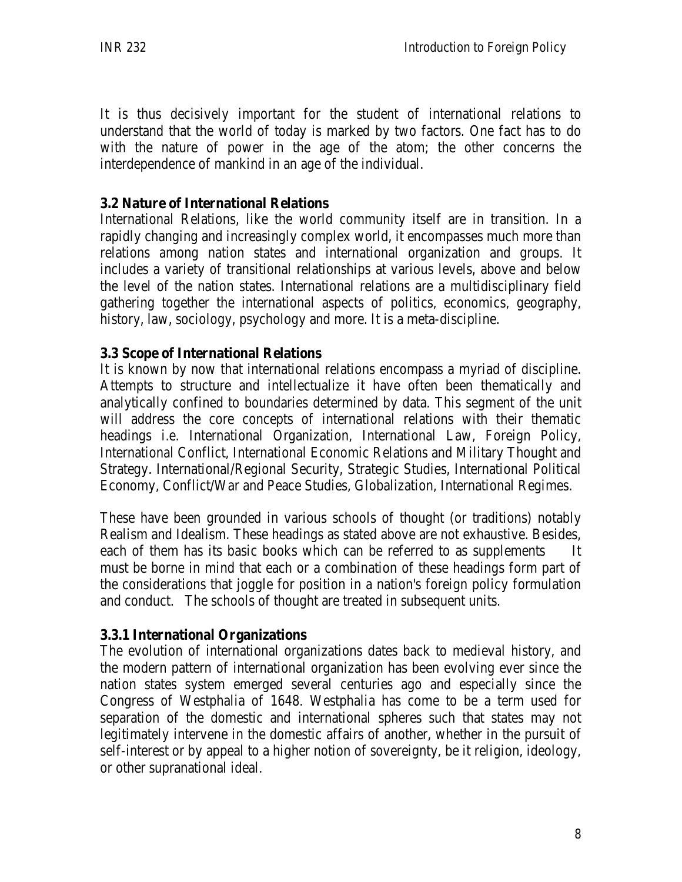It is thus decisively important for the student of international relations to understand that the world of today is marked by two factors. One fact has to do with the nature of power in the age of the atom; the other concerns the interdependence of mankind in an age of the individual.

#### **3.2 Nature of International Relations**

International Relations, like the world community itself are in transition. In a rapidly changing and increasingly complex world, it encompasses much more than relations among nation states and international organization and groups. It includes a variety of transitional relationships at various levels, above and below the level of the nation states. International relations are a multidisciplinary field gathering together the international aspects of politics, economics, geography, history, law, sociology, psychology and more. It is a meta-discipline.

#### **3.3 Scope of International Relations**

It is known by now that international relations encompass a myriad of discipline. Attempts to structure and intellectualize it have often been thematically and analytically confined to boundaries determined by data. This segment of the unit will address the core concepts of international relations with their thematic headings i.e. International Organization, International Law, Foreign Policy, International Conflict, International Economic Relations and Military Thought and Strategy. International/Regional Security, Strategic Studies, International Political Economy, Conflict/War and Peace Studies, Globalization, International Regimes.

These have been grounded in various schools of thought (or traditions) notably Realism and Idealism. These headings as stated above are not exhaustive. Besides, each of them has its basic books which can be referred to as supplements It must be borne in mind that each or a combination of these headings form part of the considerations that joggle for position in a nation's foreign policy formulation and conduct. The schools of thought are treated in subsequent units.

#### **3.3.1 International Organizations**

The evolution of international organizations dates back to medieval history, and the modern pattern of international organization has been evolving ever since the nation states system emerged several centuries ago and especially since the Congress of Westphalia of 1648. Westphalia has come to be a term used for separation of the domestic and international spheres such that states may not legitimately intervene in the domestic affairs of another, whether in the pursuit of self-interest or by appeal to a higher notion of sovereignty, be it religion, ideology, or other supranational ideal.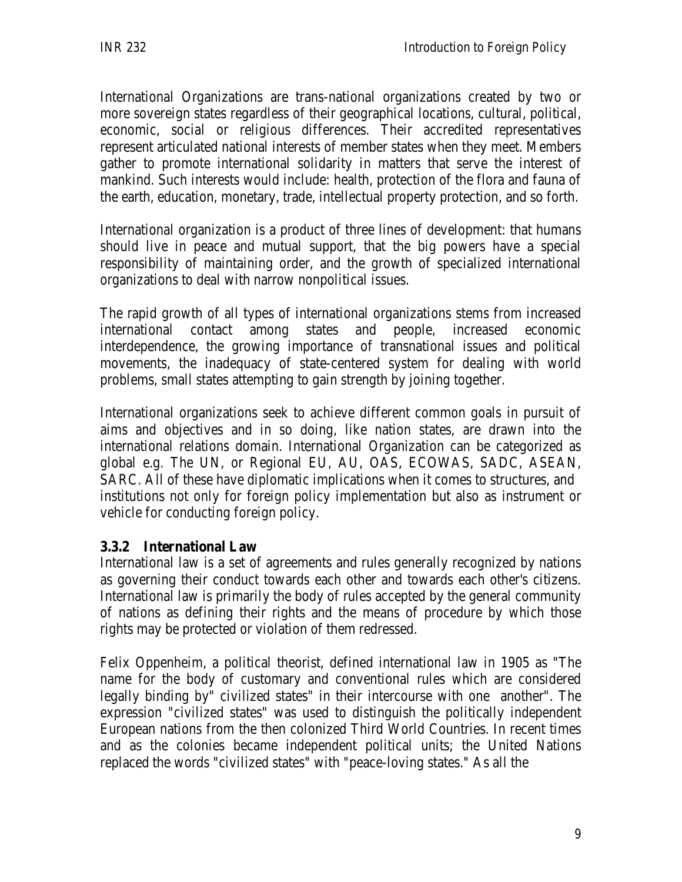International Organizations are trans-national organizations created by two or more sovereign states regardless of their geographical locations, cultural, political, economic, social or religious differences. Their accredited representatives represent articulated national interests of member states when they meet. Members gather to promote international solidarity in matters that serve the interest of mankind. Such interests would include: health, protection of the flora and fauna of the earth, education, monetary, trade, intellectual property protection, and so forth.

International organization is a product of three lines of development: that humans should live in peace and mutual support, that the big powers have a special responsibility of maintaining order, and the growth of specialized international organizations to deal with narrow nonpolitical issues.

The rapid growth of all types of international organizations stems from increased international contact among states and people, increased economic interdependence, the growing importance of transnational issues and political movements, the inadequacy of state-centered system for dealing with world problems, small states attempting to gain strength by joining together.

International organizations seek to achieve different common goals in pursuit of aims and objectives and in so doing, like nation states, are drawn into the international relations domain. International Organization can be categorized as global e.g. The UN, or Regional EU, AU, OAS, ECOWAS, SADC, ASEAN, SARC. All of these have diplomatic implications when it comes to structures, and institutions not only for foreign policy implementation but also as instrument or vehicle for conducting foreign policy.

#### **3.3.2 International Law**

International law is a set of agreements and rules generally recognized by nations as governing their conduct towards each other and towards each other's citizens. International law is primarily the body of rules accepted by the general community of nations as defining their rights and the means of procedure by which those rights may be protected or violation of them redressed.

Felix Oppenheim, a political theorist, defined international law in 1905 as "The name for the body of customary and conventional rules which are considered legally binding by" civilized states" in their intercourse with one another". The expression "civilized states" was used to distinguish the politically independent European nations from the then colonized Third World Countries. In recent times and as the colonies became independent political units; the United Nations replaced the words "civilized states" with "peace-loving states." As all the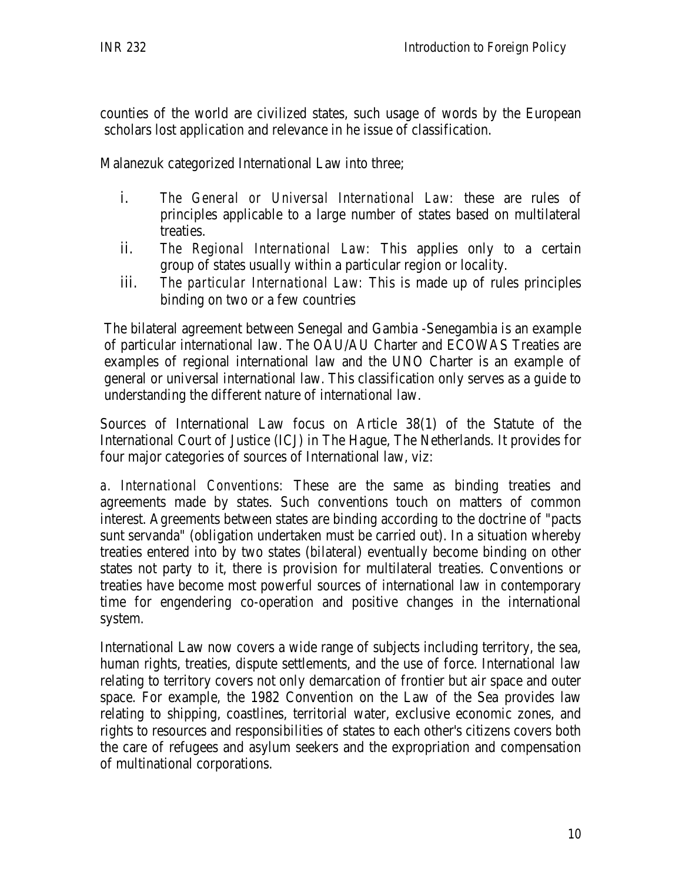counties of the world are civilized states, such usage of words by the European scholars lost application and relevance in he issue of classification.

Malanezuk categorized International Law into three;

- i. *The General or Universal International Law:* these are rules of principles applicable to a large number of states based on multilateral treaties.
- ii. *The Regional International Law:* This applies only to a certain group of states usually within a particular region or locality.
- iii. *The particular International Law:* This is made up of rules principles binding on two or a few countries

The bilateral agreement between Senegal and Gambia -Senegambia is an example of particular international law. The OAU/AU Charter and ECOWAS Treaties are examples of regional international law and the UNO Charter is an example of general or universal international law. This classification only serves as a guide to understanding the different nature of international law.

Sources of International Law focus on Article 38(1) of the Statute of the International Court of Justice (ICJ) in The Hague, The Netherlands. It provides for four major categories of sources of International law, viz:

*a. International Conventions:* These are the same as binding treaties and agreements made by states. Such conventions touch on matters of common interest. Agreements between states are binding according to the doctrine of "pacts sunt servanda" (obligation undertaken must be carried out). In a situation whereby treaties entered into by two states (bilateral) eventually become binding on other states not party to it, there is provision for multilateral treaties. Conventions or treaties have become most powerful sources of international law in contemporary time for engendering co-operation and positive changes in the international system.

International Law now covers a wide range of subjects including territory, the sea, human rights, treaties, dispute settlements, and the use of force. International law relating to territory covers not only demarcation of frontier but air space and outer space. For example, the 1982 Convention on the Law of the Sea provides law relating to shipping, coastlines, territorial water, exclusive economic zones, and rights to resources and responsibilities of states to each other's citizens covers both the care of refugees and asylum seekers and the expropriation and compensation of multinational corporations.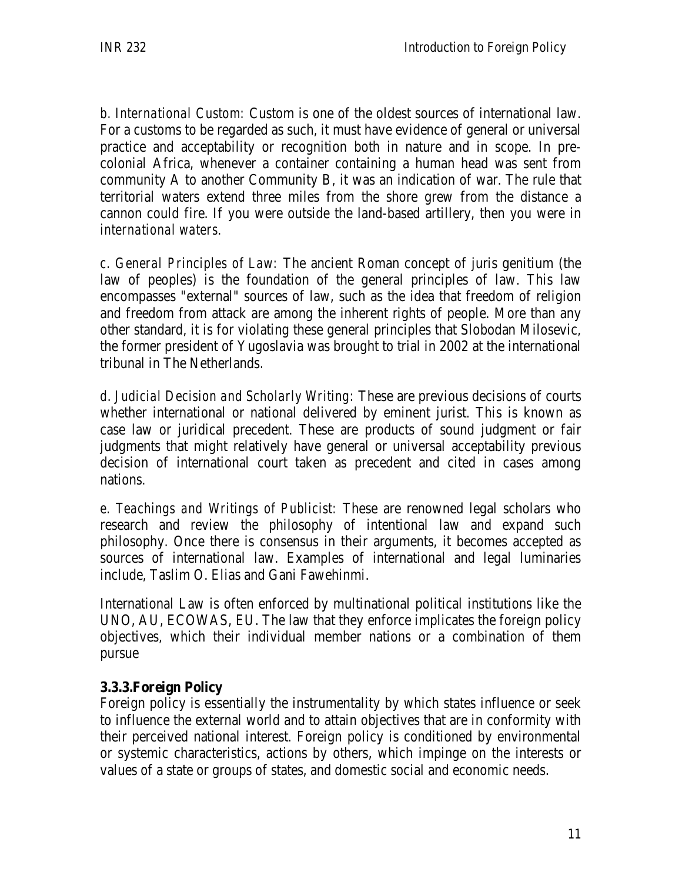*b. International Custom:* Custom is one of the oldest sources of international law. For a customs to be regarded as such, it must have evidence of general or universal practice and acceptability or recognition both in nature and in scope. In precolonial Africa, whenever a container containing a human head was sent from community A to another Community B, it was an indication of war. The rule that territorial waters extend three miles from the shore grew from the distance a cannon could fire. If you were outside the land-based artillery, then you were in *international waters.*

*c. General Principles of Law:* The ancient Roman concept of juris genitium (the law of peoples) is the foundation of the general principles of law. This law encompasses "external" sources of law, such as the idea that freedom of religion and freedom from attack are among the inherent rights of people. More than any other standard, it is for violating these general principles that Slobodan Milosevic, the former president of Yugoslavia was brought to trial in 2002 at the international tribunal in The Netherlands.

*d. Judicial Decision and Scholarly Writing:* These are previous decisions of courts whether international or national delivered by eminent jurist. This is known as case law or juridical precedent. These are products of sound judgment or fair judgments that might relatively have general or universal acceptability previous decision of international court taken as precedent and cited in cases among nations.

*e. Teachings and Writings of Publicist:* These are renowned legal scholars who research and review the philosophy of intentional law and expand such philosophy. Once there is consensus in their arguments, it becomes accepted as sources of international law. Examples of international and legal luminaries include, Taslim O. Elias and Gani Fawehinmi.

International Law is often enforced by multinational political institutions like the UNO, AU, ECOWAS, EU. The law that they enforce implicates the foreign policy objectives, which their individual member nations or a combination of them pursue

#### **3.3.3.Foreign Policy**

Foreign policy is essentially the instrumentality by which states influence or seek to influence the external world and to attain objectives that are in conformity with their perceived national interest. Foreign policy is conditioned by environmental or systemic characteristics, actions by others, which impinge on the interests or values of a state or groups of states, and domestic social and economic needs.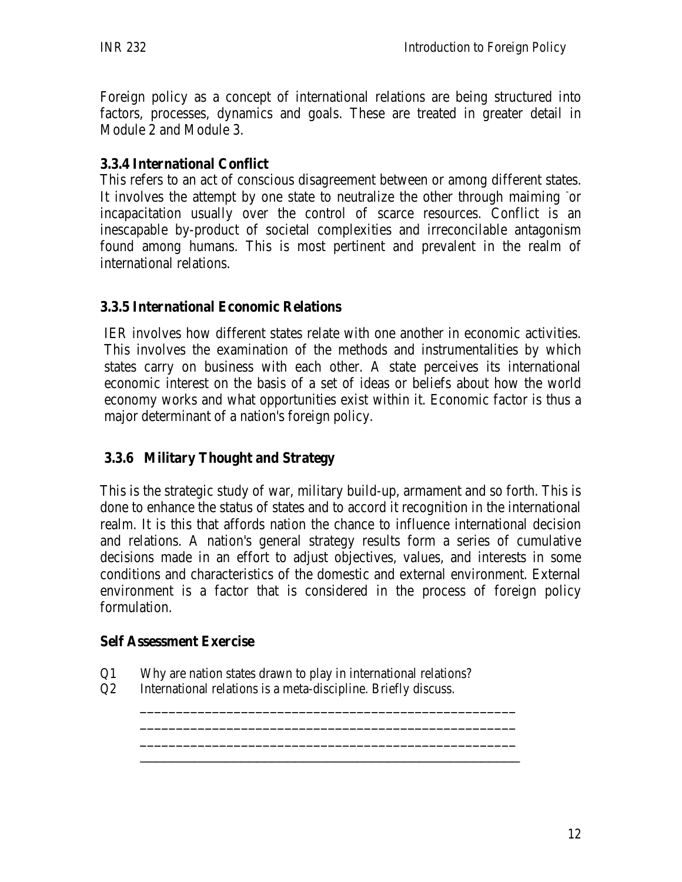Foreign policy as a concept of international relations are being structured into factors, processes, dynamics and goals. These are treated in greater detail in Module 2 and Module 3.

#### **3.3.4 International Conflict**

This refers to an act of conscious disagreement between or among different states. It involves the attempt by one state to neutralize the other through maiming or incapacitation usually over the control of scarce resources. Conflict is an inescapable by-product of societal complexities and irreconcilable antagonism found among humans. This is most pertinent and prevalent in the realm of international relations.

#### **3.3.5 International Economic Relations**

IER involves how different states relate with one another in economic activities. This involves the examination of the methods and instrumentalities by which states carry on business with each other. A state perceives its international economic interest on the basis of a set of ideas or beliefs about how the world economy works and what opportunities exist within it. Economic factor is thus a major determinant of a nation's foreign policy.

#### **3.3.6 Military Thought and Strategy**

This is the strategic study of war, military build-up, armament and so forth. This is done to enhance the status of states and to accord it recognition in the international realm. It is this that affords nation the chance to influence international decision and relations. A nation's general strategy results form a series of cumulative decisions made in an effort to adjust objectives, values, and interests in some conditions and characteristics of the domestic and external environment. External environment is a factor that is considered in the process of foreign policy formulation.

\_\_\_\_\_\_\_\_\_\_\_\_\_\_\_\_\_\_\_\_\_\_\_\_\_\_\_\_\_\_\_\_\_\_\_\_\_\_\_\_\_\_\_\_\_\_\_\_\_\_\_\_ \_\_\_\_\_\_\_\_\_\_\_\_\_\_\_\_\_\_\_\_\_\_\_\_\_\_\_\_\_\_\_\_\_\_\_\_\_\_\_\_\_\_\_\_\_\_\_\_\_\_\_\_ \_\_\_\_\_\_\_\_\_\_\_\_\_\_\_\_\_\_\_\_\_\_\_\_\_\_\_\_\_\_\_\_\_\_\_\_\_\_\_\_\_\_\_\_\_\_\_\_\_\_\_\_ \_\_\_\_\_\_\_\_\_\_\_\_\_\_\_\_\_\_\_\_\_\_\_\_\_\_\_\_\_\_\_\_\_\_\_\_\_\_\_\_\_\_\_\_\_\_\_\_\_

#### **Self Assessment Exercise**

- Q1 Why are nation states drawn to play in international relations?
- Q2 International relations is a meta-discipline. Briefly discuss.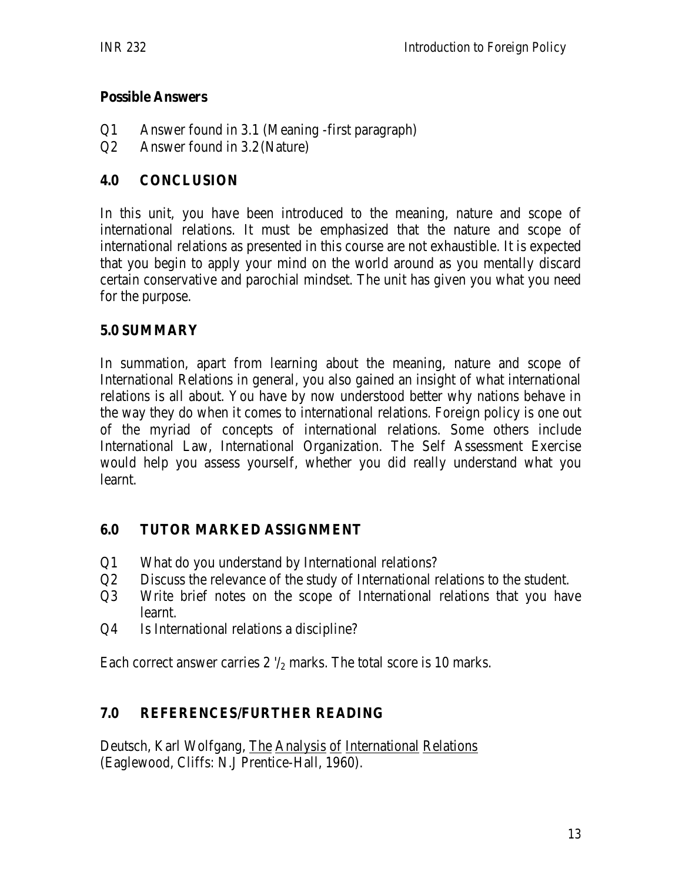#### **Possible Answers**

- Q1 Answer found in 3.1 (Meaning -first paragraph)
- Q2 Answer found in 3.2(Nature)

#### **4.0 CONCLUSION**

In this unit, you have been introduced to the meaning, nature and scope of international relations. It must be emphasized that the nature and scope of international relations as presented in this course are not exhaustible. It is expected that you begin to apply your mind on the world around as you mentally discard certain conservative and parochial mindset. The unit has given you what you need for the purpose.

#### **5.0 SUMMARY**

In summation, apart from learning about the meaning, nature and scope of International Relations in general, you also gained an insight of what international relations is all about. You have by now understood better why nations behave in the way they do when it comes to international relations. Foreign policy is one out of the myriad of concepts of international relations. Some others include International Law, International Organization. The Self Assessment Exercise would help you assess yourself, whether you did really understand what you learnt.

#### **6.0 TUTOR MARKED ASSIGNMENT**

- Q1 What do you understand by International relations?
- Q2 Discuss the relevance of the study of International relations to the student.
- Q3 Write brief notes on the scope of International relations that you have learnt.
- Q4 Is International relations a discipline?

Each correct answer carries  $2\frac{1}{2}$  marks. The total score is 10 marks.

#### **7.0 REFERENCES/FURTHER READING**

Deutsch, Karl Wolfgang, The Analysis of International Relations (Eaglewood, Cliffs: N.J Prentice-Hall, 1960).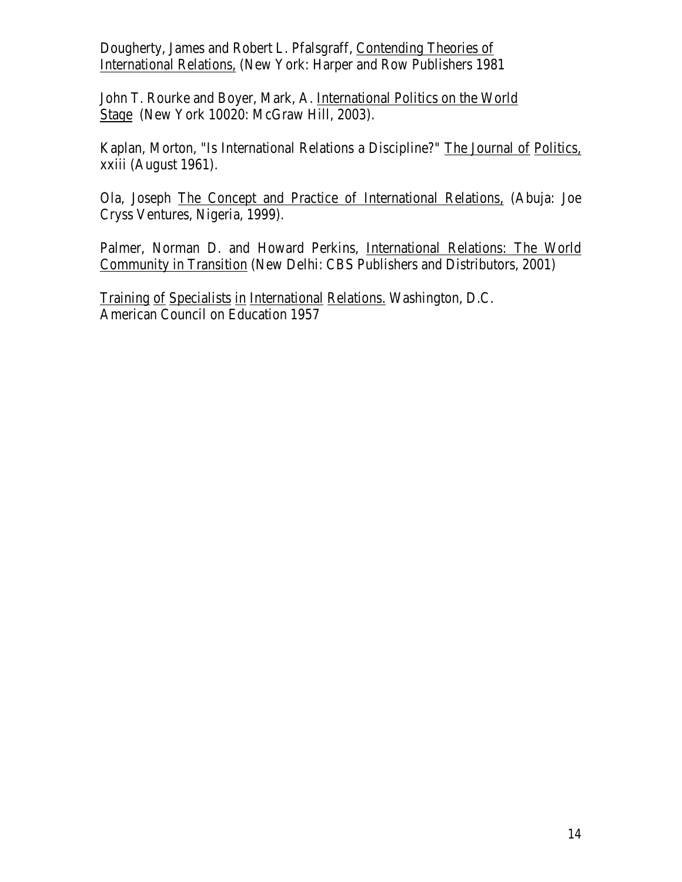Dougherty, James and Robert L. Pfalsgraff, Contending Theories of International Relations, (New York: Harper and Row Publishers 1981

John T. Rourke and Boyer, Mark, A. International Politics on the World Stage (New York 10020: McGraw Hill, 2003).

Kaplan, Morton, "Is International Relations a Discipline?" The Journal of Politics, xxiii (August 1961).

Ola, Joseph The Concept and Practice of International Relations, (Abuja: Joe Cryss Ventures, Nigeria, 1999).

Palmer, Norman D. and Howard Perkins, International Relations: The World Community in Transition (New Delhi: CBS Publishers and Distributors, 2001)

Training of Specialists in International Relations. Washington, D.C. American Council on Education 1957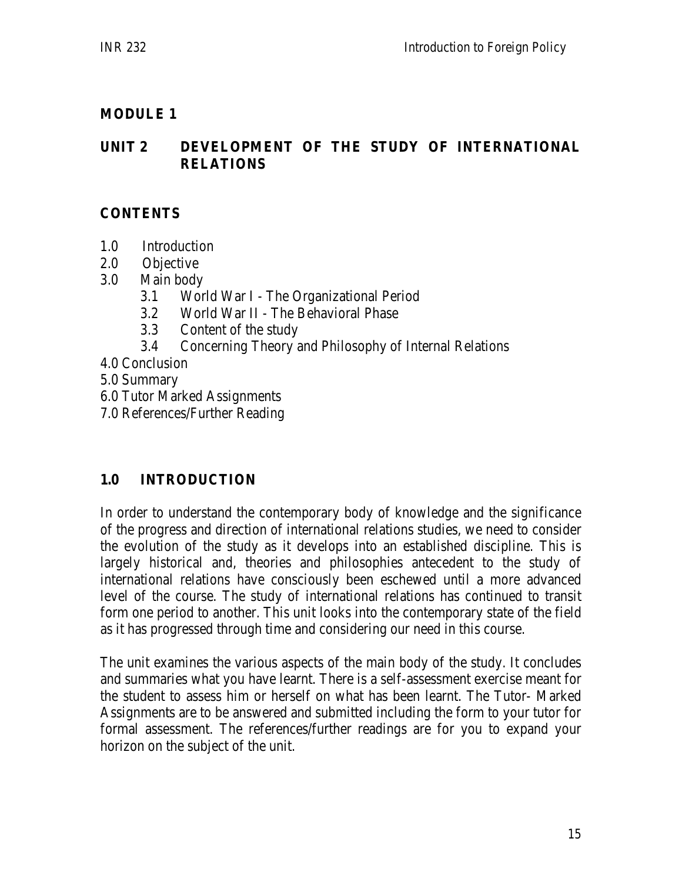### **MODULE 1**

#### **UNIT 2 DEVELOPMENT OF THE STUDY OF INTERNATIONAL RELATIONS**

#### **CONTENTS**

- 1.0 Introduction
- 2.0 Objective
- 3.0 Main body
	- 3.1 World War I The Organizational Period
	- 3.2 World War II The Behavioral Phase
	- 3.3 Content of the study
	- 3.4 Concerning Theory and Philosophy of Internal Relations
- 4.0 Conclusion
- 5.0 Summary
- 6.0 Tutor Marked Assignments
- 7.0 References/Further Reading

## **1.0 INTRODUCTION**

In order to understand the contemporary body of knowledge and the significance of the progress and direction of international relations studies, we need to consider the evolution of the study as it develops into an established discipline. This is largely historical and, theories and philosophies antecedent to the study of international relations have consciously been eschewed until a more advanced level of the course. The study of international relations has continued to transit form one period to another. This unit looks into the contemporary state of the field as it has progressed through time and considering our need in this course.

The unit examines the various aspects of the main body of the study. It concludes and summaries what you have learnt. There is a self-assessment exercise meant for the student to assess him or herself on what has been learnt. The Tutor- Marked Assignments are to be answered and submitted including the form to your tutor for formal assessment. The references/further readings are for you to expand your horizon on the subject of the unit.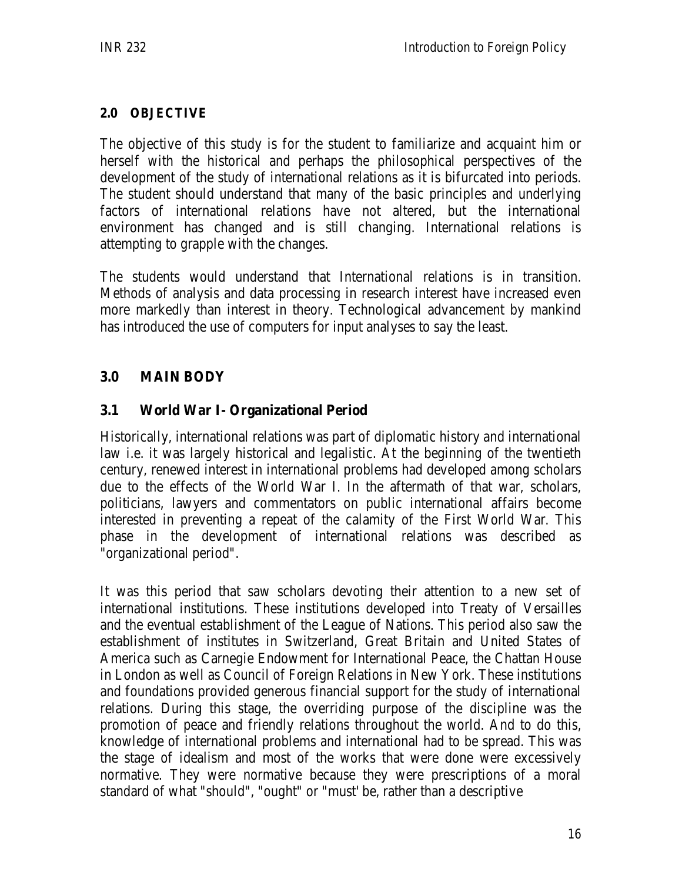#### **2.0 OBJECTIVE**

The objective of this study is for the student to familiarize and acquaint him or herself with the historical and perhaps the philosophical perspectives of the development of the study of international relations as it is bifurcated into periods. The student should understand that many of the basic principles and underlying factors of international relations have not altered, but the international environment has changed and is still changing. International relations is attempting to grapple with the changes.

The students would understand that International relations is in transition. Methods of analysis and data processing in research interest have increased even more markedly than interest in theory. Technological advancement by mankind has introduced the use of computers for input analyses to say the least.

## **3.0 MAIN BODY**

#### **3.1 World War I- Organizational Period**

Historically, international relations was part of diplomatic history and international law i.e. it was largely historical and legalistic. At the beginning of the twentieth century, renewed interest in international problems had developed among scholars due to the effects of the World War I. In the aftermath of that war, scholars, politicians, lawyers and commentators on public international affairs become interested in preventing a repeat of the calamity of the First World War. This phase in the development of international relations was described as "organizational period".

It was this period that saw scholars devoting their attention to a new set of international institutions. These institutions developed into Treaty of Versailles and the eventual establishment of the League of Nations. This period also saw the establishment of institutes in Switzerland, Great Britain and United States of America such as Carnegie Endowment for International Peace, the Chattan House in London as well as Council of Foreign Relations in New York. These institutions and foundations provided generous financial support for the study of international relations. During this stage, the overriding purpose of the discipline was the promotion of peace and friendly relations throughout the world. And to do this, knowledge of international problems and international had to be spread. This was the stage of idealism and most of the works that were done were excessively normative. They were normative because they were prescriptions of a moral standard of what "should", "ought" or "must' be, rather than a descriptive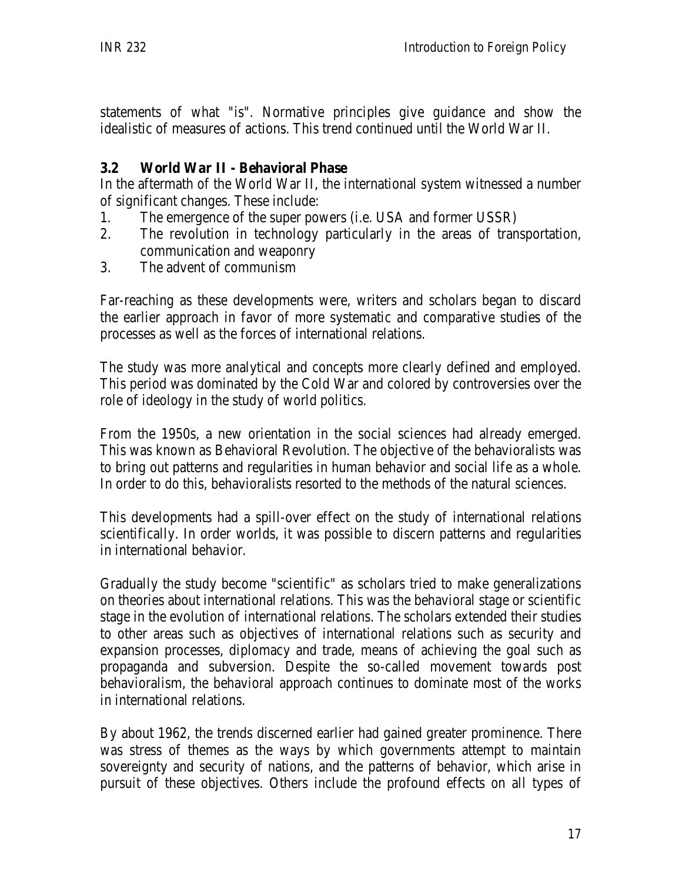statements of what "is". Normative principles give guidance and show the idealistic of measures of actions. This trend continued until the World War II.

#### **3.2 World War II - Behavioral Phase**

In the aftermath of the World War II, the international system witnessed a number of significant changes. These include:

- 1. The emergence of the super powers (i.e. USA and former USSR)
- 2. The revolution in technology particularly in the areas of transportation, communication and weaponry
- 3. The advent of communism

Far-reaching as these developments were, writers and scholars began to discard the earlier approach in favor of more systematic and comparative studies of the processes as well as the forces of international relations.

The study was more analytical and concepts more clearly defined and employed. This period was dominated by the Cold War and colored by controversies over the role of ideology in the study of world politics.

From the 1950s, a new orientation in the social sciences had already emerged. This was known as Behavioral Revolution. The objective of the behavioralists was to bring out patterns and regularities in human behavior and social life as a whole. In order to do this, behavioralists resorted to the methods of the natural sciences.

This developments had a spill-over effect on the study of international relations scientifically. In order worlds, it was possible to discern patterns and regularities in international behavior.

Gradually the study become "scientific" as scholars tried to make generalizations on theories about international relations. This was the behavioral stage or scientific stage in the evolution of international relations. The scholars extended their studies to other areas such as objectives of international relations such as security and expansion processes, diplomacy and trade, means of achieving the goal such as propaganda and subversion. Despite the so-called movement towards post behavioralism, the behavioral approach continues to dominate most of the works in international relations.

By about 1962, the trends discerned earlier had gained greater prominence. There was stress of themes as the ways by which governments attempt to maintain sovereignty and security of nations, and the patterns of behavior, which arise in pursuit of these objectives. Others include the profound effects on all types of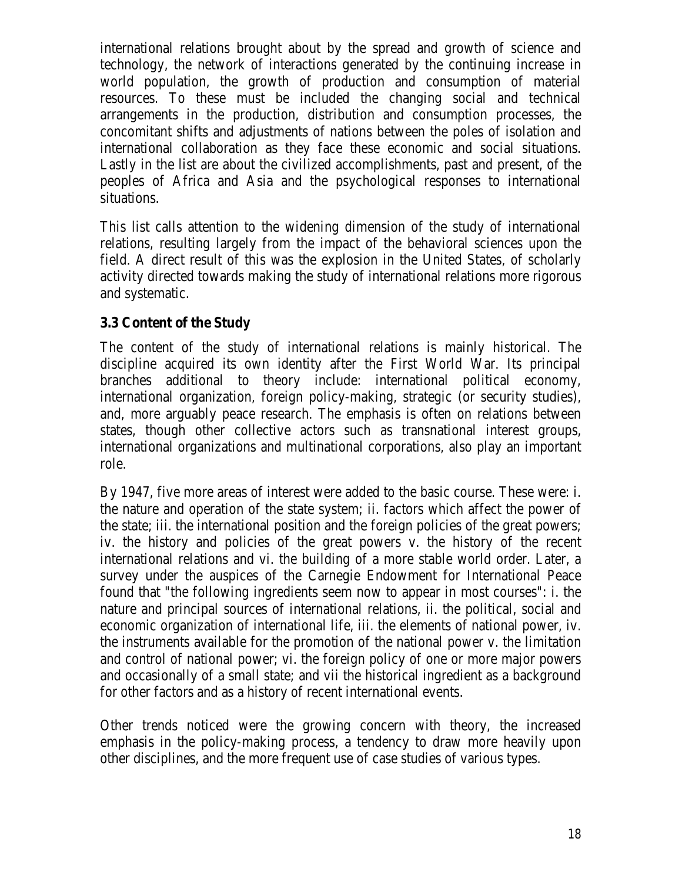international relations brought about by the spread and growth of science and technology, the network of interactions generated by the continuing increase in world population, the growth of production and consumption of material resources. To these must be included the changing social and technical arrangements in the production, distribution and consumption processes, the concomitant shifts and adjustments of nations between the poles of isolation and international collaboration as they face these economic and social situations. Lastly in the list are about the civilized accomplishments, past and present, of the peoples of Africa and Asia and the psychological responses to international situations.

This list calls attention to the widening dimension of the study of international relations, resulting largely from the impact of the behavioral sciences upon the field. A direct result of this was the explosion in the United States, of scholarly activity directed towards making the study of international relations more rigorous and systematic.

## **3.3 Content of the Study**

The content of the study of international relations is mainly historical. The discipline acquired its own identity after the First World War. Its principal branches additional to theory include: international political economy, international organization, foreign policy-making, strategic (or security studies), and, more arguably peace research. The emphasis is often on relations between states, though other collective actors such as transnational interest groups, international organizations and multinational corporations, also play an important role.

By 1947, five more areas of interest were added to the basic course. These were: i. the nature and operation of the state system; ii. factors which affect the power of the state; iii. the international position and the foreign policies of the great powers; iv. the history and policies of the great powers v. the history of the recent international relations and vi. the building of a more stable world order. Later, a survey under the auspices of the Carnegie Endowment for International Peace found that "the following ingredients seem now to appear in most courses": i. the nature and principal sources of international relations, ii. the political, social and economic organization of international life, iii. the elements of national power, iv. the instruments available for the promotion of the national power v. the limitation and control of national power; vi. the foreign policy of one or more major powers and occasionally of a small state; and vii the historical ingredient as a background for other factors and as a history of recent international events.

Other trends noticed were the growing concern with theory, the increased emphasis in the policy-making process, a tendency to draw more heavily upon other disciplines, and the more frequent use of case studies of various types.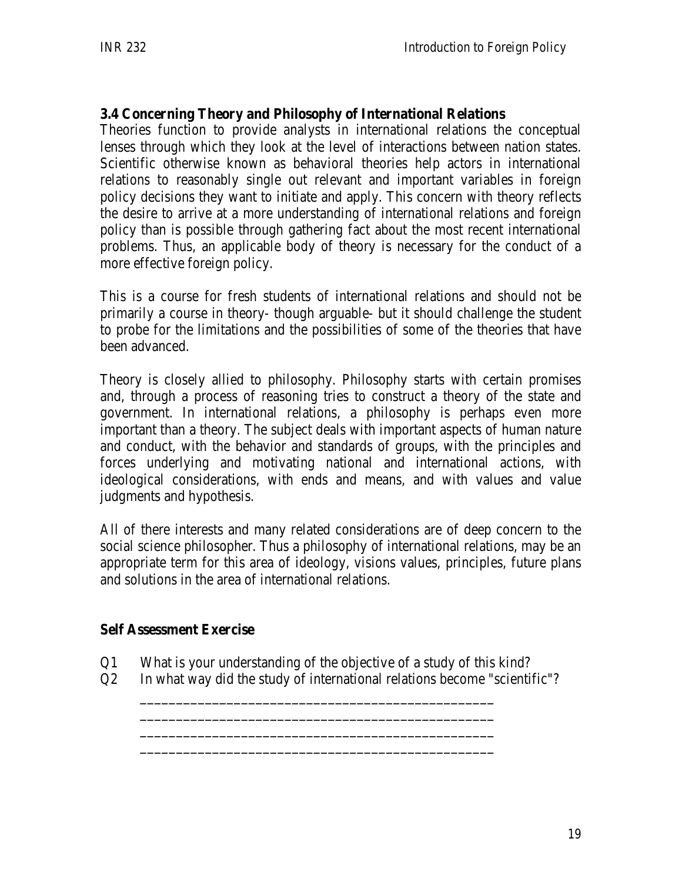#### **3.4 Concerning Theory and Philosophy of International Relations**

Theories function to provide analysts in international relations the conceptual lenses through which they look at the level of interactions between nation states. Scientific otherwise known as behavioral theories help actors in international relations to reasonably single out relevant and important variables in foreign policy decisions they want to initiate and apply. This concern with theory reflects the desire to arrive at a more understanding of international relations and foreign policy than is possible through gathering fact about the most recent international problems. Thus, an applicable body of theory is necessary for the conduct of a more effective foreign policy.

This is a course for fresh students of international relations and should not be primarily a course in theory- though arguable- but it should challenge the student to probe for the limitations and the possibilities of some of the theories that have been advanced.

Theory is closely allied to philosophy. Philosophy starts with certain promises and, through a process of reasoning tries to construct a theory of the state and government. In international relations, a philosophy is perhaps even more important than a theory. The subject deals with important aspects of human nature and conduct, with the behavior and standards of groups, with the principles and forces underlying and motivating national and international actions, with ideological considerations, with ends and means, and with values and value judgments and hypothesis.

All of there interests and many related considerations are of deep concern to the social science philosopher. Thus a philosophy of international relations, may be an appropriate term for this area of ideology, visions values, principles, future plans and solutions in the area of international relations.

#### **Self Assessment Exercise**

Q1 What is your understanding of the objective of a study of this kind?

\_\_\_\_\_\_\_\_\_\_\_\_\_\_\_\_\_\_\_\_\_\_\_\_\_\_\_\_\_\_\_\_\_\_\_\_\_\_\_\_\_\_\_\_\_\_\_\_\_ \_\_\_\_\_\_\_\_\_\_\_\_\_\_\_\_\_\_\_\_\_\_\_\_\_\_\_\_\_\_\_\_\_\_\_\_\_\_\_\_\_\_\_\_\_\_\_\_\_ \_\_\_\_\_\_\_\_\_\_\_\_\_\_\_\_\_\_\_\_\_\_\_\_\_\_\_\_\_\_\_\_\_\_\_\_\_\_\_\_\_\_\_\_\_\_\_\_\_ \_\_\_\_\_\_\_\_\_\_\_\_\_\_\_\_\_\_\_\_\_\_\_\_\_\_\_\_\_\_\_\_\_\_\_\_\_\_\_\_\_\_\_\_\_\_\_\_\_

Q2 In what way did the study of international relations become "scientific"?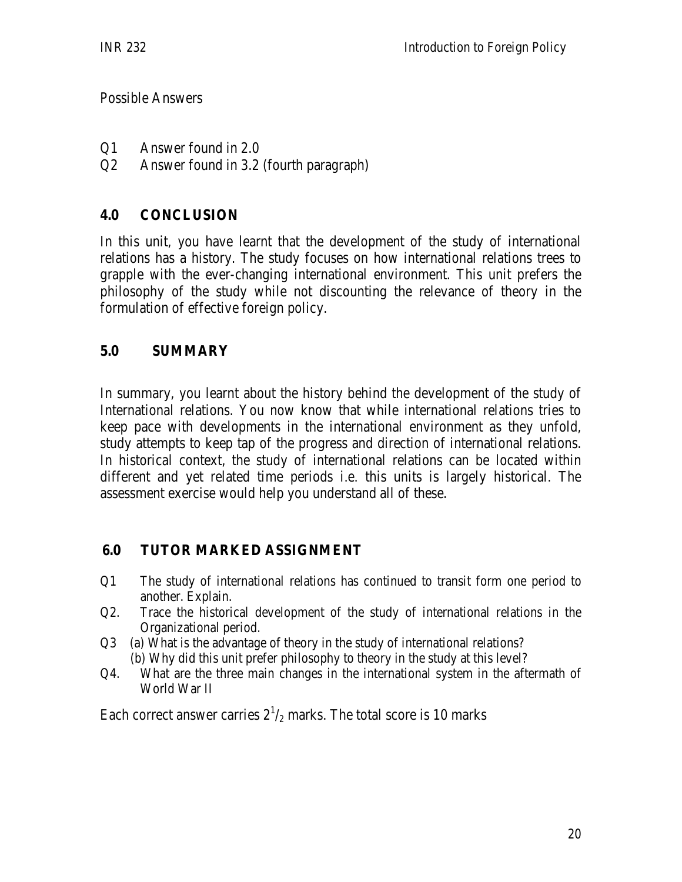Possible Answers

- Q1 Answer found in 2.0
- Q2 Answer found in 3.2 (fourth paragraph)

#### **4.0 CONCLUSION**

In this unit, you have learnt that the development of the study of international relations has a history. The study focuses on how international relations trees to grapple with the ever-changing international environment. This unit prefers the philosophy of the study while not discounting the relevance of theory in the formulation of effective foreign policy.

#### **5.0 SUMMARY**

In summary, you learnt about the history behind the development of the study of International relations. You now know that while international relations tries to keep pace with developments in the international environment as they unfold, study attempts to keep tap of the progress and direction of international relations. In historical context, the study of international relations can be located within different and yet related time periods i.e. this units is largely historical. The assessment exercise would help you understand all of these.

#### **6.0 TUTOR MARKED ASSIGNMENT**

- Q1 The study of international relations has continued to transit form one period to another. Explain.
- Q2. Trace the historical development of the study of international relations in the Organizational period.
- Q3 (a) What is the advantage of theory in the study of international relations? (b) Why did this unit prefer philosophy to theory in the study at this level?
- Q4. What are the three main changes in the international system in the aftermath of World War II

Each correct answer carries  $2^{1/2}$  marks. The total score is 10 marks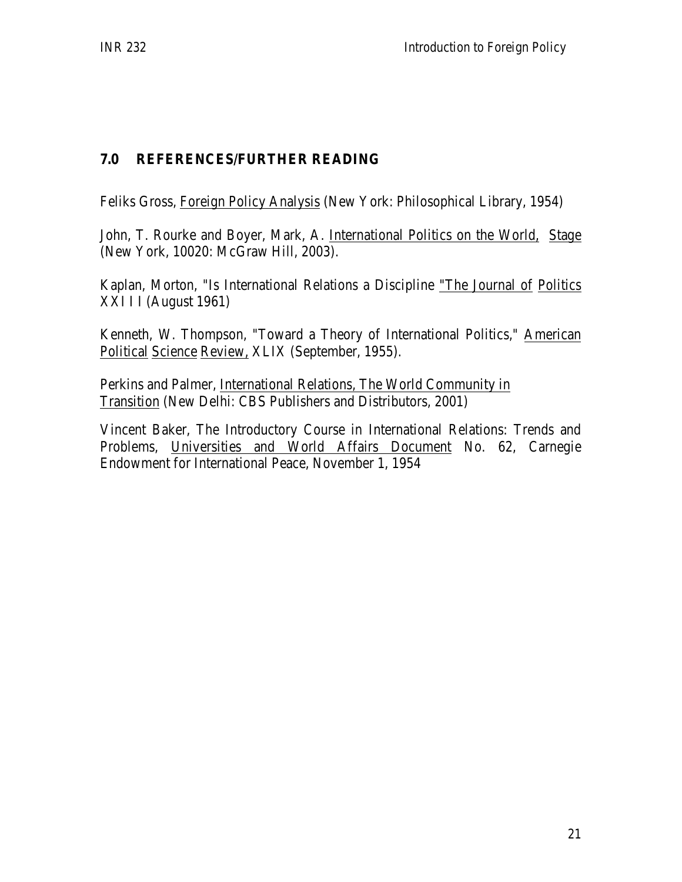#### **7.0 REFERENCES/FURTHER READING**

Feliks Gross, Foreign Policy Analysis (New York: Philosophical Library, 1954)

John, T. Rourke and Boyer, Mark, A. International Politics on the World, Stage (New York, 10020: McGraw Hill, 2003).

Kaplan, Morton, "Is International Relations a Discipline "The Journal of Politics XXI I I (August 1961)

Kenneth, W. Thompson, "Toward a Theory of International Politics," American Political Science Review, XLIX (September, 1955).

Perkins and Palmer, International Relations, The World Community in Transition (New Delhi: CBS Publishers and Distributors, 2001)

Vincent Baker, The Introductory Course in International Relations: Trends and Problems, Universities and World Affairs Document No. 62, Carnegie Endowment for International Peace, November 1, 1954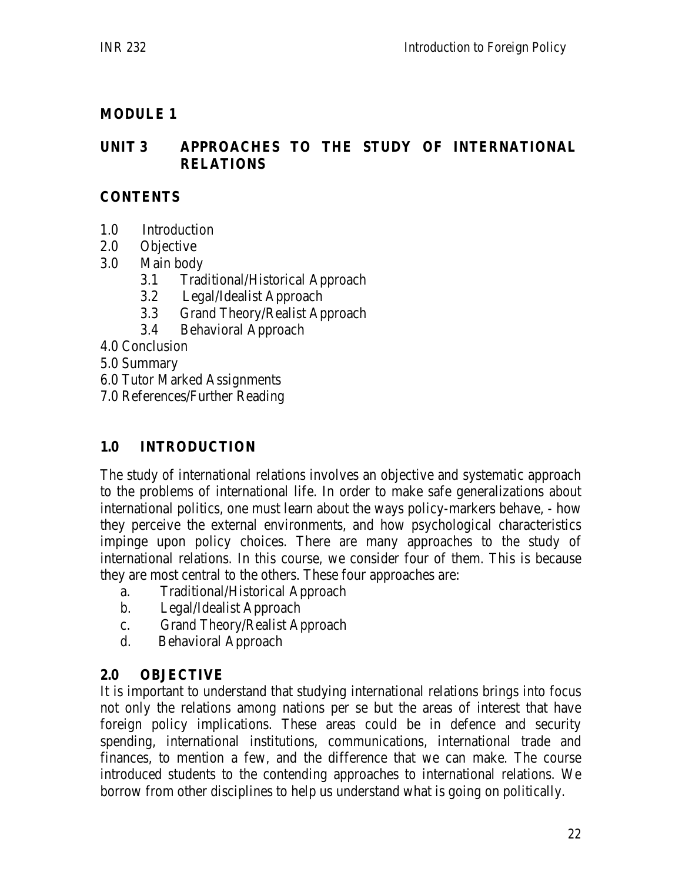## **MODULE 1**

#### **UNIT 3 APPROACHES TO THE STUDY OF INTERNATIONAL RELATIONS**

#### **CONTENTS**

- 1.0 Introduction
- 2.0 Objective
- 3.0 Main body
	- 3.1 Traditional/Historical Approach
	- 3.2 Legal/Idealist Approach
	- 3.3 Grand Theory/Realist Approach
	- 3.4 Behavioral Approach
- 4.0 Conclusion
- 5.0 Summary
- 6.0 Tutor Marked Assignments
- 7.0 References/Further Reading

### **1.0 INTRODUCTION**

The study of international relations involves an objective and systematic approach to the problems of international life. In order to make safe generalizations about international politics, one must learn about the ways policy-markers behave, - how they perceive the external environments, and how psychological characteristics impinge upon policy choices. There are many approaches to the study of international relations. In this course, we consider four of them. This is because they are most central to the others. These four approaches are:

- a. Traditional/Historical Approach
- b. Legal/Idealist Approach
- c. Grand Theory/Realist Approach
- d. Behavioral Approach

#### **2.0 OBJECTIVE**

It is important to understand that studying international relations brings into focus not only the relations among nations per se but the areas of interest that have foreign policy implications. These areas could be in defence and security spending, international institutions, communications, international trade and finances, to mention a few, and the difference that we can make. The course introduced students to the contending approaches to international relations. We borrow from other disciplines to help us understand what is going on politically.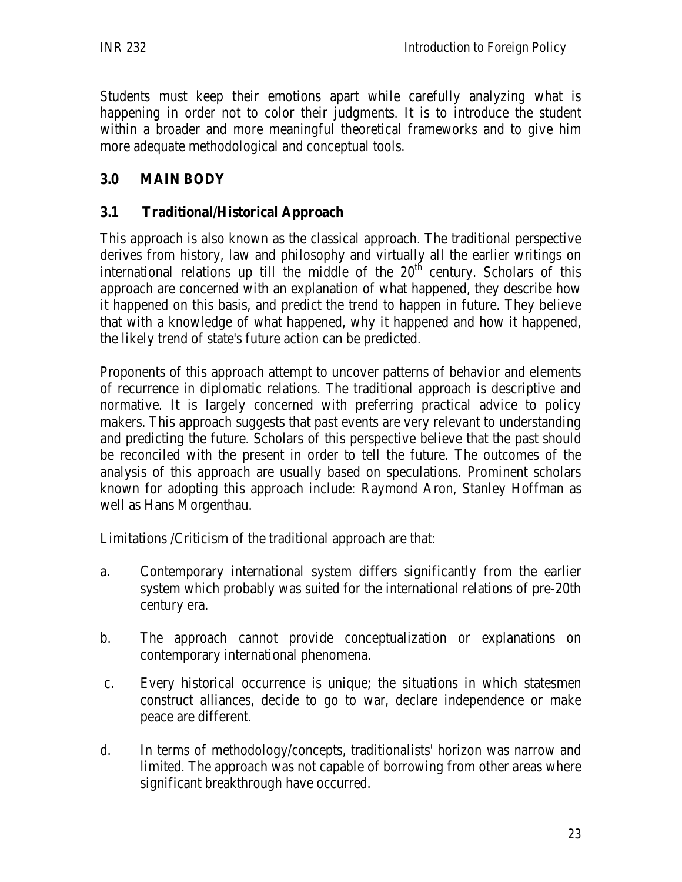Students must keep their emotions apart while carefully analyzing what is happening in order not to color their judgments. It is to introduce the student within a broader and more meaningful theoretical frameworks and to give him more adequate methodological and conceptual tools.

## **3.0 MAIN BODY**

## **3.1 Traditional/Historical Approach**

This approach is also known as the classical approach. The traditional perspective derives from history, law and philosophy and virtually all the earlier writings on international relations up till the middle of the  $20<sup>th</sup>$  century. Scholars of this approach are concerned with an explanation of what happened, they describe how it happened on this basis, and predict the trend to happen in future. They believe that with a knowledge of what happened, why it happened and how it happened, the likely trend of state's future action can be predicted.

Proponents of this approach attempt to uncover patterns of behavior and elements of recurrence in diplomatic relations. The traditional approach is descriptive and normative. It is largely concerned with preferring practical advice to policy makers. This approach suggests that past events are very relevant to understanding and predicting the future. Scholars of this perspective believe that the past should be reconciled with the present in order to tell the future. The outcomes of the analysis of this approach are usually based on speculations. Prominent scholars known for adopting this approach include: Raymond Aron, Stanley Hoffman as well as Hans Morgenthau.

Limitations /Criticism of the traditional approach are that:

- a. Contemporary international system differs significantly from the earlier system which probably was suited for the international relations of pre-20th century era.
- b. The approach cannot provide conceptualization or explanations on contemporary international phenomena.
- c. Every historical occurrence is unique; the situations in which statesmen construct alliances, decide to go to war, declare independence or make peace are different.
- d. In terms of methodology/concepts, traditionalists' horizon was narrow and limited. The approach was not capable of borrowing from other areas where significant breakthrough have occurred.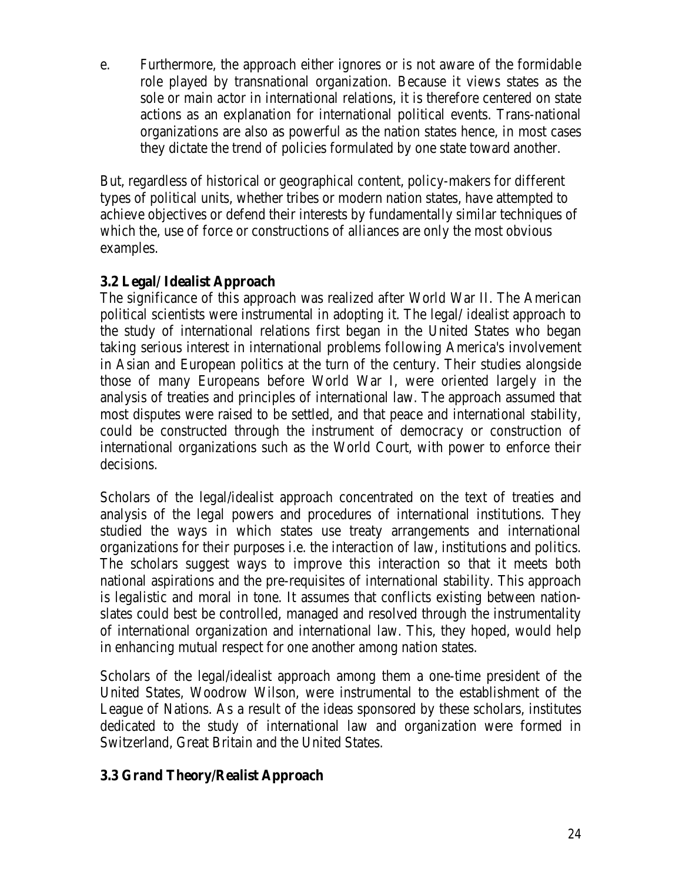e. Furthermore, the approach either ignores or is not aware of the formidable role played by transnational organization. Because it views states as the sole or main actor in international relations, it is therefore centered on state actions as an explanation for international political events. Trans-national organizations are also as powerful as the nation states hence, in most cases they dictate the trend of policies formulated by one state toward another.

But, regardless of historical or geographical content, policy-makers for different types of political units, whether tribes or modern nation states, have attempted to achieve objectives or defend their interests by fundamentally similar techniques of which the, use of force or constructions of alliances are only the most obvious examples.

#### **3.2 Legal/ Idealist Approach**

The significance of this approach was realized after World War II. The American political scientists were instrumental in adopting it. The legal/ idealist approach to the study of international relations first began in the United States who began taking serious interest in international problems following America's involvement in Asian and European politics at the turn of the century. Their studies alongside those of many Europeans before World War I, were oriented largely in the analysis of treaties and principles of international law. The approach assumed that most disputes were raised to be settled, and that peace and international stability, could be constructed through the instrument of democracy or construction of international organizations such as the World Court, with power to enforce their decisions.

Scholars of the legal/idealist approach concentrated on the text of treaties and analysis of the legal powers and procedures of international institutions. They studied the ways in which states use treaty arrangements and international organizations for their purposes i.e. the interaction of law, institutions and politics. The scholars suggest ways to improve this interaction so that it meets both national aspirations and the pre-requisites of international stability. This approach is legalistic and moral in tone. It assumes that conflicts existing between nationslates could best be controlled, managed and resolved through the instrumentality of international organization and international law. This, they hoped, would help in enhancing mutual respect for one another among nation states.

Scholars of the legal/idealist approach among them a one-time president of the United States, Woodrow Wilson, were instrumental to the establishment of the League of Nations. As a result of the ideas sponsored by these scholars, institutes dedicated to the study of international law and organization were formed in Switzerland, Great Britain and the United States.

#### **3.3 Grand Theory/Realist Approach**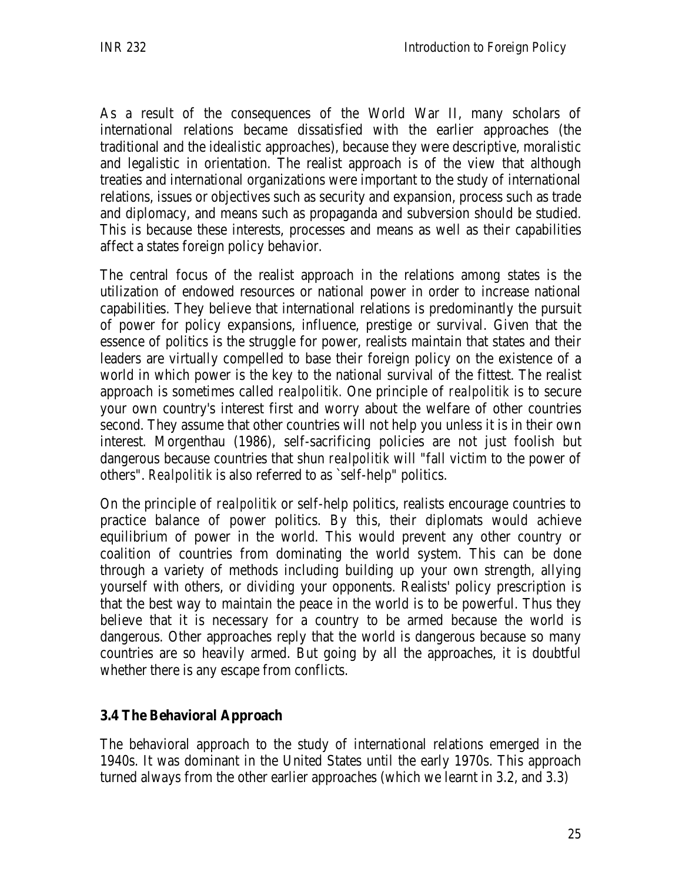As a result of the consequences of the World War II, many scholars of international relations became dissatisfied with the earlier approaches (the traditional and the idealistic approaches), because they were descriptive, moralistic and legalistic in orientation. The realist approach is of the view that although treaties and international organizations were important to the study of international relations, issues or objectives such as security and expansion, process such as trade and diplomacy, and means such as propaganda and subversion should be studied. This is because these interests, processes and means as well as their capabilities affect a states foreign policy behavior.

The central focus of the realist approach in the relations among states is the utilization of endowed resources or national power in order to increase national capabilities. They believe that international relations is predominantly the pursuit of power for policy expansions, influence, prestige or survival. Given that the essence of politics is the struggle for power, realists maintain that states and their leaders are virtually compelled to base their foreign policy on the existence of a world in which power is the key to the national survival of the fittest. The realist approach is sometimes called *realpolitik.* One principle of *realpolitik* is to secure your own country's interest first and worry about the welfare of other countries second. They assume that other countries will not help you unless it is in their own interest. Morgenthau (1986), self-sacrificing policies are not just foolish but dangerous because countries that shun *realpolitik* will "fall victim to the power of others". *Realpolitik* is also referred to as `self-help" politics.

On the principle of *realpolitik* or self-help politics, realists encourage countries to practice balance of power politics. By this, their diplomats would achieve equilibrium of power in the world. This would prevent any other country or coalition of countries from dominating the world system. This can be done through a variety of methods including building up your own strength, allying yourself with others, or dividing your opponents. Realists' policy prescription is that the best way to maintain the peace in the world is to be powerful. Thus they believe that it is necessary for a country to be armed because the world is dangerous. Other approaches reply that the world is dangerous because so many countries are so heavily armed. But going by all the approaches, it is doubtful whether there is any escape from conflicts.

#### **3.4 The Behavioral Approach**

The behavioral approach to the study of international relations emerged in the 1940s. It was dominant in the United States until the early 1970s. This approach turned always from the other earlier approaches (which we learnt in 3.2, and 3.3)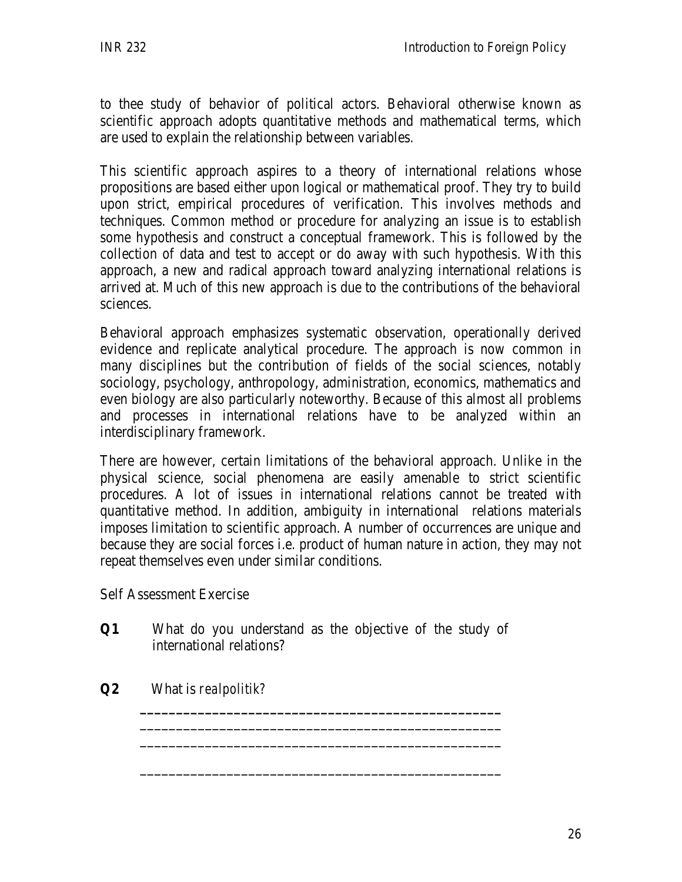to thee study of behavior of political actors. Behavioral otherwise known as scientific approach adopts quantitative methods and mathematical terms, which are used to explain the relationship between variables.

This scientific approach aspires to a theory of international relations whose propositions are based either upon logical or mathematical proof. They try to build upon strict, empirical procedures of verification. This involves methods and techniques. Common method or procedure for analyzing an issue is to establish some hypothesis and construct a conceptual framework. This is followed by the collection of data and test to accept or do away with such hypothesis. With this approach, a new and radical approach toward analyzing international relations is arrived at. Much of this new approach is due to the contributions of the behavioral sciences.

Behavioral approach emphasizes systematic observation, operationally derived evidence and replicate analytical procedure. The approach is now common in many disciplines but the contribution of fields of the social sciences, notably sociology, psychology, anthropology, administration, economics, mathematics and even biology are also particularly noteworthy. Because of this almost all problems and processes in international relations have to be analyzed within an interdisciplinary framework.

There are however, certain limitations of the behavioral approach. Unlike in the physical science, social phenomena are easily amenable to strict scientific procedures. A lot of issues in international relations cannot be treated with quantitative method. In addition, ambiguity in international relations materials imposes limitation to scientific approach. A number of occurrences are unique and because they are social forces i.e. product of human nature in action, they may not repeat themselves even under similar conditions.

Self Assessment Exercise

**Q1** What do you understand as the objective of the study of international relations?

**\_\_\_\_\_\_\_\_\_\_\_\_\_\_\_\_\_\_\_\_\_\_\_\_\_\_\_\_\_\_\_\_\_\_\_\_\_\_\_\_\_\_\_\_\_\_\_\_\_\_** \_\_\_\_\_\_\_\_\_\_\_\_\_\_\_\_\_\_\_\_\_\_\_\_\_\_\_\_\_\_\_\_\_\_\_\_\_\_\_\_\_\_\_\_\_\_\_\_\_\_ \_\_\_\_\_\_\_\_\_\_\_\_\_\_\_\_\_\_\_\_\_\_\_\_\_\_\_\_\_\_\_\_\_\_\_\_\_\_\_\_\_\_\_\_\_\_\_\_\_\_

\_\_\_\_\_\_\_\_\_\_\_\_\_\_\_\_\_\_\_\_\_\_\_\_\_\_\_\_\_\_\_\_\_\_\_\_\_\_\_\_\_\_\_\_\_\_\_\_\_\_

**Q2** What is *realpolitik?*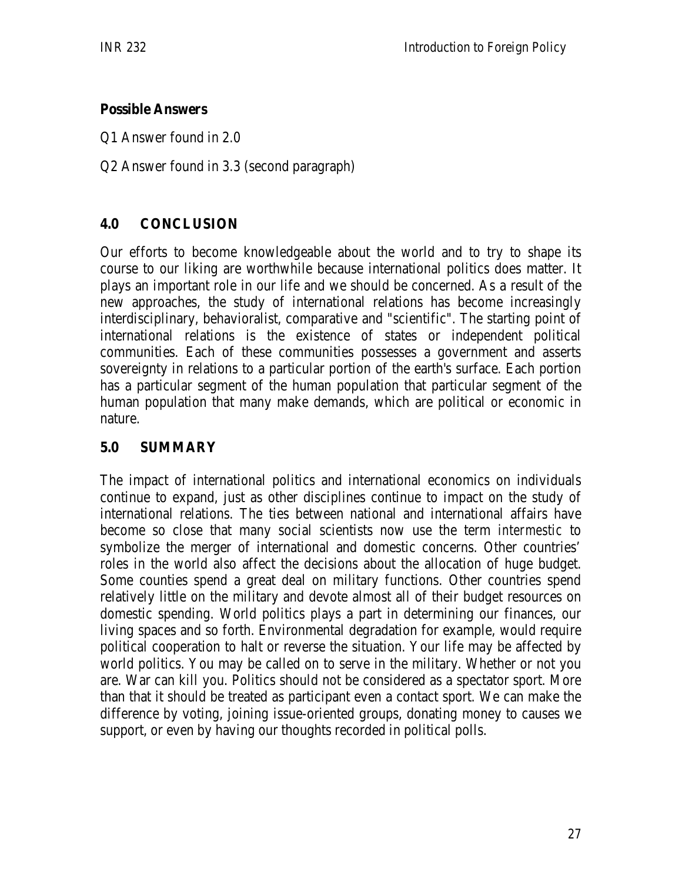#### **Possible Answers**

Q1 Answer found in 2.0

Q2 Answer found in 3.3 (second paragraph)

### **4.0 CONCLUSION**

Our efforts to become knowledgeable about the world and to try to shape its course to our liking are worthwhile because international politics does matter. It plays an important role in our life and we should be concerned. As a result of the new approaches, the study of international relations has become increasingly interdisciplinary, behavioralist, comparative and "scientific". The starting point of international relations is the existence of states or independent political communities. Each of these communities possesses a government and asserts sovereignty in relations to a particular portion of the earth's surface. Each portion has a particular segment of the human population that particular segment of the human population that many make demands, which are political or economic in nature.

### **5.0 SUMMARY**

The impact of international politics and international economics on individuals continue to expand, just as other disciplines continue to impact on the study of international relations. The ties between national and international affairs have become so close that many social scientists now use the term *intermestic* to symbolize the merger of international and domestic concerns. Other countries' roles in the world also affect the decisions about the allocation of huge budget. Some counties spend a great deal on military functions. Other countries spend relatively little on the military and devote almost all of their budget resources on domestic spending. World politics plays a part in determining our finances, our living spaces and so forth. Environmental degradation for example, would require political cooperation to halt or reverse the situation. Your life may be affected by world politics. You may be called on to serve in the military. Whether or not you are. War can kill you. Politics should not be considered as a spectator sport. More than that it should be treated as participant even a contact sport. We can make the difference by voting, joining issue-oriented groups, donating money to causes we support, or even by having our thoughts recorded in political polls.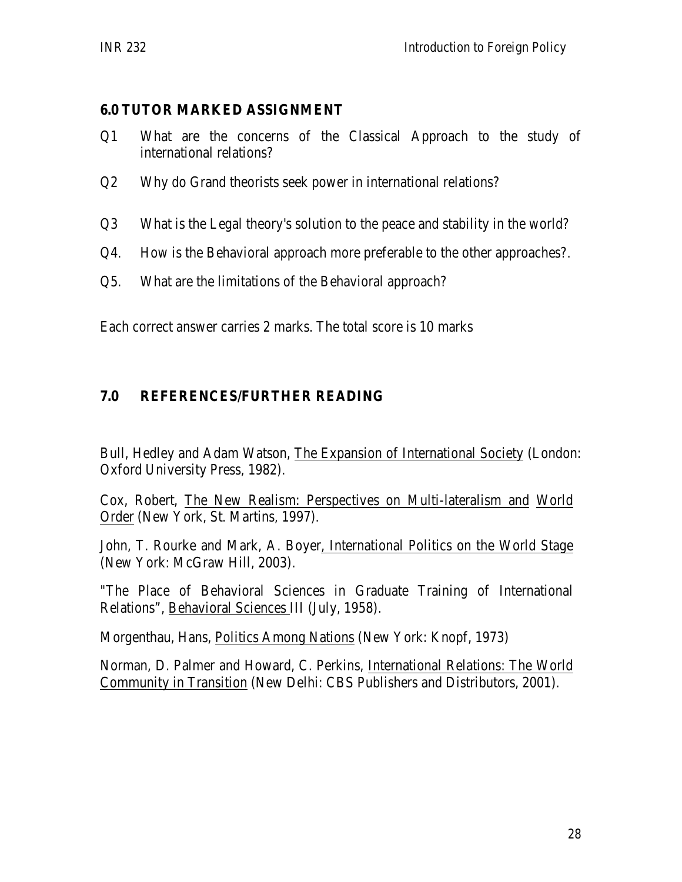#### **6.0 TUTOR MARKED ASSIGNMENT**

- Q1 What are the concerns of the Classical Approach to the study of international relations?
- Q2 Why do Grand theorists seek power in international relations?
- Q3 What is the Legal theory's solution to the peace and stability in the world?
- Q4. How is the Behavioral approach more preferable to the other approaches?.
- Q5. What are the limitations of the Behavioral approach?

Each correct answer carries 2 marks. The total score is 10 marks

## **7.0 REFERENCES/FURTHER READING**

Bull, Hedley and Adam Watson, The Expansion of International Society (London: Oxford University Press, 1982).

Cox, Robert, The New Realism: Perspectives on Multi-lateralism and World Order (New York, St. Martins, 1997).

John, T. Rourke and Mark, A. Boyer, International Politics on the World Stage (New York: McGraw Hill, 2003).

"The Place of Behavioral Sciences in Graduate Training of International Relations", Behavioral Sciences III (July, 1958).

Morgenthau, Hans, Politics Among Nations (New York: Knopf, 1973)

Norman, D. Palmer and Howard, C. Perkins, International Relations: The World Community in Transition (New Delhi: CBS Publishers and Distributors, 2001).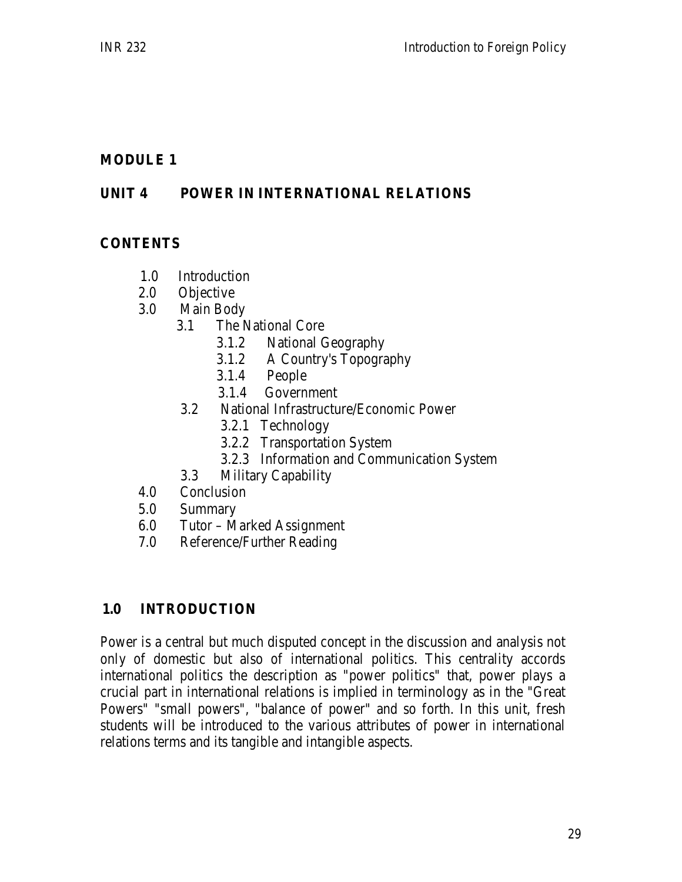### **MODULE 1**

## **UNIT 4 POWER IN INTERNATIONAL RELATIONS**

#### **CONTENTS**

- 1.0 Introduction
- 2.0 Objective
- 3.0 Main Body
	- 3.1 The National Core
		- 3.1.2 National Geography
		- 3.1.2 A Country's Topography
		- 3.1.4 People
		- 3.1.4 Government
	- 3.2 National Infrastructure/Economic Power
		- 3.2.1 Technology
		- 3.2.2 Transportation System
		- 3.2.3 Information and Communication System
	- 3.3 Military Capability
- 4.0 Conclusion
- 5.0 Summary
- 6.0 Tutor Marked Assignment
- 7.0 Reference/Further Reading

#### **1.0 INTRODUCTION**

Power is a central but much disputed concept in the discussion and analysis not only of domestic but also of international politics. This centrality accords international politics the description as "power politics" that, power plays a crucial part in international relations is implied in terminology as in the "Great Powers" "small powers", "balance of power" and so forth. In this unit, fresh students will be introduced to the various attributes of power in international relations terms and its tangible and intangible aspects.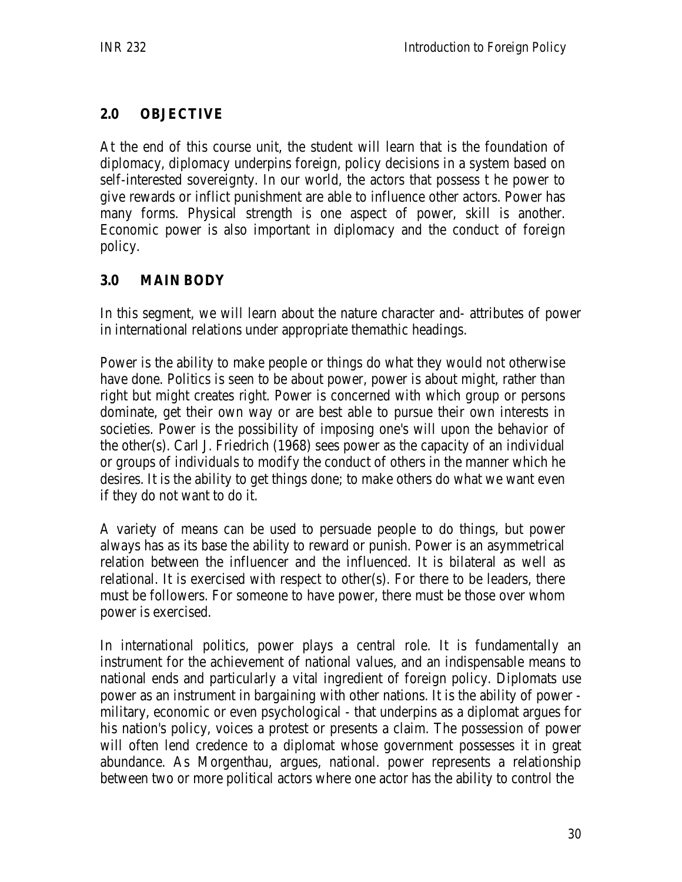### **2.0 OBJECTIVE**

At the end of this course unit, the student will learn that is the foundation of diplomacy, diplomacy underpins foreign, policy decisions in a system based on self-interested sovereignty. In our world, the actors that possess t he power to give rewards or inflict punishment are able to influence other actors. Power has many forms. Physical strength is one aspect of power, skill is another. Economic power is also important in diplomacy and the conduct of foreign policy.

## **3.0 MAIN BODY**

In this segment, we will learn about the nature character and- attributes of power in international relations under appropriate themathic headings.

Power is the ability to make people or things do what they would not otherwise have done. Politics is seen to be about power, power is about might, rather than right but might creates right. Power is concerned with which group or persons dominate, get their own way or are best able to pursue their own interests in societies. Power is the possibility of imposing one's will upon the behavior of the other(s). Carl J. Friedrich (1968) sees power as the capacity of an individual or groups of individuals to modify the conduct of others in the manner which he desires. It is the ability to get things done; to make others do what we want even if they do not want to do it.

A variety of means can be used to persuade people to do things, but power always has as its base the ability to reward or punish. Power is an asymmetrical relation between the influencer and the influenced. It is bilateral as well as relational. It is exercised with respect to other(s). For there to be leaders, there must be followers. For someone to have power, there must be those over whom power is exercised.

In international politics, power plays a central role. It is fundamentally an instrument for the achievement of national values, and an indispensable means to national ends and particularly a vital ingredient of foreign policy. Diplomats use power as an instrument in bargaining with other nations. It is the ability of power military, economic or even psychological - that underpins as a diplomat argues for his nation's policy, voices a protest or presents a claim. The possession of power will often lend credence to a diplomat whose government possesses it in great abundance. As Morgenthau, argues, national. power represents a relationship between two or more political actors where one actor has the ability to control the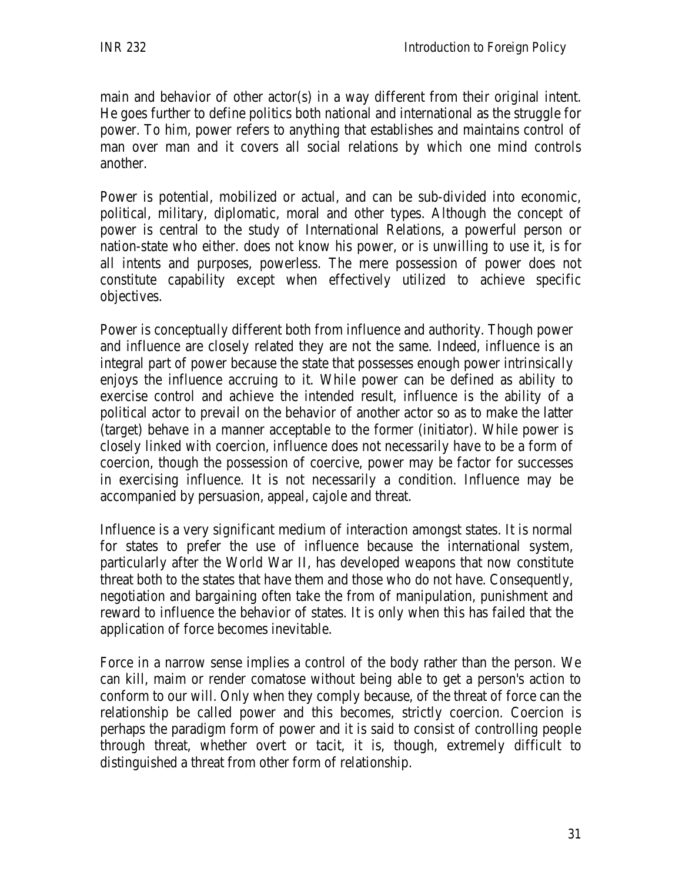main and behavior of other actor(s) in a way different from their original intent. He goes further to define politics both national and international as the struggle for power. To him, power refers to anything that establishes and maintains control of man over man and it covers all social relations by which one mind controls another.

Power is potential, mobilized or actual, and can be sub-divided into economic, political, military, diplomatic, moral and other types. Although the concept of power is central to the study of International Relations, a powerful person or nation-state who either. does not know his power, or is unwilling to use it, is for all intents and purposes, powerless. The mere possession of power does not constitute capability except when effectively utilized to achieve specific objectives.

Power is conceptually different both from influence and authority. Though power and influence are closely related they are not the same. Indeed, influence is an integral part of power because the state that possesses enough power intrinsically enjoys the influence accruing to it. While power can be defined as ability to exercise control and achieve the intended result, influence is the ability of a political actor to prevail on the behavior of another actor so as to make the latter (target) behave in a manner acceptable to the former (initiator). While power is closely linked with coercion, influence does not necessarily have to be a form of coercion, though the possession of coercive, power may be factor for successes in exercising influence. It is not necessarily a condition. Influence may be accompanied by persuasion, appeal, cajole and threat.

Influence is a very significant medium of interaction amongst states. It is normal for states to prefer the use of influence because the international system, particularly after the World War II, has developed weapons that now constitute threat both to the states that have them and those who do not have. Consequently, negotiation and bargaining often take the from of manipulation, punishment and reward to influence the behavior of states. It is only when this has failed that the application of force becomes inevitable.

Force in a narrow sense implies a control of the body rather than the person. We can kill, maim or render comatose without being able to get a person's action to conform to our will. Only when they comply because, of the threat of force can the relationship be called power and this becomes, strictly coercion. Coercion is perhaps the paradigm form of power and it is said to consist of controlling people through threat, whether overt or tacit, it is, though, extremely difficult to distinguished a threat from other form of relationship.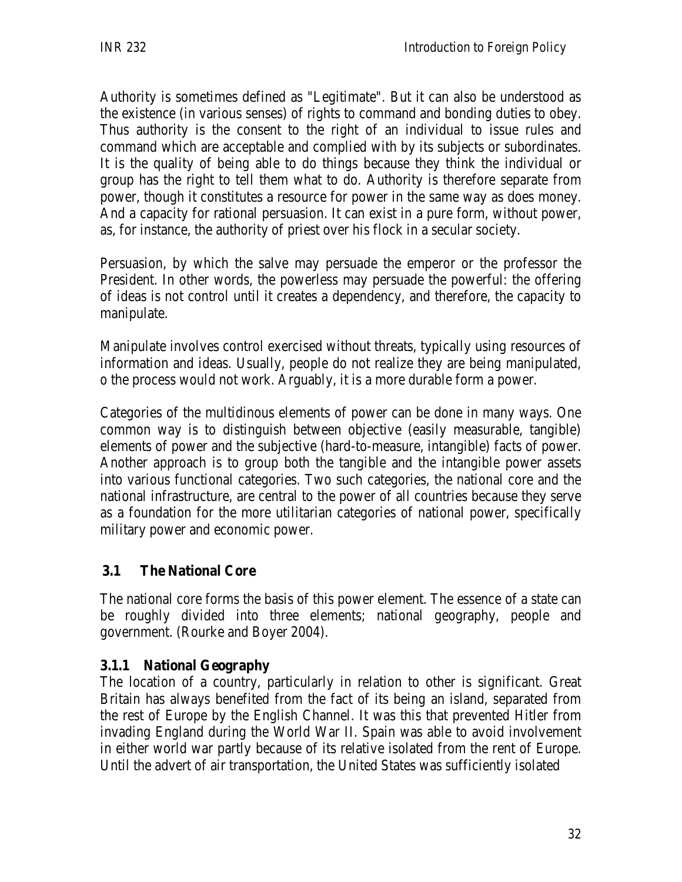Authority is sometimes defined as "Legitimate". But it can also be understood as the existence (in various senses) of rights to command and bonding duties to obey. Thus authority is the consent to the right of an individual to issue rules and command which are acceptable and complied with by its subjects or subordinates. It is the quality of being able to do things because they think the individual or group has the right to tell them what to do. Authority is therefore separate from power, though it constitutes a resource for power in the same way as does money. And a capacity for rational persuasion. It can exist in a pure form, without power, as, for instance, the authority of priest over his flock in a secular society.

Persuasion, by which the salve may persuade the emperor or the professor the President. In other words, the powerless may persuade the powerful: the offering of ideas is not control until it creates a dependency, and therefore, the capacity to manipulate.

Manipulate involves control exercised without threats, typically using resources of information and ideas. Usually, people do not realize they are being manipulated, o the process would not work. Arguably, it is a more durable form a power.

Categories of the multidinous elements of power can be done in many ways. One common way is to distinguish between objective (easily measurable, tangible) elements of power and the subjective (hard-to-measure, intangible) facts of power. Another approach is to group both the tangible and the intangible power assets into various functional categories. Two such categories, the national core and the national infrastructure, are central to the power of all countries because they serve as a foundation for the more utilitarian categories of national power, specifically military power and economic power.

## **3.1 The National Core**

The national core forms the basis of this power element. The essence of a state can be roughly divided into three elements; national geography, people and government. (Rourke and Boyer 2004).

#### **3.1.1 National Geography**

The location of a country, particularly in relation to other is significant. Great Britain has always benefited from the fact of its being an island, separated from the rest of Europe by the English Channel. It was this that prevented Hitler from invading England during the World War II. Spain was able to avoid involvement in either world war partly because of its relative isolated from the rent of Europe. Until the advert of air transportation, the United States was sufficiently isolated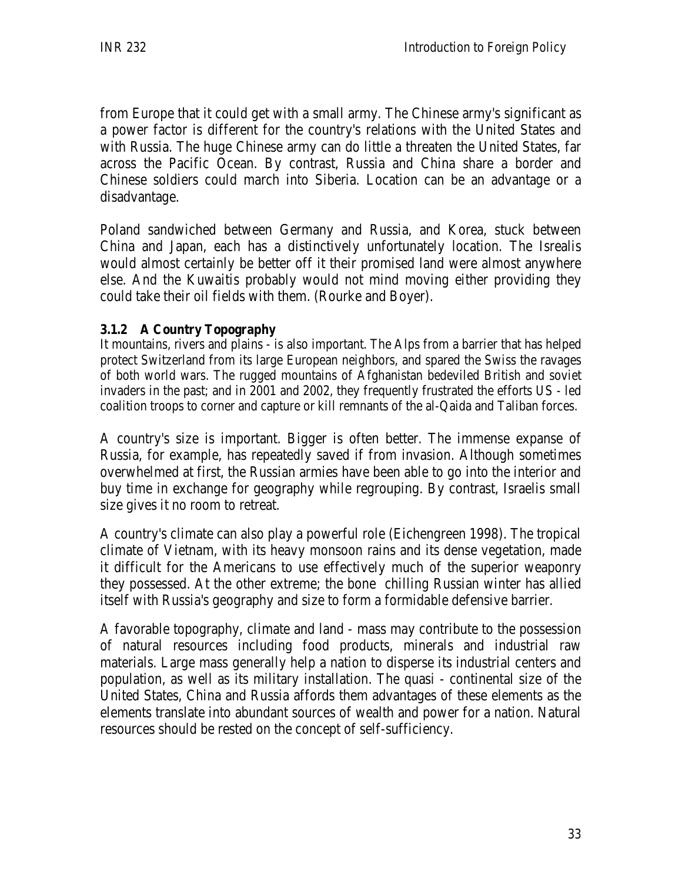from Europe that it could get with a small army. The Chinese army's significant as a power factor is different for the country's relations with the United States and with Russia. The huge Chinese army can do little a threaten the United States, far across the Pacific Ocean. By contrast, Russia and China share a border and Chinese soldiers could march into Siberia. Location can be an advantage or a disadvantage.

Poland sandwiched between Germany and Russia, and Korea, stuck between China and Japan, each has a distinctively unfortunately location. The Isrealis would almost certainly be better off it their promised land were almost anywhere else. And the Kuwaitis probably would not mind moving either providing they could take their oil fields with them. (Rourke and Boyer).

#### **3.1.2 A Country Topography**

It mountains, rivers and plains - is also important. The Alps from a barrier that has helped protect Switzerland from its large European neighbors, and spared the Swiss the ravages of both world wars. The rugged mountains of Afghanistan bedeviled British and soviet invaders in the past; and in 2001 and 2002, they frequently frustrated the efforts US - led coalition troops to corner and capture or kill remnants of the al-Qaida and Taliban forces.

A country's size is important. Bigger is often better. The immense expanse of Russia, for example, has repeatedly saved if from invasion. Although sometimes overwhelmed at first, the Russian armies have been able to go into the interior and buy time in exchange for geography while regrouping. By contrast, Israelis small size gives it no room to retreat.

A country's climate can also play a powerful role (Eichengreen 1998). The tropical climate of Vietnam, with its heavy monsoon rains and its dense vegetation, made it difficult for the Americans to use effectively much of the superior weaponry they possessed. At the other extreme; the bone chilling Russian winter has allied itself with Russia's geography and size to form a formidable defensive barrier.

A favorable topography, climate and land - mass may contribute to the possession of natural resources including food products, minerals and industrial raw materials. Large mass generally help a nation to disperse its industrial centers and population, as well as its military installation. The quasi - continental size of the United States, China and Russia affords them advantages of these elements as the elements translate into abundant sources of wealth and power for a nation. Natural resources should be rested on the concept of self-sufficiency.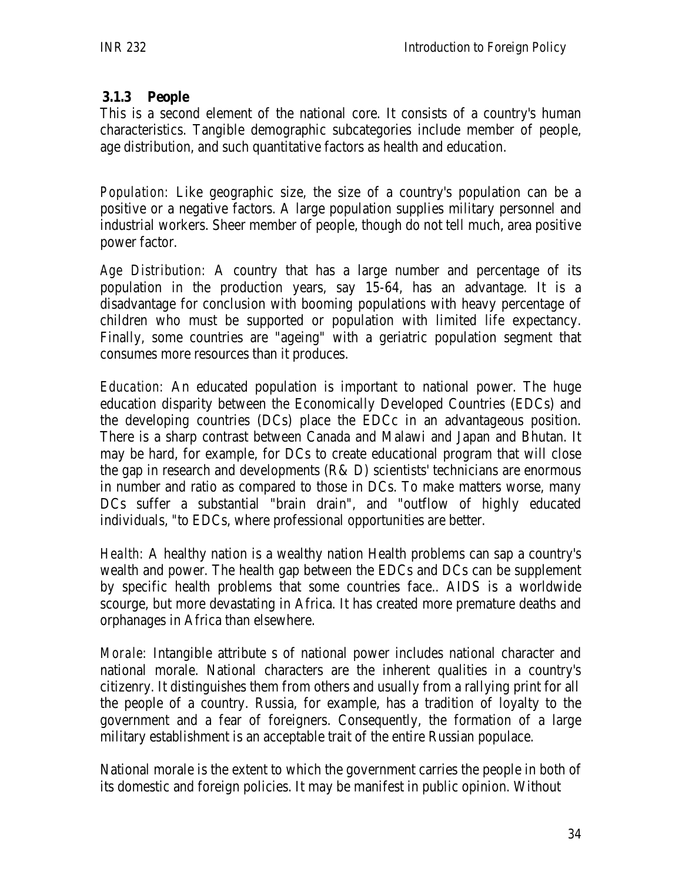## **3.1.3 People**

This is a second element of the national core. It consists of a country's human characteristics. Tangible demographic subcategories include member of people, age distribution, and such quantitative factors as health and education.

*Population:* Like geographic size, the size of a country's population can be a positive or a negative factors. A large population supplies military personnel and industrial workers. Sheer member of people, though do not tell much, area positive power factor.

*Age Distribution:* A country that has a large number and percentage of its population in the production years, say 15-64, has an advantage. It is a disadvantage for conclusion with booming populations with heavy percentage of children who must be supported or population with limited life expectancy. Finally, some countries are "ageing" with a geriatric population segment that consumes more resources than it produces.

*Education:* An educated population is important to national power. The huge education disparity between the Economically Developed Countries (EDCs) and the developing countries (DCs) place the EDCc in an advantageous position. There is a sharp contrast between Canada and Malawi and Japan and Bhutan. It may be hard, for example, for DCs to create educational program that will close the gap in research and developments  $(R&D)$  scientists' technicians are enormous in number and ratio as compared to those in DCs. To make matters worse, many DCs suffer a substantial "brain drain", and "outflow of highly educated individuals, "to EDCs, where professional opportunities are better.

*Health:* A healthy nation is a wealthy nation Health problems can sap a country's wealth and power. The health gap between the EDCs and DCs can be supplement by specific health problems that some countries face.. AIDS is a worldwide scourge, but more devastating in Africa. It has created more premature deaths and orphanages in Africa than elsewhere.

*Morale:* Intangible attribute s of national power includes national character and national morale. National characters are the inherent qualities in a country's citizenry. It distinguishes them from others and usually from a rallying print for all the people of a country. Russia, for example, has a tradition of loyalty to the government and a fear of foreigners. Consequently, the formation of a large military establishment is an acceptable trait of the entire Russian populace.

National morale is the extent to which the government carries the people in both of its domestic and foreign policies. It may be manifest in public opinion. Without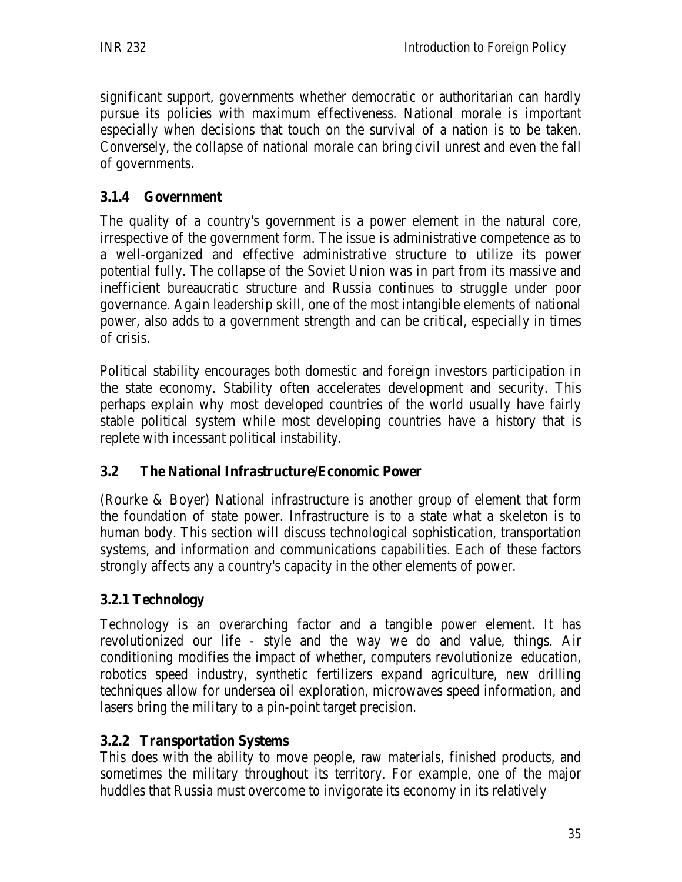significant support, governments whether democratic or authoritarian can hardly pursue its policies with maximum effectiveness. National morale is important especially when decisions that touch on the survival of a nation is to be taken. Conversely, the collapse of national morale can bring civil unrest and even the fall of governments.

## **3.1.4 Government**

The quality of a country's government is a power element in the natural core, irrespective of the government form. The issue is administrative competence as to a well-organized and effective administrative structure to utilize its power potential fully. The collapse of the Soviet Union was in part from its massive and inefficient bureaucratic structure and Russia continues to struggle under poor governance. Again leadership skill, one of the most intangible elements of national power, also adds to a government strength and can be critical, especially in times of crisis.

Political stability encourages both domestic and foreign investors participation in the state economy. Stability often accelerates development and security. This perhaps explain why most developed countries of the world usually have fairly stable political system while most developing countries have a history that is replete with incessant political instability.

## **3.2 The National Infrastructure/Economic Power**

(Rourke & Boyer) National infrastructure is another group of element that form the foundation of state power. Infrastructure is to a state what a skeleton is to human body. This section will discuss technological sophistication, transportation systems, and information and communications capabilities. Each of these factors strongly affects any a country's capacity in the other elements of power.

## **3.2.1 Technology**

Technology is an overarching factor and a tangible power element. It has revolutionized our life - style and the way we do and value, things. Air conditioning modifies the impact of whether, computers revolutionize education, robotics speed industry, synthetic fertilizers expand agriculture, new drilling techniques allow for undersea oil exploration, microwaves speed information, and lasers bring the military to a pin-point target precision.

#### **3.2.2 Transportation Systems**

This does with the ability to move people, raw materials, finished products, and sometimes the military throughout its territory. For example, one of the major huddles that Russia must overcome to invigorate its economy in its relatively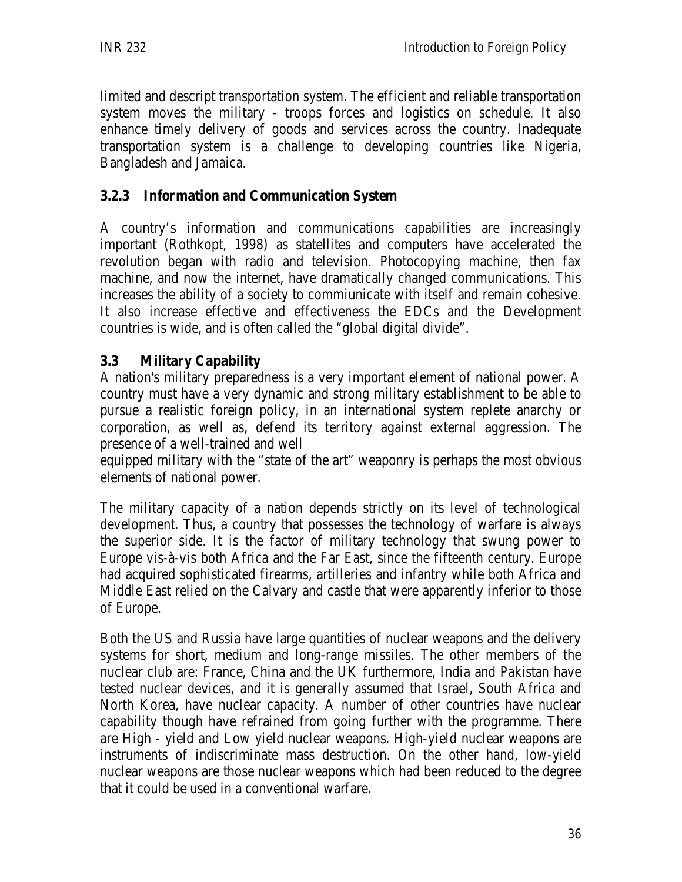limited and descript transportation system. The efficient and reliable transportation system moves the military - troops forces and logistics on schedule. It also enhance timely delivery of goods and services across the country. Inadequate transportation system is a challenge to developing countries like Nigeria, Bangladesh and Jamaica.

### **3.2.3 Information and Communication System**

A country's information and communications capabilities are increasingly important (Rothkopt, 1998) as statellites and computers have accelerated the revolution began with radio and television. Photocopying machine, then fax machine, and now the internet, have dramatically changed communications. This increases the ability of a society to commiunicate with itself and remain cohesive. It also increase effective and effectiveness the EDCs and the Development countries is wide, and is often called the "global digital divide".

#### **3.3 Military Capability**

A nation's military preparedness is a very important element of national power. A country must have a very dynamic and strong military establishment to be able to pursue a realistic foreign policy, in an international system replete anarchy or corporation, as well as, defend its territory against external aggression. The presence of a well-trained and well

equipped military with the "state of the art" weaponry is perhaps the most obvious elements of national power.

The military capacity of a nation depends strictly on its level of technological development. Thus, a country that possesses the technology of warfare is always the superior side. It is the factor of military technology that swung power to Europe vis-à-vis both Africa and the Far East, since the fifteenth century. Europe had acquired sophisticated firearms, artilleries and infantry while both Africa and Middle East relied on the Calvary and castle that were apparently inferior to those of Europe.

Both the US and Russia have large quantities of nuclear weapons and the delivery systems for short, medium and long-range missiles. The other members of the nuclear club are: France, China and the UK furthermore, India and Pakistan have tested nuclear devices, and it is generally assumed that Israel, South Africa and North Korea, have nuclear capacity. A number of other countries have nuclear capability though have refrained from going further with the programme. There are High - yield and Low yield nuclear weapons. High-yield nuclear weapons are instruments of indiscriminate mass destruction. On the other hand, low-yield nuclear weapons are those nuclear weapons which had been reduced to the degree that it could be used in a conventional warfare.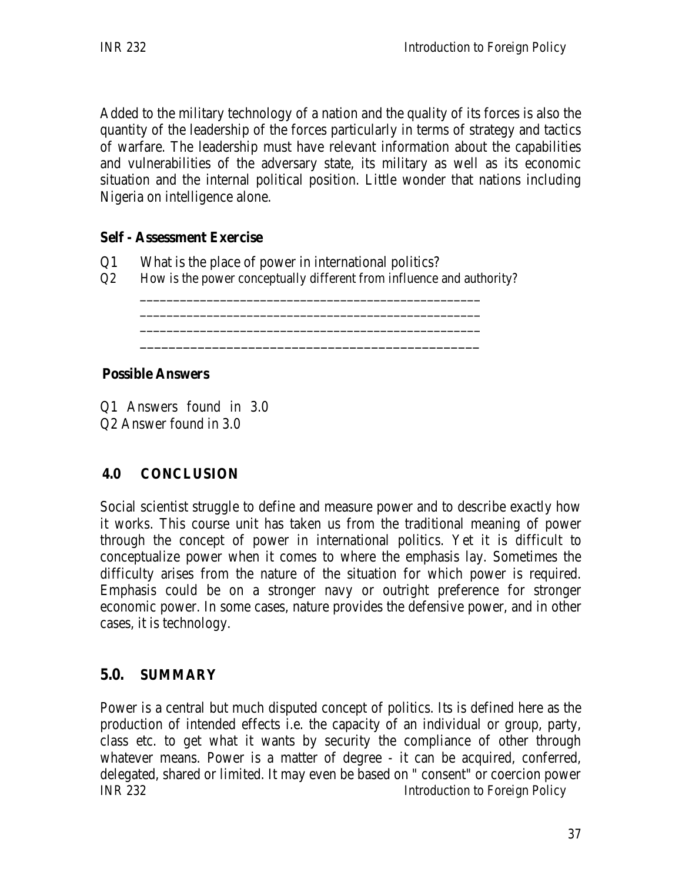Added to the military technology of a nation and the quality of its forces is also the quantity of the leadership of the forces particularly in terms of strategy and tactics of warfare. The leadership must have relevant information about the capabilities and vulnerabilities of the adversary state, its military as well as its economic situation and the internal political position. Little wonder that nations including Nigeria on intelligence alone.

#### **Self - Assessment Exercise**

- Q1 What is the place of power in international politics?
- Q2 How is the power conceptually different from influence and authority? \_\_\_\_\_\_\_\_\_\_\_\_\_\_\_\_\_\_\_\_\_\_\_\_\_\_\_\_\_\_\_\_\_\_\_\_\_\_\_\_\_\_\_\_\_\_\_\_\_\_\_

\_\_\_\_\_\_\_\_\_\_\_\_\_\_\_\_\_\_\_\_\_\_\_\_\_\_\_\_\_\_\_\_\_\_\_\_\_\_\_\_\_\_\_\_\_\_\_\_\_\_\_ \_\_\_\_\_\_\_\_\_\_\_\_\_\_\_\_\_\_\_\_\_\_\_\_\_\_\_\_\_\_\_\_\_\_\_\_\_\_\_\_\_\_\_\_\_\_\_\_\_\_\_ \_\_\_\_\_\_\_\_\_\_\_\_\_\_\_\_\_\_\_\_\_\_\_\_\_\_\_\_\_\_\_\_\_\_\_\_\_\_\_\_\_\_\_\_\_\_\_

#### **Possible Answers**

Q1 Answers found in 3.0 Q2 Answer found in 3.0

# **4.0 CONCLUSION**

Social scientist struggle to define and measure power and to describe exactly how it works. This course unit has taken us from the traditional meaning of power through the concept of power in international politics. Yet it is difficult to conceptualize power when it comes to where the emphasis lay. Sometimes the difficulty arises from the nature of the situation for which power is required. Emphasis could be on a stronger navy or outright preference for stronger economic power. In some cases, nature provides the defensive power, and in other cases, it is technology.

#### **5.0. SUMMARY**

Power is a central but much disputed concept of politics. Its is defined here as the production of intended effects i.e. the capacity of an individual or group, party, class [etc. to](http://etc.to/) get what it wants by security the compliance of other through whatever means. Power is a matter of degree - it can be acquired, conferred, delegated, shared or limited. It may even be based on " consent" or coercion power INR 232 Introduction to Foreign Policy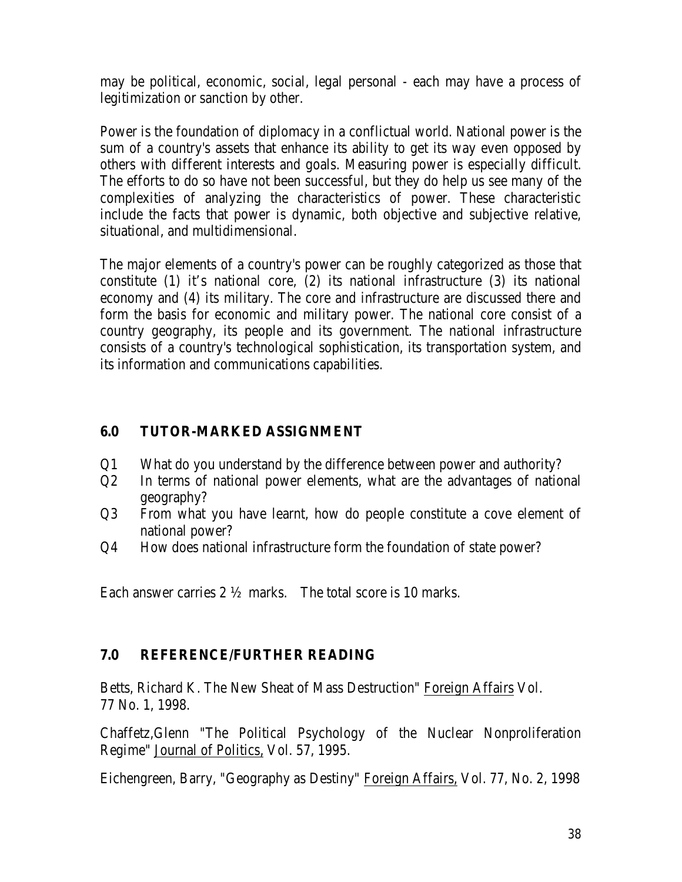may be political, economic, social, legal personal - each may have a process of legitimization or sanction by other.

Power is the foundation of diplomacy in a conflictual world. National power is the sum of a country's assets that enhance its ability to get its way even opposed by others with different interests and goals. Measuring power is especially difficult. The efforts to do so have not been successful, but they do help us see many of the complexities of analyzing the characteristics of power. These characteristic include the facts that power is dynamic, both objective and subjective relative, situational, and multidimensional.

The major elements of a country's power can be roughly categorized as those that constitute (1) it's national core, (2) its national infrastructure (3) its national economy and (4) its military. The core and infrastructure are discussed there and form the basis for economic and military power. The national core consist of a country geography, its people and its government. The national infrastructure consists of a country's technological sophistication, its transportation system, and its information and communications capabilities.

### **6.0 TUTOR-MARKED ASSIGNMENT**

- Q1 What do you understand by the difference between power and authority?
- Q2 In terms of national power elements, what are the advantages of national geography?
- Q3 From what you have learnt, how do people constitute a cove element of national power?
- Q4 How does national infrastructure form the foundation of state power?

Each answer carries  $2\frac{1}{2}$  marks. The total score is 10 marks.

# **7.0 REFERENCE/FURTHER READING**

Betts, Richard K. The New Sheat of Mass Destruction" Foreign Affairs Vol. 77 No. 1, 1998.

Chaffetz,Glenn "The Political Psychology of the Nuclear Nonproliferation Regime" Journal of Politics, Vol. 57, 1995.

Eichengreen, Barry, "Geography as Destiny" Foreign Affairs, Vol. 77, No. 2, 1998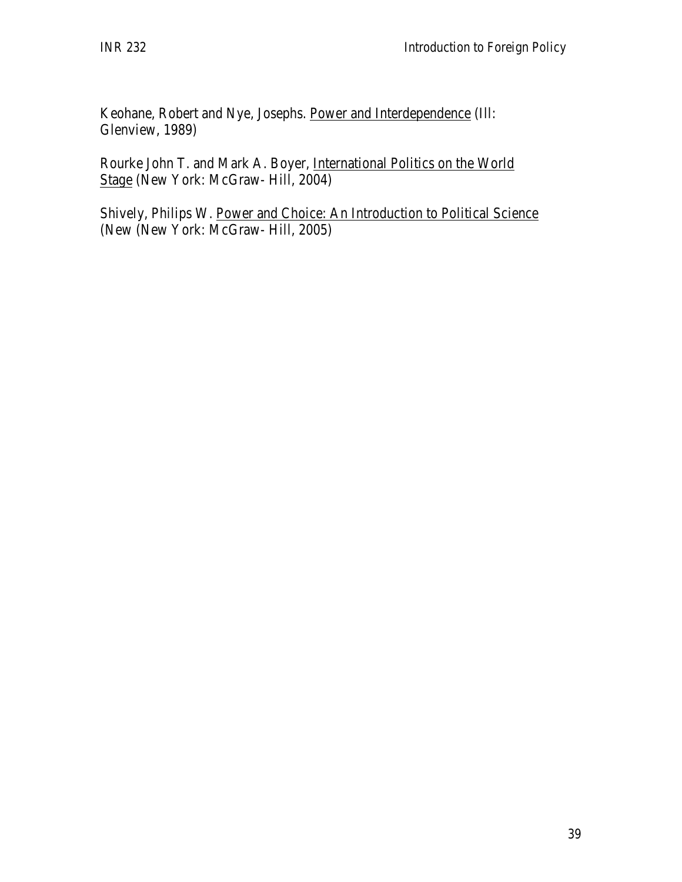Keohane, Robert and Nye, Josephs. Power and Interdependence (Ill: Glenview, 1989)

Rourke John T. and Mark A. Boyer, International Politics on the World Stage (New York: McGraw- Hill, 2004)

Shively, Philips W. Power and Choice: An Introduction to Political Science (New (New York: McGraw- Hill, 2005)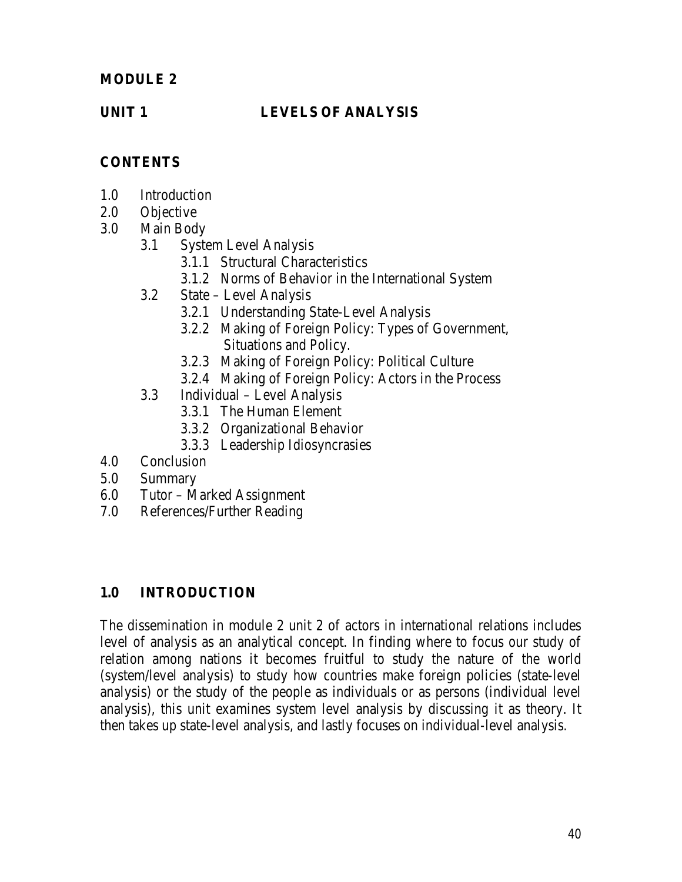### **MODULE 2**

### **UNIT 1 LEVELS OF ANALYSIS**

### **CONTENTS**

- 1.0 Introduction
- 2.0 Objective
- 3.0 Main Body
	- 3.1 System Level Analysis
		- 3.1.1 Structural Characteristics
		- 3.1.2 Norms of Behavior in the International System
	- 3.2 State Level Analysis
		- 3.2.1 Understanding State-Level Analysis
		- 3.2.2 Making of Foreign Policy: Types of Government, Situations and Policy.
		- 3.2.3 Making of Foreign Policy: Political Culture
		- 3.2.4 Making of Foreign Policy: Actors in the Process
	- 3.3 Individual Level Analysis
		- 3.3.1 The Human Element
		- 3.3.2 Organizational Behavior
		- 3.3.3 Leadership Idiosyncrasies
- 4.0 Conclusion
- 5.0 Summary
- 6.0 Tutor Marked Assignment
- 7.0 References/Further Reading

# **1.0 INTRODUCTION**

The dissemination in module 2 unit 2 of actors in international relations includes level of analysis as an analytical concept. In finding where to focus our study of relation among nations it becomes fruitful to study the nature of the world (system/level analysis) to study how countries make foreign policies (state-level analysis) or the study of the people as individuals or as persons (individual level analysis), this unit examines system level analysis by discussing it as theory. It then takes up state-level analysis, and lastly focuses on individual-level analysis.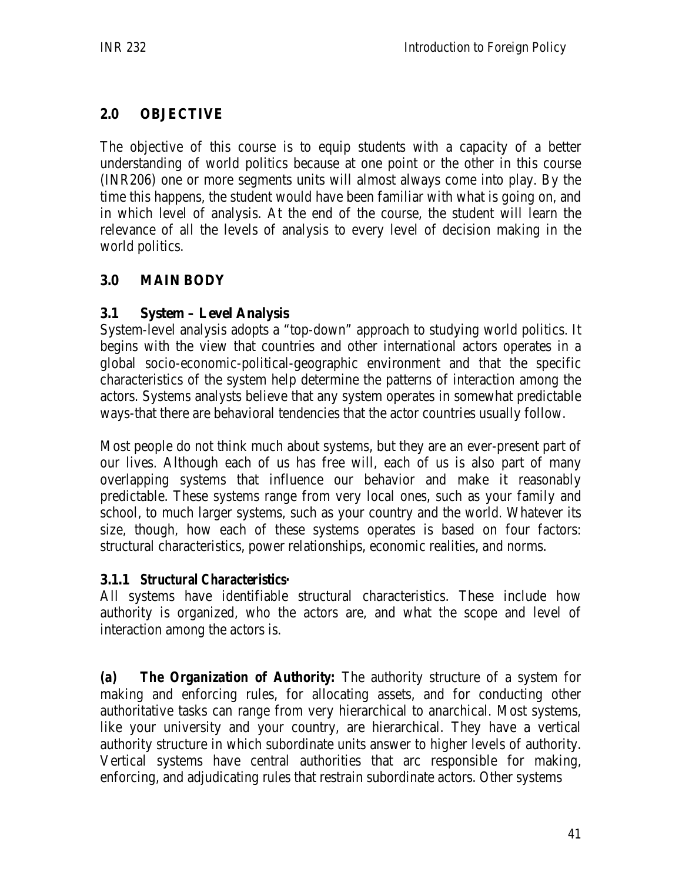# **2.0 OBJECTIVE**

The objective of this course is to equip students with a capacity of a better understanding of world politics because at one point or the other in this course (INR206) one or more segments units will almost always come into play. By the time this happens, the student would have been familiar with what is going on, and in which level of analysis. At the end of the course, the student will learn the relevance of all the levels of analysis to every level of decision making in the world politics.

# **3.0 MAIN BODY**

# **3.1 System – Level Analysis**

System-level analysis adopts a "top-down" approach to studying world politics. It begins with the view that countries and other international actors operates in a global socio-economic-political-geographic environment and that the specific characteristics of the system help determine the patterns of interaction among the actors. Systems analysts believe that any system operates in somewhat predictable ways-that there are behavioral tendencies that the actor countries usually follow.

Most people do not think much about systems, but they are an ever-present part of our lives. Although each of us has free will, each of us is also part of many overlapping systems that influence our behavior and make it reasonably predictable. These systems range from very local ones, such as your family and school, to much larger systems, such as your country and the world. Whatever its size, though, how each of these systems operates is based on four factors: structural characteristics, power relationships, economic realities, and norms.

# **3.1.1 Structural Characteristics·**

All systems have identifiable structural characteristics. These include how authority is organized, who the actors are, and what the scope and level of interaction among the actors is.

*(a) The Organization of Authority:* The authority structure of a system for making and enforcing rules, for allocating assets, and for conducting other authoritative tasks can range from very hierarchical to anarchical. Most systems, like your university and your country, are hierarchical. They have a vertical authority structure in which subordinate units answer to higher levels of authority. Vertical systems have central authorities that arc responsible for making, enforcing, and adjudicating rules that restrain subordinate actors. Other systems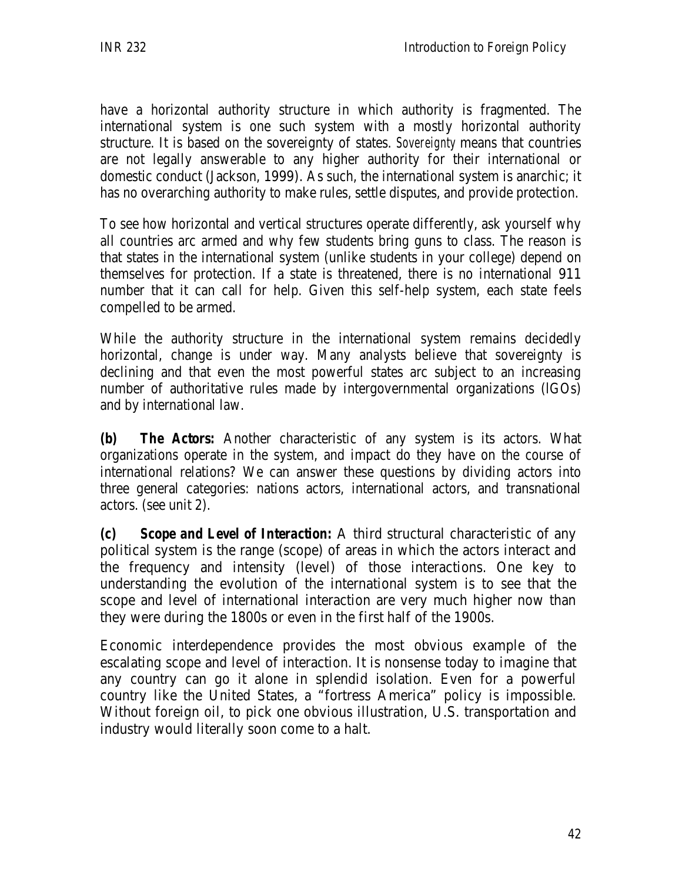have a horizontal authority structure in which authority is fragmented. The international system is one such system with a mostly horizontal authority structure. It is based on the sovereignty of states. *Sovereignty* means that countries are not legally answerable to any higher authority for their international or domestic conduct (Jackson, 1999). As such, the international system is anarchic; it has no overarching authority to make rules, settle disputes, and provide protection.

To see how horizontal and vertical structures operate differently, ask yourself why all countries arc armed and why few students bring guns to class. The reason is that states in the international system (unlike students in your college) depend on themselves for protection. If a state is threatened, there is no international 911 number that it can call for help. Given this self-help system, each state feels compelled to be armed.

While the authority structure in the international system remains decidedly horizontal, change is under way. Many analysts believe that sovereignty is declining and that even the most powerful states arc subject to an increasing number of authoritative rules made by intergovernmental organizations (IGOs) and by international law.

*(b) The Actors:* Another characteristic of any system is its actors. What organizations operate in the system, and impact do they have on the course of international relations? We can answer these questions by dividing actors into three general categories: nations actors, international actors, and transnational actors. (see unit 2).

*(c) Scope and Level of Interaction:* A third structural characteristic of any political system is the range (scope) of areas in which the actors interact and the frequency and intensity (level) of those interactions. One key to understanding the evolution of the international system is to see that the scope and level of international interaction are very much higher now than they were during the 1800s or even in the first half of the 1900s.

Economic interdependence provides the most obvious example of the escalating scope and level of interaction. It is nonsense today to imagine that any country can go it alone in splendid isolation. Even for a powerful country like the United States, a "fortress America" policy is impossible. Without foreign oil, to pick one obvious illustration, U.S. transportation and industry would literally soon come to a halt.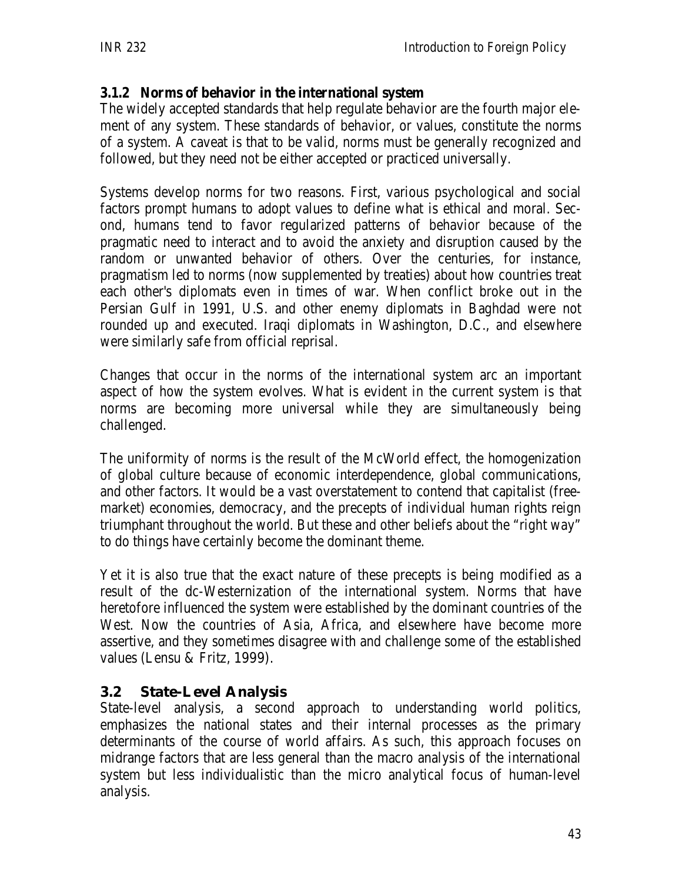# **3.1.2 Norms of behavior in the international system**

The widely accepted standards that help regulate behavior are the fourth major element of any system. These standards of behavior, or values, constitute the norms of a system. A caveat is that to be valid, norms must be generally recognized and followed, but they need not be either accepted or practiced universally.

Systems develop norms for two reasons. First, various psychological and social factors prompt humans to adopt values to define what is ethical and moral. Second, humans tend to favor regularized patterns of behavior because of the pragmatic need to interact and to avoid the anxiety and disruption caused by the random or unwanted behavior of others. Over the centuries, for instance, pragmatism led to norms (now supplemented by treaties) about how countries treat each other's diplomats even in times of war. When conflict broke out in the Persian Gulf in 1991, U.S. and other enemy diplomats in Baghdad were not rounded up and executed. Iraqi diplomats in Washington, D.C., and elsewhere were similarly safe from official reprisal.

Changes that occur in the norms of the international system arc an important aspect of how the system evolves. What is evident in the current system is that norms are becoming more universal while they are simultaneously being challenged.

The uniformity of norms is the result of the McWorld effect, the homogenization of global culture because of economic interdependence, global communications, and other factors. It would be a vast overstatement to contend that capitalist (freemarket) economies, democracy, and the precepts of individual human rights reign triumphant throughout the world. But these and other beliefs about the "right way" to do things have certainly become the dominant theme.

Yet it is also true that the exact nature of these precepts is being modified as a result of the dc-Westernization of the international system. Norms that have heretofore influenced the system were established by the dominant countries of the West. Now the countries of Asia, Africa, and elsewhere have become more assertive, and they sometimes disagree with and challenge some of the established values (Lensu & Fritz, 1999).

# **3.2 State-Level Analysis**

State-level analysis, a second approach to understanding world politics, emphasizes the national states and their internal processes as the primary determinants of the course of world affairs. As such, this approach focuses on midrange factors that are less general than the macro analysis of the international system but less individualistic than the micro analytical focus of human-level analysis.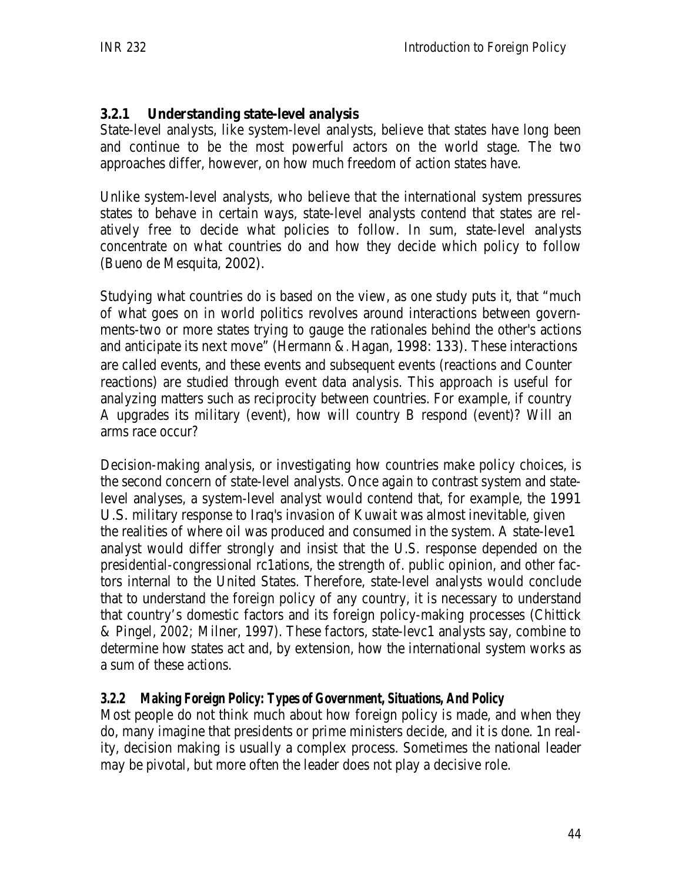# **3.2.1 Understanding state-level analysis**

State-level analysts, like system-level analysts, believe that states have long been and continue to be the most powerful actors on the world stage. The two approaches differ, however, on how much freedom of action states have.

Unlike system-level analysts, who believe that the international system pressures states to behave in certain ways, state-level analysts contend that states are relatively free to decide what policies to follow. In sum, state-level analysts concentrate on what countries do and how they decide which policy to follow (Bueno de Mesquita, 2002).

Studying what countries do is based on the view, as one study puts it, that "much of what goes on in world politics revolves around interactions between governments-two or more states trying to gauge the rationales behind the other's actions and anticipate its next move" (Hermann &. Hagan, 1998: 133). These interactions are called events, and these events and subsequent events (reactions and Counter reactions) are studied through event data analysis. This approach is useful for analyzing matters such as reciprocity between countries. For example, if country A upgrades its military (event), how will country B respond (event)? Will an arms race occur?

Decision-making analysis, or investigating how countries make policy choices, is the second concern of state-level analysts. Once again to contrast system and statelevel analyses, a system-level analyst would contend that, for example, the 1991 U.S. military response to Iraq's invasion of Kuwait was almost inevitable, given the realities of where oil was produced and consumed in the system. A state-leve1 analyst would differ strongly and insist that the U.S. response depended on the presidential-congressional rc1ations, the strength of. public opinion, and other factors internal to the United States. Therefore, state-level analysts would conclude that to understand the foreign policy of any country, it is necessary to understand that country's domestic factors and its foreign policy-making processes (Chittick & Pingel, *2002;* Milner, 1997). These factors, state-levc1 analysts say, combine to determine how states act and, by extension, how the international system works as a sum of these actions.

# **3.2.2 Making Foreign Policy: Types of Government, Situations, And Policy**

Most people do not think much about how foreign policy is made, and when they do, many imagine that presidents or prime ministers decide, and it is done. 1n reality, decision making is usually a complex process. Sometimes the national leader may be pivotal, but more often the leader does not play a decisive role.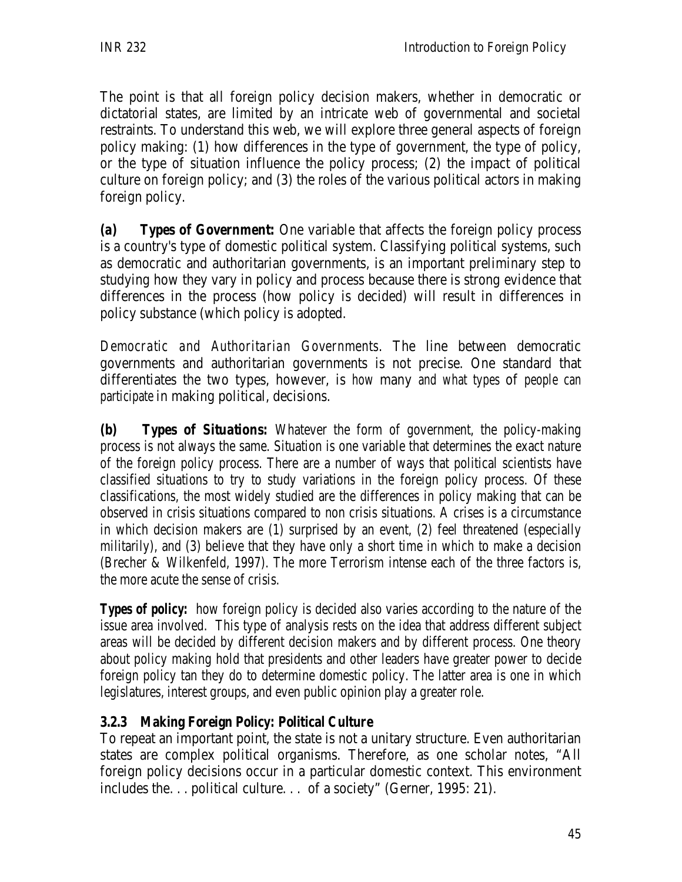The point is that all foreign policy decision makers, whether in democratic or dictatorial states, are limited by an intricate web of governmental and societal restraints. To understand this web, we will explore three general aspects of foreign policy making: (1) how differences in the type of government, the type of policy, or the type of situation influence the policy process; (2) the impact of political culture on foreign policy; and (3) the roles of the various political actors in making foreign policy.

*(a) Types of Government***:** One variable that affects the foreign policy process is a country's type of domestic political system. Classifying political systems, such as democratic and authoritarian governments, is an important preliminary step to studying how they vary in policy and process because there is strong evidence that differences in the process (how policy is decided) will result in differences in policy substance (which policy is adopted.

*Democratic and Authoritarian Governments*. The line between democratic governments and authoritarian governments is not precise. One standard that differentiates the two types, however, is how many and what types of people can participate in making political, decisions.

*(b) Types of Situations:* Whatever the form of government, the policy-making process is not always the same. Situation is one variable that determines the exact nature of the foreign policy process. There are a number of ways that political scientists have classified situations to try to study variations in the foreign policy process. Of these classifications, the most widely studied are the differences in policy making that can be observed in crisis situations compared to non crisis situations. A crises is a circumstance in which decision makers are (1) surprised by an event, (2) feel threatened (especially militarily), and (3) believe that they have only a short time in which to make a decision (Brecher & Wilkenfeld, 1997). The more Terrorism intense each of the three factors is, the more acute the sense of crisis.

*Types of policy:* how foreign policy is decided also varies according to the nature of the issue area involved. This type of analysis rests on the idea that address different subject areas will be decided by different decision makers and by different process. One theory about policy making hold that presidents and other leaders have greater power to decide foreign policy tan they do to determine domestic policy. The latter area is one in which legislatures, interest groups, and even public opinion play a greater role.

# **3.2.3 Making Foreign Policy: Political Culture**

To repeat an important point, the state is not a unitary structure. Even authoritarian states are complex political organisms. Therefore, as one scholar notes, "All foreign policy decisions occur in a particular domestic context. This environment includes the. . . political culture. . . of a society" (Gerner, 1995: 21).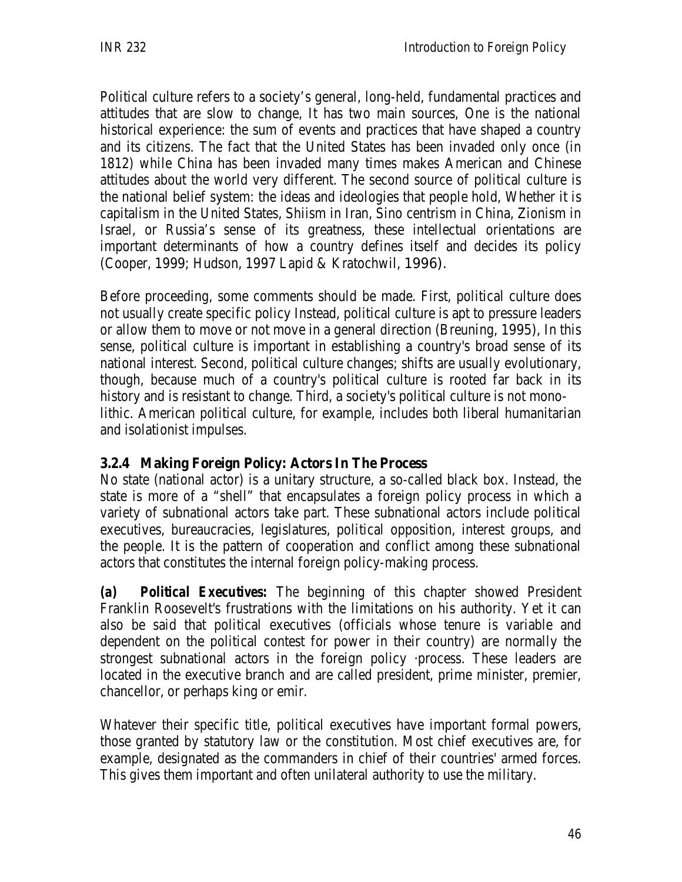Political culture refers to a society's general, long-held, fundamental practices and attitudes that are slow to change, It has two main sources, One is the national historical experience: the sum of events and practices that have shaped a country and its citizens. The fact that the United States has been invaded only once (in 1812) while China has been invaded many times makes American and Chinese attitudes about the world very different. The second source of political culture is the national belief system: the ideas and ideologies that people hold, Whether it is capitalism in the United States, Shiism in Iran, Sino centrism in China, Zionism in Israel, or Russia's sense of its greatness, these intellectual orientations are important determinants of how a country defines itself and decides its policy (Cooper, 1999; Hudson, 1997 Lapid & Kratochwil, 1996).

Before proceeding, some comments should be made. First, political culture does not usually create specific policy Instead, political culture is apt to pressure leaders or allow them to move or not move in a general direction (Breuning, 1995), In this sense, political culture is important in establishing a country's broad sense of its national interest. Second, political culture changes; shifts are usually evolutionary, though, because much of a country's political culture is rooted far back in its history and is resistant to change. Third, a society's political culture is not monolithic. American political culture, for example, includes both liberal humanitarian and isolationist impulses.

# **3.2.4 Making Foreign Policy: Actors In The Process**

No state (national actor) is a unitary structure, a so-called black box. Instead, the state is more of a "shell" that encapsulates a foreign policy process in which a variety of subnational actors take part. These subnational actors include political executives, bureaucracies, legislatures, political opposition, interest groups, and the people. It is the pattern of cooperation and conflict among these subnational actors that constitutes the internal foreign policy-making process.

*(a) Political Executives:* The beginning of this chapter showed President Franklin Roosevelt's frustrations with the limitations on his authority. Yet it can also be said that political executives (officials whose tenure is variable and dependent on the political contest for power in their country) are normally the strongest subnational actors in the foreign policy ·process. These leaders are located in the executive branch and are called president, prime minister, premier, chancellor, or perhaps king or emir.

Whatever their specific title, political executives have important formal powers, those granted by statutory law or the constitution. Most chief executives are, for example, designated as the commanders in chief of their countries' armed forces. This gives them important and often unilateral authority to use the military.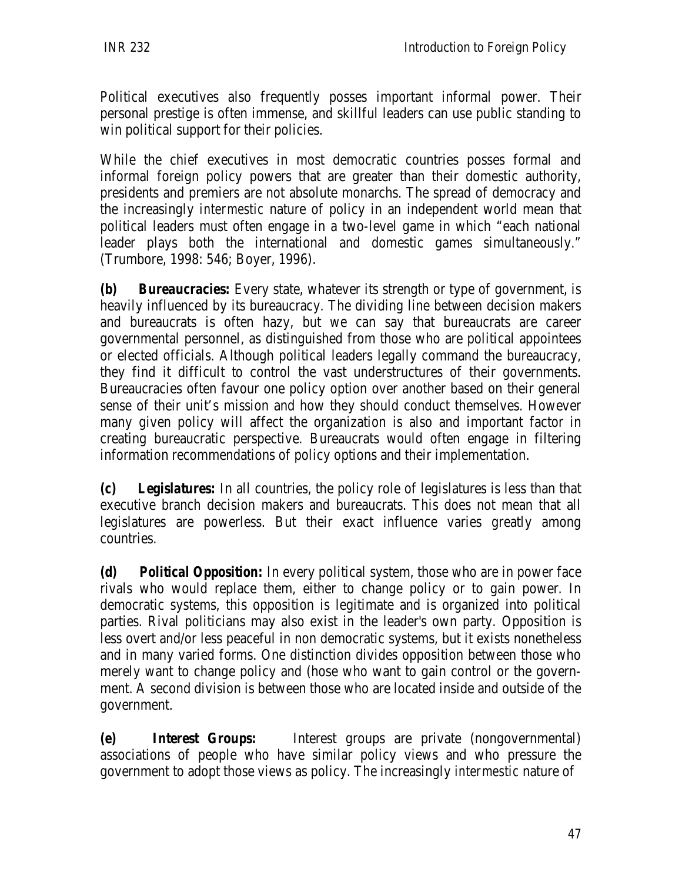Political executives also frequently posses important informal power. Their personal prestige is often immense, and skillful leaders can use public standing to win political support for their policies.

While the chief executives in most democratic countries posses formal and informal foreign policy powers that are greater than their domestic authority, presidents and premiers are not absolute monarchs. The spread of democracy and the increasingly *intermestic* nature of policy in an independent world mean that political leaders must often engage in a two-level game in which "each national leader plays both the international and domestic games simultaneously." (Trumbore, 1998: 546; Boyer, 1996).

*(b) Bureaucracies:* Every state, whatever its strength or type of government, is heavily influenced by its bureaucracy. The dividing line between decision makers and bureaucrats is often hazy, but we can say that bureaucrats are career governmental personnel, as distinguished from those who are political appointees or elected officials. Although political leaders legally command the bureaucracy, they find it difficult to control the vast understructures of their governments. Bureaucracies often favour one policy option over another based on their general sense of their unit's mission and how they should conduct themselves. However many given policy will affect the organization is also and important factor in creating bureaucratic perspective. Bureaucrats would often engage in filtering information recommendations of policy options and their implementation.

*(c) Legislatures:* In all countries, the policy role of legislatures is less than that executive branch decision makers and bureaucrats. This does not mean that all legislatures are powerless. But their exact influence varies greatly among countries.

*(d) Political Opposition:* In every political system, those who are in power face rivals who would replace them, either to change policy or to gain power. In democratic systems, this opposition is legitimate and is organized into political parties. Rival politicians may also exist in the leader's own party. Opposition is less overt and/or less peaceful in non democratic systems, but it exists nonetheless and in many varied forms. One distinction divides opposition between those who merely want to change policy and (hose who want to gain control or the government. A second division is between those who are located inside and outside of the government.

*(e) Interest Groups:* Interest groups are private (nongovernmental) associations of people who have similar policy views and who pressure the government to adopt those views as policy. The increasingly *intermestic* nature of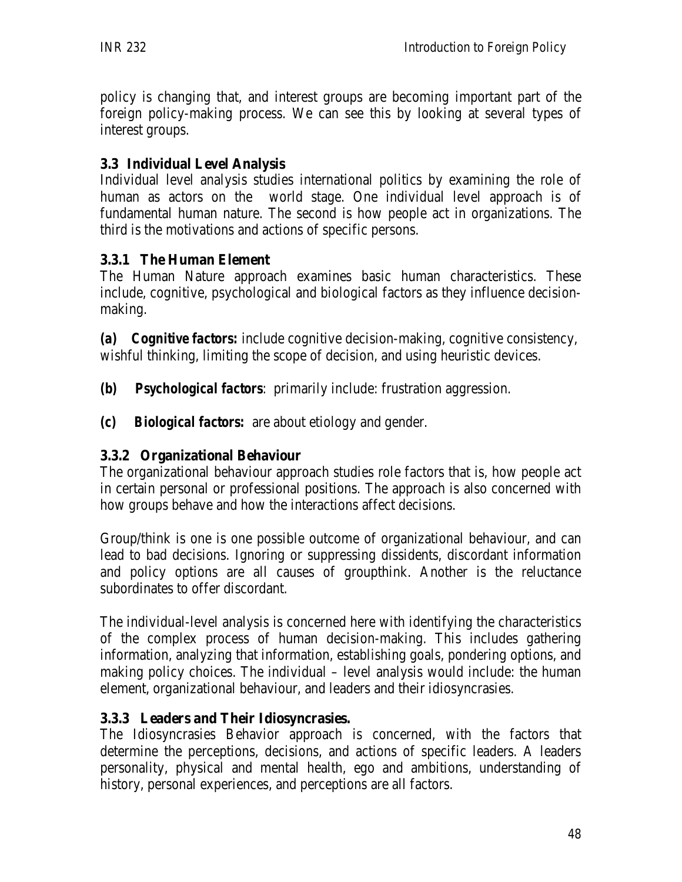policy is changing that, and interest groups are becoming important part of the foreign policy-making process. We can see this by looking at several types of interest groups.

# **3.3 Individual Level Analysis**

Individual level analysis studies international politics by examining the role of human as actors on the world stage. One individual level approach is of fundamental human nature. The second is how people act in organizations. The third is the motivations and actions of specific persons.

#### **3.3.1 The Human Element**

The Human Nature approach examines basic human characteristics. These include, cognitive, psychological and biological factors as they influence decisionmaking.

*(a) Cognitive factors:* include cognitive decision-making, cognitive consistency, wishful thinking, limiting the scope of decision, and using heuristic devices.

- *(b) Psychological factors*: primarily include: frustration aggression.
- *(c) Biological factors:* are about etiology and gender.

#### **3.3.2 Organizational Behaviour**

The organizational behaviour approach studies role factors that is, how people act in certain personal or professional positions. The approach is also concerned with how groups behave and how the interactions affect decisions.

Group/think is one is one possible outcome of organizational behaviour, and can lead to bad decisions. Ignoring or suppressing dissidents, discordant information and policy options are all causes of groupthink. Another is the reluctance subordinates to offer discordant.

The individual-level analysis is concerned here with identifying the characteristics of the complex process of human decision-making. This includes gathering information, analyzing that information, establishing goals, pondering options, and making policy choices. The individual – level analysis would include: the human element, organizational behaviour, and leaders and their idiosyncrasies.

#### **3.3.3 Leaders and Their Idiosyncrasies.**

The Idiosyncrasies Behavior approach is concerned, with the factors that determine the perceptions, decisions, and actions of specific leaders. A leaders personality, physical and mental health, ego and ambitions, understanding of history, personal experiences, and perceptions are all factors.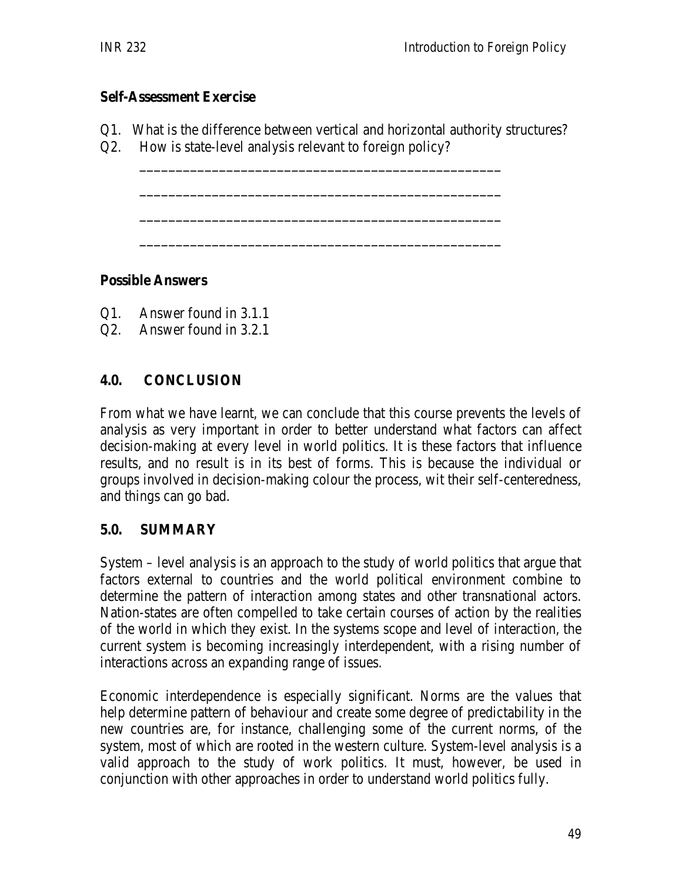#### **Self-Assessment Exercise**

- Q1. What is the difference between vertical and horizontal authority structures?
- Q2. How is state-level analysis relevant to foreign policy?

\_\_\_\_\_\_\_\_\_\_\_\_\_\_\_\_\_\_\_\_\_\_\_\_\_\_\_\_\_\_\_\_\_\_\_\_\_\_\_\_\_\_\_\_\_\_\_\_\_\_

\_\_\_\_\_\_\_\_\_\_\_\_\_\_\_\_\_\_\_\_\_\_\_\_\_\_\_\_\_\_\_\_\_\_\_\_\_\_\_\_\_\_\_\_\_\_\_\_\_\_

\_\_\_\_\_\_\_\_\_\_\_\_\_\_\_\_\_\_\_\_\_\_\_\_\_\_\_\_\_\_\_\_\_\_\_\_\_\_\_\_\_\_\_\_\_\_\_\_\_\_

\_\_\_\_\_\_\_\_\_\_\_\_\_\_\_\_\_\_\_\_\_\_\_\_\_\_\_\_\_\_\_\_\_\_\_\_\_\_\_\_\_\_\_\_\_\_\_\_\_\_

**Possible Answers**

- Q1. Answer found in 3.1.1
- Q2. Answer found in 3.2.1

### **4.0. CONCLUSION**

From what we have learnt, we can conclude that this course prevents the levels of analysis as very important in order to better understand what factors can affect decision-making at every level in world politics. It is these factors that influence results, and no result is in its best of forms. This is because the individual or groups involved in decision-making colour the process, wit their self-centeredness, and things can go bad.

# **5.0. SUMMARY**

System – level analysis is an approach to the study of world politics that argue that factors external to countries and the world political environment combine to determine the pattern of interaction among states and other transnational actors. Nation-states are often compelled to take certain courses of action by the realities of the world in which they exist. In the systems scope and level of interaction, the current system is becoming increasingly interdependent, with a rising number of interactions across an expanding range of issues.

Economic interdependence is especially significant. Norms are the values that help determine pattern of behaviour and create some degree of predictability in the new countries are, for instance, challenging some of the current norms, of the system, most of which are rooted in the western culture. System-level analysis is a valid approach to the study of work politics. It must, however, be used in conjunction with other approaches in order to understand world politics fully.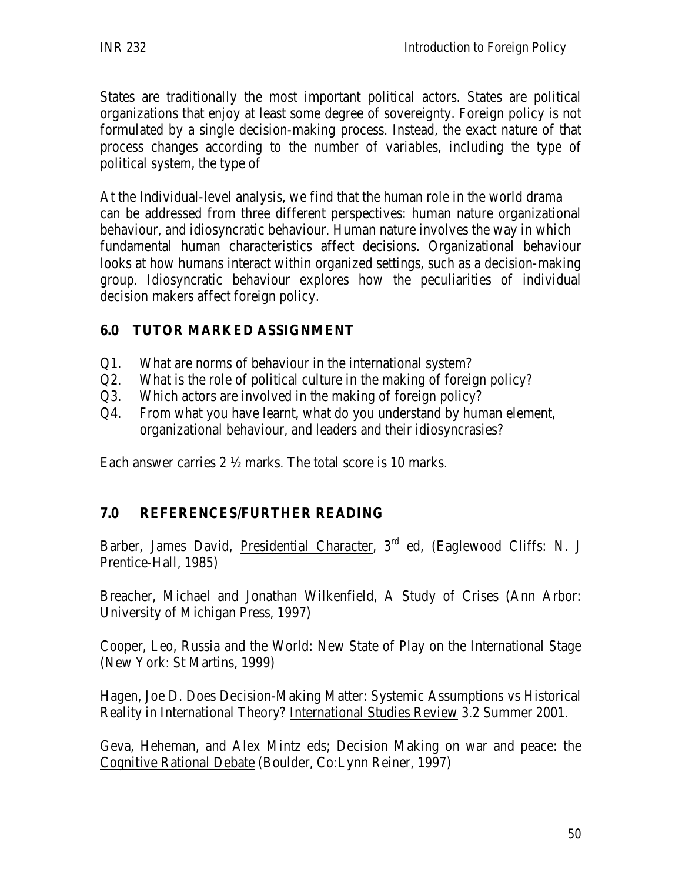States are traditionally the most important political actors. States are political organizations that enjoy at least some degree of sovereignty. Foreign policy is not formulated by a single decision-making process. Instead, the exact nature of that process changes according to the number of variables, including the type of political system, the type of

At the Individual-level analysis, we find that the human role in the world drama can be addressed from three different perspectives: human nature organizational behaviour, and idiosyncratic behaviour. Human nature involves the way in which fundamental human characteristics affect decisions. Organizational behaviour looks at how humans interact within organized settings, such as a decision-making group. Idiosyncratic behaviour explores how the peculiarities of individual decision makers affect foreign policy.

# **6.0 TUTOR MARKED ASSIGNMENT**

- Q1. What are norms of behaviour in the international system?
- Q2. What is the role of political culture in the making of foreign policy?
- Q3. Which actors are involved in the making of foreign policy?
- Q4. From what you have learnt, what do you understand by human element, organizational behaviour, and leaders and their idiosyncrasies?

Each answer carries 2 ½ marks. The total score is 10 marks.

# **7.0 REFERENCES/FURTHER READING**

Barber, James David, Presidential Character, 3<sup>rd</sup> ed, (Eaglewood Cliffs: N. J Prentice-Hall, 1985)

Breacher, Michael and Jonathan Wilkenfield, A Study of Crises (Ann Arbor: University of Michigan Press, 1997)

Cooper, Leo, Russia and the World: New State of Play on the International Stage (New York: St Martins, 1999)

Hagen, Joe D. Does Decision-Making Matter: Systemic Assumptions vs Historical Reality in International Theory? International Studies Review 3.2 Summer 2001.

Geva, Heheman, and Alex Mintz eds; Decision Making on war and peace: the Cognitive Rational Debate (Boulder, Co:Lynn Reiner, 1997)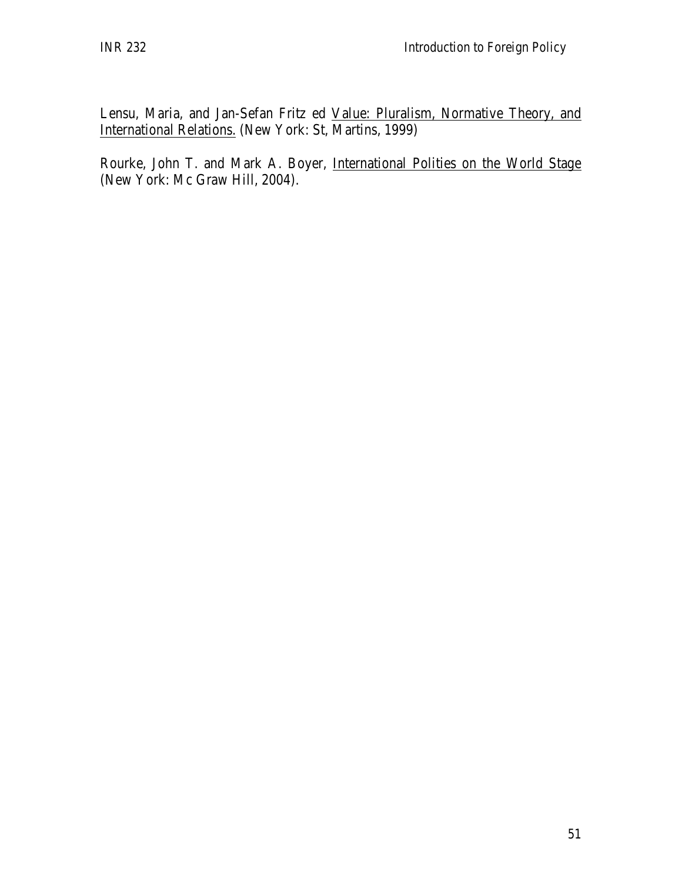Lensu, Maria, and Jan-Sefan Fritz ed Value: Pluralism, Normative Theory, and International Relations. (New York: St, Martins, 1999)

Rourke, John T. and Mark A. Boyer, International Polities on the World Stage (New York: Mc Graw Hill, 2004).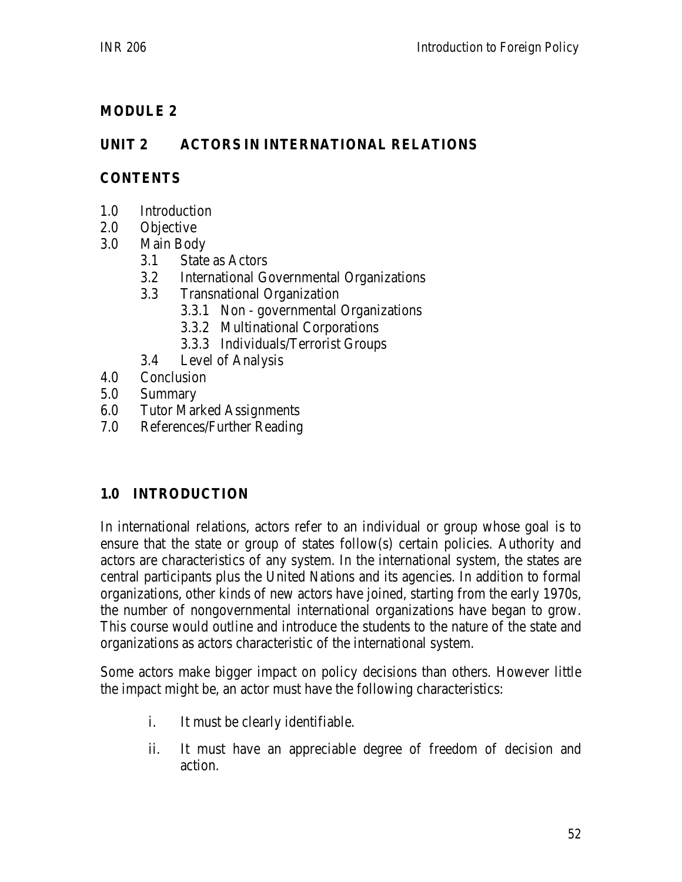# **MODULE 2**

# **UNIT 2 ACTORS IN INTERNATIONAL RELATIONS**

# **CONTENTS**

- 1.0 Introduction
- 2.0 Objective
- 3.0 Main Body
	- 3.1 State as Actors
	- 3.2 International Governmental Organizations
	- 3.3 Transnational Organization
		- 3.3.1 Non governmental Organizations
		- 3.3.2 Multinational Corporations
		- 3.3.3 Individuals/Terrorist Groups
	- 3.4 Level of Analysis
- 4.0 Conclusion
- 5.0 Summary
- 6.0 Tutor Marked Assignments
- 7.0 References/Further Reading

# **1.0 INTRODUCTION**

In international relations, actors refer to an individual or group whose goal is to ensure that the state or group of states follow(s) certain policies. Authority and actors are characteristics of any system. In the international system, the states are central participants plus the United Nations and its agencies. In addition to formal organizations, other kinds of new actors have joined, starting from the early 1970s, the number of nongovernmental international organizations have began to grow. This course would outline and introduce the students to the nature of the state and organizations as actors characteristic of the international system.

Some actors make bigger impact on policy decisions than others. However little the impact might be, an actor must have the following characteristics:

- i. It must be clearly identifiable.
- ii. It must have an appreciable degree of freedom of decision and action.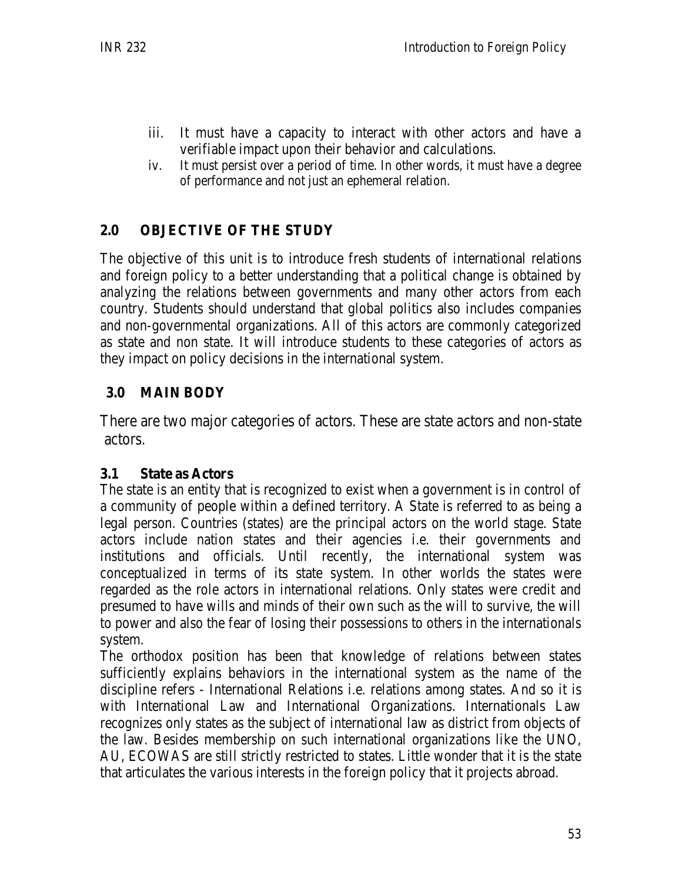- iii. It must have a capacity to interact with other actors and have a verifiable impact upon their behavior and calculations.
- iv. It must persist over a period of time. In other words, it must have a degree of performance and not just an ephemeral relation.

# **2.0 OBJECTIVE OF THE STUDY**

The objective of this unit is to introduce fresh students of international relations and foreign policy to a better understanding that a political change is obtained by analyzing the relations between governments and many other actors from each country. Students should understand that global politics also includes companies and non-governmental organizations. All of this actors are commonly categorized as state and non state. It will introduce students to these categories of actors as they impact on policy decisions in the international system.

# **3.0 MAIN BODY**

There are two major categories of actors. These are state actors and non-state actors.

#### **3.1 State as Actors**

The state is an entity that is recognized to exist when a government is in control of a community of people within a defined territory. A State is referred to as being a legal person. Countries (states) are the principal actors on the world stage. State actors include nation states and their agencies i.e. their governments and institutions and officials. Until recently, the international system was conceptualized in terms of its state system. In other worlds the states were regarded as the role actors in international relations. Only states were credit and presumed to have wills and minds of their own such as the will to survive, the will to power and also the fear of losing their possessions to others in the internationals system.

The orthodox position has been that knowledge of relations between states sufficiently explains behaviors in the international system as the name of the discipline refers - International Relations i.e. relations among states. And so it is with International Law and International Organizations. Internationals Law recognizes only states as the subject of international law as district from objects of the law. Besides membership on such international organizations like the UNO, AU, ECOWAS are still strictly restricted to states. Little wonder that it is the state that articulates the various interests in the foreign policy that it projects abroad.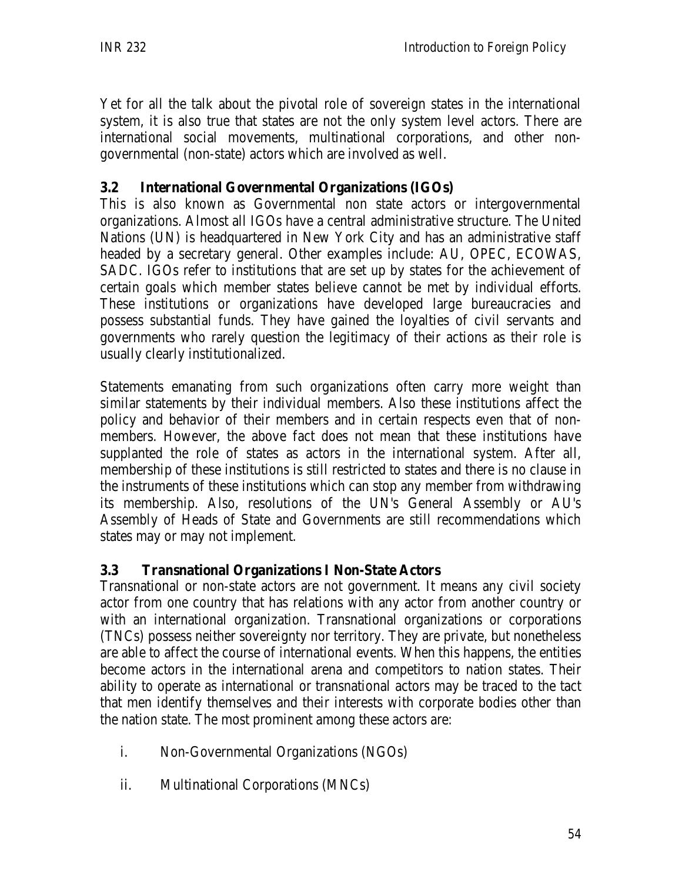Yet for all the talk about the pivotal role of sovereign states in the international system, it is also true that states are not the only system level actors. There are international social movements, multinational corporations, and other nongovernmental (non-state) actors which are involved as well.

# **3.2 International Governmental Organizations (IGOs)**

This is also known as Governmental non state actors or intergovernmental organizations. Almost all IGOs have a central administrative structure. The United Nations (UN) is headquartered in New York City and has an administrative staff headed by a secretary general. Other examples include: AU, OPEC, ECOWAS, SADC. IGOs refer to institutions that are set up by states for the achievement of certain goals which member states believe cannot be met by individual efforts. These institutions or organizations have developed large bureaucracies and possess substantial funds. They have gained the loyalties of civil servants and governments who rarely question the legitimacy of their actions as their role is usually clearly institutionalized.

Statements emanating from such organizations often carry more weight than similar statements by their individual members. Also these institutions affect the policy and behavior of their members and in certain respects even that of nonmembers. However, the above fact does not mean that these institutions have supplanted the role of states as actors in the international system. After all, membership of these institutions is still restricted to states and there is no clause in the instruments of these institutions which can stop any member from withdrawing its membership. Also, resolutions of the UN's General Assembly or AU's Assembly of Heads of State and Governments are still recommendations which states may or may not implement.

# **3.3 Transnational Organizations I Non-State Actors**

Transnational or non-state actors are not government. It means any civil society actor from one country that has relations with any actor from another country or with an international organization. Transnational organizations or corporations (TNCs) possess neither sovereignty nor territory. They are private, but nonetheless are able to affect the course of international events. When this happens, the entities become actors in the international arena and competitors to nation states. Their ability to operate as international or transnational actors may be traced to the tact that men identify themselves and their interests with corporate bodies other than the nation state. The most prominent among these actors are:

- i. Non-Governmental Organizations (NGOs)
- ii. Multinational Corporations (MNCs)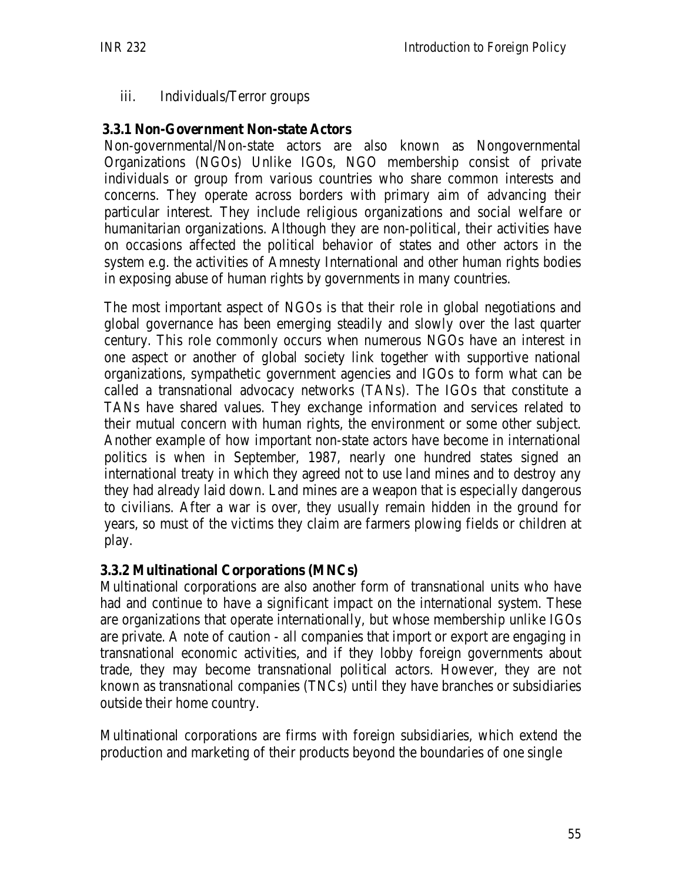iii. Individuals/Terror groups

#### **3.3.1 Non-Government Non-state Actors**

Non-governmental/Non-state actors are also known as Nongovernmental Organizations (NGOs) Unlike IGOs, NGO membership consist of private individuals or group from various countries who share common interests and concerns. They operate across borders with primary aim of advancing their particular interest. They include religious organizations and social welfare or humanitarian organizations. Although they are non-political, their activities have on occasions affected the political behavior of states and other actors in the system e.g. the activities of Amnesty International and other human rights bodies in exposing abuse of human rights by governments in many countries.

The most important aspect of NGOs is that their role in global negotiations and global governance has been emerging steadily and slowly over the last quarter century. This role commonly occurs when numerous NGOs have an interest in one aspect or another of global society link together with supportive national organizations, sympathetic government agencies and IGOs to form what can be called a transnational advocacy networks (TANs). The IGOs that constitute a TANs have shared values. They exchange information and services related to their mutual concern with human rights, the environment or some other subject. Another example of how important non-state actors have become in international politics is when in September, 1987, nearly one hundred states signed an international treaty in which they agreed not to use land mines and to destroy any they had already laid down. Land mines are a weapon that is especially dangerous to civilians. After a war is over, they usually remain hidden in the ground for years, so must of the victims they claim are farmers plowing fields or children at play.

# **3.3.2 Multinational Corporations (MNCs)**

Multinational corporations are also another form of transnational units who have had and continue to have a significant impact on the international system. These are organizations that operate internationally, but whose membership unlike IGOs are private. A note of caution - all companies that import or export are engaging in transnational economic activities, and if they lobby foreign governments about trade, they may become transnational political actors. However, they are not known as transnational companies (TNCs) until they have branches or subsidiaries outside their home country.

Multinational corporations are firms with foreign subsidiaries, which extend the production and marketing of their products beyond the boundaries of one single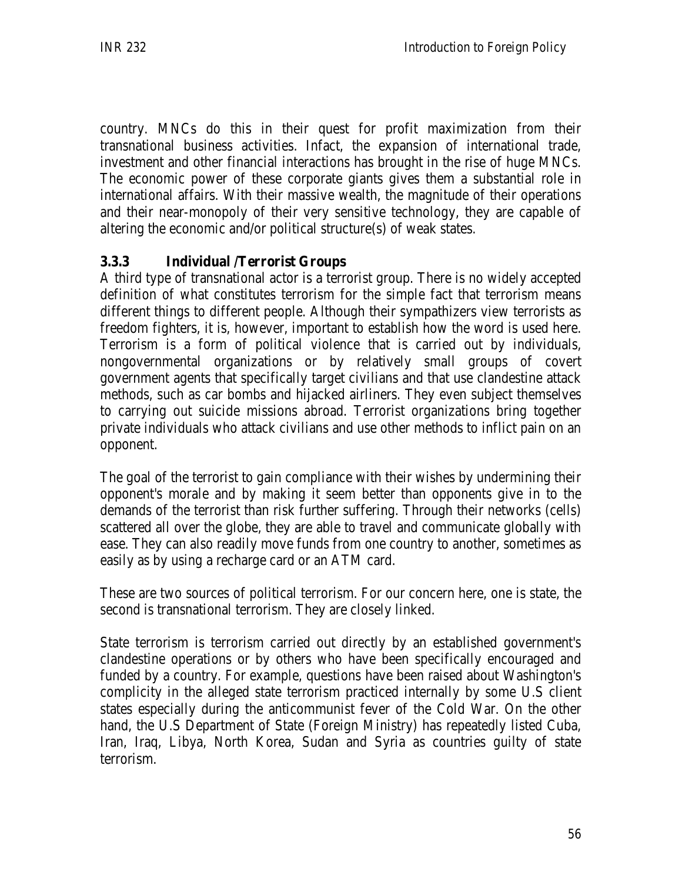country. MNCs do this in their quest for profit maximization from their transnational business activities. Infact, the expansion of international trade, investment and other financial interactions has brought in the rise of huge MNCs. The economic power of these corporate giants gives them a substantial role in international affairs. With their massive wealth, the magnitude of their operations and their near-monopoly of their very sensitive technology, they are capable of altering the economic and/or political structure(s) of weak states.

# **3.3.3 Individual /Terrorist Groups**

A third type of transnational actor is a terrorist group. There is no widely accepted definition of what constitutes terrorism for the simple fact that terrorism means different things to different people. Although their sympathizers view terrorists as freedom fighters, it is, however, important to establish how the word is used here. Terrorism is a form of political violence that is carried out by individuals, nongovernmental organizations or by relatively small groups of covert government agents that specifically target civilians and that use clandestine attack methods, such as car bombs and hijacked airliners. They even subject themselves to carrying out suicide missions abroad. Terrorist organizations bring together private individuals who attack civilians and use other methods to inflict pain on an opponent.

The goal of the terrorist to gain compliance with their wishes by undermining their opponent's morale and by making it seem better than opponents give in to the demands of the terrorist than risk further suffering. Through their networks (cells) scattered all over the globe, they are able to travel and communicate globally with ease. They can also readily move funds from one country to another, sometimes as easily as by using a recharge card or an ATM card.

These are two sources of political terrorism. For our concern here, one is state, the second is transnational terrorism. They are closely linked.

State terrorism is terrorism carried out directly by an established government's clandestine operations or by others who have been specifically encouraged and funded by a country. For example, questions have been raised about Washington's complicity in the alleged state terrorism practiced internally by some U.S client states especially during the anticommunist fever of the Cold War. On the other hand, the U.S Department of State (Foreign Ministry) has repeatedly listed Cuba, Iran, Iraq, Libya, North Korea, Sudan and Syria as countries guilty of state terrorism.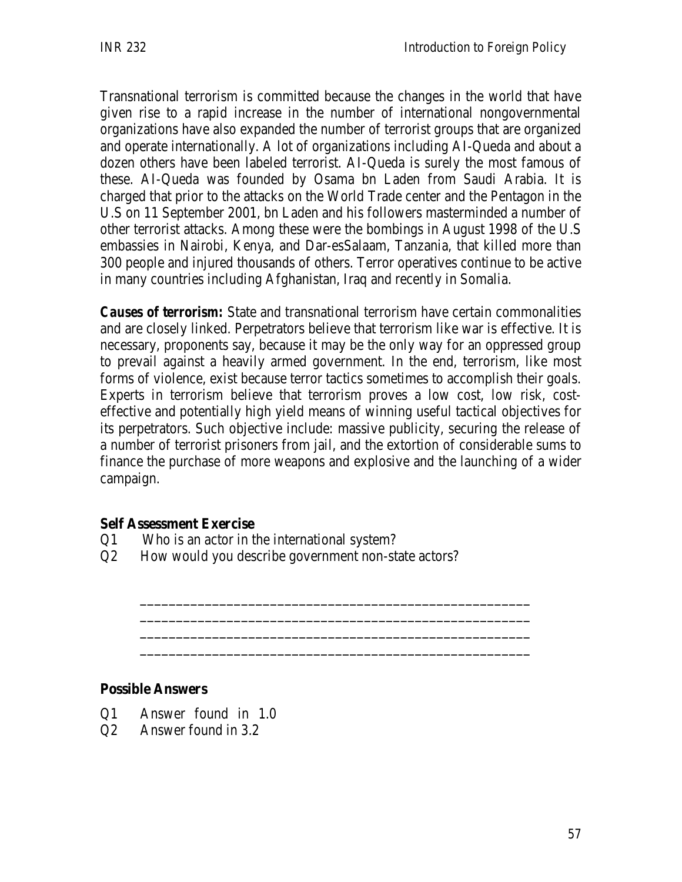Transnational terrorism is committed because the changes in the world that have given rise to a rapid increase in the number of international nongovernmental organizations have also expanded the number of terrorist groups that are organized and operate internationally. A lot of organizations including AI-Queda and about a dozen others have been labeled terrorist. AI-Queda is surely the most famous of these. AI-Queda was founded by Osama bn Laden from Saudi Arabia. It is charged that prior to the attacks on the World Trade center and the Pentagon in the U.S on 11 September 2001, bn Laden and his followers masterminded a number of other terrorist attacks. Among these were the bombings in August 1998 of the U.S embassies in Nairobi, Kenya, and Dar-esSalaam, Tanzania, that killed more than 300 people and injured thousands of others. Terror operatives continue to be active in many countries including Afghanistan, Iraq and recently in Somalia.

*Causes of terrorism:* State and transnational terrorism have certain commonalities and are closely linked. Perpetrators believe that terrorism like war is effective. It is necessary, proponents say, because it may be the only way for an oppressed group to prevail against a heavily armed government. In the end, terrorism, like most forms of violence, exist because terror tactics sometimes to accomplish their goals. Experts in terrorism believe that terrorism proves a low cost, low risk, costeffective and potentially high yield means of winning useful tactical objectives for its perpetrators. Such objective include: massive publicity, securing the release of a number of terrorist prisoners from jail, and the extortion of considerable sums to finance the purchase of more weapons and explosive and the launching of a wider campaign.

\_\_\_\_\_\_\_\_\_\_\_\_\_\_\_\_\_\_\_\_\_\_\_\_\_\_\_\_\_\_\_\_\_\_\_\_\_\_\_\_\_\_\_\_\_\_\_\_\_\_\_\_\_\_ \_\_\_\_\_\_\_\_\_\_\_\_\_\_\_\_\_\_\_\_\_\_\_\_\_\_\_\_\_\_\_\_\_\_\_\_\_\_\_\_\_\_\_\_\_\_\_\_\_\_\_\_\_\_ \_\_\_\_\_\_\_\_\_\_\_\_\_\_\_\_\_\_\_\_\_\_\_\_\_\_\_\_\_\_\_\_\_\_\_\_\_\_\_\_\_\_\_\_\_\_\_\_\_\_\_\_\_\_ \_\_\_\_\_\_\_\_\_\_\_\_\_\_\_\_\_\_\_\_\_\_\_\_\_\_\_\_\_\_\_\_\_\_\_\_\_\_\_\_\_\_\_\_\_\_\_\_\_\_\_\_\_\_

#### **Self Assessment Exercise**

- Q1 Who is an actor in the international system?
- Q2 How would you describe government non-state actors?

#### **Possible Answers**

- Q1 Answer found in 1.0
- Q2 Answer found in 3.2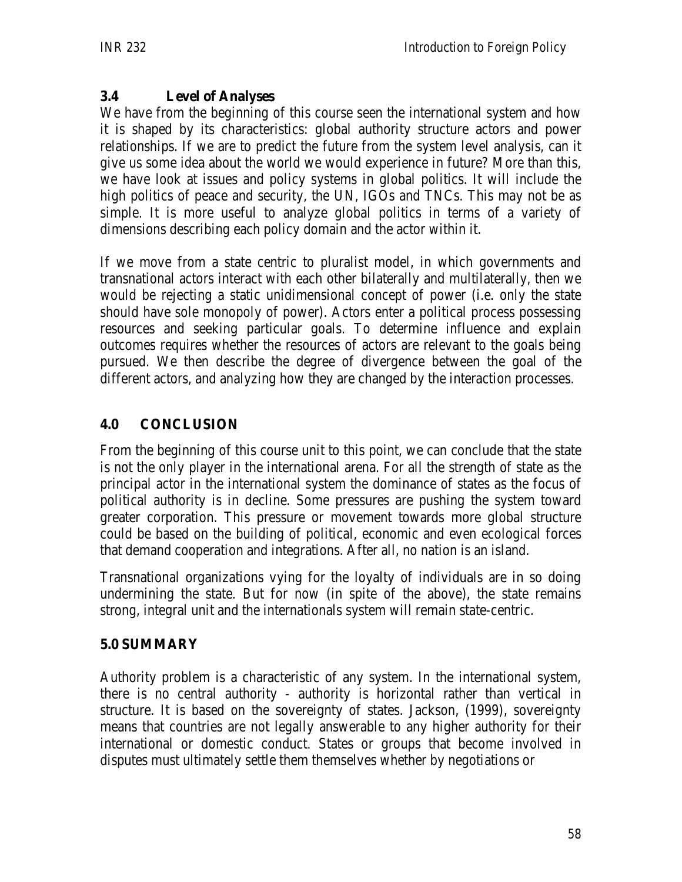# **3.4 Level of Analyses**

We have from the beginning of this course seen the international system and how it is shaped by its characteristics: global authority structure actors and power relationships. If we are to predict the future from the system level analysis, can it give us some idea about the world we would experience in future? More than this, we have look at issues and policy systems in global politics. It will include the high politics of peace and security, the UN, IGOs and TNCs. This may not be as simple. It is more useful to analyze global politics in terms of a variety of dimensions describing each policy domain and the actor within it.

If we move from a state centric to pluralist model, in which governments and transnational actors interact with each other bilaterally and multilaterally, then we would be rejecting a static unidimensional concept of power (i.e. only the state should have sole monopoly of power). Actors enter a political process possessing resources and seeking particular goals. To determine influence and explain outcomes requires whether the resources of actors are relevant to the goals being pursued. We then describe the degree of divergence between the goal of the different actors, and analyzing how they are changed by the interaction processes.

# **4.0 CONCLUSION**

From the beginning of this course unit to this point, we can conclude that the state is not the only player in the international arena. For all the strength of state as the principal actor in the international system the dominance of states as the focus of political authority is in decline. Some pressures are pushing the system toward greater corporation. This pressure or movement towards more global structure could be based on the building of political, economic and even ecological forces that demand cooperation and integrations. After all, no nation is an island.

Transnational organizations vying for the loyalty of individuals are in so doing undermining the state. But for now (in spite of the above), the state remains strong, integral unit and the internationals system will remain state-centric.

# **5.0 SUMMARY**

Authority problem is a characteristic of any system. In the international system, there is no central authority - authority is horizontal rather than vertical in structure. It is based on the sovereignty of states. Jackson, (1999), sovereignty means that countries are not legally answerable to any higher authority for their international or domestic conduct. States or groups that become involved in disputes must ultimately settle them themselves whether by negotiations or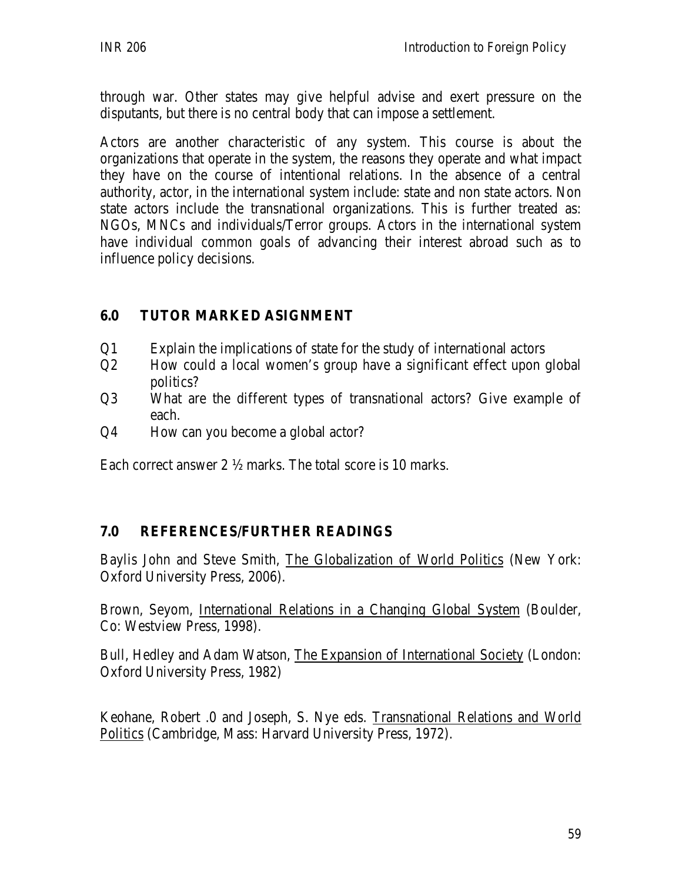through war. Other states may give helpful advise and exert pressure on the disputants, but there is no central body that can impose a settlement.

Actors are another characteristic of any system. This course is about the organizations that operate in the system, the reasons they operate and what impact they have on the course of intentional relations. In the absence of a central authority, actor, in the international system include: state and non state actors. Non state actors include the transnational organizations. This is further treated as: NGOs, MNCs and individuals/Terror groups. Actors in the international system have individual common goals of advancing their interest abroad such as to influence policy decisions.

### **6.0 TUTOR MARKED ASIGNMENT**

- Q1 Explain the implications of state for the study of international actors
- Q2 How could a local women's group have a significant effect upon global politics?
- Q3 What are the different types of transnational actors? Give example of each.
- Q4 How can you become a global actor?

Each correct answer 2 ½ marks. The total score is 10 marks.

#### **7.0 REFERENCES/FURTHER READINGS**

Baylis John and Steve Smith, The Globalization of World Politics (New York: Oxford University Press, 2006).

Brown, Seyom, International Relations in a Changing Global System (Boulder, Co: Westview Press, 1998).

Bull, Hedley and Adam Watson, The Expansion of International Society (London: Oxford University Press, 1982)

Keohane, Robert .0 and Joseph, S. Nye eds. Transnational Relations and World Politics (Cambridge, Mass: Harvard University Press, 1972).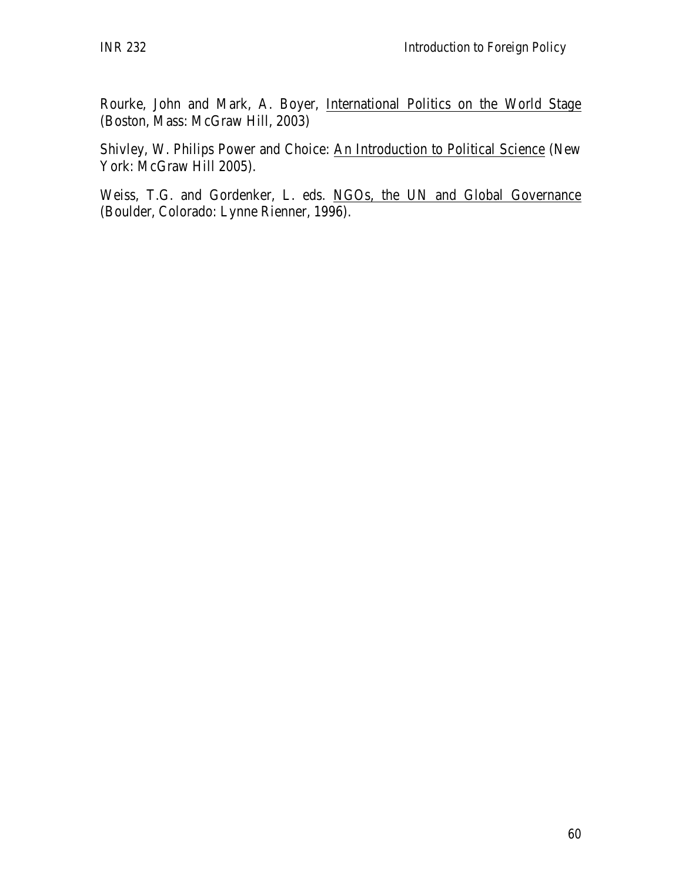Rourke, John and Mark, A. Boyer, International Politics on the World Stage (Boston, Mass: McGraw Hill, 2003)

Shivley, W. Philips Power and Choice: An Introduction to Political Science (New York: McGraw Hill 2005).

Weiss, T.G. and Gordenker, L. eds. NGOs, the UN and Global Governance (Boulder, Colorado: Lynne Rienner, 1996).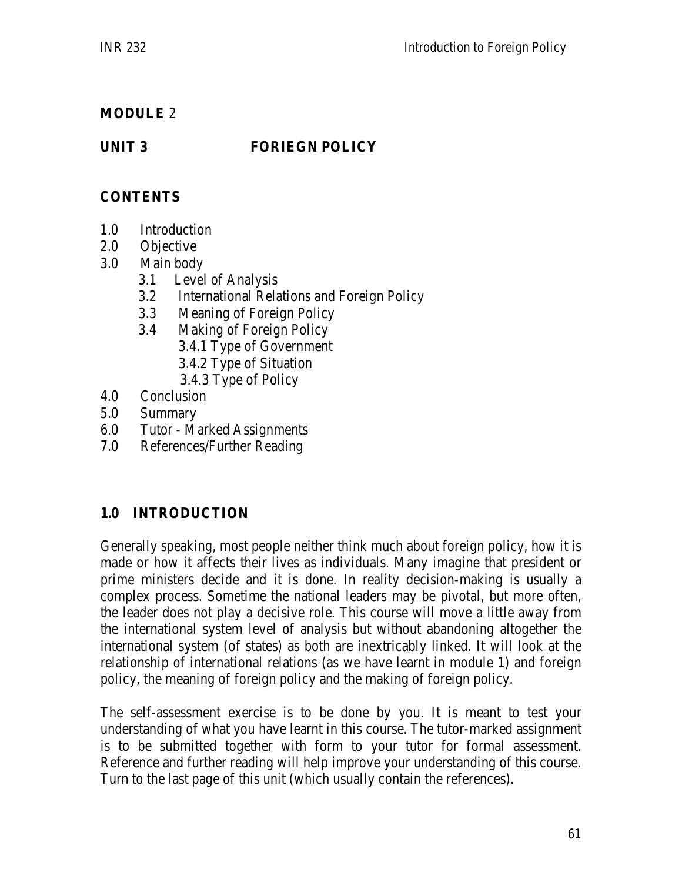# **MODULE** 2

# **UNIT 3 FORIEGN POLICY**

# **CONTENTS**

- 1.0 Introduction
- 2.0 Objective
- 3.0 Main body
	- 3.1 Level of Analysis
	- 3.2 International Relations and Foreign Policy
	- 3.3 Meaning of Foreign Policy
	- 3.4 Making of Foreign Policy 3.4.1 Type of Government 3.4.2 Type of Situation 3.4.3 Type of Policy
- 4.0 Conclusion
- 5.0 Summary
- 6.0 Tutor Marked Assignments
- 7.0 References/Further Reading

# **1.0 INTRODUCTION**

Generally speaking, most people neither think much about foreign policy, how it is made or how it affects their lives as individuals. Many imagine that president or prime ministers decide and it is done. In reality decision-making is usually a complex process. Sometime the national leaders may be pivotal, but more often, the leader does not play a decisive role. This course will move a little away from the international system level of analysis but without abandoning altogether the international system (of states) as both are inextricably linked. It will look at the relationship of international relations (as we have learnt in module 1) and foreign policy, the meaning of foreign policy and the making of foreign policy.

The self-assessment exercise is to be done by you. It is meant to test your understanding of what you have learnt in this course. The tutor-marked assignment is to be submitted together with form to your tutor for formal assessment. Reference and further reading will help improve your understanding of this course. Turn to the last page of this unit (which usually contain the references).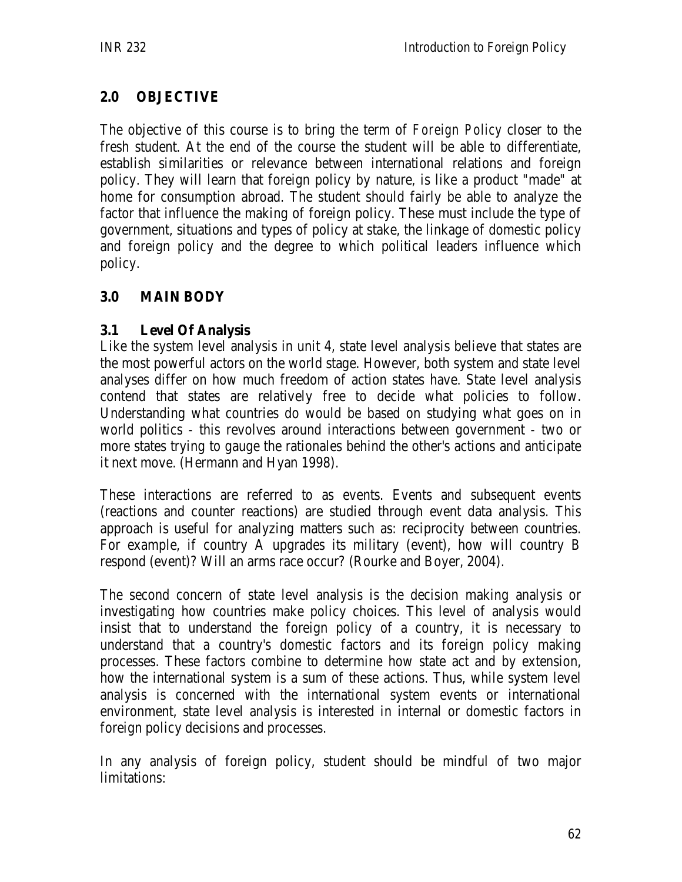# **2.0 OBJECTIVE**

The objective of this course is to bring the term of *Foreign Policy* closer to the fresh student. At the end of the course the student will be able to differentiate, establish similarities or relevance between international relations and foreign policy. They will learn that foreign policy by nature, is like a product "made" at home for consumption abroad. The student should fairly be able to analyze the factor that influence the making of foreign policy. These must include the type of government, situations and types of policy at stake, the linkage of domestic policy and foreign policy and the degree to which political leaders influence which policy.

# **3.0 MAIN BODY**

# **3.1 Level Of Analysis**

Like the system level analysis in unit 4, state level analysis believe that states are the most powerful actors on the world stage. However, both system and state level analyses differ on how much freedom of action states have. State level analysis contend that states are relatively free to decide what policies to follow. Understanding what countries do would be based on studying what goes on in world politics - this revolves around interactions between government - two or more states trying to gauge the rationales behind the other's actions and anticipate it next move. (Hermann and Hyan 1998).

These interactions are referred to as events. Events and subsequent events (reactions and counter reactions) are studied through event data analysis. This approach is useful for analyzing matters such as: reciprocity between countries. For example, if country A upgrades its military (event), how will country B respond (event)? Will an arms race occur? (Rourke and Boyer, 2004).

The second concern of state level analysis is the decision making analysis or investigating how countries make policy choices. This level of analysis would insist that to understand the foreign policy of a country, it is necessary to understand that a country's domestic factors and its foreign policy making processes. These factors combine to determine how state act and by extension, how the international system is a sum of these actions. Thus, while system level analysis is concerned with the international system events or international environment, state level analysis is interested in internal or domestic factors in foreign policy decisions and processes.

In any analysis of foreign policy, student should be mindful of two major limitations: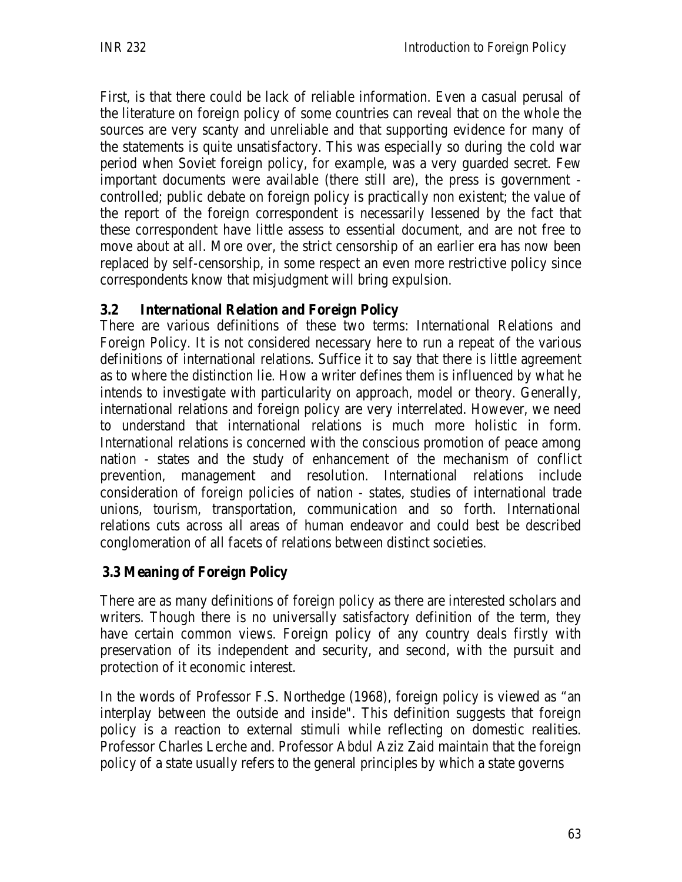First, is that there could be lack of reliable information. Even a casual perusal of the literature on foreign policy of some countries can reveal that on the whole the sources are very scanty and unreliable and that supporting evidence for many of the statements is quite unsatisfactory. This was especially so during the cold war period when Soviet foreign policy, for example, was a very guarded secret. Few important documents were available (there still are), the press is government controlled; public debate on foreign policy is practically non existent; the value of the report of the foreign correspondent is necessarily lessened by the fact that these correspondent have little assess to essential document, and are not free to move about at all. More over, the strict censorship of an earlier era has now been replaced by self-censorship, in some respect an even more restrictive policy since correspondents know that misjudgment will bring expulsion.

# **3.2 International Relation and Foreign Policy**

There are various definitions of these two terms: International Relations and Foreign Policy. It is not considered necessary here to run a repeat of the various definitions of international relations. Suffice it to say that there is little agreement as to where the distinction lie. How a writer defines them is influenced by what he intends to investigate with particularity on approach, model or theory. Generally, international relations and foreign policy are very interrelated. However, we need to understand that international relations is much more holistic in form. International relations is concerned with the conscious promotion of peace among nation - states and the study of enhancement of the mechanism of conflict prevention, management and resolution. International relations include consideration of foreign policies of nation - states, studies of international trade unions, tourism, transportation, communication and so forth. International relations cuts across all areas of human endeavor and could best be described conglomeration of all facets of relations between distinct societies.

# **3.3 Meaning of Foreign Policy**

There are as many definitions of foreign policy as there are interested scholars and writers. Though there is no universally satisfactory definition of the term, they have certain common views. Foreign policy of any country deals firstly with preservation of its independent and security, and second, with the pursuit and protection of it economic interest.

In the words of Professor F.S. Northedge (1968), foreign policy is viewed as "an interplay between the outside and inside". This definition suggests that foreign policy is a reaction to external stimuli while reflecting on domestic realities. Professor Charles Lerche and. Professor Abdul Aziz Zaid maintain that the foreign policy of a state usually refers to the general principles by which a state governs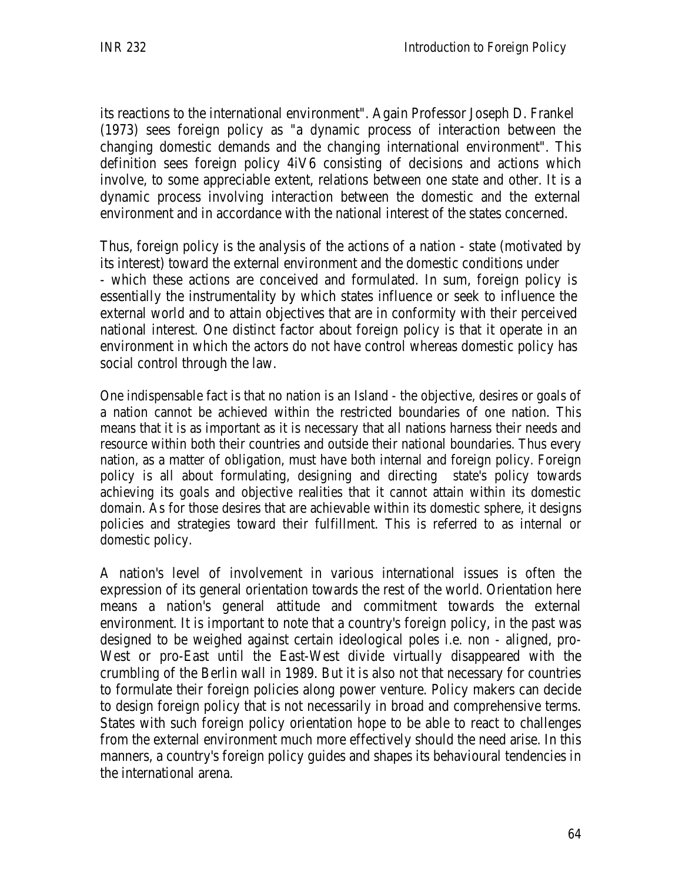its reactions to the international environment". Again Professor Joseph D. Frankel (1973) sees foreign policy as "a dynamic process of interaction between the changing domestic demands and the changing international environment". This definition sees foreign policy 4iV6 consisting of decisions and actions which involve, to some appreciable extent, relations between one state and other. It is a dynamic process involving interaction between the domestic and the external environment and in accordance with the national interest of the states concerned.

Thus, foreign policy is the analysis of the actions of a nation - state (motivated by its interest) toward the external environment and the domestic conditions under - which these actions are conceived and formulated. In sum, foreign policy is essentially the instrumentality by which states influence or seek to influence the external world and to attain objectives that are in conformity with their perceived national interest. One distinct factor about foreign policy is that it operate in an environment in which the actors do not have control whereas domestic policy has social control through the law.

One indispensable fact is that no nation is an Island - the objective, desires or goals of a nation cannot be achieved within the restricted boundaries of one nation. This means that it is as important as it is necessary that all nations harness their needs and resource within both their countries and outside their national boundaries. Thus every nation, as a matter of obligation, must have both internal and foreign policy. Foreign policy is all about formulating, designing and directing state's policy towards achieving its goals and objective realities that it cannot attain within its domestic domain. As for those desires that are achievable within its domestic sphere, it designs policies and strategies toward their fulfillment. This is referred to as internal or domestic policy.

A nation's level of involvement in various international issues is often the expression of its general orientation towards the rest of the world. Orientation here means a nation's general attitude and commitment towards the external environment. It is important to note that a country's foreign policy, in the past was designed to be weighed against certain ideological poles i.e. non - aligned, pro-West or pro-East until the East-West divide virtually disappeared with the crumbling of the Berlin wall in 1989. But it is also not that necessary for countries to formulate their foreign policies along power venture. Policy makers can decide to design foreign policy that is not necessarily in broad and comprehensive terms. States with such foreign policy orientation hope to be able to react to challenges from the external environment much more effectively should the need arise. In this manners, a country's foreign policy guides and shapes its behavioural tendencies in the international arena.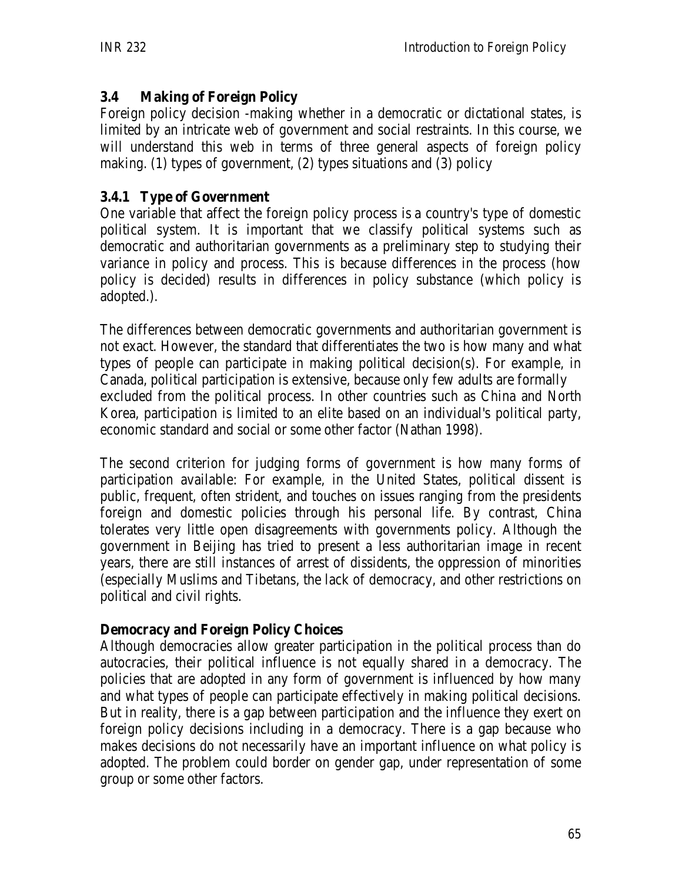# **3.4 Making of Foreign Policy**

Foreign policy decision -making whether in a democratic or dictational states, is limited by an intricate web of government and social restraints. In this course, we will understand this web in terms of three general aspects of foreign policy making. (1) types of government, (2) types situations and (3) policy

# **3.4.1 Type of Government**

One variable that affect the foreign policy process is a country's type of domestic political system. It is important that we classify political systems such as democratic and authoritarian governments as a preliminary step to studying their variance in policy and process. This is because differences in the process (how policy is decided) results in differences in policy substance (which policy is adopted.).

The differences between democratic governments and authoritarian government is not exact. However, the standard that differentiates the two is how many and what types of people can participate in making political decision(s). For example, in Canada, political participation is extensive, because only few adults are formally excluded from the political process. In other countries such as China and North Korea, participation is limited to an elite based on an individual's political party, economic standard and social or some other factor (Nathan 1998).

The second criterion for judging forms of government is how many forms of participation available: For example, in the United States, political dissent is public, frequent, often strident, and touches on issues ranging from the presidents foreign and domestic policies through his personal life. By contrast, China tolerates very little open disagreements with governments policy. Although the government in Beijing has tried to present a less authoritarian image in recent years, there are still instances of arrest of dissidents, the oppression of minorities (especially Muslims and Tibetans, the lack of democracy, and other restrictions on political and civil rights.

# **Democracy and Foreign Policy Choices**

Although democracies allow greater participation in the political process than do autocracies, their political influence is not equally shared in a democracy. The policies that are adopted in any form of government is influenced by how many and what types of people can participate effectively in making political decisions. But in reality, there is a gap between participation and the influence they exert on foreign policy decisions including in a democracy. There is a gap because who makes decisions do not necessarily have an important influence on what policy is adopted. The problem could border on gender gap, under representation of some group or some other factors.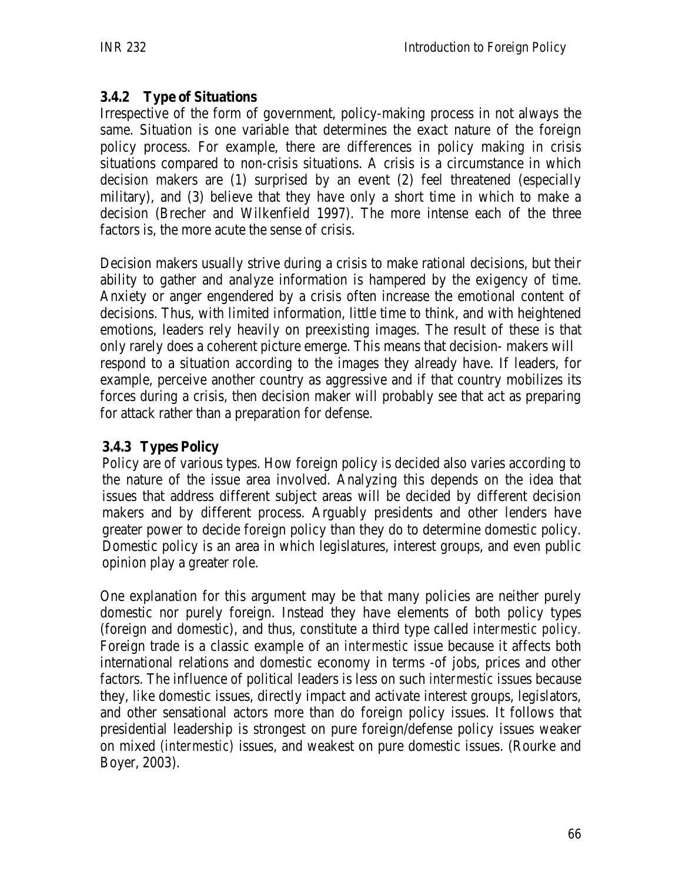# **3.4.2 Type of Situations**

Irrespective of the form of government, policy-making process in not always the same. Situation is one variable that determines the exact nature of the foreign policy process. For example, there are differences in policy making in crisis situations compared to non-crisis situations. A crisis is a circumstance in which decision makers are (1) surprised by an event (2) feel threatened (especially military), and (3) believe that they have only a short time in which to make a decision (Brecher and Wilkenfield 1997). The more intense each of the three factors is, the more acute the sense of crisis.

Decision makers usually strive during a crisis to make rational decisions, but their ability to gather and analyze information is hampered by the exigency of time. Anxiety or anger engendered by a crisis often increase the emotional content of decisions. Thus, with limited information, little time to think, and with heightened emotions, leaders rely heavily on preexisting images. The result of these is that only rarely does a coherent picture emerge. This means that decision- makers will respond to a situation according to the images they already have. If leaders, for example, perceive another country as aggressive and if that country mobilizes its forces during a crisis, then decision maker will probably see that act as preparing for attack rather than a preparation for defense.

# **3.4.3 Types Policy**

Policy are of various types. How foreign policy is decided also varies according to the nature of the issue area involved. Analyzing this depends on the idea that issues that address different subject areas will be decided by different decision makers and by different process. Arguably presidents and other lenders have greater power to decide foreign policy than they do to determine domestic policy. Domestic policy is an area in which legislatures, interest groups, and even public opinion play a greater role.

One explanation for this argument may be that many policies are neither purely domestic nor purely foreign. Instead they have elements of both policy types (foreign and domestic), and thus, constitute a third type called *intermestic policy.*  Foreign trade is a classic example of an *intermestic* issue because it affects both international relations and domestic economy in terms -of jobs, prices and other factors. The influence of political leaders is less on such *intermestic* issues because they, like domestic issues, directly impact and activate interest groups, legislators, and other sensational actors more than do foreign policy issues. It follows that presidential leadership is strongest on pure foreign/defense policy issues weaker on mixed *(intermestic)* issues, and weakest on pure domestic issues. (Rourke and Boyer, 2003).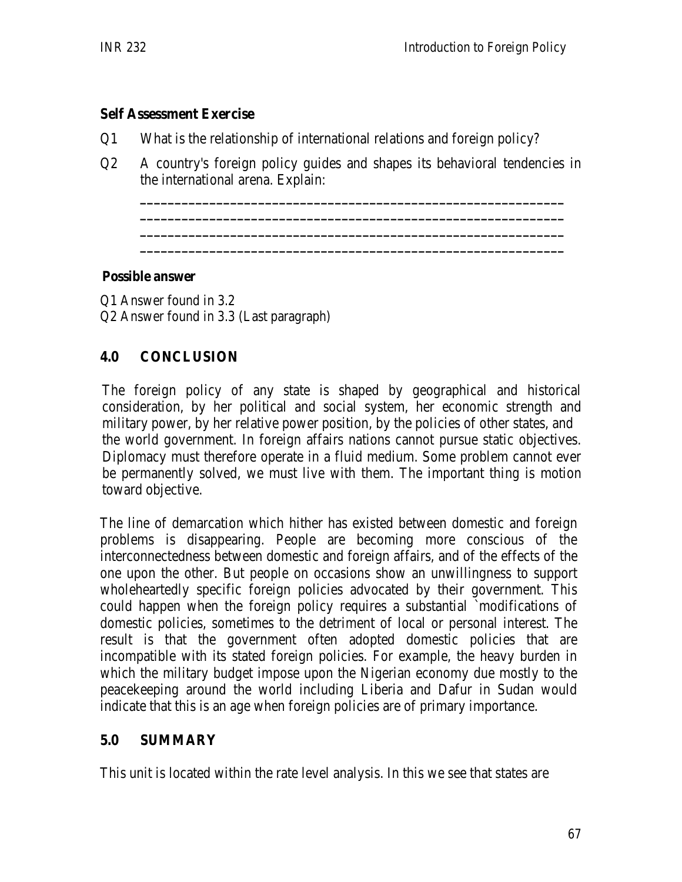#### **Self Assessment Exercise**

- Q1 What is the relationship of international relations and foreign policy?
- Q2 A country's foreign policy guides and shapes its behavioral tendencies in the international arena. Explain:

**\_\_\_\_\_\_\_\_\_\_\_\_\_\_\_\_\_\_\_\_\_\_\_\_\_\_\_\_\_\_\_\_\_\_\_\_\_\_\_\_\_\_\_\_\_\_\_\_\_\_\_\_\_\_\_\_\_\_\_\_\_ \_\_\_\_\_\_\_\_\_\_\_\_\_\_\_\_\_\_\_\_\_\_\_\_\_\_\_\_\_\_\_\_\_\_\_\_\_\_\_\_\_\_\_\_\_\_\_\_\_\_\_\_\_\_\_\_\_\_\_\_\_ \_\_\_\_\_\_\_\_\_\_\_\_\_\_\_\_\_\_\_\_\_\_\_\_\_\_\_\_\_\_\_\_\_\_\_\_\_\_\_\_\_\_\_\_\_\_\_\_\_\_\_\_\_\_\_\_\_\_\_\_\_ \_\_\_\_\_\_\_\_\_\_\_\_\_\_\_\_\_\_\_\_\_\_\_\_\_\_\_\_\_\_\_\_\_\_\_\_\_\_\_\_\_\_\_\_\_\_\_\_\_\_\_\_\_\_\_\_\_\_\_\_\_**

**Possible answer**

- Q1 Answer found in 3.2
- Q2 Answer found in 3.3 (Last paragraph)

# **4.0 CONCLUSION**

The foreign policy of any state is shaped by geographical and historical consideration, by her political and social system, her economic strength and military power, by her relative power position, by the policies of other states, and the world government. In foreign affairs nations cannot pursue static objectives. Diplomacy must therefore operate in a fluid medium. Some problem cannot ever be permanently solved, we must live with them. The important thing is motion toward objective.

The line of demarcation which hither has existed between domestic and foreign problems is disappearing. People are becoming more conscious of the interconnectedness between domestic and foreign affairs, and of the effects of the one upon the other. But people on occasions show an unwillingness to support wholeheartedly specific foreign policies advocated by their government. This could happen when the foreign policy requires a substantial `modifications of domestic policies, sometimes to the detriment of local or personal interest. The result is that the government often adopted domestic policies that are incompatible with its stated foreign policies. For example, the heavy burden in which the military budget impose upon the Nigerian economy due mostly to the peacekeeping around the world including Liberia and Dafur in Sudan would indicate that this is an age when foreign policies are of primary importance.

# **5.0 SUMMARY**

This unit is located within the rate level analysis. In this we see that states are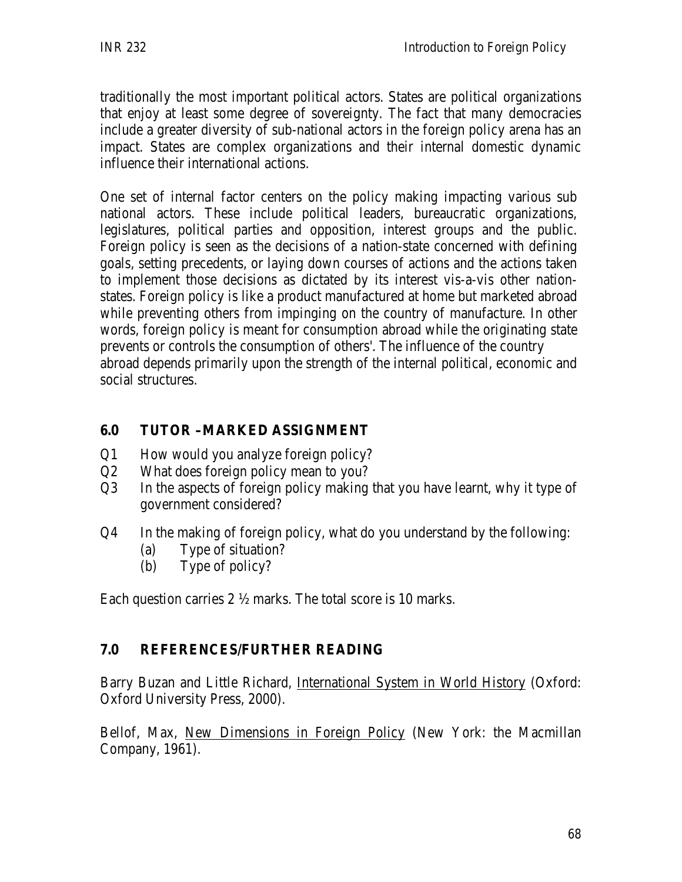traditionally the most important political actors. States are political organizations that enjoy at least some degree of sovereignty. The fact that many democracies include a greater diversity of sub-national actors in the foreign policy arena has an impact. States are complex organizations and their internal domestic dynamic influence their international actions.

One set of internal factor centers on the policy making impacting various sub national actors. These include political leaders, bureaucratic organizations, legislatures, political parties and opposition, interest groups and the public. Foreign policy is seen as the decisions of a nation-state concerned with defining goals, setting precedents, or laying down courses of actions and the actions taken to implement those decisions as dictated by its interest vis-a-vis other nationstates. Foreign policy is like a product manufactured at home but marketed abroad while preventing others from impinging on the country of manufacture. In other words, foreign policy is meant for consumption abroad while the originating state prevents or controls the consumption of others'. The influence of the country abroad depends primarily upon the strength of the internal political, economic and social structures.

# **6.0 TUTOR –MARKED ASSIGNMENT**

- Q1 How would you analyze foreign policy?
- Q2 What does foreign policy mean to you?
- Q3 In the aspects of foreign policy making that you have learnt, why it type of government considered?
- Q4 In the making of foreign policy, what do you understand by the following:
	- (a) Type of situation?
	- (b) Type of policy?

Each question carries 2 ½ marks. The total score is 10 marks.

# **7.0 REFERENCES/FURTHER READING**

Barry Buzan and Little Richard, International System in World History (Oxford: Oxford University Press, 2000).

Bellof, Max, New Dimensions in Foreign Policy (New York: the Macmillan Company, 1961).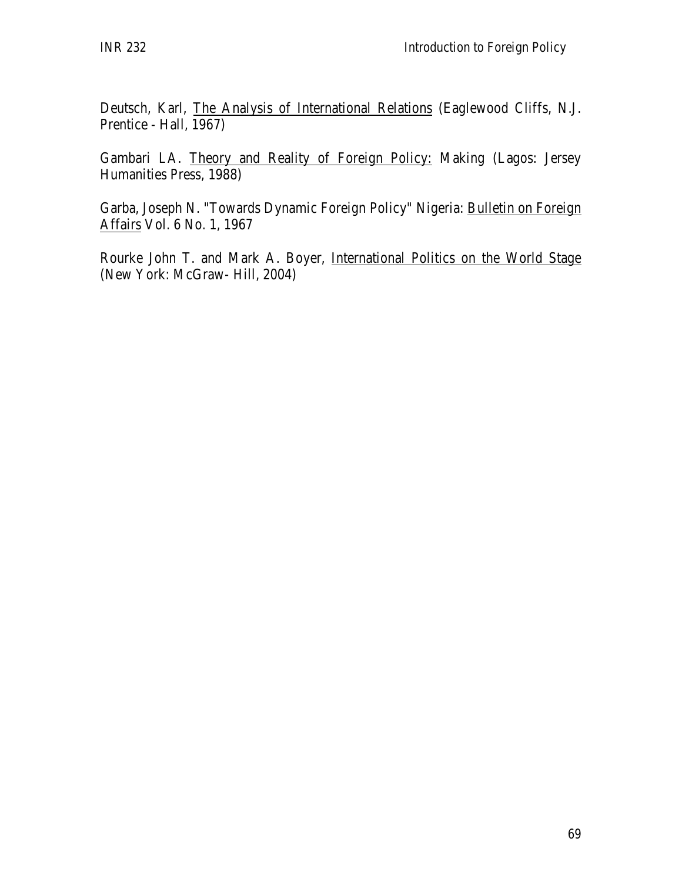Deutsch, Karl, The Analysis of International Relations (Eaglewood Cliffs, N.J. Prentice - Hall, 1967)

Gambari LA. Theory and Reality of Foreign Policy: Making (Lagos: Jersey Humanities Press, 1988)

Garba, Joseph N. "Towards Dynamic Foreign Policy" Nigeria: Bulletin on Foreign Affairs Vol. 6 No. 1, 1967

Rourke John T. and Mark A. Boyer, International Politics on the World Stage (New York: McGraw- Hill, 2004)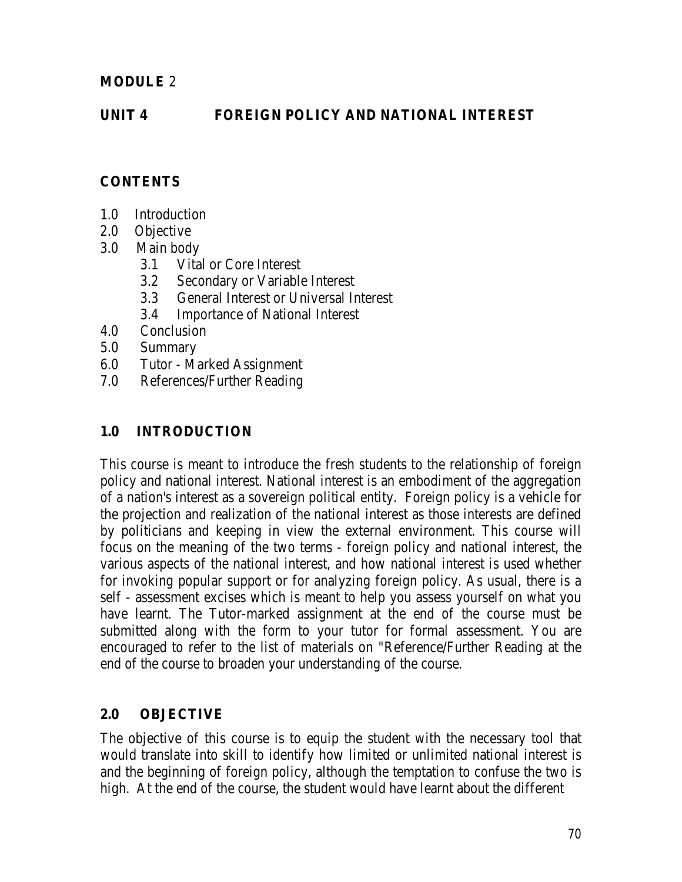### **MODULE** 2

# **UNIT 4 FOREIGN POLICY AND NATIONAL INTEREST**

#### **CONTENTS**

- 1.0 Introduction
- 2.0 Objective
- 3.0 Main body
	- 3.1 Vital or Core Interest
	- 3.2 Secondary or Variable Interest
	- 3.3 General Interest or Universal Interest
	- 3.4 Importance of National Interest
- 4.0 Conclusion
- 5.0 Summary
- 6.0 Tutor Marked Assignment
- 7.0 References/Further Reading

#### **1.0 INTRODUCTION**

This course is meant to introduce the fresh students to the relationship of foreign policy and national interest. National interest is an embodiment of the aggregation of a nation's interest as a sovereign political entity. Foreign policy is a vehicle for the projection and realization of the national interest as those interests are defined by politicians and keeping in view the external environment. This course will focus on the meaning of the two terms - foreign policy and national interest, the various aspects of the national interest, and how national interest is used whether for invoking popular support or for analyzing foreign policy. As usual, there is a self - assessment excises which is meant to help you assess yourself on what you have learnt. The Tutor-marked assignment at the end of the course must be submitted along with the form to your tutor for formal assessment. You are encouraged to refer to the list of materials on "Reference/Further Reading at the end of the course to broaden your understanding of the course.

#### **2.0 OBJECTIVE**

The objective of this course is to equip the student with the necessary tool that would translate into skill to identify how limited or unlimited national interest is and the beginning of foreign policy, although the temptation to confuse the two is high. At the end of the course, the student would have learnt about the different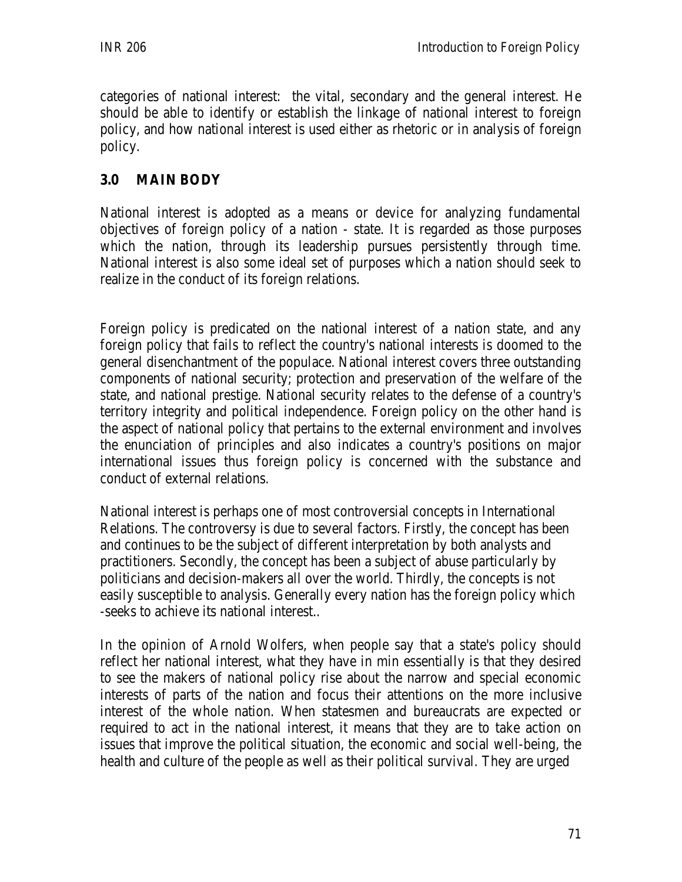categories of national interest: the vital, secondary and the general interest. He should be able to identify or establish the linkage of national interest to foreign policy, and how national interest is used either as rhetoric or in analysis of foreign policy.

# **3.0 MAIN BODY**

National interest is adopted as a means or device for analyzing fundamental objectives of foreign policy of a nation - state. It is regarded as those purposes which the nation, through its leadership pursues persistently through time. National interest is also some ideal set of purposes which a nation should seek to realize in the conduct of its foreign relations.

Foreign policy is predicated on the national interest of a nation state, and any foreign policy that fails to reflect the country's national interests is doomed to the general disenchantment of the populace. National interest covers three outstanding components of national security; protection and preservation of the welfare of the state, and national prestige. National security relates to the defense of a country's territory integrity and political independence. Foreign policy on the other hand is the aspect of national policy that pertains to the external environment and involves the enunciation of principles and also indicates a country's positions on major international issues thus foreign policy is concerned with the substance and conduct of external relations.

National interest is perhaps one of most controversial concepts in International Relations. The controversy is due to several factors. Firstly, the concept has been and continues to be the subject of different interpretation by both analysts and practitioners. Secondly, the concept has been a subject of abuse particularly by politicians and decision-makers all over the world. Thirdly, the concepts is not easily susceptible to analysis. Generally every nation has the foreign policy which -seeks to achieve its national interest..

In the opinion of Arnold Wolfers, when people say that a state's policy should reflect her national interest, what they have in min essentially is that they desired to see the makers of national policy rise about the narrow and special economic interests of parts of the nation and focus their attentions on the more inclusive interest of the whole nation. When statesmen and bureaucrats are expected or required to act in the national interest, it means that they are to take action on issues that improve the political situation, the economic and social well-being, the health and culture of the people as well as their political survival. They are urged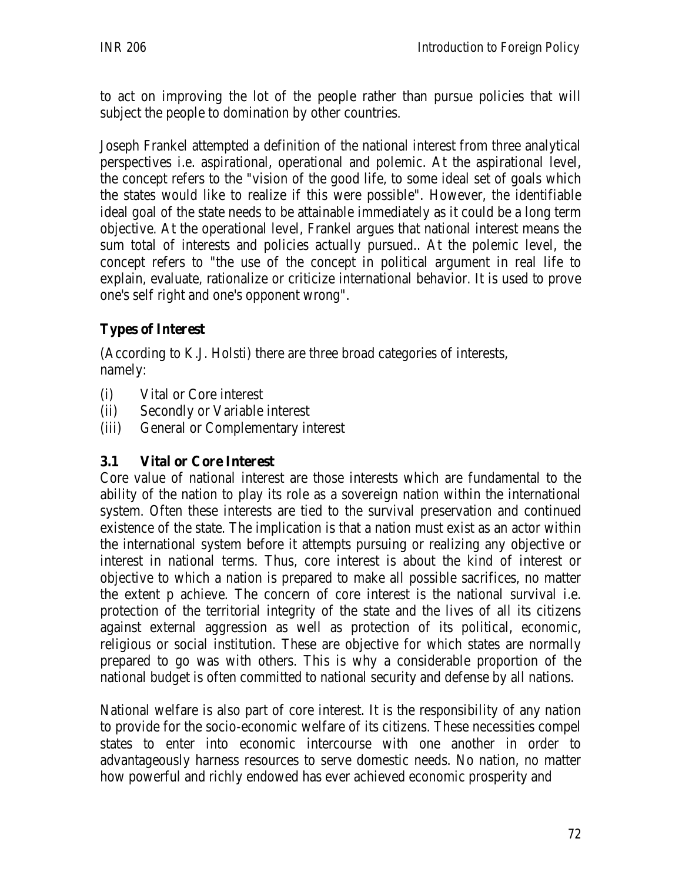to act on improving the lot of the people rather than pursue policies that will subject the people to domination by other countries.

Joseph Frankel attempted a definition of the national interest from three analytical perspectives i.e. aspirational, operational and polemic. At the aspirational level, the concept refers to the "vision of the good life, to some ideal set of goals which the states would like to realize if this were possible". However, the identifiable ideal goal of the state needs to be attainable immediately as it could be a long term objective. At the operational level, Frankel argues that national interest means the sum total of interests and policies actually pursued.. At the polemic level, the concept refers to "the use of the concept in political argument in real life to explain, evaluate, rationalize or criticize international behavior. It is used to prove one's self right and one's opponent wrong".

# **Types of Interest**

(According to K.J. Holsti) there are three broad categories of interests, namely:

- (i) Vital or Core interest
- (ii) Secondly or Variable interest
- (iii) General or Complementary interest

# **3.1 Vital or Core Interest**

Core value of national interest are those interests which are fundamental to the ability of the nation to play its role as a sovereign nation within the international system. Often these interests are tied to the survival preservation and continued existence of the state. The implication is that a nation must exist as an actor within the international system before it attempts pursuing or realizing any objective or interest in national terms. Thus, core interest is about the kind of interest or objective to which a nation is prepared to make all possible sacrifices, no matter the extent p achieve. The concern of core interest is the national survival i.e. protection of the territorial integrity of the state and the lives of all its citizens against external aggression as well as protection of its political, economic, religious or social institution. These are objective for which states are normally prepared to go was with others. This is why a considerable proportion of the national budget is often committed to national security and defense by all nations.

National welfare is also part of core interest. It is the responsibility of any nation to provide for the socio-economic welfare of its citizens. These necessities compel states to enter into economic intercourse with one another in order to advantageously harness resources to serve domestic needs. No nation, no matter how powerful and richly endowed has ever achieved economic prosperity and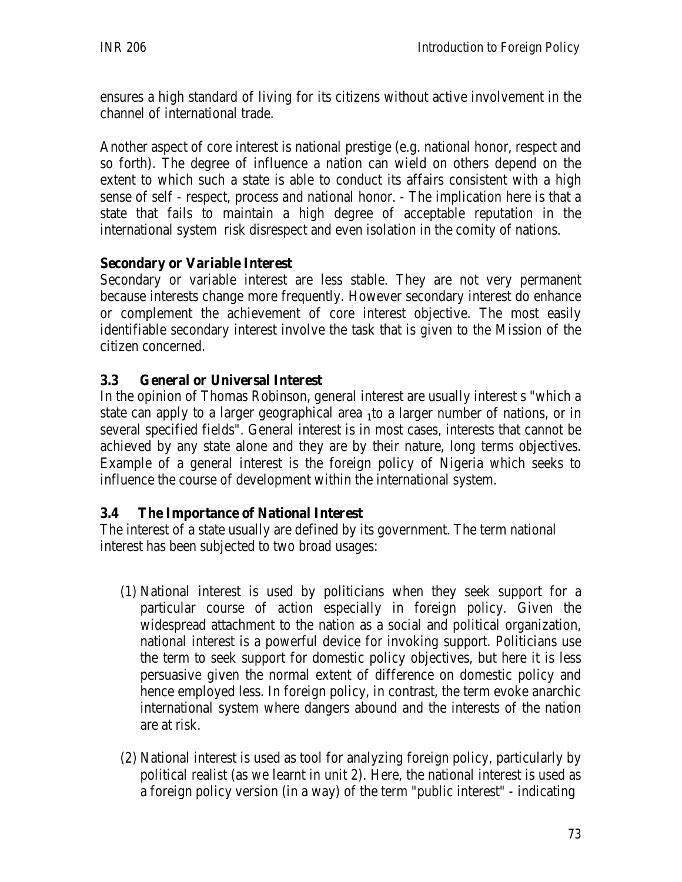ensures a high standard of living for its citizens without active involvement in the channel of international trade.

Another aspect of core interest is national prestige (e.g. national honor, respect and so forth). The degree of influence a nation can wield on others depend on the extent to which such a state is able to conduct its affairs consistent with a high sense of self - respect, process and national honor. - The implication here is that a state that fails to maintain a high degree of acceptable reputation in the international system risk disrespect and even isolation in the comity of nations.

#### **Secondary or Variable Interest**

Secondary or variable interest are less stable. They are not very permanent because interests change more frequently. However secondary interest do enhance or complement the achievement of core interest objective. The most easily identifiable secondary interest involve the task that is given to the Mission of the citizen concerned.

#### **3.3 General or Universal Interest**

In the opinion of Thomas Robinson, general interest are usually interest s "which a state can apply to a larger geographical area  $_1$  to a larger number of nations, or in several specified fields". General interest is in most cases, interests that cannot be achieved by any state alone and they are by their nature, long terms objectives. Example of a general interest is the foreign policy of Nigeria which seeks to influence the course of development within the international system.

#### **3.4 The Importance of National Interest**

The interest of a state usually are defined by its government. The term national interest has been subjected to two broad usages:

- (1) National interest is used by politicians when they seek support for a particular course of action especially in foreign policy. Given the widespread attachment to the nation as a social and political organization, national interest is a powerful device for invoking support. Politicians use the term to seek support for domestic policy objectives, but here it is less persuasive given the normal extent of difference on domestic policy and hence employed less. In foreign policy, in contrast, the term evoke anarchic international system where dangers abound and the interests of the nation are at risk.
- (2) National interest is used as tool for analyzing foreign policy, particularly by political realist (as we learnt in unit 2). Here, the national interest is used as a foreign policy version (in a way) of the term "public interest" - indicating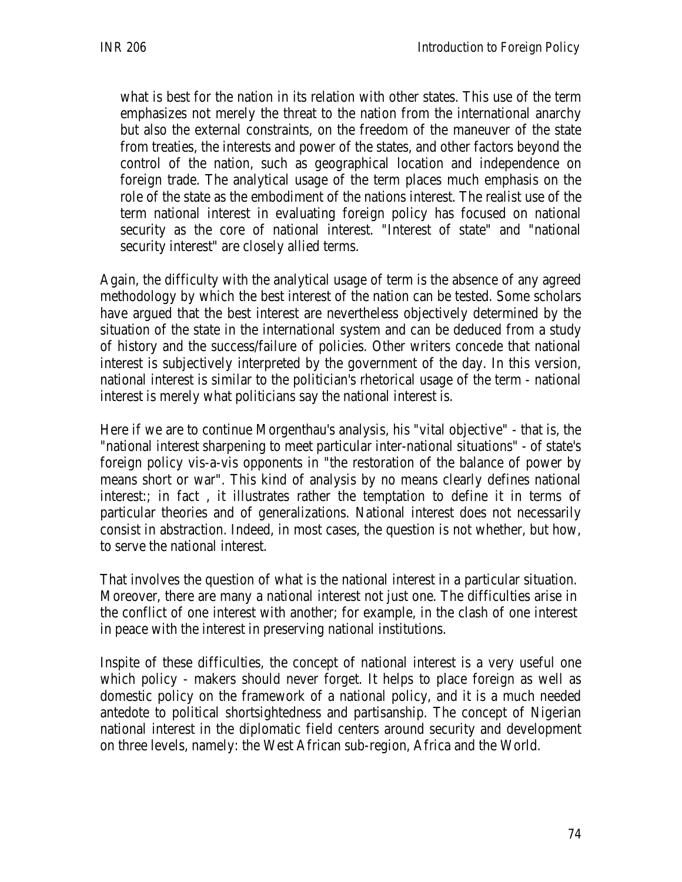what is best for the nation in its relation with other states. This use of the term emphasizes not merely the threat to the nation from the international anarchy but also the external constraints, on the freedom of the maneuver of the state from treaties, the interests and power of the states, and other factors beyond the control of the nation, such as geographical location and independence on foreign trade. The analytical usage of the term places much emphasis on the role of the state as the embodiment of the nations interest. The realist use of the term national interest in evaluating foreign policy has focused on national security as the core of national interest. "Interest of state" and "national security interest" are closely allied terms.

Again, the difficulty with the analytical usage of term is the absence of any agreed methodology by which the best interest of the nation can be tested. Some scholars have argued that the best interest are nevertheless objectively determined by the situation of the state in the international system and can be deduced from a study of history and the success/failure of policies. Other writers concede that national interest is subjectively interpreted by the government of the day. In this version, national interest is similar to the politician's rhetorical usage of the term - national interest is merely what politicians say the national interest is.

Here if we are to continue Morgenthau's analysis, his "vital objective" - that is, the "national interest sharpening to meet particular inter-national situations" - of state's foreign policy vis-a-vis opponents in "the restoration of the balance of power by means short or war". This kind of analysis by no means clearly defines national interest:; in fact , it illustrates rather the temptation to define it in terms of particular theories and of generalizations. National interest does not necessarily consist in abstraction. Indeed, in most cases, the question is not whether, but how, to serve the national interest.

That involves the question of what is the national interest in a particular situation. Moreover, there are many a national interest not just one. The difficulties arise in the conflict of one interest with another; for example, in the clash of one interest in peace with the interest in preserving national institutions.

Inspite of these difficulties, the concept of national interest is a very useful one which policy - makers should never forget. It helps to place foreign as well as domestic policy on the framework of a national policy, and it is a much needed antedote to political shortsightedness and partisanship. The concept of Nigerian national interest in the diplomatic field centers around security and development on three levels, namely: the West African sub-region, Africa and the World.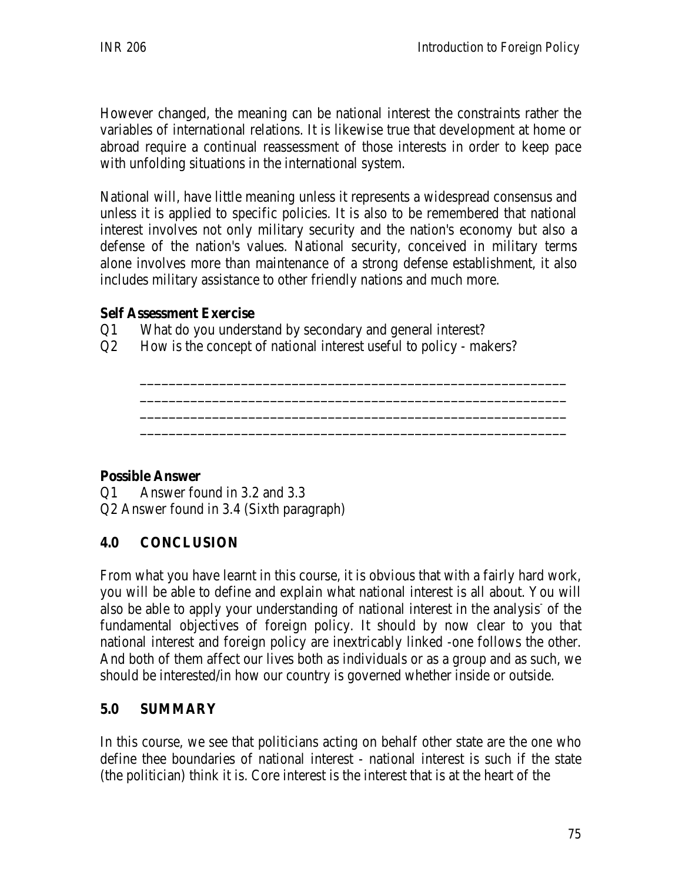However changed, the meaning can be national interest the constraints rather the variables of international relations. It is likewise true that development at home or abroad require a continual reassessment of those interests in order to keep pace with unfolding situations in the international system.

National will, have little meaning unless it represents a widespread consensus and unless it is applied to specific policies. It is also to be remembered that national interest involves not only military security and the nation's economy but also a defense of the nation's values. National security, conceived in military terms alone involves more than maintenance of a strong defense establishment, it also includes military assistance to other friendly nations and much more.

\_\_\_\_\_\_\_\_\_\_\_\_\_\_\_\_\_\_\_\_\_\_\_\_\_\_\_\_\_\_\_\_\_\_\_\_\_\_\_\_\_\_\_\_\_\_\_\_\_\_\_\_\_\_\_\_\_\_\_ \_\_\_\_\_\_\_\_\_\_\_\_\_\_\_\_\_\_\_\_\_\_\_\_\_\_\_\_\_\_\_\_\_\_\_\_\_\_\_\_\_\_\_\_\_\_\_\_\_\_\_\_\_\_\_\_\_\_\_ \_\_\_\_\_\_\_\_\_\_\_\_\_\_\_\_\_\_\_\_\_\_\_\_\_\_\_\_\_\_\_\_\_\_\_\_\_\_\_\_\_\_\_\_\_\_\_\_\_\_\_\_\_\_\_\_\_\_\_ \_\_\_\_\_\_\_\_\_\_\_\_\_\_\_\_\_\_\_\_\_\_\_\_\_\_\_\_\_\_\_\_\_\_\_\_\_\_\_\_\_\_\_\_\_\_\_\_\_\_\_\_\_\_\_\_\_\_\_

#### **Self Assessment Exercise**

- Q1 What do you understand by secondary and general interest?
- Q2 How is the concept of national interest useful to policy makers?

**Possible Answer**

Q1 Answer found in 3.2 and 3.3 Q2 Answer found in 3.4 (Sixth paragraph)

## **4.0 CONCLUSION**

From what you have learnt in this course, it is obvious that with a fairly hard work, you will be able to define and explain what national interest is all about. You will also be able to apply your understanding of national interest in the analysis of the fundamental objectives of foreign policy. It should by now clear to you that national interest and foreign policy are inextricably linked -one follows the other. And both of them affect our lives both as individuals or as a group and as such, we should be interested/in how our country is governed whether inside or outside.

## **5.0 SUMMARY**

In this course, we see that politicians acting on behalf other state are the one who define thee boundaries of national interest - national interest is such if the state (the politician) think it is. Core interest is the interest that is at the heart of the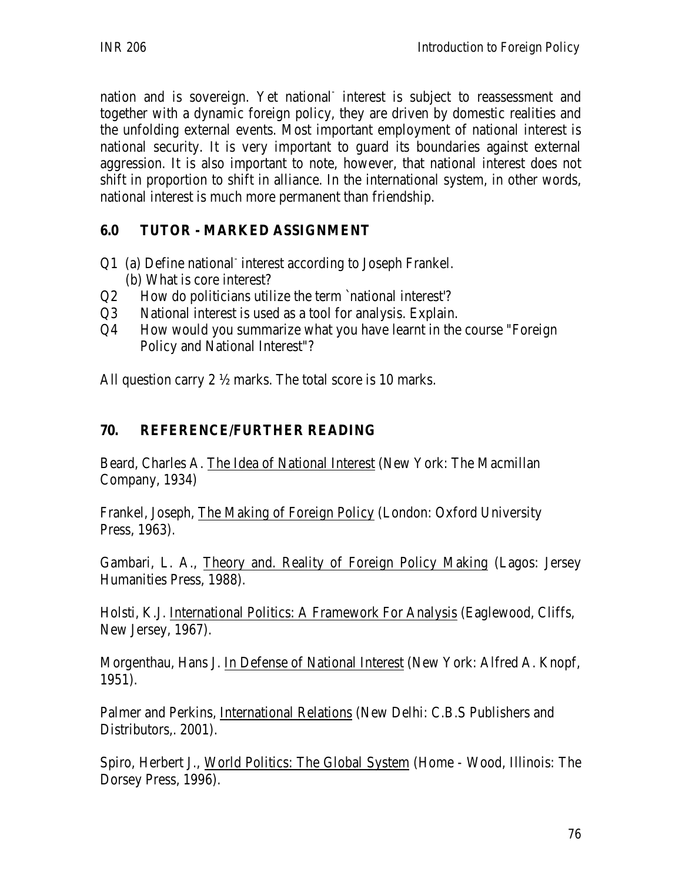nation and is sovereign. Yet national interest is subject to reassessment and together with a dynamic foreign policy, they are driven by domestic realities and the unfolding external events. Most important employment of national interest is national security. It is very important to guard its boundaries against external aggression. It is also important to note, however, that national interest does not shift in proportion to shift in alliance. In the international system, in other words, national interest is much more permanent than friendship.

#### **6.0 TUTOR - MARKED ASSIGNMENT**

- Q1 (a) Define national-interest according to Joseph Frankel. (b) What is core interest?
- Q2 How do politicians utilize the term `national interest'?
- Q3 National interest is used as a tool for analysis. Explain.
- Q4 How would you summarize what you have learnt in the course "Foreign Policy and National Interest"?

All question carry 2 ½ marks. The total score is 10 marks.

#### **70. REFERENCE/FURTHER READING**

Beard, Charles A. The Idea of National Interest (New York: The Macmillan Company, 1934)

Frankel, Joseph, The Making of Foreign Policy (London: Oxford University Press, 1963).

Gambari, L. A., Theory and. Reality of Foreign Policy Making (Lagos: Jersey Humanities Press, 1988).

Holsti, K.J. International Politics: A Framework For Analysis (Eaglewood, Cliffs, New Jersey, 1967).

Morgenthau, Hans J. In Defense of National Interest (New York: Alfred A. Knopf, 1951).

Palmer and Perkins, International Relations (New Delhi: C.B.S Publishers and Distributors,. 2001).

Spiro, Herbert J., World Politics: The Global System (Home - Wood, Illinois: The Dorsey Press, 1996).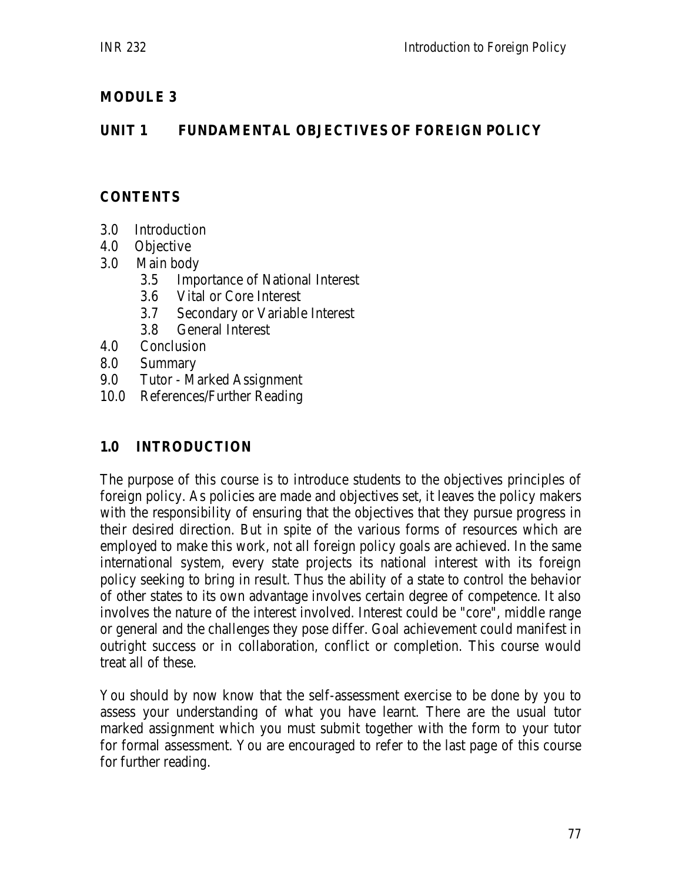# **MODULE 3**

# **UNIT 1 FUNDAMENTAL OBJECTIVES OF FOREIGN POLICY**

## **CONTENTS**

- 3.0 Introduction
- 4.0 Objective
- 3.0 Main body
	- 3.5 Importance of National Interest
	- 3.6 Vital or Core Interest
	- 3.7 Secondary or Variable Interest
	- 3.8 General Interest
- 4.0 Conclusion
- 8.0 Summary
- 9.0 Tutor Marked Assignment
- 10.0 References/Further Reading

# **1.0 INTRODUCTION**

The purpose of this course is to introduce students to the objectives principles of foreign policy. As policies are made and objectives set, it leaves the policy makers with the responsibility of ensuring that the objectives that they pursue progress in their desired direction. But in spite of the various forms of resources which are employed to make this work, not all foreign policy goals are achieved. In the same international system, every state projects its national interest with its foreign policy seeking to bring in result. Thus the ability of a state to control the behavior of other states to its own advantage involves certain degree of competence. It also involves the nature of the interest involved. Interest could be "core", middle range or general and the challenges they pose differ. Goal achievement could manifest in outright success or in collaboration, conflict or completion. This course would treat all of these.

You should by now know that the self-assessment exercise to be done by you to assess your understanding of what you have learnt. There are the usual tutor marked assignment which you must submit together with the form to your tutor for formal assessment. You are encouraged to refer to the last page of this course for further reading.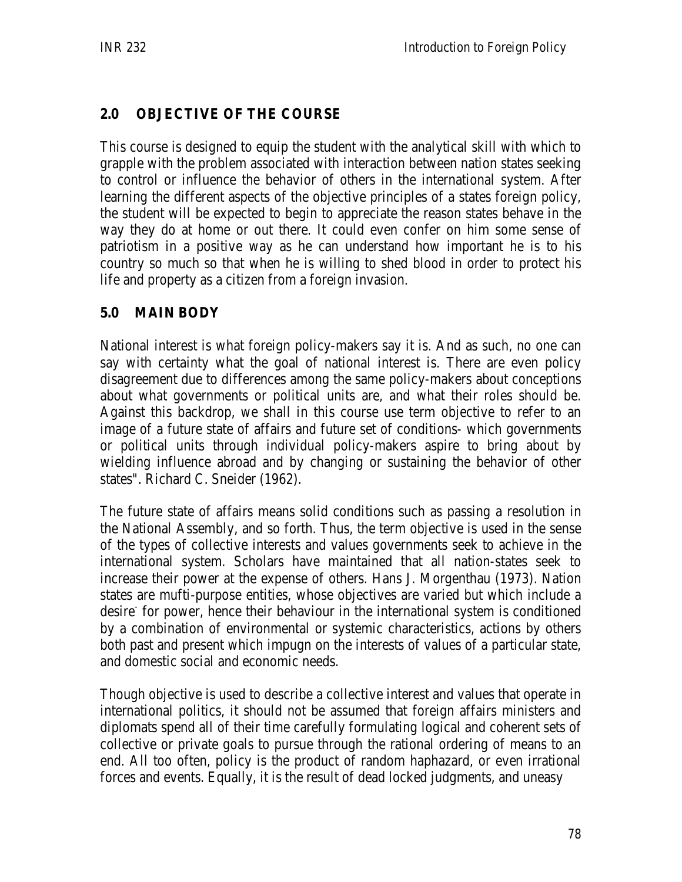## **2.0 OBJECTIVE OF THE COURSE**

This course is designed to equip the student with the analytical skill with which to grapple with the problem associated with interaction between nation states seeking to control or influence the behavior of others in the international system. After learning the different aspects of the objective principles of a states foreign policy, the student will be expected to begin to appreciate the reason states behave in the way they do at home or out there. It could even confer on him some sense of patriotism in a positive way as he can understand how important he is to his country so much so that when he is willing to shed blood in order to protect his life and property as a citizen from a foreign invasion.

## **5.0 MAIN BODY**

National interest is what foreign policy-makers say it is. And as such, no one can say with certainty what the goal of national interest is. There are even policy disagreement due to differences among the same policy-makers about conceptions about what governments or political units are, and what their roles should be. Against this backdrop, we shall in this course use term objective to refer to an image of a future state of affairs and future set of conditions- which governments or political units through individual policy-makers aspire to bring about by wielding influence abroad and by changing or sustaining the behavior of other states". Richard C. Sneider (1962).

The future state of affairs means solid conditions such as passing a resolution in the National Assembly, and so forth. Thus, the term objective is used in the sense of the types of collective interests and values governments seek to achieve in the international system. Scholars have maintained that all nation-states seek to increase their power at the expense of others. Hans J. Morgenthau (1973). Nation states are mufti-purpose entities, whose objectives are varied but which include a desire<sup>-</sup> for power, hence their behaviour in the international system is conditioned by a combination of environmental or systemic characteristics, actions by others both past and present which impugn on the interests of values of a particular state, and domestic social and economic needs.

Though objective is used to describe a collective interest and values that operate in international politics, it should not be assumed that foreign affairs ministers and diplomats spend all of their time carefully formulating logical and coherent sets of collective or private goals to pursue through the rational ordering of means to an end. All too often, policy is the product of random haphazard, or even irrational forces and events. Equally, it is the result of dead locked judgments, and uneasy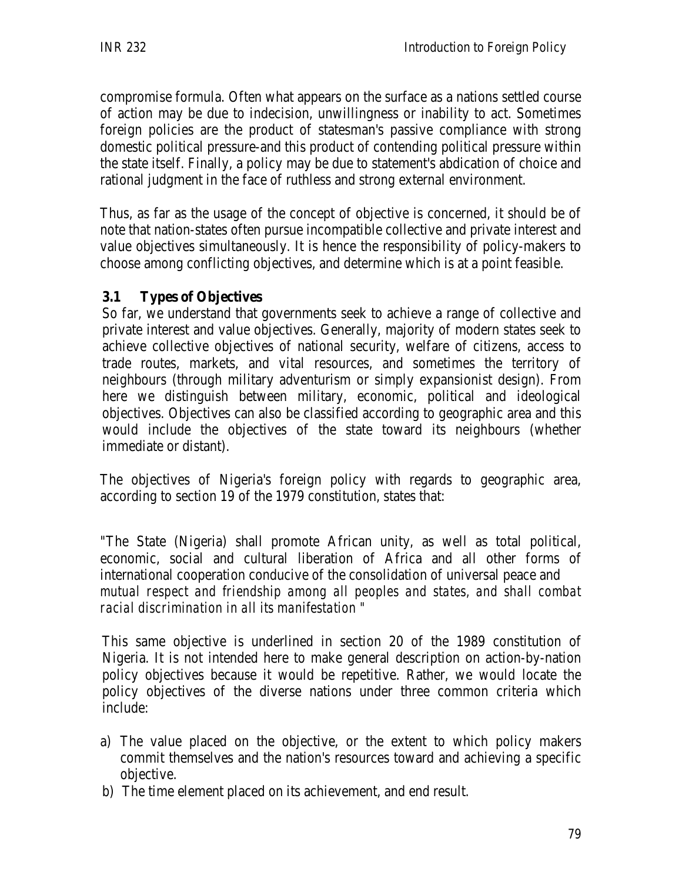compromise formula. Often what appears on the surface as a nations settled course of action may be due to indecision, unwillingness or inability to act. Sometimes foreign policies are the product of statesman's passive compliance with strong domestic political pressure-and this product of contending political pressure within the state itself. Finally, a policy may be due to statement's abdication of choice and rational judgment in the face of ruthless and strong external environment.

Thus, as far as the usage of the concept of objective is concerned, it should be of note that nation-states often pursue incompatible collective and private interest and value objectives simultaneously. It is hence the responsibility of policy-makers to choose among conflicting objectives, and determine which is at a point feasible.

## **3.1 Types of Objectives**

So far, we understand that governments seek to achieve a range of collective and private interest and value objectives. Generally, majority of modern states seek to achieve collective objectives of national security, welfare of citizens, access to trade routes, markets, and vital resources, and sometimes the territory of neighbours (through military adventurism or simply expansionist design). From here we distinguish between military, economic, political and ideological objectives. Objectives can also be classified according to geographic area and this would include the objectives of the state toward its neighbours (whether immediate or distant).

The objectives of Nigeria's foreign policy with regards to geographic area, according to section 19 of the 1979 constitution, states that:

"The State (Nigeria) shall promote African unity, as well as total political, economic, social and cultural liberation of Africa and all other forms of international cooperation conducive of the consolidation of universal peace and *mutual respect and friendship among all peoples and states, and shall combat racial discrimination in all its manifestation "*

This same objective is underlined in section 20 of the 1989 constitution of Nigeria. It is not intended here to make general description on action-by-nation policy objectives because it would be repetitive. Rather, we would locate the policy objectives of the diverse nations under three common criteria which include:

- a) The value placed on the objective, or the extent to which policy makers commit themselves and the nation's resources toward and achieving a specific objective.
- b) The time element placed on its achievement, and end result.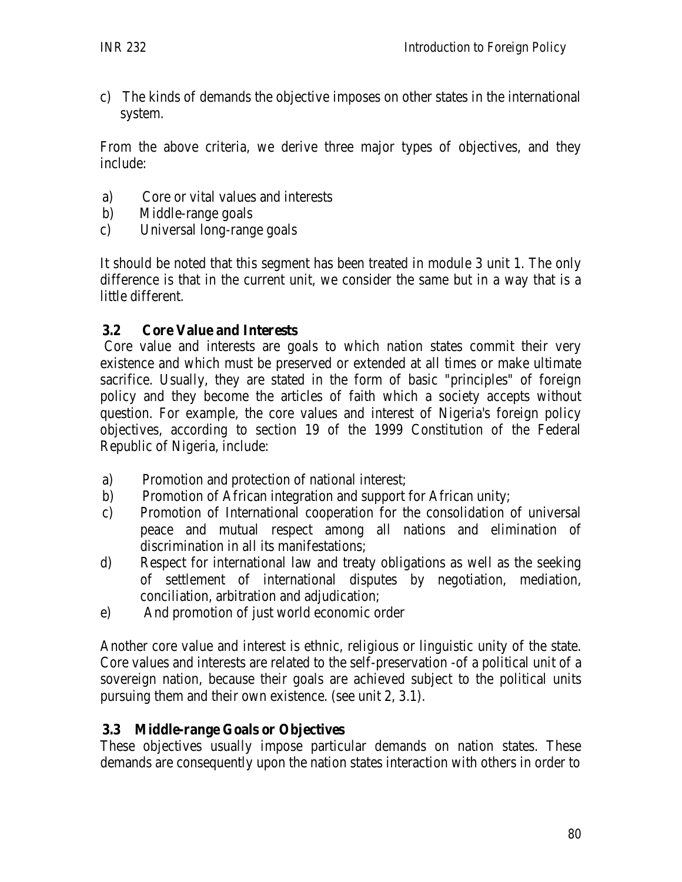c) The kinds of demands the objective imposes on other states in the international system.

From the above criteria, we derive three major types of objectives, and they include:

- a) Core or vital values and interests
- b) Middle-range goals
- c) Universal long-range goals

It should be noted that this segment has been treated in module 3 unit 1. The only difference is that in the current unit, we consider the same but in a way that is a little different.

#### **3.2 Core Value and Interests**

Core value and interests are goals to which nation states commit their very existence and which must be preserved or extended at all times or make ultimate sacrifice. Usually, they are stated in the form of basic "principles" of foreign policy and they become the articles of faith which a society accepts without question. For example, the core values and interest of Nigeria's foreign policy objectives, according to section 19 of the 1999 Constitution of the Federal Republic of Nigeria, include:

- a) Promotion and protection of national interest;
- b) Promotion of African integration and support for African unity;
- c) Promotion of International cooperation for the consolidation of universal peace and mutual respect among all nations and elimination of discrimination in all its manifestations;
- d) Respect for international law and treaty obligations as well as the seeking of settlement of international disputes by negotiation, mediation, conciliation, arbitration and adjudication;
- e) And promotion of just world economic order

Another core value and interest is ethnic, religious or linguistic unity of the state. Core values and interests are related to the self-preservation -of a political unit of a sovereign nation, because their goals are achieved subject to the political units pursuing them and their own existence. (see unit 2, 3.1).

#### **3.3 Middle-range Goals or Objectives**

These objectives usually impose particular demands on nation states. These demands are consequently upon the nation states interaction with others in order to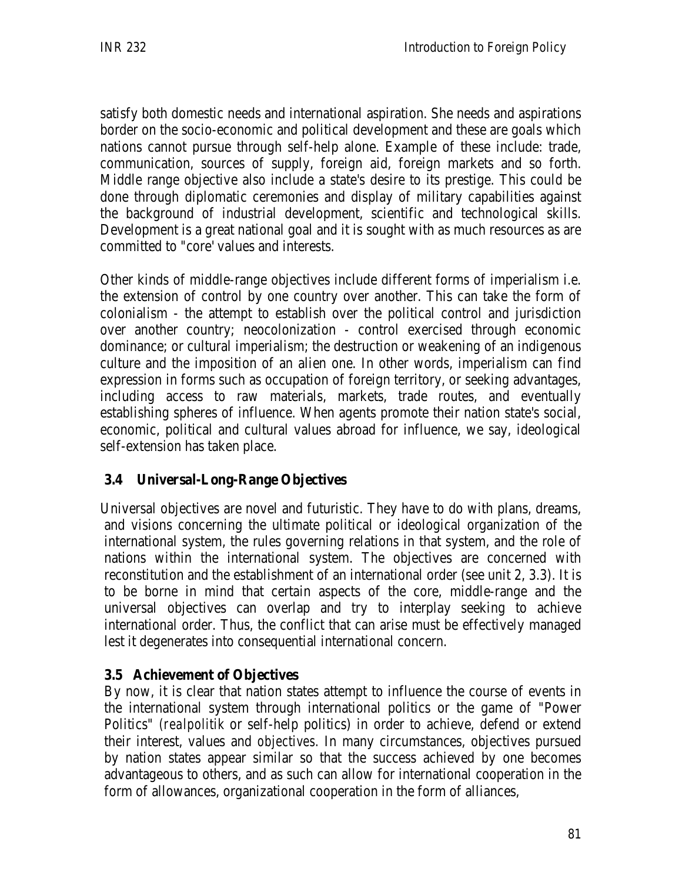satisfy both domestic needs and international aspiration. She needs and aspirations border on the socio-economic and political development and these are goals which nations cannot pursue through self-help alone. Example of these include: trade, communication, sources of supply, foreign aid, foreign markets and so forth. Middle range objective also include a state's desire to its prestige. This could be done through diplomatic ceremonies and display of military capabilities against the background of industrial development, scientific and technological skills. Development is a great national goal and it is sought with as much resources as are committed to "core' values and interests.

Other kinds of middle-range objectives include different forms of imperialism i.e. the extension of control by one country over another. This can take the form of colonialism - the attempt to establish over the political control and jurisdiction over another country; neocolonization - control exercised through economic dominance; or cultural imperialism; the destruction or weakening of an indigenous culture and the imposition of an alien one. In other words, imperialism can find expression in forms such as occupation of foreign territory, or seeking advantages, including access to raw materials, markets, trade routes, and eventually establishing spheres of influence. When agents promote their nation state's social, economic, political and cultural values abroad for influence, we say, ideological self-extension has taken place.

## **3.4 Universal-Long-Range Objectives**

Universal objectives are novel and futuristic. They have to do with plans, dreams, and visions concerning the ultimate political or ideological organization of the international system, the rules governing relations in that system, and the role of nations within the international system. The objectives are concerned with reconstitution and the establishment of an international order (see unit 2, 3.3). It is to be borne in mind that certain aspects of the core, middle-range and the universal objectives can overlap and try to interplay seeking to achieve international order. Thus, the conflict that can arise must be effectively managed lest it degenerates into consequential international concern.

# **3.5 Achievement of Objectives**

By now, it is clear that nation states attempt to influence the course of events in the international system through international politics or the game of "Power Politics" *(realpolitik* or self-help politics) in order to achieve, defend or extend their interest, values and *objectives.* In many circumstances, objectives pursued by nation states appear similar so that the success [achieved by](http://achieved.by/) one becomes advantageous to others, and as such can allow for international cooperation in the form of allowances, organizational cooperation in the form of alliances,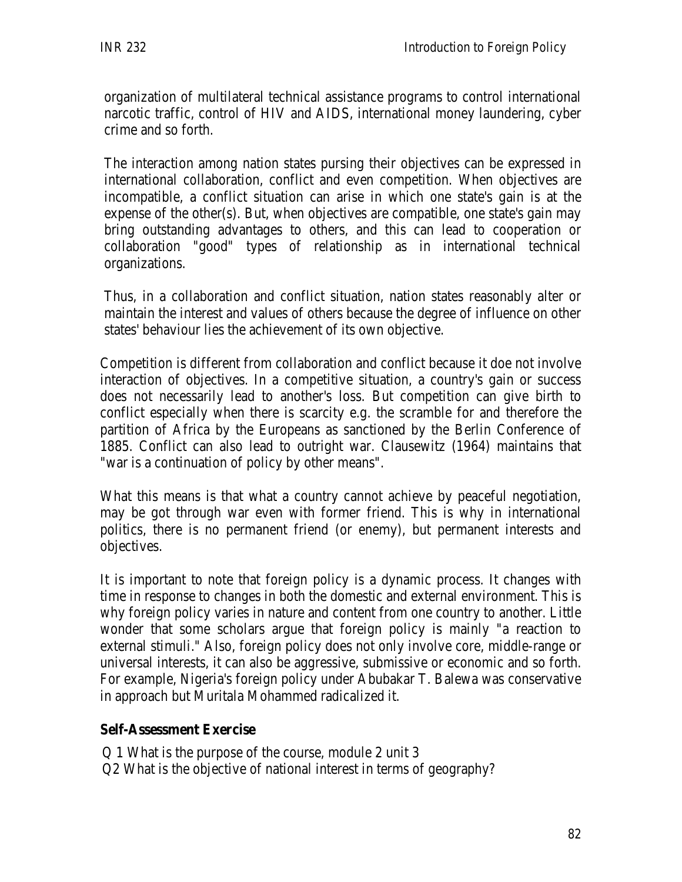organization of multilateral technical assistance programs to control international narcotic traffic, control of HIV and AIDS, international money laundering, cyber crime and so forth.

The interaction among nation states pursing their objectives can be expressed in international collaboration, conflict and even competition. When objectives are incompatible, a conflict situation can arise in which one state's gain is at the expense of the other(s). But, when objectives are compatible, one state's gain may bring outstanding advantages to others, and this can lead to cooperation or collaboration "good" types of relationship as in international technical organizations.

Thus, in a collaboration and conflict situation, nation states reasonably alter or maintain the interest and values of others because the degree of influence on other states' behaviour lies the achievement of its own objective.

Competition is different from collaboration and conflict because it doe not involve interaction of objectives. In a competitive situation, a country's gain or success does not necessarily lead to another's loss. But competition can give birth to conflict especially when there is scarcity e.g. the scramble for and therefore the partition of Africa by the Europeans as sanctioned by the Berlin Conference of 1885. Conflict can also lead to outright war. Clausewitz (1964) maintains that "war is a continuation of policy by other means".

What this means is that what a country cannot achieve by peaceful negotiation, may be got through war even with former friend. This is why in international politics, there is no permanent friend (or enemy), but permanent interests and objectives.

It is important to note that foreign policy is a dynamic process. It changes with time in response to changes in both the domestic and external environment. This is why foreign policy varies in nature and content from one country to another. Little wonder that some scholars argue that foreign policy is mainly "a reaction to external stimuli." Also, foreign policy does not only involve core, middle-range or universal interests, it can also be aggressive, submissive or economic and so forth. For example, Nigeria's foreign policy under Abubakar T. Balewa was conservative in approach but Muritala Mohammed radicalized it.

#### **Self-Assessment Exercise**

Q 1 What is the purpose of the course, module 2 unit 3

Q2 What is the objective of national interest in terms of geography?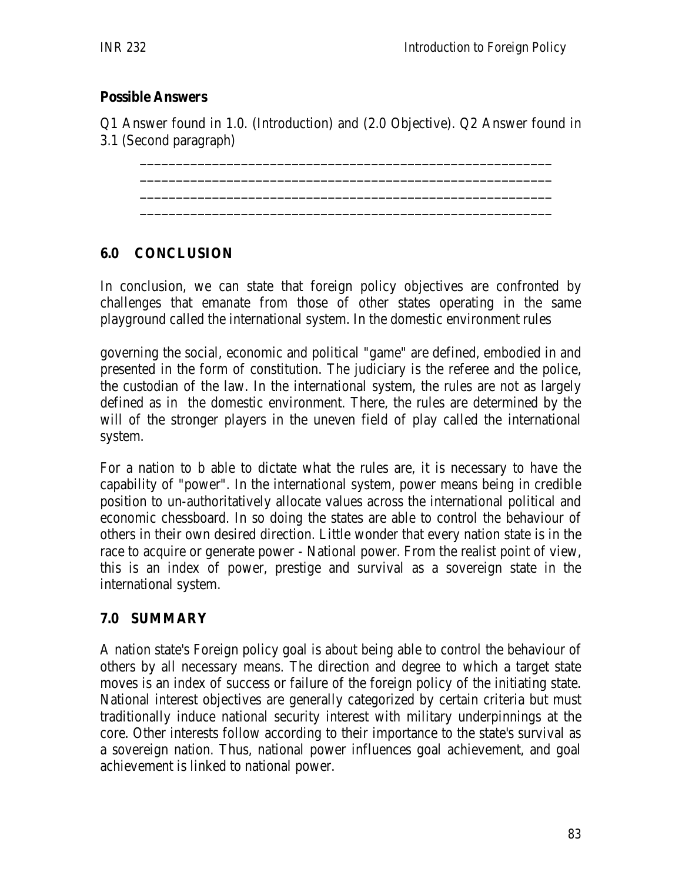#### **Possible Answers**

Q1 Answer found in 1.0. (Introduction) and (2.0 Objective). Q2 Answer found in

\_\_\_\_\_\_\_\_\_\_\_\_\_\_\_\_\_\_\_\_\_\_\_\_\_\_\_\_\_\_\_\_\_\_\_\_\_\_\_\_\_\_\_\_\_\_\_\_\_\_\_\_\_\_\_\_\_ \_\_\_\_\_\_\_\_\_\_\_\_\_\_\_\_\_\_\_\_\_\_\_\_\_\_\_\_\_\_\_\_\_\_\_\_\_\_\_\_\_\_\_\_\_\_\_\_\_\_\_\_\_\_\_\_\_ \_\_\_\_\_\_\_\_\_\_\_\_\_\_\_\_\_\_\_\_\_\_\_\_\_\_\_\_\_\_\_\_\_\_\_\_\_\_\_\_\_\_\_\_\_\_\_\_\_\_\_\_\_\_\_\_\_

3.1 (Second paragraph) \_\_\_\_\_\_\_\_\_\_\_\_\_\_\_\_\_\_\_\_\_\_\_\_\_\_\_\_\_\_\_\_\_\_\_\_\_\_\_\_\_\_\_\_\_\_\_\_\_\_\_\_\_\_\_\_\_

# **6.0 CONCLUSION**

In conclusion, we can state that foreign policy objectives are confronted by challenges that emanate from those of other states operating in the same playground called the international system. In the domestic environment rules

governing the social, economic and political "game" are defined, embodied in and presented in the form of constitution. The judiciary is the referee and the police, the custodian of the law. In the international system, the rules are not as largely defined as in the domestic environment. There, the rules are determined by the will of the stronger players in the uneven field of play called the international system.

For a nation to b able to dictate what the rules are, it is necessary to have the capability of "power". In the international system, power means being in credible position to un-authoritatively allocate values across the international political and economic chessboard. In so doing the states are able to control the behaviour of others in their own desired direction. Little wonder that every nation state is in the race to acquire or generate power - National power. From the realist point of view, this is an index of power, prestige and survival as a sovereign state in the international system.

# **7.0 SUMMARY**

A nation state's Foreign policy goal is about being able to control the behaviour of others by all necessary means. The direction and degree to which a target state moves is an index of success or failure of the foreign policy of the initiating state. National interest objectives are generally categorized by certain criteria but must traditionally induce national security interest with military underpinnings at the core. Other interests follow according to their importance to the state's survival as a sovereign nation. Thus, national power influences goal achievement, and goal achievement is linked to national power.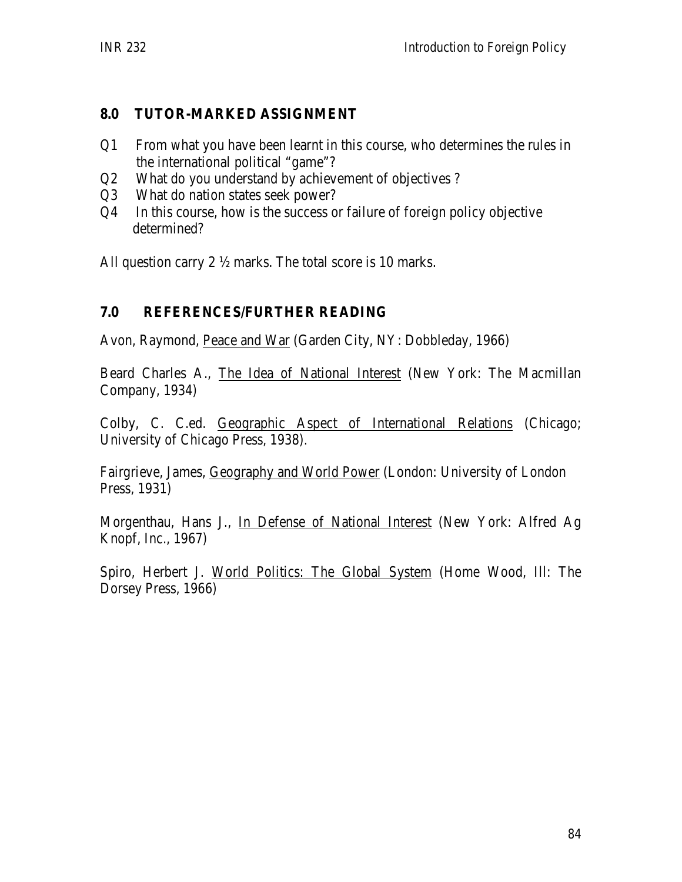## **8.0 TUTOR-MARKED ASSIGNMENT**

- Q1 From what you have been learnt in this course, who determines the rules in the international political "game"?
- Q2 What do you understand by achievement of objectives ?
- Q3 What do nation states seek power?
- Q4 In this course, how is the success or failure of foreign policy objective determined?

All question carry 2  $\frac{1}{2}$  marks. The total score is 10 marks.

# **7.0 REFERENCES/FURTHER READING**

Avon, Raymond, Peace and War (Garden City, NY: Dobbleday, 1966)

Beard Charles A., The Idea of National Interest (New York: The Macmillan Company, 1934)

Colby, C. C.ed. Geographic Aspect of International Relations (Chicago; University of Chicago Press, 1938).

Fairgrieve, James, Geography and World Power (London: University of London Press, 1931)

Morgenthau, Hans J., In Defense of National Interest (New York: Alfred Ag Knopf, Inc., 1967)

Spiro, Herbert J. World Politics: The Global System (Home Wood, Ill: The Dorsey Press, 1966)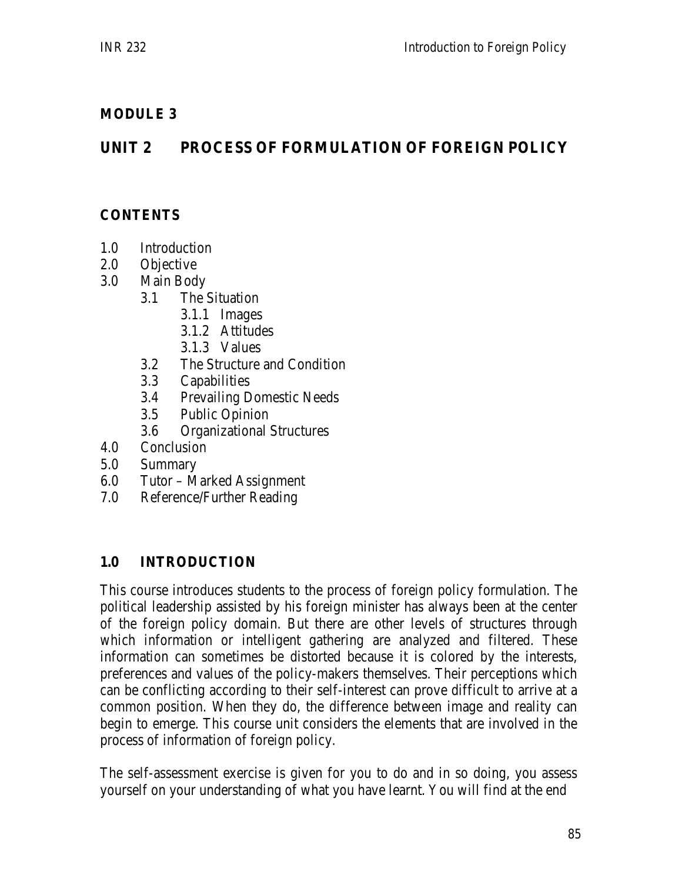# **MODULE 3**

# **UNIT 2 PROCESS OF FORMULATION OF FOREIGN POLICY**

## **CONTENTS**

- 1.0 Introduction
- 2.0 Objective
- 3.0 Main Body
	- 3.1 The Situation
		- 3.1.1 Images
		- 3.1.2 Attitudes
		- 3.1.3 Values
	- 3.2 The Structure and Condition
	- 3.3 Capabilities
	- 3.4 Prevailing Domestic Needs
	- 3.5 Public Opinion
	- 3.6 Organizational Structures
- 4.0 Conclusion
- 5.0 Summary
- 6.0 Tutor Marked Assignment
- 7.0 Reference/Further Reading

# **1.0 INTRODUCTION**

This course introduces students to the process of foreign policy formulation. The political leadership assisted by his foreign minister has always been at the center of the foreign policy domain. But there are other levels of structures through which information or intelligent gathering are analyzed and filtered. These information can sometimes be distorted because it is colored by the interests, preferences and values of the policy-makers themselves. Their perceptions which can be conflicting according to their self-interest can prove difficult to arrive at a common position. When they do, the difference between image and reality can begin to emerge. This course unit considers the elements that are involved in the process of information of foreign policy.

The self-assessment exercise is given for you to do and in so doing, you assess yourself on your understanding of what you have learnt. You will find at the end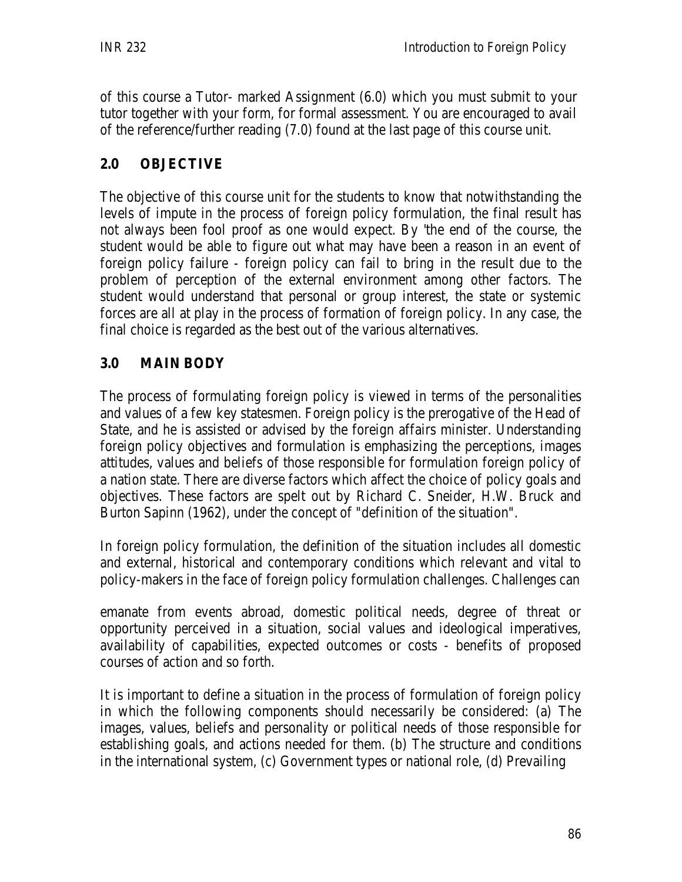of this course a Tutor- marked Assignment (6.0) which you must submit to your tutor together with your form, for formal assessment. You are encouraged to avail of the reference/further reading (7.0) found at the last page of this course unit.

# **2.0 OBJECTIVE**

The objective of this course unit for the students to know that notwithstanding the levels of impute in the process of foreign policy formulation, the final result has not always been fool proof as one would expect. By 'the end of the course, the student would be able to figure out what may have been a reason in an event of foreign policy failure - foreign policy can fail to bring in the result due to the problem of perception of the external environment among other factors. The student would understand that personal or group interest, the state or systemic forces are all at play in the process of formation of foreign policy. In any case, the final choice is regarded as the best out of the various alternatives.

# **3.0 MAIN BODY**

The process of formulating foreign policy is viewed in terms of the personalities and values of a few key statesmen. Foreign policy is the prerogative of the Head of State, and he is assisted or advised by the foreign affairs minister. Understanding foreign policy objectives and formulation is emphasizing the perceptions, images attitudes, values and beliefs of those responsible for formulation foreign policy of a nation state. There are diverse factors which affect the choice of policy goals and objectives. These factors are spelt out by Richard C. Sneider, H.W. Bruck and Burton Sapinn (1962), under the concept of "definition of the situation".

In foreign policy formulation, the definition of the situation includes all domestic and external, historical and contemporary conditions which relevant and vital to policy-makers in the face of foreign policy formulation challenges. Challenges can

emanate from events abroad, domestic political needs, degree of threat or opportunity perceived in a situation, social values and ideological imperatives, availability of capabilities, expected outcomes or costs - benefits of proposed courses of action and so forth.

It is important to define a situation in the process of formulation of foreign policy in which the following components should necessarily be considered: (a) The images, values, beliefs and personality or political needs of those responsible for establishing goals, and actions needed for them. (b) The structure and conditions in the international system, (c) Government types or national role, (d) Prevailing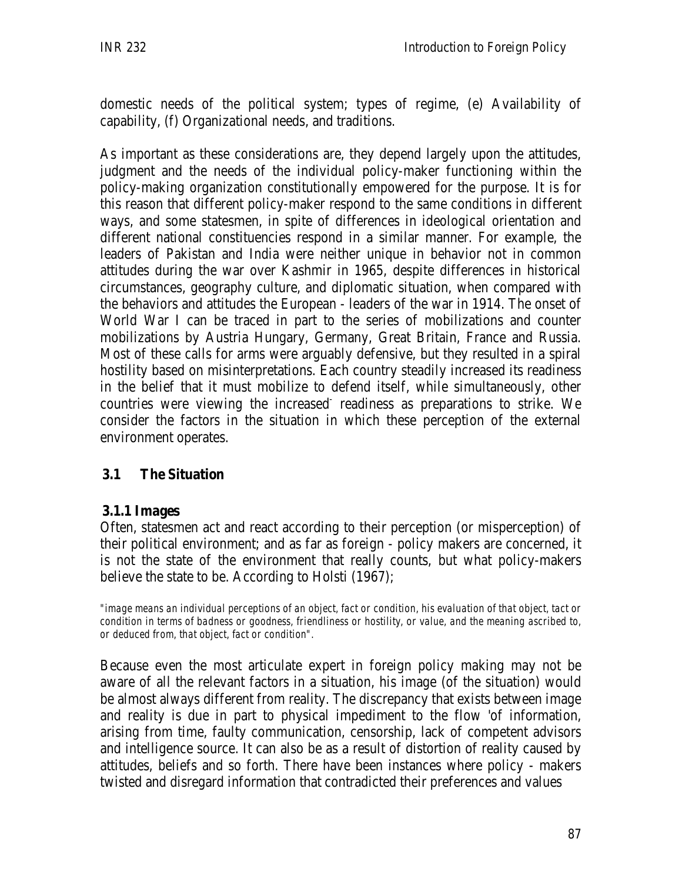domestic needs of the political system; types of regime, (e) Availability of capability, (f) Organizational needs, and traditions.

As important as these considerations are, they depend largely upon the attitudes, judgment and the needs of the individual policy-maker functioning within the policy-making organization constitutionally empowered for the purpose. It is for this reason that different policy-maker respond to the same conditions in different ways, and some statesmen, in spite of differences in ideological orientation and different national constituencies respond in a similar manner. For example, the leaders of Pakistan and India were neither unique in behavior not in common attitudes during the war over Kashmir in 1965, despite differences in historical circumstances, geography culture, and diplomatic situation, when compared with the behaviors and attitudes the European - leaders of the war in 1914. The onset of World War I can be traced in part to the series of mobilizations and counter mobilizations by Austria Hungary, Germany, Great Britain, France and Russia. Most of these calls for arms were arguably defensive, but they resulted in a spiral hostility based on misinterpretations. Each country steadily increased its readiness in the belief that it must mobilize to defend itself, while simultaneously, other countries were viewing the increased readiness as preparations to strike. We consider the factors in the situation in which these perception of the external environment operates.

## **3.1 The Situation**

#### **3.1.1 Images**

Often, statesmen act and react according to their perception (or misperception) of their political environment; and as far as foreign - policy makers are concerned, it is not the state of the environment that really counts, but what policy-makers believe the state to be. According to Holsti (1967);

*"image means an individual perceptions of an object, fact or condition, his evaluation of that object, tact or condition in terms of badness or goodness, friendliness or hostility, or value, and the meaning ascribed to, or deduced from, that object, fact or condition".*

Because even the most articulate expert in foreign policy making may not be aware of all the relevant factors in a situation, his image (of the situation) would be almost always different from reality. The discrepancy that exists between image and reality is due in part to physical impediment to the flow 'of information, arising from time, faulty communication, censorship, lack of competent advisors and intelligence source. It can also be as a result of distortion of reality caused by attitudes, beliefs and so forth. There have been instances where policy - makers twisted and disregard information that contradicted their preferences and values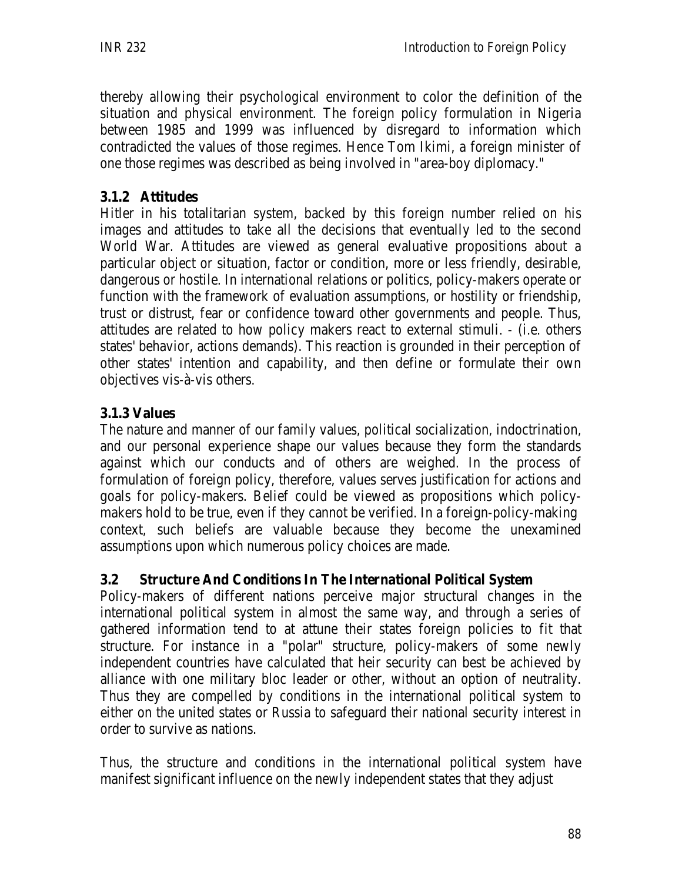thereby allowing their psychological environment to color the definition of the situation and physical environment. The foreign policy formulation in Nigeria between 1985 and 1999 was influenced by disregard to information which contradicted the values of those regimes. Hence Tom Ikimi, a foreign minister of one those regimes was described as being involved in "area-boy diplomacy."

## **3.1.2 Attitudes**

Hitler in his totalitarian system, backed by this foreign number relied on his images and attitudes to take all the decisions that eventually led to the second World War. Attitudes are viewed as general evaluative propositions about a particular object or situation, factor or condition, more or less friendly, desirable, dangerous or hostile. In international relations or politics, policy-makers operate or function with the framework of evaluation assumptions, or hostility or friendship, trust or distrust, fear or confidence toward other governments and people. Thus, attitudes are related to how policy makers react to external stimuli. - (i.e. others states' behavior, actions demands). This reaction is grounded in their perception of other states' intention and capability, and then define or formulate their own objectives vis-à-vis others.

# **3.1.3 Values**

The nature and manner of our family values, political socialization, indoctrination, and our personal experience shape our values because they form the standards against which our conducts and of others are weighed. In the process of formulation of foreign policy, therefore, values serves justification for actions and goals for policy-makers. Belief could be viewed as propositions which policymakers hold to be true, even if they cannot be verified. In a foreign-policy-making context, such beliefs are valuable because they become the unexamined assumptions upon which numerous policy choices are made.

## **3.2 Structure And Conditions In The International Political System**

Policy-makers of different nations perceive major structural changes in the international political system in almost the same way, and through a series of gathered information tend to at attune their states foreign policies to fit that structure. For instance in a "polar" structure, policy-makers of some newly independent countries have calculated that heir security can best be achieved by alliance with one military bloc leader or other, without an option of neutrality. Thus they are compelled by conditions in the international political system to either on the united states or Russia to safeguard their national security interest in order to survive as nations.

Thus, the structure and conditions in the international political system have manifest significant influence on the newly independent states that they adjust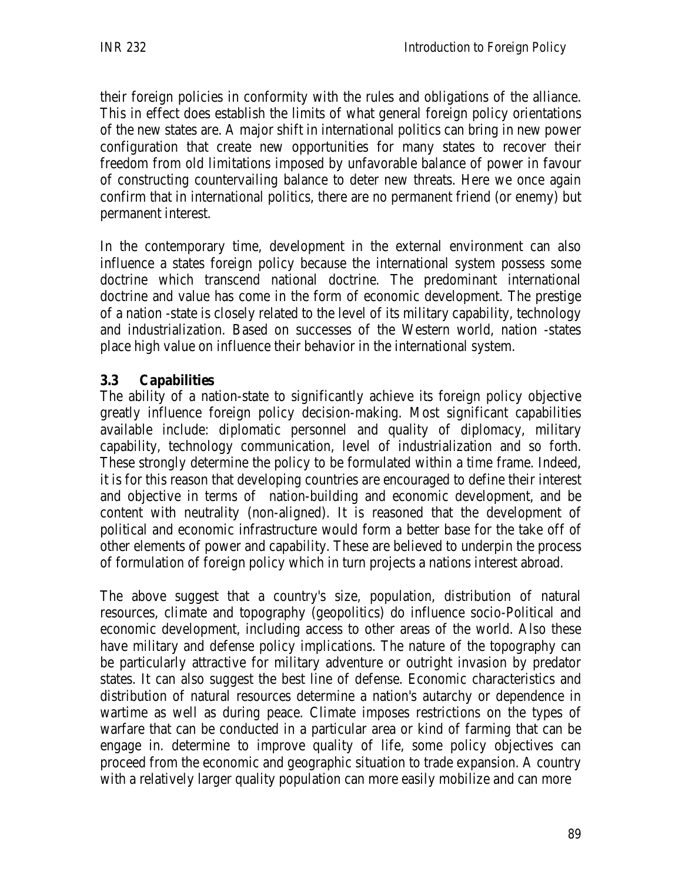their foreign policies in conformity with the rules and obligations of the alliance. This in effect does establish the limits of what general foreign policy orientations of the new states are. A major shift in international politics can bring in new power configuration that create new opportunities for many states to recover their freedom from old limitations imposed by unfavorable balance of power in favour of constructing countervailing balance to deter new threats. Here we once again confirm that in international politics, there are no permanent friend (or enemy) but permanent interest.

In the contemporary time, development in the external environment can also influence a states foreign policy because the international system possess some doctrine which transcend national doctrine. The predominant international doctrine and value has come in the form of economic development. The prestige of a nation -state is closely related to the level of its military capability, technology and industrialization. Based on successes of the Western world, nation -states place high value on influence their behavior in the international system.

## **3.3 Capabilities**

The ability of a nation-state to significantly achieve its foreign policy objective greatly influence foreign policy decision-making. Most significant capabilities available include: diplomatic personnel and quality of diplomacy, military capability, technology communication, level of industrialization and so forth. These strongly determine the policy to be formulated within a time frame. Indeed, it is for this reason that developing countries are encouraged to define their interest and objective in terms of nation-building and economic development, and be content with neutrality (non-aligned). It is reasoned that the development of political and economic infrastructure would form a better base for the take off of other elements of power and capability. These are believed to underpin the process of formulation of foreign policy which in turn projects a nations interest abroad.

The above suggest that a country's size, population, distribution of natural resources, climate and topography (geopolitics) do influence socio-Political and economic development, including access to other areas of the world. Also these have military and defense policy implications. The nature of the topography can be particularly attractive for military adventure or outright invasion by predator states. It can also suggest the best line of defense. Economic characteristics and distribution of natural resources determine a nation's autarchy or dependence in wartime as well as during peace. Climate imposes restrictions on the types of warfare that can be conducted in a particular area or kind of farming that can be engage in. determine to improve quality of life, some policy objectives can proceed from the economic and geographic situation to trade expansion. A country with a relatively larger quality population can more easily mobilize and can more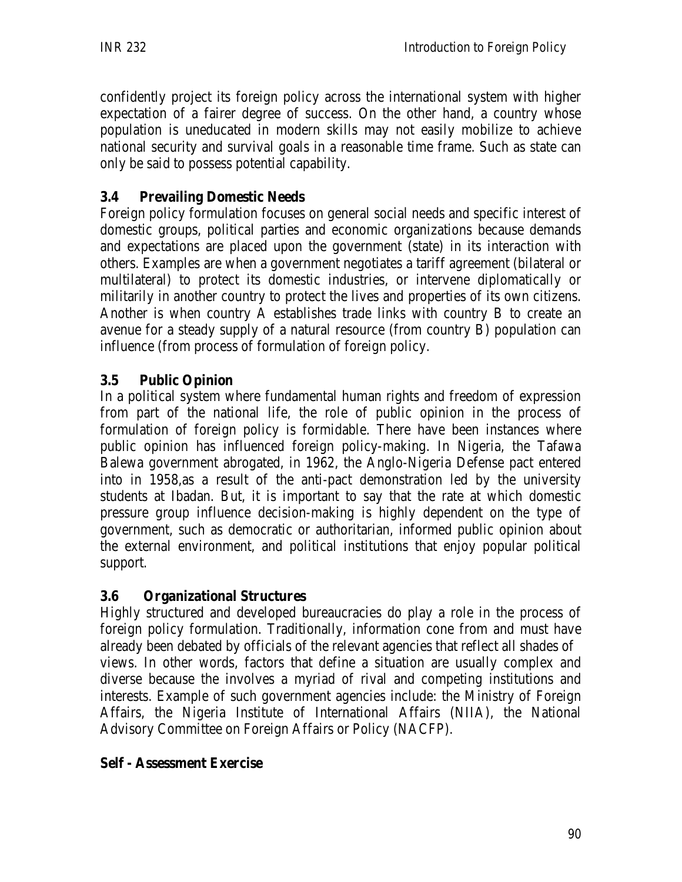confidently project its foreign policy across the international system with higher expectation of a fairer degree of success. On the other hand, a country whose population is uneducated in modern skills may not easily mobilize to achieve national security and survival goals in a reasonable time frame. Such as state can only be said to possess potential capability.

# **3.4 Prevailing Domestic Needs**

Foreign policy formulation focuses on general social needs and specific interest of domestic groups, political parties and economic organizations because demands and expectations are placed upon the government (state) in its interaction with others. Examples are when a government negotiates a tariff agreement (bilateral or multilateral) to protect its domestic industries, or intervene diplomatically or militarily in another country to protect the lives and properties of its own citizens. Another is when country A establishes trade links with country B to create an avenue for a steady supply of a natural resource (from country B) population can influence (from process of formulation of foreign policy.

# **3.5 Public Opinion**

In a political system where fundamental human rights and freedom of expression from part of the national life, the role of public opinion in the process of formulation of foreign policy is formidable. There have been instances where public opinion has influenced foreign policy-making. In Nigeria, the Tafawa Balewa government abrogated, in 1962, the Anglo-Nigeria Defense pact entered into in 1958,as a result of the anti-pact demonstration led by the university students at Ibadan. But, it is important to say that the rate at which domestic pressure group influence decision-making is highly dependent on the type of government, such as democratic or authoritarian, informed public opinion about the external environment, and political institutions that enjoy popular political support.

# **3.6 Organizational Structures**

Highly structured and developed bureaucracies do play a role in the process of foreign policy formulation. Traditionally, information cone from and must have already been debated by officials of the relevant agencies that reflect all shades of views. In other words, factors that define a situation are usually complex and diverse because the involves a myriad of rival and competing institutions and interests. Example of such government agencies include: the Ministry of Foreign Affairs, the Nigeria Institute of International Affairs (NIIA), the National Advisory Committee on Foreign Affairs or Policy (NACFP).

# **Self - Assessment Exercise**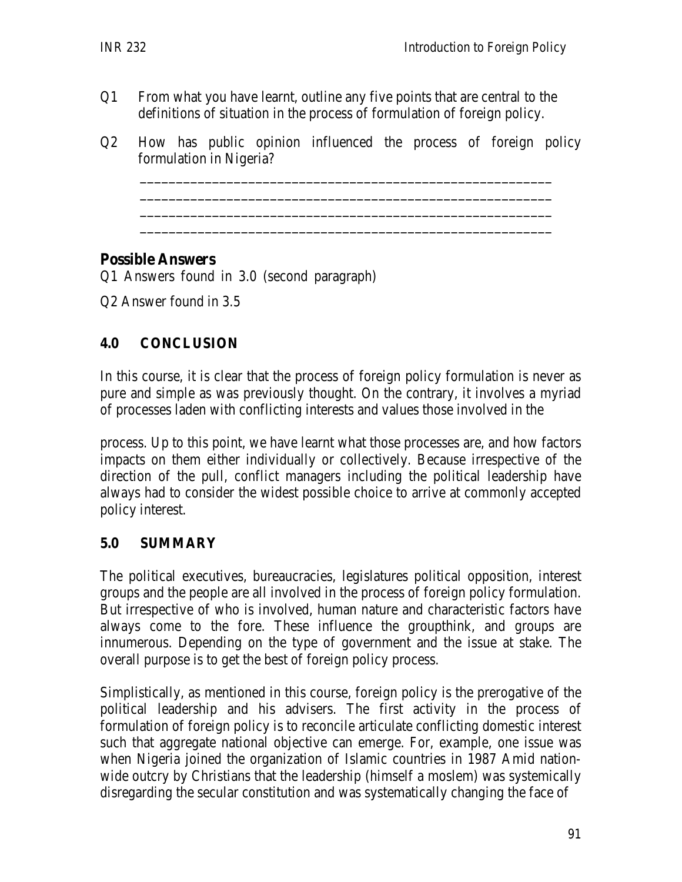- Q1 From what you have learnt, outline any five points that are central to the definitions of situation in the process of formulation of foreign policy.
- Q2 How has public opinion influenced the process of foreign policy formulation in Nigeria?

\_\_\_\_\_\_\_\_\_\_\_\_\_\_\_\_\_\_\_\_\_\_\_\_\_\_\_\_\_\_\_\_\_\_\_\_\_\_\_\_\_\_\_\_\_\_\_\_\_\_\_\_\_\_\_\_\_ \_\_\_\_\_\_\_\_\_\_\_\_\_\_\_\_\_\_\_\_\_\_\_\_\_\_\_\_\_\_\_\_\_\_\_\_\_\_\_\_\_\_\_\_\_\_\_\_\_\_\_\_\_\_\_\_\_ \_\_\_\_\_\_\_\_\_\_\_\_\_\_\_\_\_\_\_\_\_\_\_\_\_\_\_\_\_\_\_\_\_\_\_\_\_\_\_\_\_\_\_\_\_\_\_\_\_\_\_\_\_\_\_\_\_

## **Possible Answers**

Q1 Answers found in 3.0 (second paragraph)

Q2 Answer found in 3.5

# **4.0 CONCLUSION**

In this course, it is clear that the process of foreign policy formulation is never as pure and simple as was previously thought. On the contrary, it involves a myriad of processes laden with conflicting interests and values those involved in the

process. Up to this point, we have learnt what those processes are, and how factors impacts on them either individually or collectively. Because irrespective of the direction of the pull, conflict managers including the political leadership have always had to consider the widest possible choice to arrive at commonly accepted policy interest.

## **5.0 SUMMARY**

The political executives, bureaucracies, legislatures political opposition, interest groups and the people are all involved in the process of foreign policy formulation. But irrespective of who is involved, human nature and characteristic factors have always come to the fore. These influence the groupthink, and groups are innumerous. Depending on the type of government and the issue at stake. The overall purpose is to get the best of foreign policy process.

Simplistically, as mentioned in this course, foreign policy is the prerogative of the political leadership and his advisers. The first activity in the process of formulation of foreign policy is to reconcile articulate conflicting domestic interest such that aggregate national objective can emerge. For, example, one issue was when Nigeria joined the organization of Islamic countries in 1987 Amid nationwide outcry by Christians that the leadership (himself a moslem) was systemically disregarding the secular constitution and was systematically changing the face of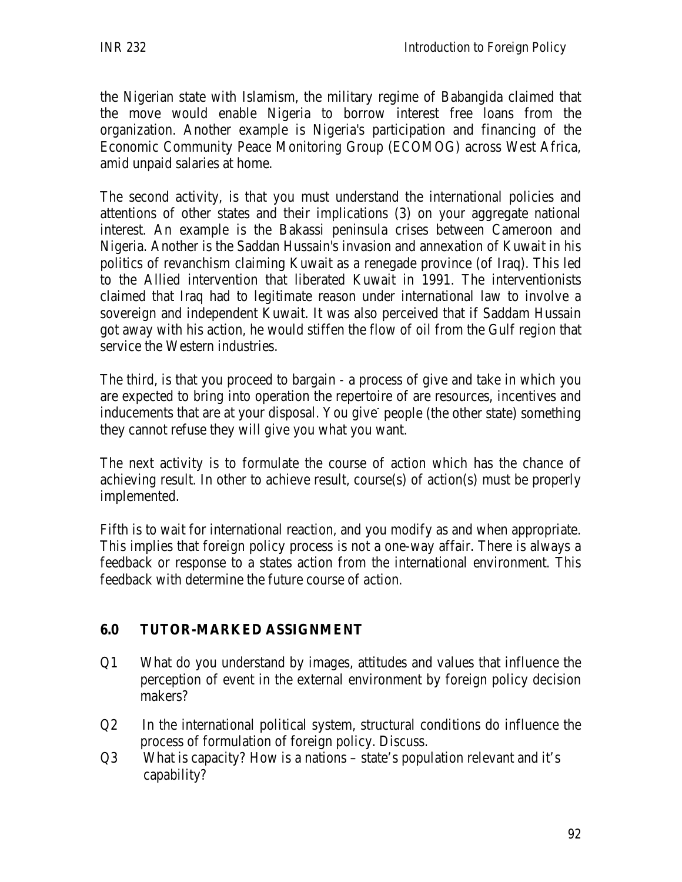the Nigerian state with Islamism, the military regime of Babangida claimed that the move would enable Nigeria to borrow interest free loans from the organization. Another example is Nigeria's participation and financing of the Economic Community Peace Monitoring Group (ECOMOG) across West Africa, amid unpaid salaries at home.

The second activity, is that you must understand the international policies and attentions of other states and their implications (3) on your aggregate national interest. An example is the Bakassi peninsula crises between Cameroon and Nigeria. Another is the Saddan Hussain's invasion and annexation of Kuwait in his politics of revanchism claiming Kuwait as a renegade province (of Iraq). This led to the Allied intervention that liberated Kuwait in 1991. The interventionists claimed that Iraq had to legitimate reason under international law to involve a sovereign and independent Kuwait. It was also perceived that if Saddam Hussain got away with his action, he would stiffen the flow of oil from the Gulf region that service the Western industries.

The third, is that you proceed to bargain - a process of give and take in which you are expected to bring into operation the repertoire of are resources, incentives and inducements that are at your disposal. You give people (the other state) something they cannot refuse they will give you what you want.

The next activity is to formulate the course of action which has the chance of achieving result. In other to achieve result, course(s) of action(s) must be properly implemented.

Fifth is to wait for international reaction, and you modify as and when appropriate. This implies that foreign policy process is not a one-way affair. There is always a feedback or response to a states action from the international environment. This feedback with determine the future course of action.

# **6.0 TUTOR-MARKED ASSIGNMENT**

- Q1 What do you understand by images, attitudes and values that influence the perception of event in the external environment by foreign policy decision makers?
- Q2 In the international political system, structural conditions do influence the process of formulation of foreign policy. Discuss.
- Q3 What is capacity? How is a nations state's population relevant and it's capability?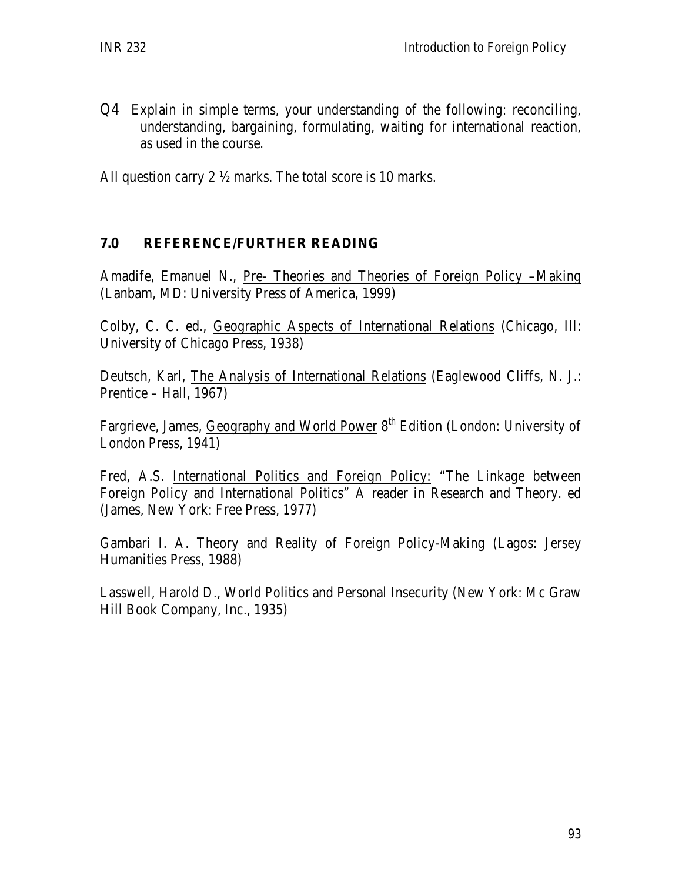Q4 Explain in simple terms, your understanding of the following: reconciling, understanding, bargaining, formulating, waiting for international reaction, as used in the course.

All question carry 2  $\frac{1}{2}$  marks. The total score is 10 marks.

#### **7.0 REFERENCE/FURTHER READING**

Amadife, Emanuel N., Pre- Theories and Theories of Foreign Policy –Making (Lanbam, MD: University Press of America, 1999)

Colby, C. C. ed., Geographic Aspects of International Relations (Chicago, Ill: University of Chicago Press, 1938)

Deutsch, Karl, The Analysis of International Relations (Eaglewood Cliffs, N. J.: Prentice – Hall, 1967)

Fargrieve, James, Geography and World Power 8<sup>th</sup> Edition (London: University of London Press, 1941)

Fred, A.S. International Politics and Foreign Policy: "The Linkage between Foreign Policy and International Politics" A reader in Research and Theory. ed (James, New York: Free Press, 1977)

Gambari I. A. Theory and Reality of Foreign Policy-Making (Lagos: Jersey Humanities Press, 1988)

Lasswell, Harold D., World Politics and Personal Insecurity (New York: Mc Graw Hill Book Company, Inc., 1935)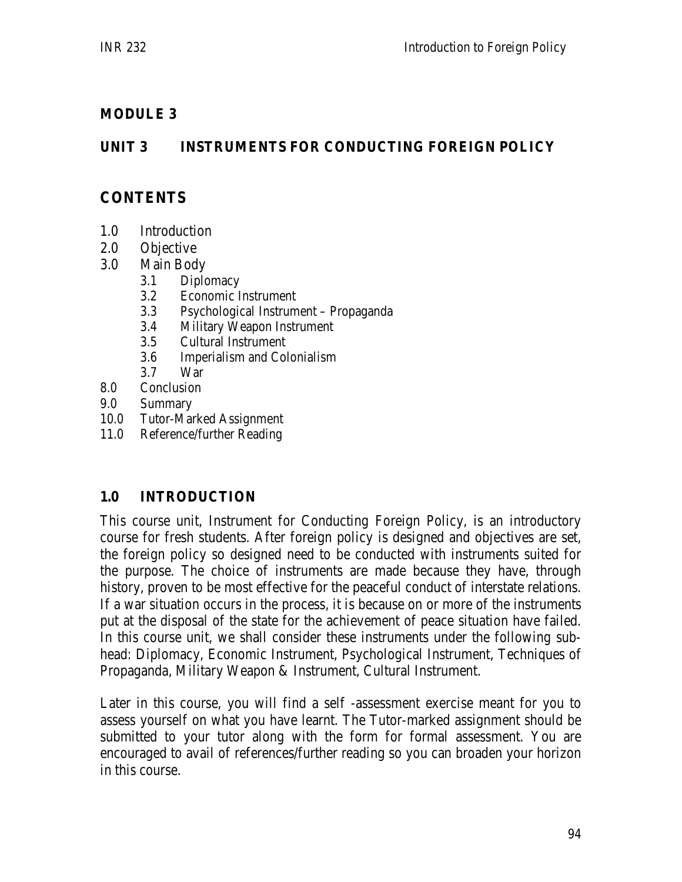# **MODULE 3**

# **UNIT 3 INSTRUMENTS FOR CONDUCTING FOREIGN POLICY**

# **CONTENTS**

- 1.0 Introduction
- 2.0 Objective
- 3.0 Main Body
	- 3.1 Diplomacy
	- 3.2 Economic Instrument
	- 3.3 Psychological Instrument Propaganda
	- 3.4 Military Weapon Instrument
	- 3.5 Cultural Instrument
	- 3.6 Imperialism and Colonialism
	- 3.7 War
- 8.0 Conclusion
- 9.0 Summary
- 10.0 Tutor-Marked Assignment
- 11.0 Reference/further Reading

# **1.0 INTRODUCTION**

This course unit, Instrument for Conducting Foreign Policy, is an introductory course for fresh students. After foreign policy is designed and objectives are set, the foreign policy so designed need to be conducted with instruments suited for the purpose. The choice of instruments are made because they have, through history, proven to be most effective for the peaceful conduct of interstate relations. If a war situation occurs in the process, it is because on or more of the instruments put at the disposal of the state for the achievement of peace situation have failed. In this course unit, we shall consider these instruments under the following subhead: Diplomacy, Economic Instrument, Psychological Instrument, Techniques of Propaganda, Military Weapon & Instrument, Cultural Instrument.

Later in this course, you will find a self -assessment exercise meant for you to assess yourself on what you have learnt. The Tutor-marked assignment should be submitted to your tutor along with the form for formal assessment. You are encouraged to avail of references/further reading so you can broaden your horizon in this course.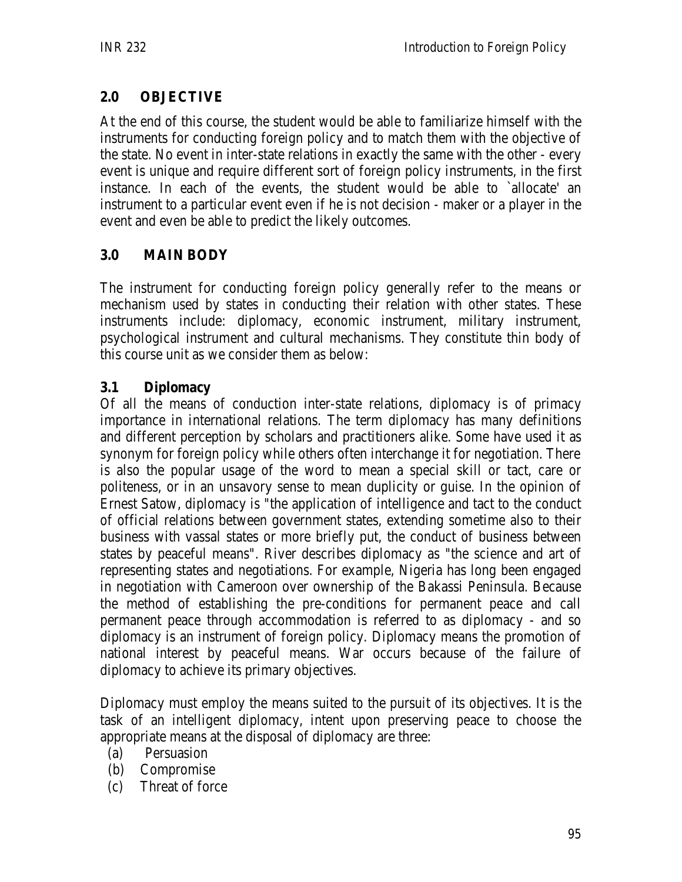# **2.0 OBJECTIVE**

At the end of this course, the student would be able to familiarize himself with the instruments for conducting foreign policy and to match them with the objective of the state. No event in inter-state relations in exactly the same with the other - every event is unique and require different sort of foreign policy instruments, in the first instance. In each of the events, the student would be able to `allocate' an instrument to a particular event even if he is not decision - maker or a player in the event and even be able to predict the likely outcomes.

# **3.0 MAIN BODY**

The instrument for conducting foreign policy generally refer to the means or mechanism used by states in conducting their relation with other states. These instruments include: diplomacy, economic instrument, military instrument, psychological instrument and cultural mechanisms. They constitute thin body of this course unit as we consider them as below:

# **3.1 Diplomacy**

Of all the means of conduction inter-state relations, diplomacy is of primacy importance in international relations. The term diplomacy has many definitions and different perception by scholars and practitioners alike. Some have used it as synonym for foreign policy while others often interchange it for negotiation. There is also the popular usage of the word to mean a special skill or tact, care or politeness, or in an unsavory sense to mean duplicity or guise. In the opinion of Ernest Satow, diplomacy is "the application of intelligence and tact to the conduct of official relations between government states, extending sometime also to their business with vassal states or more briefly put, the conduct of business between states by peaceful means". River describes diplomacy as "the science and art of representing states and negotiations. For example, Nigeria has long been engaged in negotiation with Cameroon over ownership of the Bakassi Peninsula. Because the method of establishing the pre-conditions for permanent peace and call permanent peace through accommodation is referred to as diplomacy - and so diplomacy is an instrument of foreign policy. Diplomacy means the promotion of national interest by peaceful means. War occurs because of the failure of diplomacy to achieve its primary objectives.

Diplomacy must employ the means suited to the pursuit of its objectives. It is the task of an intelligent diplomacy, intent upon preserving peace to choose the appropriate means at the disposal of diplomacy are three:

- (a) Persuasion
- (b) Compromise
- (c) Threat of force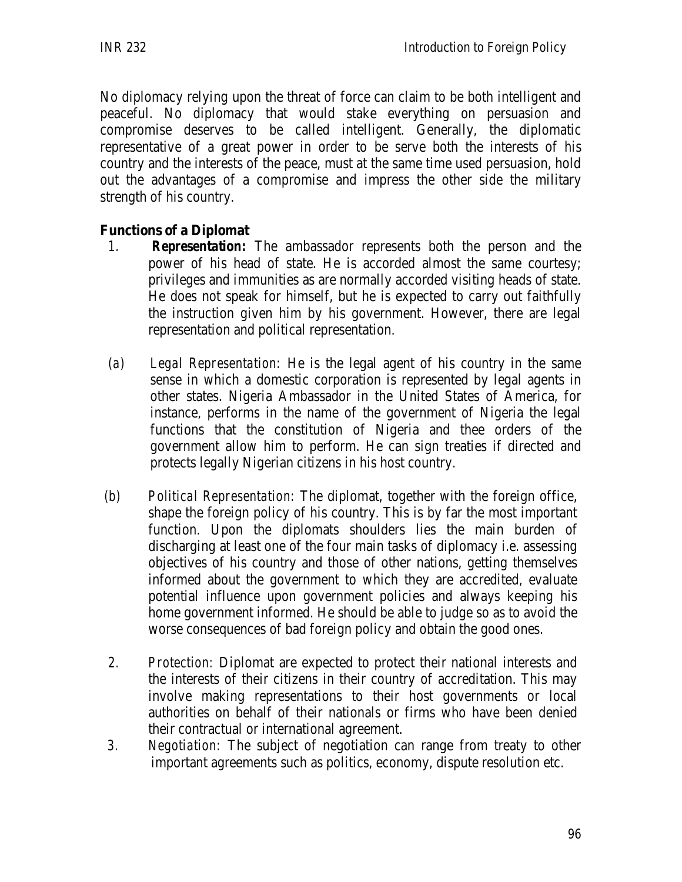No diplomacy relying upon the threat of force can claim to be both intelligent and peaceful. No diplomacy that would stake everything on persuasion and compromise deserves to be called intelligent. Generally, the diplomatic representative of a great power in order to be serve both the interests of his country and the interests of the peace, must at the same time used persuasion, hold out the advantages of a compromise and impress the other side the military strength of his country.

# **Functions of a Diplomat**

- *1. Representation:* The ambassador represents both the person and the power of his head of state. He is accorded almost the same courtesy; privileges and immunities as are normally accorded visiting heads of state. He does not speak for himself, but he is expected to carry out faithfully the instruction given him by his government. However, there are legal representation and political representation.
- *(a) Legal Representation:* He is the legal agent of his country in the same sense in which a domestic corporation is represented by legal agents in other states. Nigeria Ambassador in the United States of America, for instance, performs in the name of the government of Nigeria the legal functions that the constitution of Nigeria and thee orders of the government allow him to perform. He can sign treaties if directed and protects legally Nigerian citizens in his host country.
- *(b) Political Representation:* The diplomat, together with the foreign office, shape the foreign policy of his country. This is by far the most important function. Upon the diplomats shoulders lies the main burden of discharging at least one of the four main tasks of diplomacy i.e. assessing objectives of his country and those of other nations, getting themselves informed about the government to which they are accredited, evaluate potential influence upon government policies and always keeping his home government informed. He should be able to judge so as to avoid the worse consequences of bad foreign policy and obtain the good ones.
- *2. Protection:* Diplomat are expected to protect their national interests and the interests of their citizens in their country of accreditation. This may involve making representations to their host governments or local authorities on behalf of their nationals or firms who have been denied their contractual or international agreement.
- *3. Negotiation:* The subject of negotiation can range from treaty to other important agreements such as politics, economy, dispute resolution etc.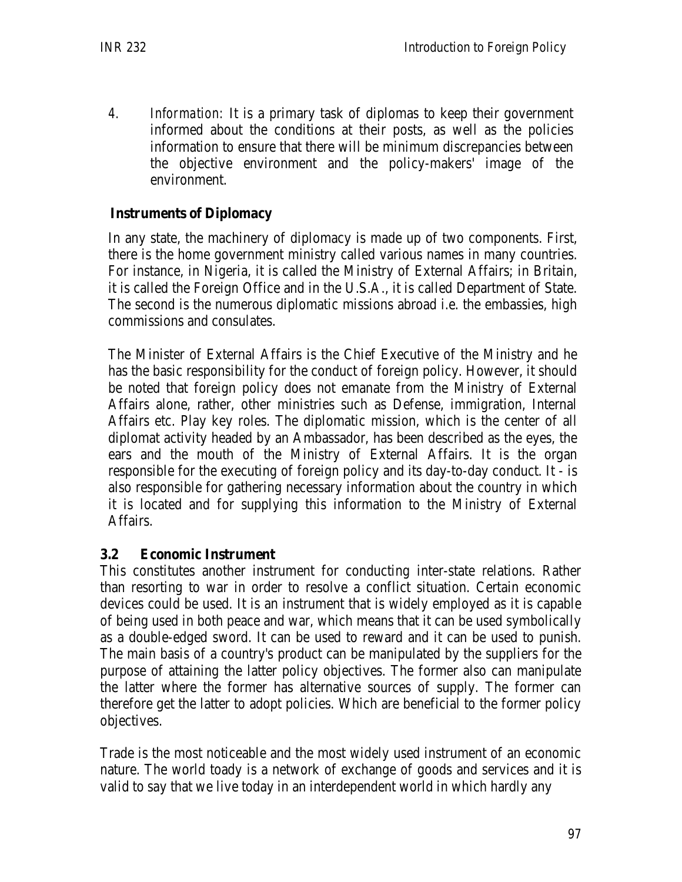*4. Information:* It is a primary task of diplomas to keep their government informed about the conditions at their posts, as well as the policies information to ensure that there will be minimum discrepancies between the objective environment and the policy-makers' image of the environment.

#### **Instruments of Diplomacy**

In any state, the machinery of diplomacy is made up of two components. First, there is the home government ministry called various names in many countries. For instance, in Nigeria, it is called the Ministry of External Affairs; in Britain, it is called the Foreign Office and in the U.S.A., it is called Department of State. The second is the numerous diplomatic missions abroad i.e. the embassies, high commissions and consulates.

The Minister of External Affairs is the Chief Executive of the Ministry and he has the basic responsibility for the conduct of foreign policy. However, it should be noted that foreign policy does not emanate from the Ministry of External Affairs alone, rather, other ministries such as Defense, immigration, Internal Affairs etc. Play key roles. The diplomatic mission, which is the center of all diplomat activity headed by an Ambassador, has been described as the eyes, the ears and the mouth of the Ministry of External Affairs. It is the organ responsible for the executing of foreign policy and its day-to-day conduct. It - is also responsible for gathering necessary information about the country in which it is located and for supplying this information to the Ministry of External Affairs.

#### **3.2 Economic Instrument**

This constitutes another instrument for conducting inter-state relations. Rather than resorting to war in order to resolve a conflict situation. Certain economic devices could be used. It is an instrument that is widely employed as it is capable of being used in both peace and war, which means that it can be used symbolically as a double-edged sword. It can be used to reward and it can be used to punish. The main basis of a country's product can be manipulated by the suppliers for the purpose of attaining the latter policy objectives. The former also can manipulate the latter where the former has alternative sources of supply. The former can therefore get the latter to adopt policies. Which are beneficial to the former policy objectives.

Trade is the most noticeable and the most widely used instrument of an economic nature. The world toady is a network of exchange of goods and services and it is valid to say that we live today in an interdependent world in which hardly any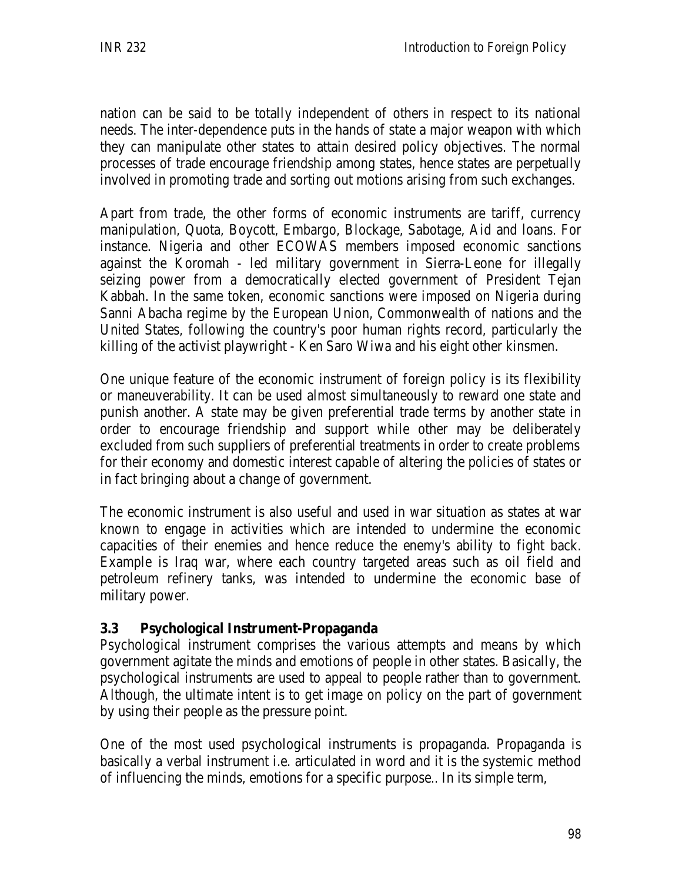nation can be said to be totally independent of others in respect to its national needs. The inter-dependence puts in the hands of state a major weapon with which they can manipulate other states to attain desired policy objectives. The normal processes of trade encourage friendship among states, hence states are perpetually involved in promoting trade and sorting out motions arising from such exchanges.

Apart from trade, the other forms of economic instruments are tariff, currency manipulation, Quota, Boycott, Embargo, Blockage, Sabotage, Aid and loans. For instance. Nigeria and other ECOWAS members imposed economic sanctions against the Koromah - led military government in Sierra-Leone for illegally seizing power from a democratically elected government of President Tejan Kabbah. In the same token, economic sanctions were imposed on Nigeria during Sanni Abacha regime by the European Union, Commonwealth of nations and the United States, following the country's poor human rights record, particularly the killing of the activist playwright - Ken Saro Wiwa and his eight other kinsmen.

One unique feature of the economic instrument of foreign policy is its flexibility or maneuverability. It can be used almost simultaneously to reward one state and punish another. A state may be given preferential trade terms by another state in order to encourage friendship and support while other may be deliberately excluded from such suppliers of preferential treatments in order to create problems for their economy and domestic interest capable of altering the policies of states or in fact bringing about a change of government.

The economic instrument is also useful and used in war situation as states at war known to engage in activities which are intended to undermine the economic capacities of their enemies and hence reduce the enemy's ability to fight back. Example is Iraq war, where each country targeted areas such as oil field and petroleum refinery tanks, was intended to undermine the economic base of military power.

## **3.3 Psychological Instrument-Propaganda**

Psychological instrument comprises the various attempts and means by which government agitate the minds and emotions of people in other states. Basically, the psychological instruments are used to appeal to people rather than to government. Although, the ultimate intent is to get image on policy on the part of government by using their people as the pressure point.

One of the most used psychological instruments is propaganda. Propaganda is basically a verbal instrument i.e. articulated in word and it is the systemic method of influencing the minds, emotions for a specific purpose.. In its simple term,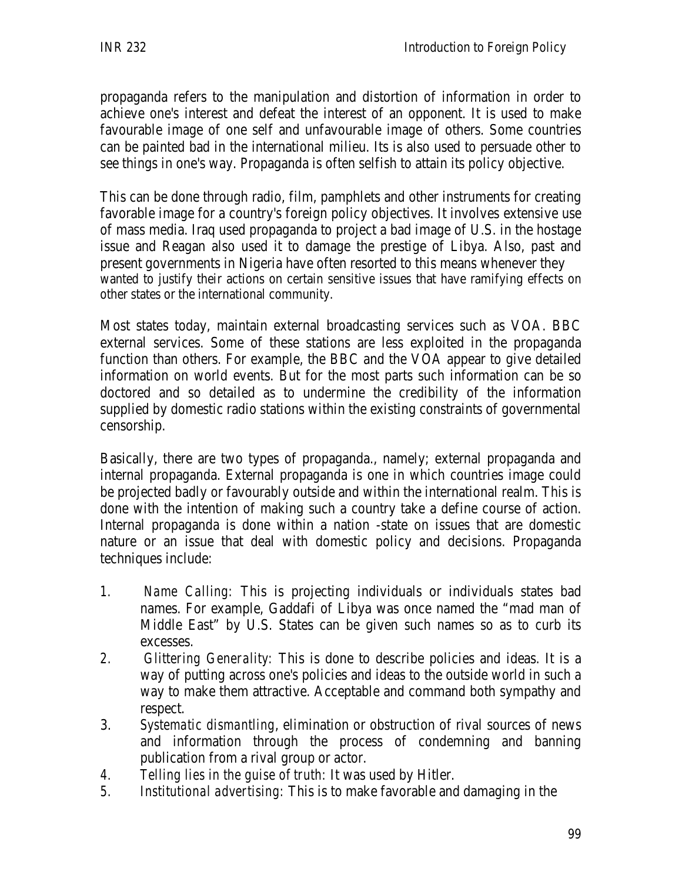propaganda refers to the manipulation and distortion of information in order to achieve one's interest and defeat the interest of an opponent. It is used to make favourable image of one self and unfavourable image of others. Some countries can be painted bad in the international milieu. Its is also used to persuade other to see things in one's way. Propaganda is often selfish to attain its policy objective.

This can be done through radio, film, pamphlets and other instruments for creating favorable image for a country's foreign policy objectives. It involves extensive use of mass media. Iraq used propaganda to project a bad image of U.S. in the hostage issue and Reagan also used it to damage the prestige of Libya. Also, past and present governments in Nigeria have often resorted to this means whenever they wanted to justify their actions on certain sensitive issues that have ramifying effects on other states or the international community.

Most states today, maintain external broadcasting services such as VOA. BBC external services. Some of these stations are less exploited in the propaganda function than others. For example, the BBC and the VOA appear to give detailed information on world events. But for the most parts such information can be so doctored and so detailed as to undermine the credibility of the information supplied by domestic radio stations within the existing constraints of governmental censorship.

Basically, there are two types of propaganda., namely; external propaganda and internal propaganda. External propaganda is one in which countries image could be projected badly or favourably outside and within the international realm. This is done with the intention of making such a country take a define course of action. Internal propaganda is done within a nation -state on issues that are domestic nature or an issue that deal with domestic policy and decisions. Propaganda techniques include:

- *1. Name Calling:* This is projecting individuals or individuals states bad names. For example, Gaddafi of Libya was once named the "mad man of Middle East" by U.S. States can be given such names so as to curb its excesses.
- *2. Glittering Generality:* This is done to describe policies and ideas. It is a way of putting across one's policies and ideas to the outside world in such a way to make them attractive. Acceptable and command both sympathy and respect.
- 3. *Systematic dismantling*, elimination or obstruction of rival sources of news and information through the process of condemning and banning publication from a rival group or actor.
- *4. Telling lies in the guise of truth:* It was used by Hitler.
- *5. Institutional advertising:* This is to make favorable and damaging in the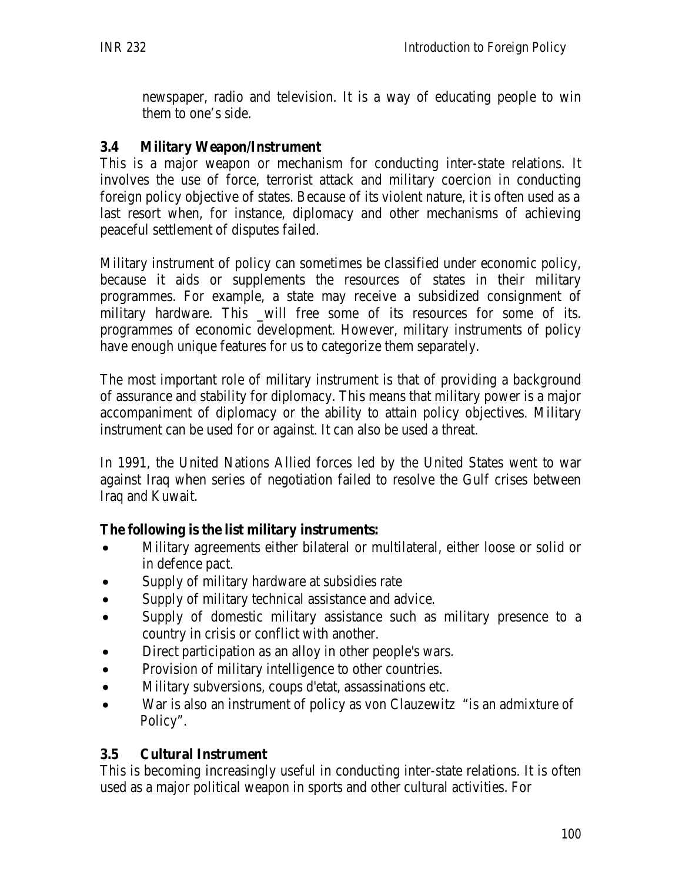newspaper, radio and television. It is a way of educating people to win them to one's side.

#### **3.4 Military Weapon/Instrument**

This is a major weapon or mechanism for conducting inter-state relations. It involves the use of force, terrorist attack and military coercion in conducting foreign policy objective of states. Because of its violent nature, it is often used as a last resort when, for instance, diplomacy and other mechanisms of achieving peaceful settlement of disputes failed.

Military instrument of policy can sometimes be classified under economic policy, because it aids or supplements the resources of states in their military programmes. For example, a state may receive a subsidized consignment of military hardware. This will free some of its resources for some of its. programmes of economic development. However, military instruments of policy have enough unique features for us to categorize them separately.

The most important role of military instrument is that of providing a background of assurance and stability for diplomacy. This means that military power is a major accompaniment of diplomacy or the ability to attain policy objectives. Military instrument can be used for or against. It can also be used a threat.

In 1991, the United Nations Allied forces led by the United States went to war against Iraq when series of negotiation failed to resolve the Gulf crises between Iraq and Kuwait.

## **The following is the list military instruments:**

- Military agreements either bilateral or multilateral, either loose or solid or in defence pact.
- Supply of military hardware at subsidies rate
- Supply of military technical assistance and advice.
- Supply of domestic military assistance such as military presence to a country in crisis or conflict with another.
- Direct participation as an alloy in other people's wars.
- Provision of military intelligence to other countries.
- Military subversions, coups d'etat, assassinations etc.
- War is also an instrument of policy as von Clauzewitz "is an admixture of Policy".

## **3.5 Cultural Instrument**

This is becoming increasingly useful in conducting inter-state relations. It is often used as a major political weapon in sports and other cultural activities. For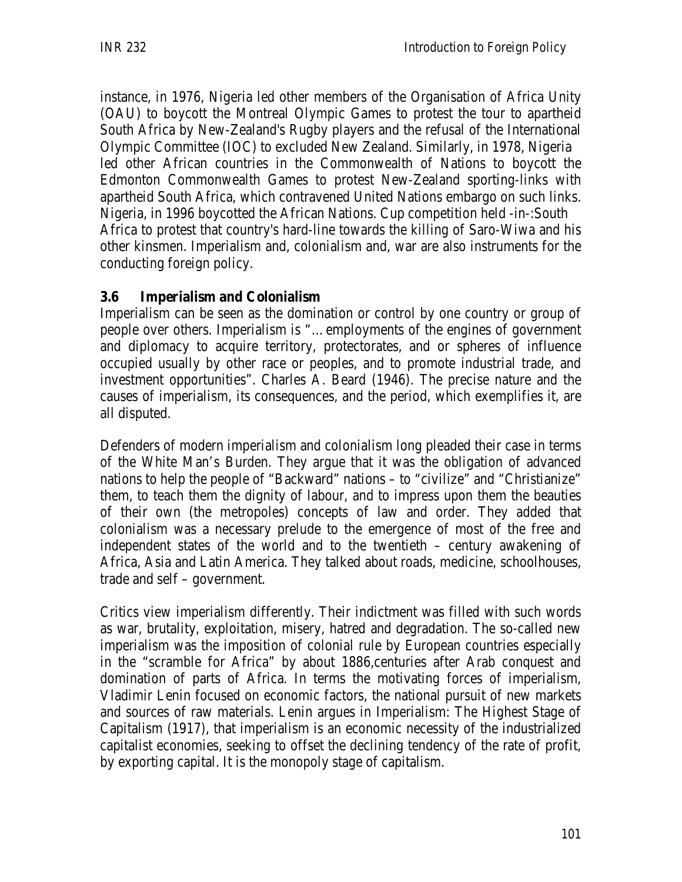instance, in 1976, Nigeria led other members of the Organisation of Africa Unity (OAU) to boycott the Montreal Olympic Games to protest the tour to apartheid South Africa by New-Zealand's Rugby players and the refusal of the International Olympic Committee (IOC) to excluded New Zealand. Similarly, in 1978, Nigeria led other African countries in the Commonwealth of Nations to boycott the Edmonton Commonwealth Games to protest New-Zealand sporting-links with apartheid South Africa, which contravened United Nations embargo on such links. Nigeria, in 1996 boycotted the African Nations. Cup competition held -in-:South Africa to protest that country's hard-line towards the killing of Saro-Wiwa and his other kinsmen. Imperialism and, colonialism and, war are also instruments for the conducting foreign policy.

## **3.6 Imperialism and Colonialism**

Imperialism can be seen as the domination or control by one country or group of people over others. Imperialism is "…employments of the engines of government and diplomacy to acquire territory, protectorates, and or spheres of influence occupied usually by other race or peoples, and to promote industrial trade, and investment opportunities". Charles A. Beard (1946). The precise nature and the causes of imperialism, its consequences, and the period, which exemplifies it, are all disputed.

Defenders of modern imperialism and colonialism long pleaded their case in terms of the White Man's Burden. They argue that it was the obligation of advanced nations to help the people of "Backward" nations – to "civilize" and "Christianize" them, to teach them the dignity of labour, and to impress upon them the beauties of their own (the metropoles) concepts of law and order. They added that colonialism was a necessary prelude to the emergence of most of the free and independent states of the world and to the twentieth – century awakening of Africa, Asia and Latin America. They talked about roads, medicine, schoolhouses, trade and self – government.

Critics view imperialism differently. Their indictment was filled with such words as war, brutality, exploitation, misery, hatred and degradation. The so-called new imperialism was the imposition of colonial rule by European countries especially in the "scramble for Africa" by about 1886,centuries after Arab conquest and domination of parts of Africa. In terms the motivating forces of imperialism, Vladimir Lenin focused on economic factors, the national pursuit of new markets and sources of raw materials. Lenin argues in Imperialism: The Highest Stage of Capitalism (1917), that imperialism is an economic necessity of the industrialized capitalist economies, seeking to offset the declining tendency of the rate of profit, by exporting capital. It is the monopoly stage of capitalism.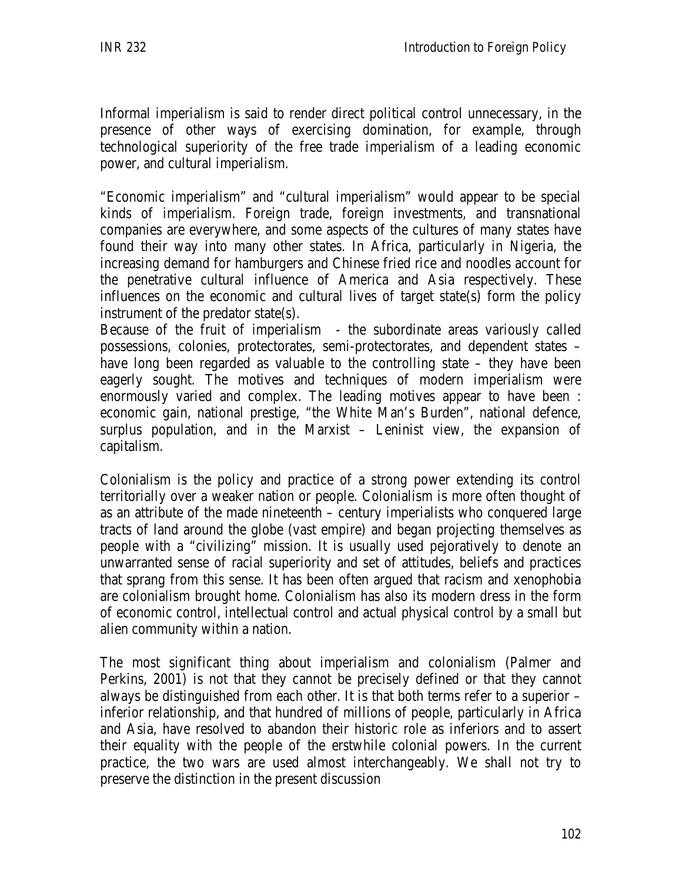Informal imperialism is said to render direct political control unnecessary, in the presence of other ways of exercising domination, for example, through technological superiority of the free trade imperialism of a leading economic power, and cultural imperialism.

"Economic imperialism" and "cultural imperialism" would appear to be special kinds of imperialism. Foreign trade, foreign investments, and transnational companies are everywhere, and some aspects of the cultures of many states have found their way into many other states. In Africa, particularly in Nigeria, the increasing demand for hamburgers and Chinese fried rice and noodles account for the penetrative cultural influence of America and Asia respectively. These influences on the economic and cultural lives of target state(s) form the policy instrument of the predator state(s).

Because of the fruit of imperialism - the subordinate areas variously called possessions, colonies, protectorates, semi-protectorates, and dependent states – have long been regarded as valuable to the controlling state – they have been eagerly sought. The motives and techniques of modern imperialism were enormously varied and complex. The leading motives appear to have been : economic gain, national prestige, "the White Man's Burden", national defence, surplus population, and in the Marxist – Leninist view, the expansion of capitalism.

Colonialism is the policy and practice of a strong power extending its control territorially over a weaker nation or people. Colonialism is more often thought of as an attribute of the made nineteenth – century imperialists who conquered large tracts of land around the globe (vast empire) and began projecting themselves as people with a "civilizing" mission. It is usually used pejoratively to denote an unwarranted sense of racial superiority and set of attitudes, beliefs and practices that sprang from this sense. It has been often argued that racism and xenophobia are colonialism brought home. Colonialism has also its modern dress in the form of economic control, intellectual control and actual physical control by a small but alien community within a nation.

The most significant thing about imperialism and colonialism (Palmer and Perkins, 2001) is not that they cannot be precisely defined or that they cannot always be distinguished from each other. It is that both terms refer to a superior – inferior relationship, and that hundred of millions of people, particularly in Africa and Asia, have resolved to abandon their historic role as inferiors and to assert their equality with the people of the erstwhile colonial powers. In the current practice, the two wars are used almost interchangeably. We shall not try to preserve the distinction in the present discussion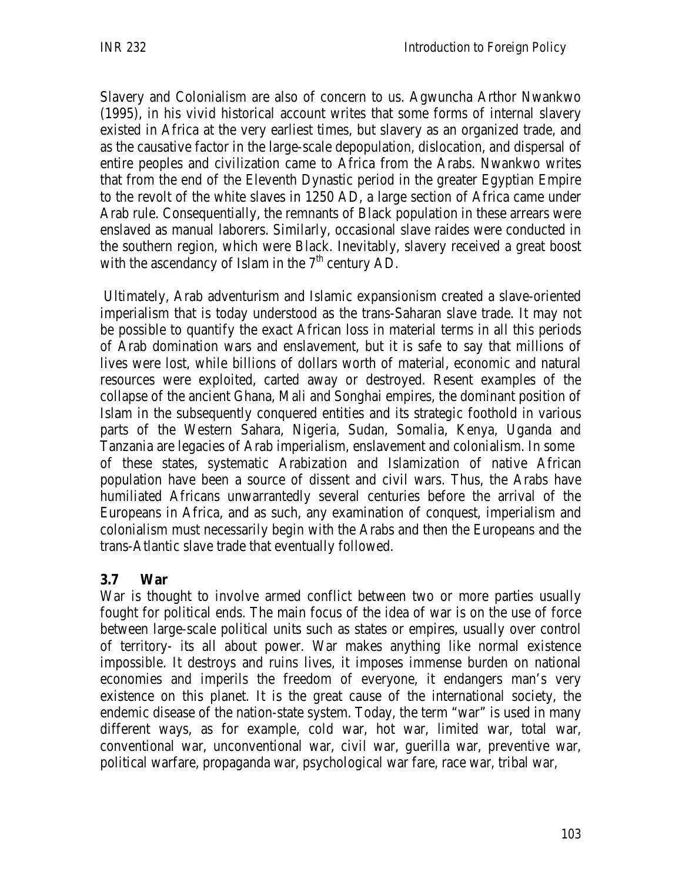Slavery and Colonialism are also of concern to us. Agwuncha Arthor Nwankwo (1995), in his vivid historical account writes that some forms of internal slavery existed in Africa at the very earliest times, but slavery as an organized trade, and as the causative factor in the large-scale depopulation, dislocation, and dispersal of entire peoples and civilization came to Africa from the Arabs. Nwankwo writes that from the end of the Eleventh Dynastic period in the greater Egyptian Empire to the revolt of the white slaves in 1250 AD, a large section of Africa came under Arab rule. Consequentially, the remnants of Black population in these arrears were enslaved as manual laborers. Similarly, occasional slave raides were conducted in the southern region, which were Black. Inevitably, slavery received a great boost with the ascendancy of Islam in the  $7<sup>th</sup>$  century AD.

Ultimately, Arab adventurism and Islamic expansionism created a slave-oriented imperialism that is today understood as the trans-Saharan slave trade. It may not be possible to quantify the exact African loss in material terms in all this periods of Arab domination wars and enslavement, but it is safe to say that millions of lives were lost, while billions of dollars worth of material, economic and natural resources were exploited, carted away or destroyed. Resent examples of the collapse of the ancient Ghana, Mali and Songhai empires, the dominant position of Islam in the subsequently conquered entities and its strategic foothold in various parts of the Western Sahara, Nigeria, Sudan, Somalia, Kenya, Uganda and Tanzania are legacies of Arab imperialism, enslavement and colonialism. In some of these states, systematic Arabization and Islamization of native African population have been a source of dissent and civil wars. Thus, the Arabs have humiliated Africans unwarrantedly several centuries before the arrival of the Europeans in Africa, and as such, any examination of conquest, imperialism and colonialism must necessarily begin with the Arabs and then the Europeans and the trans-Atlantic slave trade that eventually followed.

# **3.7 War**

War is thought to involve armed conflict between two or more parties usually fought for political ends. The main focus of the idea of war is on the use of force between large-scale political units such as states or empires, usually over control of territory- its all about power. War makes anything like normal existence impossible. It destroys and ruins lives, it imposes immense burden on national economies and imperils the freedom of everyone, it endangers man's very existence on this planet. It is the great cause of the international society, the endemic disease of the nation-state system. Today, the term "war" is used in many different ways, as for example, cold war, hot war, limited war, total war, conventional war, unconventional war, civil war, guerilla war, preventive war, political warfare, propaganda war, psychological war fare, race war, tribal war,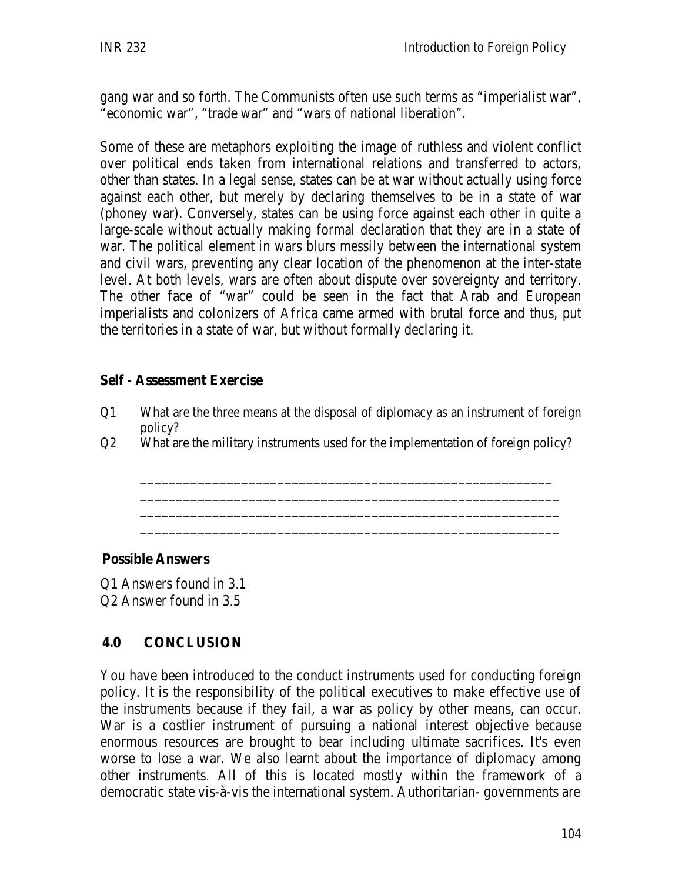gang war and so forth. The Communists often use such terms as "imperialist war", "economic war", "trade war" and "wars of national liberation".

Some of these are metaphors exploiting the image of ruthless and violent conflict over political ends taken from international relations and transferred to actors, other than states. In a legal sense, states can be at war without actually using force against each other, but merely by declaring themselves to be in a state of war (phoney war). Conversely, states can be using force against each other in quite a large-scale without actually making formal declaration that they are in a state of war. The political element in wars blurs messily between the international system and civil wars, preventing any clear location of the phenomenon at the inter-state level. At both levels, wars are often about dispute over sovereignty and territory. The other face of "war" could be seen in the fact that Arab and European imperialists and colonizers of Africa came armed with brutal force and thus, put the territories in a state of war, but without formally declaring it.

#### **Self - Assessment Exercise**

Q1 What are the three means at the disposal of diplomacy as an instrument of foreign policy?

\_\_\_\_\_\_\_\_\_\_\_\_\_\_\_\_\_\_\_\_\_\_\_\_\_\_\_\_\_\_\_\_\_\_\_\_\_\_\_\_\_\_\_\_\_\_\_\_\_\_\_\_\_\_\_\_\_ \_\_\_\_\_\_\_\_\_\_\_\_\_\_\_\_\_\_\_\_\_\_\_\_\_\_\_\_\_\_\_\_\_\_\_\_\_\_\_\_\_\_\_\_\_\_\_\_\_\_\_\_\_\_\_\_\_\_ \_\_\_\_\_\_\_\_\_\_\_\_\_\_\_\_\_\_\_\_\_\_\_\_\_\_\_\_\_\_\_\_\_\_\_\_\_\_\_\_\_\_\_\_\_\_\_\_\_\_\_\_\_\_\_\_\_\_ \_\_\_\_\_\_\_\_\_\_\_\_\_\_\_\_\_\_\_\_\_\_\_\_\_\_\_\_\_\_\_\_\_\_\_\_\_\_\_\_\_\_\_\_\_\_\_\_\_\_\_\_\_\_\_\_\_\_

Q2 What are the military instruments used for the implementation of foreign policy?

#### **Possible Answers**

Q1 Answers found in 3.1 Q2 Answer found in 3.5

## **4.0 CONCLUSION**

You have been introduced to the conduct instruments used for conducting foreign policy. It is the responsibility of the political executives to make effective use of the instruments because if they fail, a war as policy by other means, can occur. War is a costlier instrument of pursuing a national interest objective because enormous resources are brought to bear including ultimate sacrifices. It's even worse to lose a war. We also learnt about the importance of diplomacy among other instruments. All of this is located mostly within the framework of a democratic state vis-à-vis the international system. Authoritarian- governments are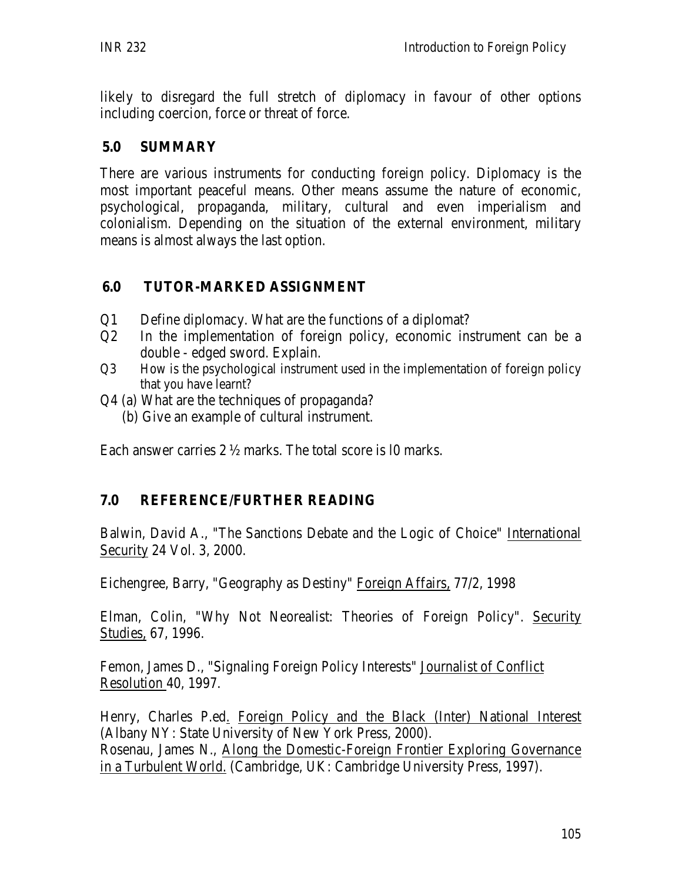likely to disregard the full stretch of diplomacy in favour of other options including coercion, force or threat of force.

## **5.0 SUMMARY**

There are various instruments for conducting foreign policy. Diplomacy is the most important peaceful means. Other means assume the nature of economic, psychological, propaganda, military, cultural and even imperialism and colonialism. Depending on the situation of the external environment, military means is almost always the last option.

# **6.0 TUTOR-MARKED ASSIGNMENT**

- Q1 Define diplomacy. What are the functions of a diplomat?
- Q2 In the implementation of foreign policy, economic instrument can be a double - edged sword. Explain.
- Q3 How is the psychological instrument used in the implementation of foreign policy that you have learnt?
- Q4 (a) What are the techniques of propaganda?
	- (b) Give an example of cultural instrument.

Each answer carries  $2\frac{1}{2}$  marks. The total score is 10 marks.

# **7.0 REFERENCE/FURTHER READING**

Balwin, David A., "The Sanctions Debate and the Logic of Choice" International Security 24 Vol. 3, 2000.

Eichengree, Barry, "Geography as Destiny" Foreign Affairs, 77/2, 1998

Elman, Colin, "Why Not Neorealist: Theories of Foreign Policy". Security Studies, 67, 1996.

Femon, James D., "Signaling Foreign Policy Interests" Journalist of Conflict Resolution 40, 1997.

Henry, Charles P.ed. Foreign Policy and the Black (Inter) National Interest Rosenau, James N., Along the Domestic-Foreign Frontier Exploring Governance (Albany NY: State University of New York Press, 2000). in a Turbulent World. (Cambridge, UK: Cambridge University Press, 1997).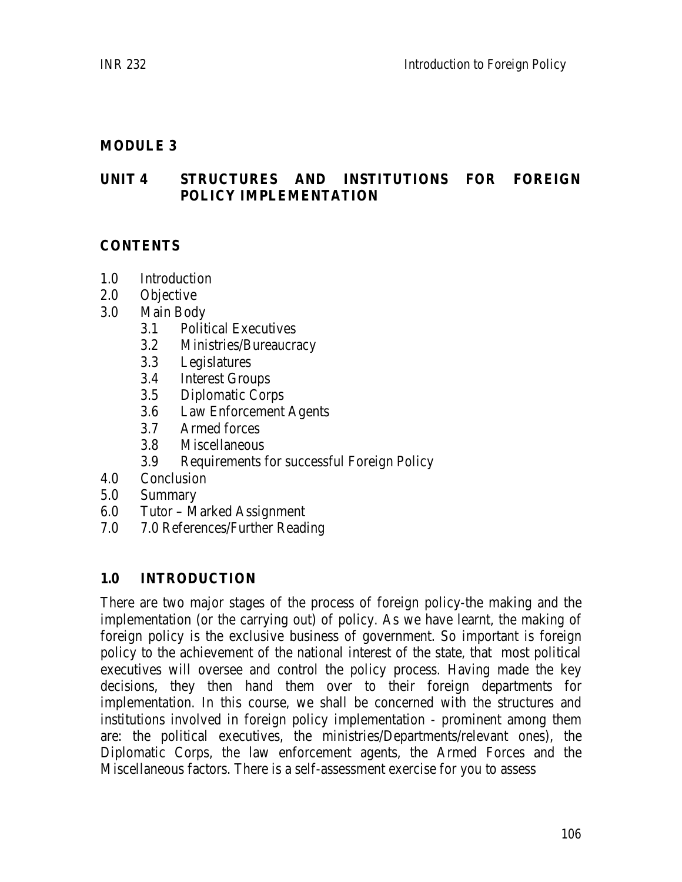## **MODULE 3**

## **UNIT 4 STRUCTURES AND INSTITUTIONS FOR FOREIGN POLICY IMPLEMENTATION**

#### **CONTENTS**

- 1.0 Introduction
- 2.0 Objective
- 3.0 Main Body
	- 3.1 Political Executives
	- 3.2 Ministries/Bureaucracy
	- 3.3 Legislatures
	- 3.4 Interest Groups
	- 3.5 Diplomatic Corps
	- 3.6 Law Enforcement Agents
	- 3.7 Armed forces
	- 3.8 Miscellaneous
	- 3.9 Requirements for successful Foreign Policy
- 4.0 Conclusion
- 5.0 Summary
- 6.0 Tutor Marked Assignment
- 7.0 7.0 References/Further Reading

#### **1.0 INTRODUCTION**

There are two major stages of the process of foreign policy-the making and the implementation (or the carrying out) of policy. As we have learnt, the making of foreign policy is the exclusive business of government. So important is foreign policy to the achievement of the national interest of the state, that most political executives will oversee and control the policy process. Having made the key decisions, they then hand them over to their foreign departments for implementation. In this course, we shall be concerned with the structures and institutions involved in foreign policy implementation - prominent among them are: the political executives, the ministries/Departments/relevant ones), the Diplomatic Corps, the law enforcement agents, the Armed Forces and the Miscellaneous factors. There is a self-assessment exercise for you to assess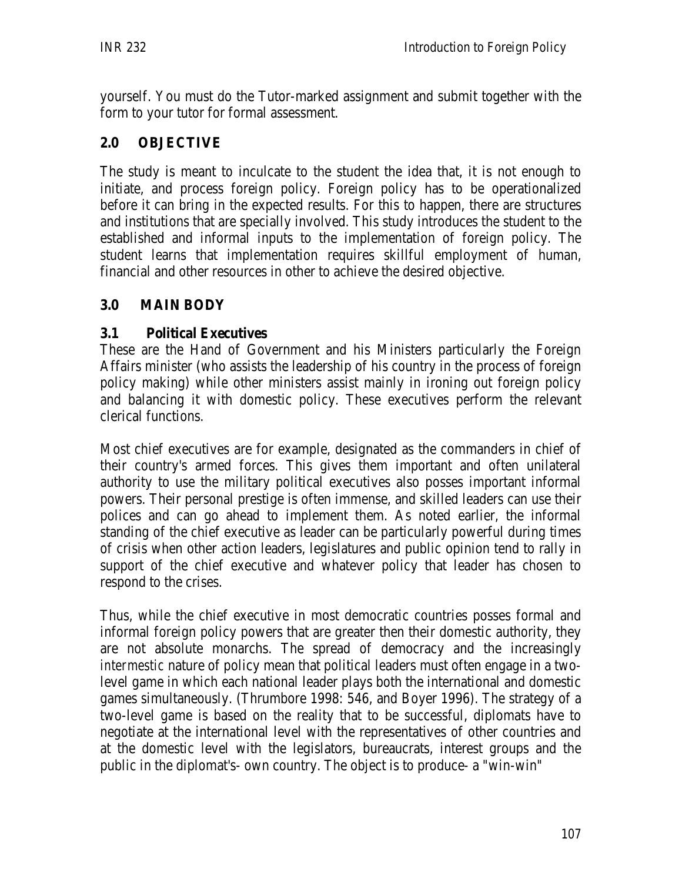yourself. You must do the Tutor-marked assignment and submit together with the form to your tutor for formal assessment.

# **2.0 OBJECTIVE**

The study is meant to inculcate to the student the idea that, it is not enough to initiate, and process foreign policy. Foreign policy has to be operationalized before it can bring in the expected results. For this to happen, there are structures and institutions that are specially involved. This study introduces the student to the established and informal inputs to the implementation of foreign policy. The student learns that implementation requires skillful employment of human, financial and other resources in other to achieve the desired objective.

# **3.0 MAIN BODY**

# **3.1 Political Executives**

These are the Hand of Government and his Ministers particularly the Foreign Affairs minister (who assists the leadership of his country in the process of foreign policy making) while other ministers assist mainly in ironing out foreign policy and balancing it with domestic policy. These executives perform the relevant clerical functions.

Most chief executives are for example, designated as the commanders in chief of their country's armed forces. This gives them important and often unilateral authority to use the military political executives also posses important informal powers. Their personal prestige is often immense, and skilled leaders can use their polices and can go ahead to implement them. As noted earlier, the informal standing of the chief executive as leader can be particularly powerful during times of crisis when other action leaders, legislatures and public opinion tend to rally in support of the chief executive and whatever policy that leader has chosen to respond to the crises.

Thus, while the chief executive in most democratic countries posses formal and informal foreign policy powers that are greater then their domestic authority, they are not absolute monarchs. The spread of democracy and the increasingly *intermestic* nature of policy mean that political leaders must often engage in a twolevel game in which each national leader plays both the international and domestic games simultaneously. (Thrumbore 1998: 546, and Boyer 1996). The strategy of a two-level game is based on the reality that to be successful, diplomats have to negotiate at the international level with the representatives of other countries and at the domestic level with the legislators, bureaucrats, interest groups and the public in the diplomat's- own country. The object is to produce- a "win-win"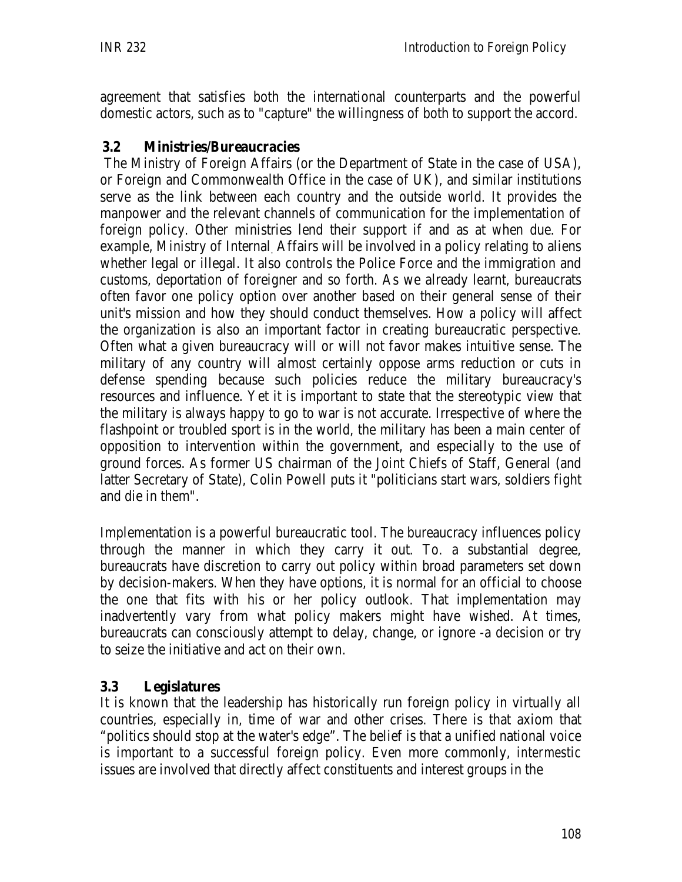agreement that satisfies both the international counterparts and the powerful domestic actors, such as to "capture" the willingness of both to support the accord.

## **3.2 Ministries/Bureaucracies**

The Ministry of Foreign Affairs (or the Department of State in the case of USA), or Foreign and Commonwealth Office in the case of UK), and similar institutions serve as the link between each country and the outside world. It provides the manpower and the relevant channels of communication for the implementation of foreign policy. Other ministries lend their support if and as at when due. For example, Ministry of Internal. Affairs will be involved in a policy relating to aliens whether legal or illegal. It also controls the Police Force and the immigration and customs, deportation of foreigner and so forth. As we already learnt, bureaucrats often favor one policy option over another based on their general sense of their unit's mission and how they should conduct themselves. How a policy will affect the organization is also an important factor in creating bureaucratic perspective. Often what a given bureaucracy will or will not favor makes intuitive sense. The military of any country will almost certainly oppose arms reduction or cuts in defense spending because such policies reduce the military bureaucracy's resources and influence. Yet it is important to state that the stereotypic view that the military is always happy to go to war is not accurate. Irrespective of where the flashpoint or troubled sport is in the world, the military has been a main center of opposition to intervention within the government, and especially to the use of ground forces. As former US chairman of the Joint Chiefs of Staff, General (and latter Secretary of State), Colin Powell puts it "politicians start wars, soldiers fight and die in them".

Implementation is a powerful bureaucratic tool. The bureaucracy influences policy through the manner in which they carry it out. To. a substantial degree, bureaucrats have discretion to carry out policy within broad parameters set down by decision-makers. When they have options, it is normal for an official to choose the one that fits with his or her policy outlook. That implementation may inadvertently vary from what policy makers might have wished. At times, bureaucrats can consciously attempt to delay, change, or ignore -a decision or try to seize the initiative and act on their own.

# **3.3 Legislatures**

It is known that the leadership has historically run foreign policy in virtually all countries, especially in, time of war and other crises. There is that axiom that "politics should stop at the water's edge". The belief is that a unified national voice is important to a successful foreign policy. Even more commonly, *intermestic*  issues are involved that directly affect constituents and interest groups in the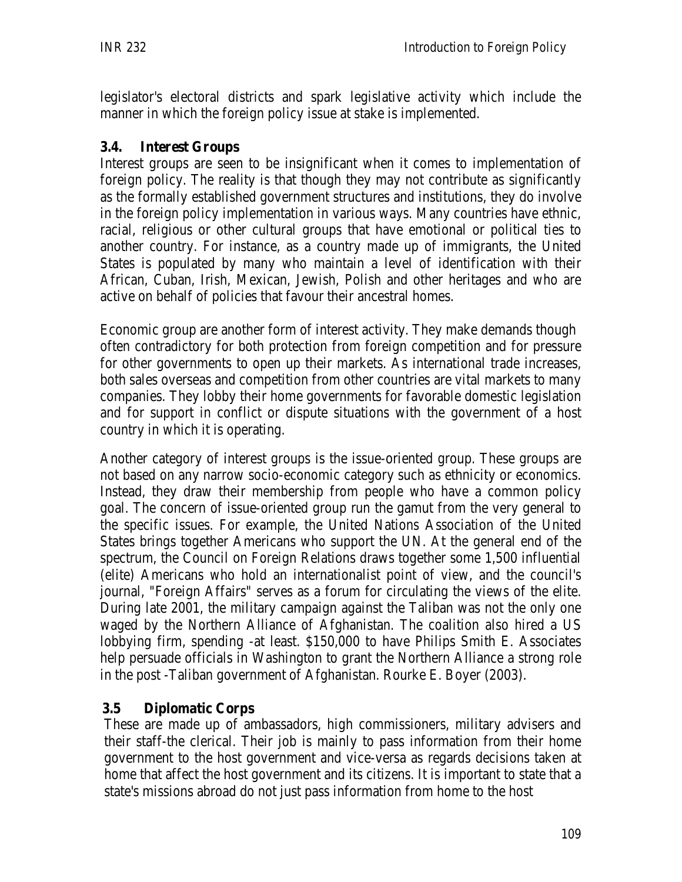legislator's electoral districts and spark legislative activity which include the manner in which the foreign policy issue at stake is implemented.

### **3.4. Interest Groups**

Interest groups are seen to be insignificant when it comes to implementation of foreign policy. The reality is that though they may not contribute as significantly as the formally established government structures and institutions, they do involve in the foreign policy implementation in various ways. Many countries have ethnic, racial, religious or other cultural groups that have emotional or political ties to another country. For instance, as a country made up of immigrants, the United States is populated by many who maintain a level of identification with their African, Cuban, Irish, Mexican, Jewish, Polish and other heritages and who are active on behalf of policies that favour their ancestral homes.

Economic group are another form of interest activity. They make demands though often contradictory for both protection from foreign competition and for pressure for other governments to open up their markets. As international trade increases, both sales overseas and competition from other countries are vital markets to many companies. They lobby their home governments for favorable domestic legislation and for support in conflict or dispute situations with the government of a host country in which it is operating.

Another category of interest groups is the issue-oriented group. These groups are not based on any narrow socio-economic category such as ethnicity or economics. Instead, they draw their membership from people who have a common policy goal. The concern of issue-oriented group run the gamut from the very general to the specific issues. For example, the United Nations Association of the United States brings together Americans who support the UN. At the general end of the spectrum, the Council on Foreign Relations draws together some 1,500 influential (elite) Americans who hold an internationalist point of view, and the council's journal, "Foreign Affairs" serves as a forum for circulating the views of the elite. During late 2001, the military campaign against the Taliban was not the only one waged by the Northern Alliance of Afghanistan. The coalition also hired a US lobbying firm, spending -at least. \$150,000 to have Philips Smith E. Associates help persuade officials in Washington to grant the Northern Alliance a strong role in the post -Taliban government of Afghanistan. Rourke E. Boyer (2003).

## **3.5 Diplomatic Corps**

These are made up of ambassadors, high commissioners, military advisers and their staff-the clerical. Their job is mainly to pass information from their home government to the host government and vice-versa as regards decisions taken at home that affect the host government and its citizens. It is important to state that a state's missions abroad do not just pass information from home to the host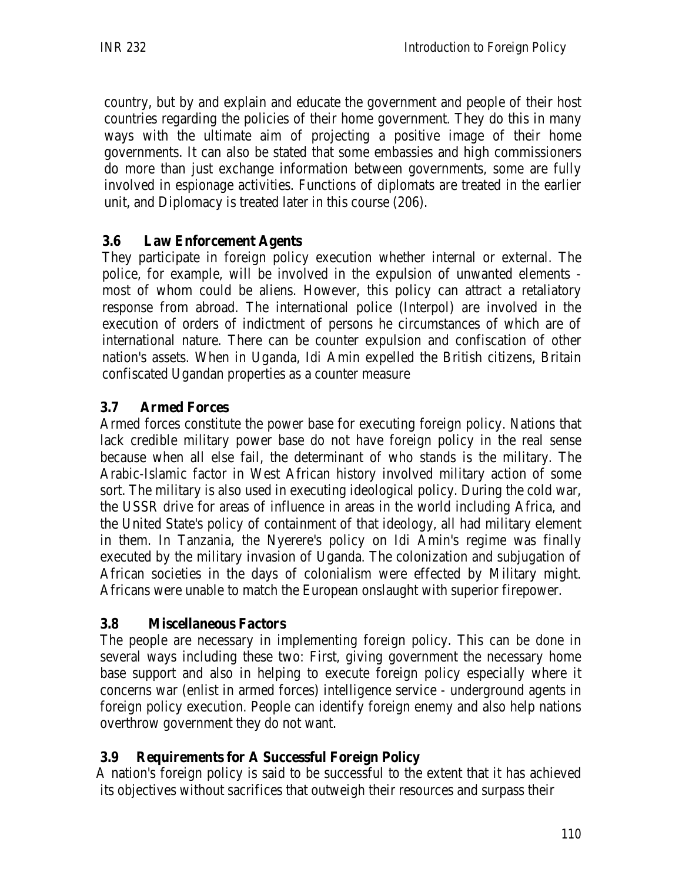country, but by and explain and educate the government and people of their host countries regarding the policies of their home government. They do this in many ways with the ultimate aim of projecting a positive image of their home governments. It can also be stated that some embassies and high commissioners do more than just exchange information between governments, some are fully involved in espionage activities. Functions of diplomats are treated in the earlier unit, and Diplomacy is treated later in this course (206).

## **3.6 Law Enforcement Agents**

They participate in foreign policy execution whether internal or external. The police, for example, will be involved in the expulsion of unwanted elements most of whom could be aliens. However, this policy can attract a retaliatory response from abroad. The international police (Interpol) are involved in the execution of orders of indictment of persons he circumstances of which are of international nature. There can be counter expulsion and confiscation of other nation's assets. When in Uganda, Idi Amin expelled the British citizens, Britain confiscated Ugandan properties as a counter measure

### **3.7 Armed Forces**

Armed forces constitute the power base for executing foreign policy. Nations that lack credible military power base do not have foreign policy in the real sense because when all else fail, the determinant of who stands is the military. The Arabic-Islamic factor in West African history involved military action of some sort. The military is also used in executing ideological policy. During the cold war, the USSR drive for areas of influence in areas in the world including Africa, and the United State's policy of containment of that ideology, all had military element in them. In Tanzania, the Nyerere's policy on Idi Amin's regime was finally executed by the military invasion of Uganda. The colonization and subjugation of African societies in the days of colonialism were effected by Military might. Africans were unable to match the European onslaught with superior firepower.

#### **3.8 Miscellaneous Factors**

The people are necessary in implementing foreign policy. This can be done in several ways including these two: First, giving government the necessary home base support and also in helping to execute foreign policy especially where it concerns war (enlist in armed forces) intelligence service - underground agents in foreign policy execution. People can identify foreign enemy and also help nations overthrow government they do not want.

## **3.9 Requirements for A Successful Foreign Policy**

A nation's foreign policy is said to be successful to the extent that it has achieved its objectives without sacrifices that outweigh their resources and surpass their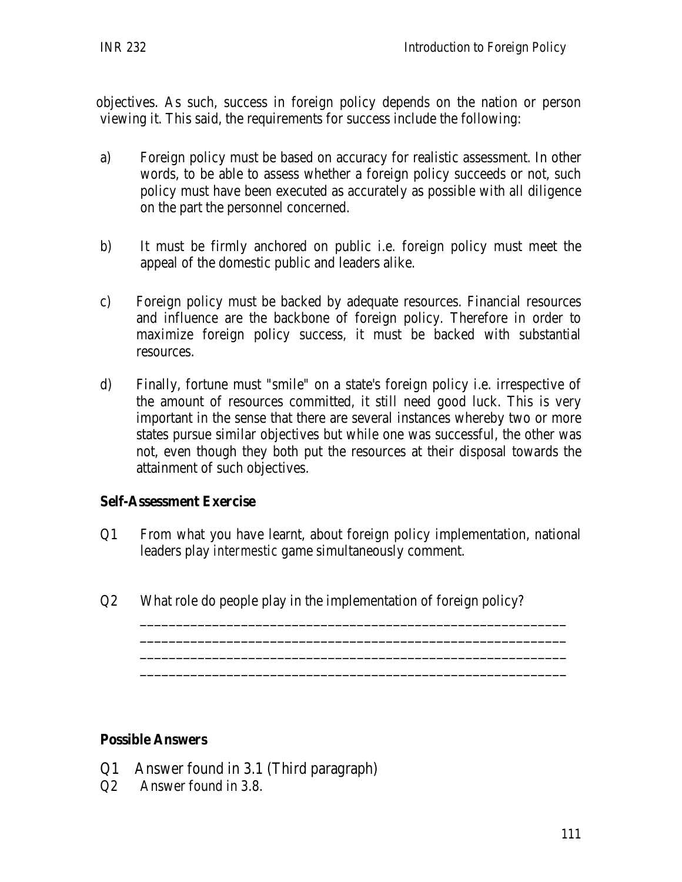objectives. As such, success in foreign policy depends on the nation or person viewing it. This said, the requirements for success include the following:

- a) Foreign policy must be based on accuracy for realistic assessment. In other words, to be able to assess whether a foreign policy succeeds or not, such policy must have been executed as accurately as possible with all diligence on the part the personnel concerned.
- b) It must be firmly anchored on public i.e. foreign policy must meet the appeal of the domestic public and leaders alike.
- c) Foreign policy must be backed by adequate resources. Financial resources and influence are the backbone of foreign policy. Therefore in order to maximize foreign policy success, it must be backed with substantial resources.
- d) Finally, fortune must "smile" on a state's foreign policy i.e. irrespective of the amount of resources committed, it still need good luck. This is very important in the sense that there are several instances whereby two or more states pursue similar objectives but while one was successful, the other was not, even though they both put the resources at their disposal towards the attainment of such objectives.

#### **Self-Assessment Exercise**

Q1 From what you have learnt, about foreign policy implementation, national leaders play *intermestic* game simultaneously comment.

\_\_\_\_\_\_\_\_\_\_\_\_\_\_\_\_\_\_\_\_\_\_\_\_\_\_\_\_\_\_\_\_\_\_\_\_\_\_\_\_\_\_\_\_\_\_\_\_\_\_\_\_\_\_\_\_\_\_\_ \_\_\_\_\_\_\_\_\_\_\_\_\_\_\_\_\_\_\_\_\_\_\_\_\_\_\_\_\_\_\_\_\_\_\_\_\_\_\_\_\_\_\_\_\_\_\_\_\_\_\_\_\_\_\_\_\_\_\_ \_\_\_\_\_\_\_\_\_\_\_\_\_\_\_\_\_\_\_\_\_\_\_\_\_\_\_\_\_\_\_\_\_\_\_\_\_\_\_\_\_\_\_\_\_\_\_\_\_\_\_\_\_\_\_\_\_\_\_ \_\_\_\_\_\_\_\_\_\_\_\_\_\_\_\_\_\_\_\_\_\_\_\_\_\_\_\_\_\_\_\_\_\_\_\_\_\_\_\_\_\_\_\_\_\_\_\_\_\_\_\_\_\_\_\_\_\_\_

Q2 What role do people play in the implementation of foreign policy?

#### **Possible Answers**

- Q1 Answer found in 3.1 (Third paragraph)
- Q2 Answer found in 3.8.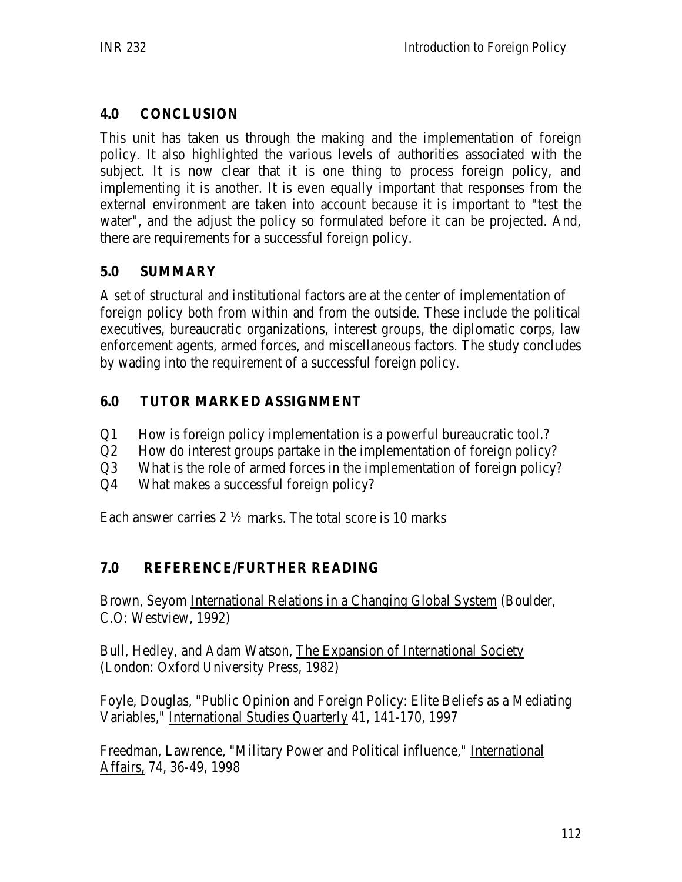## **4.0 CONCLUSION**

This unit has taken us through the making and the implementation of foreign policy. It also highlighted the various levels of authorities associated with the subject. It is now clear that it is one thing to process foreign policy, and implementing it is another. It is even equally important that responses from the external environment are taken into account because it is important to "test the water", and the adjust the policy so formulated before it can be projected. And, there are requirements for a successful foreign policy.

## **5.0 SUMMARY**

A set of structural and institutional factors are at the center of implementation of foreign policy both from within and from the outside. These include the political executives, bureaucratic organizations, interest groups, the diplomatic corps, law enforcement agents, armed forces, and miscellaneous factors. The study concludes by wading into the requirement of a successful foreign policy.

# **6.0 TUTOR MARKED ASSIGNMENT**

- Q1 How is foreign policy implementation is a powerful bureaucratic tool.?
- Q2 How do interest groups partake in the implementation of foreign policy?
- Q3 What is the role of armed forces in the implementation of foreign policy?
- Q4 What makes a successful foreign policy?

Each answer carries  $2\frac{1}{2}$  marks. The total score is 10 marks

# **7.0 REFERENCE/FURTHER READING**

Brown, Seyom International Relations in a Changing Global System (Boulder, C.O: Westview, 1992)

Bull, Hedley, and Adam Watson, The Expansion of International Society (London: Oxford University Press, 1982)

Foyle, Douglas, "Public Opinion and Foreign Policy: Elite Beliefs as a Mediating Variables," International Studies Quarterly 41, 141-170, 1997

Freedman, Lawrence, "Military Power and Political influence," International Affairs, 74, 36-49, 1998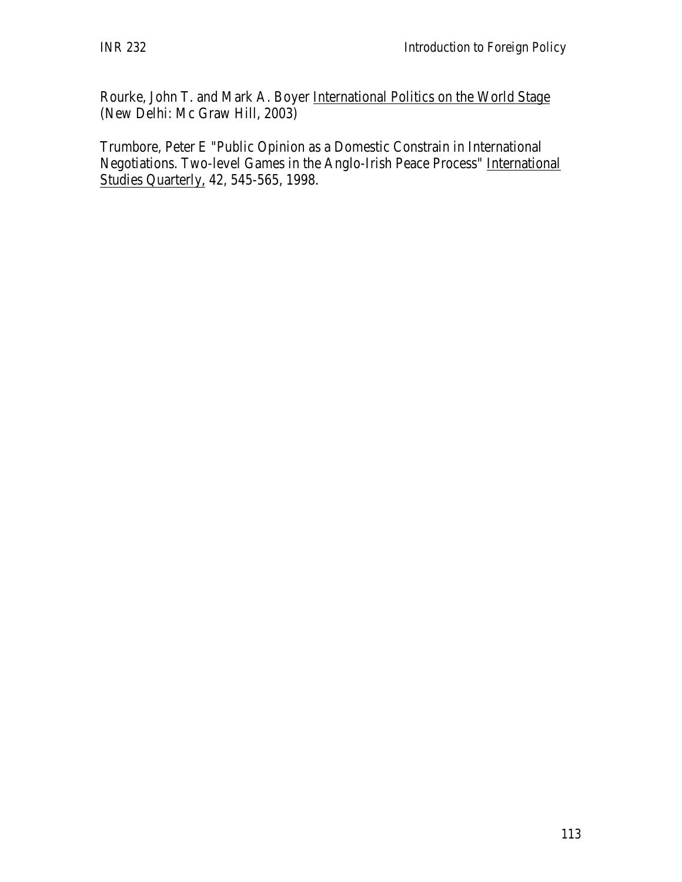Rourke, John T. and Mark A. Boyer International Politics on the World Stage (New Delhi: Mc Graw Hill, 2003)

Trumbore, Peter E "Public Opinion as a Domestic Constrain in International Negotiations. Two-level Games in the Anglo-Irish Peace Process" International Studies Quarterly, 42, 545-565, 1998.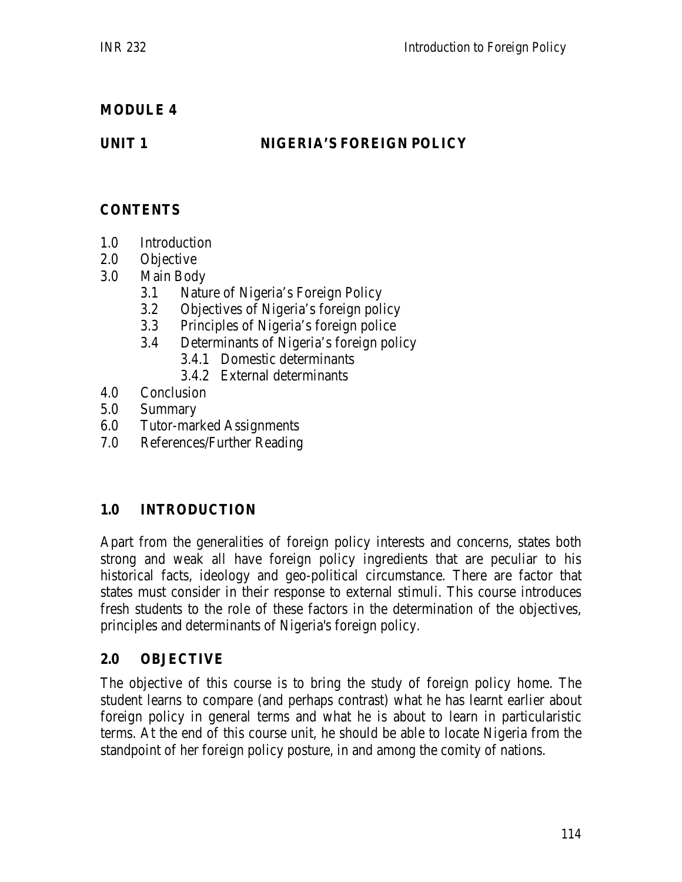# **MODULE 4**

# **UNIT 1 NIGERIA'S FOREIGN POLICY**

## **CONTENTS**

- 1.0 Introduction
- 2.0 Objective
- 3.0 Main Body
	- 3.1 Nature of Nigeria's Foreign Policy
	- 3.2 Objectives of Nigeria's foreign policy
	- 3.3 Principles of Nigeria's foreign police
	- 3.4 Determinants of Nigeria's foreign policy 3.4.1 Domestic determinants
		- 3.4.2 External determinants
- 4.0 Conclusion
- 5.0 Summary
- 6.0 Tutor-marked Assignments
- 7.0 References/Further Reading

# **1.0 INTRODUCTION**

Apart from the generalities of foreign policy interests and concerns, states both strong and weak all have foreign policy ingredients that are peculiar to his historical facts, ideology and geo-political circumstance. There are factor that states must consider in their response to external stimuli. This course introduces fresh students to the role of these factors in the determination of the objectives, principles and determinants of Nigeria's foreign policy.

#### **2.0 OBJECTIVE**

The objective of this course is to bring the study of foreign policy home. The student learns to compare (and perhaps contrast) what he has learnt earlier about foreign policy in general terms and what he is about to learn in particularistic terms. At the end of this course unit, he should be able to locate Nigeria from the standpoint of her foreign policy posture, in and among the comity of nations.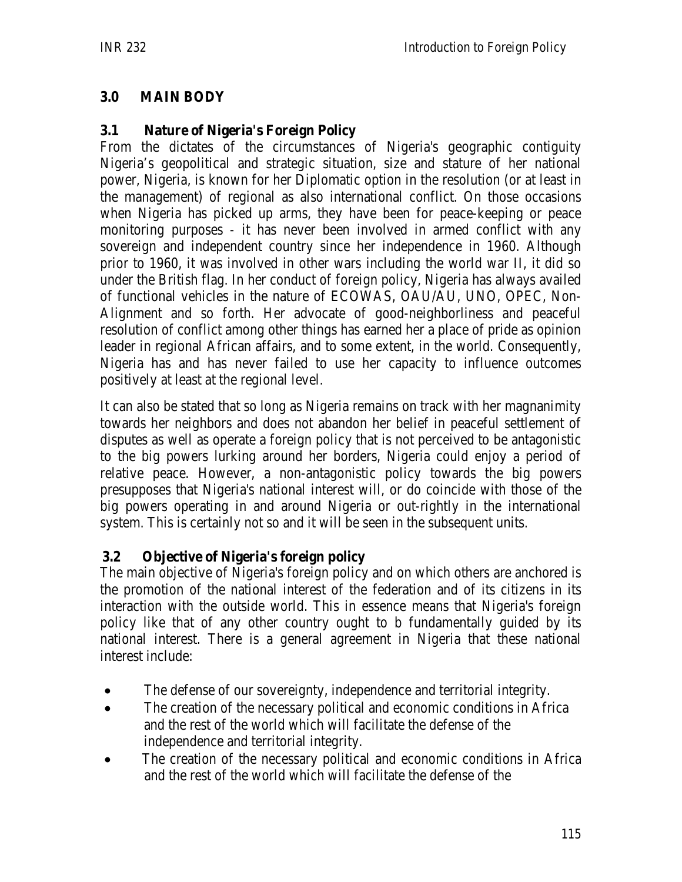# **3.0 MAIN BODY**

## **3.1 Nature of Nigeria's Foreign Policy**

From the dictates of the circumstances of Nigeria's geographic contiguity Nigeria's geopolitical and strategic situation, size and stature of her national power, Nigeria, is known for her Diplomatic option in the resolution (or at least in the management) of regional as also international conflict. On those occasions when Nigeria has picked up arms, they have been for peace-keeping or peace monitoring purposes - it has never been involved in armed conflict with any sovereign and independent country since her independence in 1960. Although prior to 1960, it was involved in other wars including the world war II, it did so under the British flag. In her conduct of foreign policy, Nigeria has always availed of functional vehicles in the nature of ECOWAS, OAU/AU, UNO, OPEC, Non-Alignment and so forth. Her advocate of good-neighborliness and peaceful resolution of conflict among other things has earned her a place of pride as opinion leader in regional African affairs, and to some extent, in the world. Consequently, Nigeria has and has never failed to use her capacity to influence outcomes positively at least at the regional level.

It can also be stated that so long as Nigeria remains on track with her magnanimity towards her neighbors and does not abandon her belief in peaceful settlement of disputes as well as operate a foreign policy that is not perceived to be antagonistic to the big powers lurking around her borders, Nigeria could enjoy a period of relative peace. However, a non-antagonistic policy towards the big powers presupposes that Nigeria's national interest will, or do coincide with those of the big powers operating in and around Nigeria or out-rightly in the international system. This is certainly not so and it will be seen in the subsequent units.

# **3.2 Objective of Nigeria's foreign policy**

The main objective of Nigeria's foreign policy and on which others are anchored is the promotion of the national interest of the federation and of its citizens in its interaction with the outside world. This in essence means that Nigeria's foreign policy like that of any other country ought to b fundamentally guided by its national interest. There is a general agreement in Nigeria that these national interest include:

- The defense of our sovereignty, independence and territorial integrity.
- The creation of the necessary political and economic conditions in Africa and the rest of the world which will facilitate the defense of the independence and territorial integrity.
- The creation of the necessary political and economic conditions in Africa and the rest of the world which will facilitate the defense of the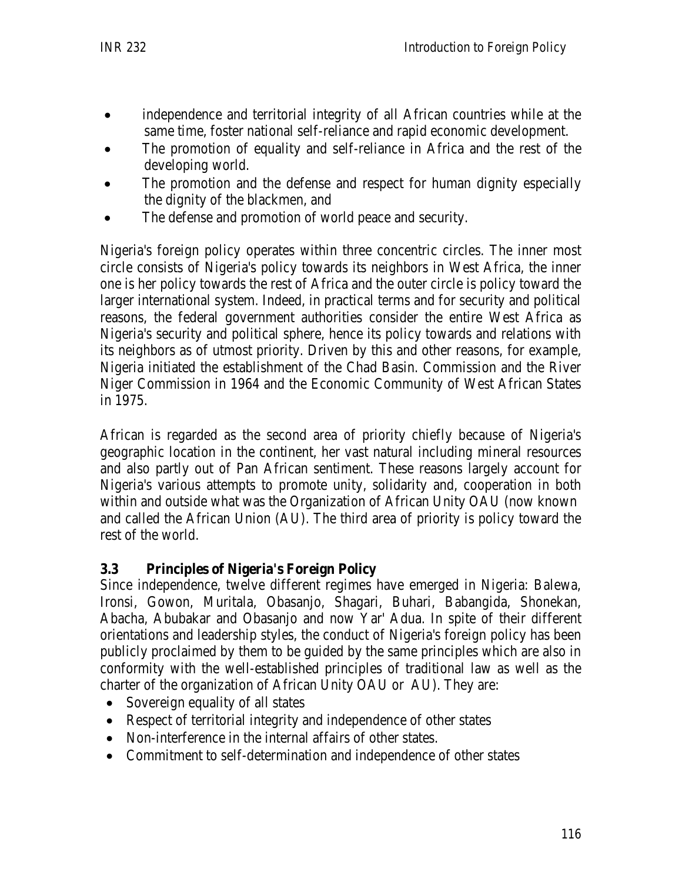- independence and territorial integrity of all African countries while at the same time, foster national self-reliance and rapid economic development.
- The promotion of equality and self-reliance in Africa and the rest of the developing world.
- The promotion and the defense and respect for human dignity especially the dignity of the blackmen, and
- The defense and promotion of world peace and security.

Nigeria's foreign policy operates within three concentric circles. The inner most circle consists of Nigeria's policy towards its neighbors in West Africa, the inner one is her policy towards the rest of Africa and the outer circle is policy toward the larger international system. Indeed, in practical terms and for security and political reasons, the federal government authorities consider the entire West Africa as Nigeria's security and political sphere, hence its policy towards and relations with its neighbors as of utmost priority. Driven by this and other reasons, for example, Nigeria initiated the establishment of the Chad Basin. Commission and the River Niger Commission in 1964 and the Economic Community of West African States in 1975.

African is regarded as the second area of priority chiefly because of Nigeria's geographic location in the continent, her vast natural including mineral resources and also partly out of Pan African sentiment. These reasons largely account for Nigeria's various attempts to promote unity, solidarity and, cooperation in both within and outside what was the Organization of African Unity OAU (now known and called the African Union (AU). The third area of priority is policy toward the rest of the world.

# **3.3 Principles of Nigeria's Foreign Policy**

Since independence, twelve different regimes have emerged in Nigeria: Balewa, Ironsi, Gowon, Muritala, Obasanjo, Shagari, Buhari, Babangida, Shonekan, Abacha, Abubakar and Obasanjo and now Yar' Adua. In spite of their different orientations and leadership styles, the conduct of Nigeria's foreign policy has been publicly proclaimed by them to be guided by the same principles which are also in conformity with the well-established principles of traditional law as well as the charter of the organization of African Unity OAU or AU). They are:

- Sovereign equality of all states
- Respect of territorial integrity and independence of other states
- Non-interference in the internal affairs of other states.
- Commitment to self-determination and independence of other states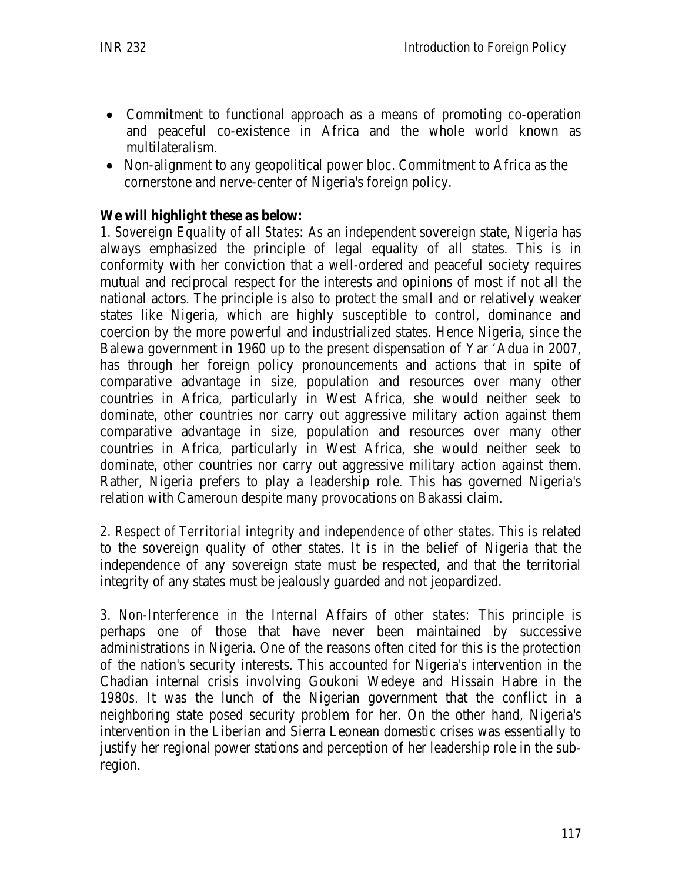- Commitment to functional approach as a means of promoting co-operation and peaceful co-existence in Africa and the whole world known as multilateralism.
- Non-alignment to any geopolitical power bloc. Commitment to Africa as the cornerstone and nerve-center of Nigeria's foreign policy.

### **We will highlight these as below:**

1*. Sovereign Equality of all States: As* an independent sovereign state, Nigeria has always emphasized the principle of legal equality of all states. This is in conformity with her conviction that a well-ordered and peaceful society requires mutual and reciprocal respect for the interests and opinions of most if not all the national actors. The principle is also to protect the small and or relatively weaker states like Nigeria, which are highly susceptible to control, dominance and coercion by the more powerful and industrialized states. Hence Nigeria, since the Balewa government in 1960 up to the present dispensation of Yar 'Adua in 2007, has through her foreign policy pronouncements and actions that in spite of comparative advantage in size, population and resources over many other countries in Africa, particularly in West Africa, she would neither seek to dominate, other countries nor carry out aggressive military action against them comparative advantage in size, population and resources over many other countries in Africa, particularly in West Africa, she would neither seek to dominate, other countries nor carry out aggressive military action against them. Rather, Nigeria prefers to play a leadership role. This has governed Nigeria's relation with Cameroun despite many provocations on Bakassi claim.

2. Respect of Territorial integrity and independence of other states. This is related to the sovereign quality of other states. It is in the belief of Nigeria that the independence of any sovereign state must be respected, and that the territorial integrity of any states must be jealously guarded and not jeopardized.

*3. Non-Interference in the Internal* Affairs *of other states:* This principle is perhaps one of those that have never been maintained by successive administrations in Nigeria. One of the reasons often cited for this is the protection of the nation's security interests. This accounted for Nigeria's intervention in the Chadian internal crisis involving Goukoni Wedeye and Hissain Habre in the *1980s.* It was the lunch of the Nigerian government that the conflict in a neighboring state posed security problem for her. On the other hand, Nigeria's intervention in the Liberian and Sierra Leonean domestic crises was essentially to justify her regional power stations and perception of her leadership role in the subregion.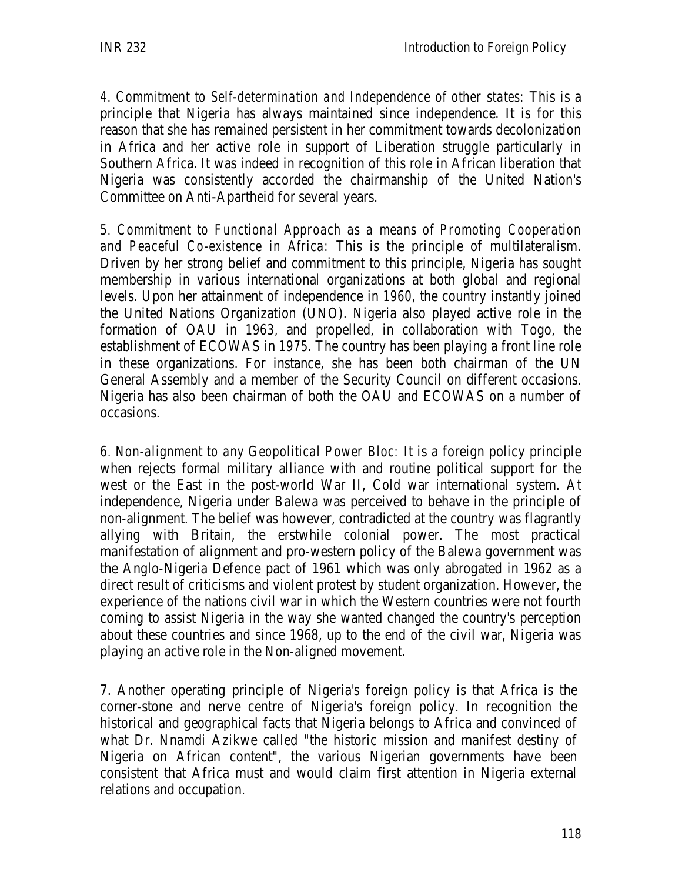*4. Commitment to Self-determination and Independence of other states:* This is a principle that Nigeria has always maintained since independence. It is for this reason that she has remained persistent in her commitment towards decolonization in Africa and her active role in support of Liberation struggle particularly in Southern Africa. It was indeed in recognition of this role in African liberation that Nigeria was consistently accorded the chairmanship of the United Nation's Committee on Anti-Apartheid for several years.

*5. Commitment to Functional Approach as a means of Promoting Cooperation and Peaceful Co-existence in Africa:* This is the principle of multilateralism. Driven by her strong belief and commitment to this principle, Nigeria has sought membership in various international organizations at both global and regional levels. Upon her attainment of independence in *1960,* the country instantly joined the United Nations Organization (UNO). Nigeria also played active role in the formation of OAU in *1963,* and propelled, in collaboration with Togo, the establishment of ECOWAS in *1975.* The country has been playing a front line role in these organizations. For instance, she has been both chairman of the UN General Assembly and a member of the Security Council on different occasions. Nigeria has also been chairman of both the OAU and ECOWAS on a number of occasions.

*6. Non-alignment to any Geopolitical Power Bloc:* It is a foreign policy principle when rejects formal military alliance with and routine political support for the west or the East in the post-world War II, Cold war international system. At independence, Nigeria under Balewa was perceived to behave in the principle of non-alignment. The belief was however, contradicted at the country was flagrantly allying with Britain, the erstwhile colonial power. The most practical manifestation of alignment and pro-western policy of the Balewa government was the Anglo-Nigeria Defence pact of 1961 which was only abrogated in 1962 as a direct result of criticisms and violent protest by student organization. However, the experience of the nations civil war in which the Western countries were not fourth coming to assist Nigeria in the way she wanted changed the country's perception about these countries and since 1968, up to the end of the civil war, Nigeria was playing an active role in the Non-aligned movement.

7. Another operating principle of Nigeria's foreign policy is that Africa is the corner-stone and nerve centre of Nigeria's foreign policy. In recognition the historical and geographical facts that Nigeria belongs to Africa and convinced of what Dr. Nnamdi Azikwe called "the historic mission and manifest destiny of Nigeria on African content", the various Nigerian governments have been consistent that Africa must and would claim first attention in Nigeria external relations and occupation.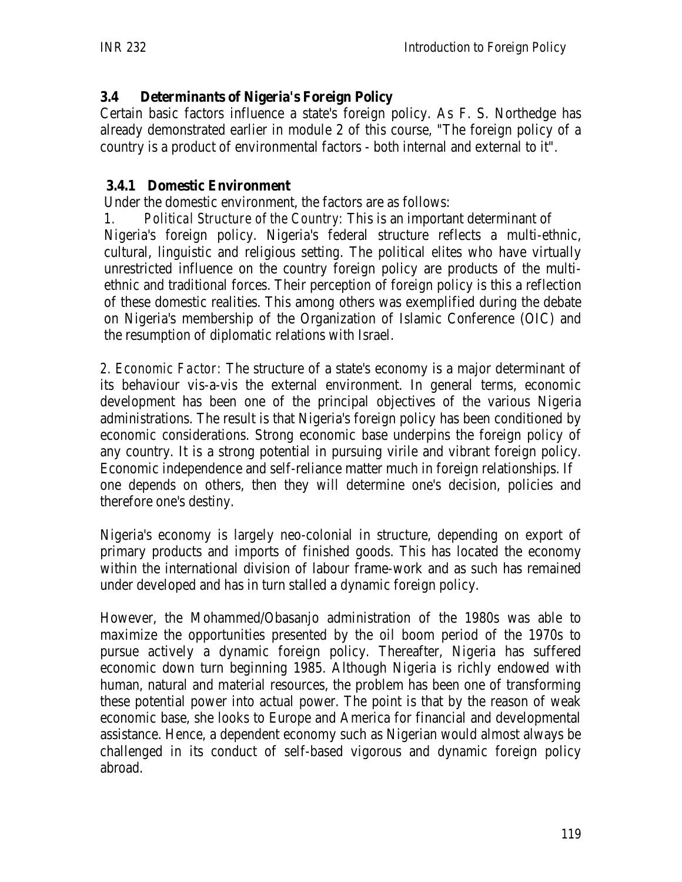## **3.4 Determinants of Nigeria's Foreign Policy**

Certain basic factors influence a state's foreign policy. As F. S. Northedge has already demonstrated earlier in module 2 of this course, "The foreign policy of a country is a product of environmental factors - both internal and external to it".

## **3.4.1 Domestic Environment**

Under the domestic environment, the factors are as follows:

*1. Political Structure of the Country:* This is an important determinant of Nigeria's foreign policy. Nigeria's federal structure reflects a multi-ethnic, cultural, linguistic and religious setting. The political elites who have virtually unrestricted influence on the country foreign policy are products of the multiethnic and traditional forces. Their perception of foreign policy is this a reflection of these domestic realities. This among others was exemplified during the debate on Nigeria's membership of the Organization of Islamic Conference (OIC) and the resumption of diplomatic relations with Israel.

*2. Economic Factor:* The structure of a state's economy is a major determinant of its behaviour vis-a-vis the external environment. In general terms, economic development has been one of the principal objectives of the various Nigeria administrations. The result is that Nigeria's foreign policy has been conditioned by economic considerations. Strong economic base underpins the foreign policy of any country. It is a strong potential in pursuing virile and vibrant foreign policy. Economic independence and self-reliance matter much in foreign relationships. If one depends on others, then they will determine one's decision, policies and therefore one's destiny.

Nigeria's economy is largely neo-colonial in structure, depending on export of primary products and imports of finished goods. This has located the economy within the international division of labour frame-work and as such has remained under developed and has in turn stalled a dynamic foreign policy.

However, the Mohammed/Obasanjo administration of the 1980s was able to maximize the opportunities presented by the oil boom period of the 1970s to pursue actively a dynamic foreign policy. Thereafter, Nigeria has suffered economic down turn beginning 1985. Although Nigeria is richly endowed with human, natural and material resources, the problem has been one of transforming these potential power into actual power. The point is that by the reason of weak economic base, she looks to Europe and America for financial and developmental assistance. Hence, a dependent economy such as Nigerian would almost always be challenged in its conduct of self-based vigorous and dynamic foreign policy abroad.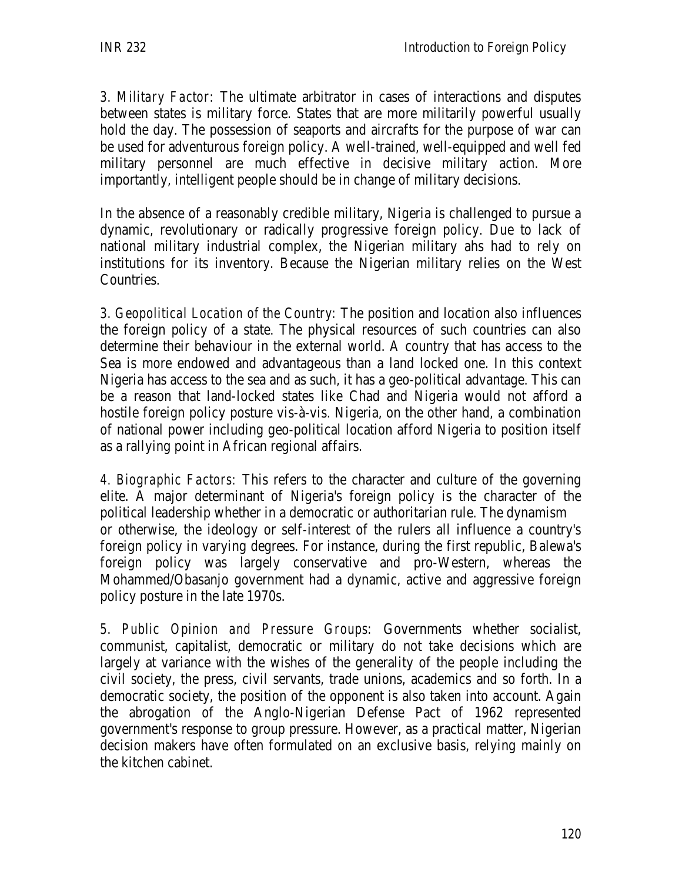*3. Military Factor:* The ultimate arbitrator in cases of interactions and disputes between states is military force. States that are more militarily powerful usually hold the day. The possession of seaports and aircrafts for the purpose of war can be used for adventurous foreign policy. A well-trained, well-equipped and well fed military personnel are much effective in decisive military action. More importantly, intelligent people should be in change of military decisions.

In the absence of a reasonably credible military, Nigeria is challenged to pursue a dynamic, revolutionary or radically progressive foreign policy. Due to lack of national military industrial complex, the Nigerian military ahs had to rely on institutions for its inventory. Because the Nigerian military relies on the West Countries.

*3. Geopolitical Location of the Country:* The position and location also influences the foreign policy of a state. The physical resources of such countries can also determine their behaviour in the external world. A country that has access to the Sea is more endowed and advantageous than a land locked one. In this context Nigeria has access to the sea and as such, it has a geo-political advantage. This can be a reason that land-locked states like Chad and Nigeria would not afford a hostile foreign policy posture vis-à-vis. Nigeria, on the other hand, a combination of national power including geo-political location afford Nigeria to position itself as a rallying point in African regional affairs.

*4. Biographic Factors:* This refers to the character and culture of the governing elite. A major determinant of Nigeria's foreign policy is the character of the political leadership whether in a democratic or authoritarian rule. The dynamism or otherwise, the ideology or self-interest of the rulers all influence a country's foreign policy in varying degrees. For instance, during the first republic, Balewa's foreign policy was largely conservative and pro-Western, whereas the Mohammed/Obasanjo government had a dynamic, active and aggressive foreign policy posture in the late 1970s.

*5. Public Opinion and Pressure Groups:* Governments whether socialist, communist, capitalist, democratic or military do not take decisions which are largely at variance with the wishes of the generality of the people including the civil society, the press, civil servants, trade unions, academics and so forth. In a democratic society, the position of the opponent is also taken into account. Again the abrogation of the Anglo-Nigerian Defense Pact of 1962 represented government's response to group pressure. However, as a practical matter, Nigerian decision makers have often formulated on an exclusive basis, relying mainly on the kitchen cabinet.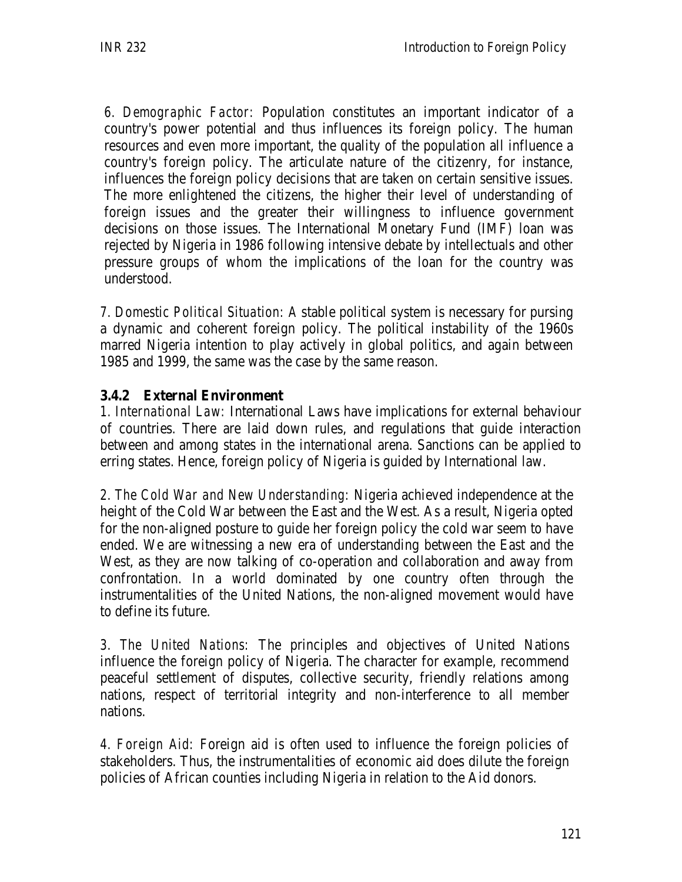*6. Demographic Factor:* Population constitutes an important indicator of a country's power potential and thus influences its foreign policy. The human resources and even more important, the quality of the population all influence a country's foreign policy. The articulate nature of the citizenry, for instance, influences the foreign policy decisions that are taken on certain sensitive issues. The more enlightened the citizens, the higher their level of understanding of foreign issues and the greater their willingness to influence government decisions on those issues. The International Monetary Fund (IMF) loan was rejected by Nigeria in 1986 following intensive debate by intellectuals and other pressure groups of whom the implications of the loan for the country was understood.

*7. Domestic Political Situation: A* stable political system is necessary for pursing a dynamic and coherent foreign policy. The political instability of the 1960s marred Nigeria intention to play actively in global politics, and again between 1985 and 1999, the same was the case by the same reason.

## **3.4.2 External Environment**

*1. International Law:* International Laws have implications for external behaviour of countries. There are laid down rules, and regulations that guide interaction between and among states in the international arena. Sanctions can be applied to erring states. Hence, foreign policy of Nigeria is guided by International law.

*2. The Cold War and New Understanding:* Nigeria achieved independence at the height of the Cold War between the East and the West. As a result, Nigeria opted for the non-aligned posture to guide her foreign policy the cold war seem to have ended. We are witnessing a new era of understanding between the East and the West, as they are now talking of co-operation and collaboration and away from confrontation. In a world dominated by one country often through the instrumentalities of the United Nations, the non-aligned movement would have to define its future.

*3. The United Nations:* The principles and objectives of United Nations influence the foreign policy of Nigeria. The character for example, recommend peaceful settlement of disputes, collective security, friendly relations among nations, respect of territorial integrity and non-interference to all member nations.

*4. Foreign Aid:* Foreign aid is often used to influence the foreign policies of stakeholders. Thus, the instrumentalities of economic aid does dilute the foreign policies of African counties including Nigeria in relation to the Aid donors.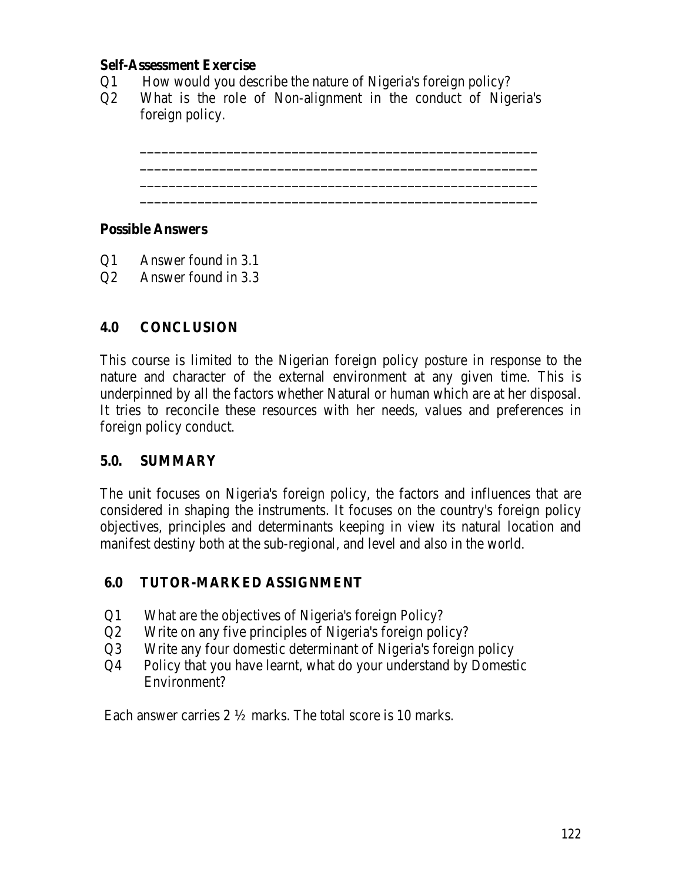#### **Self-Assessment Exercise**

- Q1 How would you describe the nature of Nigeria's foreign policy?
- Q2 What is the role of Non-alignment in the conduct of Nigeria's foreign policy.

\_\_\_\_\_\_\_\_\_\_\_\_\_\_\_\_\_\_\_\_\_\_\_\_\_\_\_\_\_\_\_\_\_\_\_\_\_\_\_\_\_\_\_\_\_\_\_\_\_\_\_\_\_\_\_ \_\_\_\_\_\_\_\_\_\_\_\_\_\_\_\_\_\_\_\_\_\_\_\_\_\_\_\_\_\_\_\_\_\_\_\_\_\_\_\_\_\_\_\_\_\_\_\_\_\_\_\_\_\_\_ \_\_\_\_\_\_\_\_\_\_\_\_\_\_\_\_\_\_\_\_\_\_\_\_\_\_\_\_\_\_\_\_\_\_\_\_\_\_\_\_\_\_\_\_\_\_\_\_\_\_\_\_\_\_\_ \_\_\_\_\_\_\_\_\_\_\_\_\_\_\_\_\_\_\_\_\_\_\_\_\_\_\_\_\_\_\_\_\_\_\_\_\_\_\_\_\_\_\_\_\_\_\_\_\_\_\_\_\_\_\_

#### **Possible Answers**

- Q1 Answer found in 3.1
- Q2 Answer found in 3.3

#### **4.0 CONCLUSION**

This course is limited to the Nigerian foreign policy posture in response to the nature and character of the external environment at any given time. This is underpinned by all the factors whether Natural or human which are at her disposal. It tries to reconcile these resources with her needs, values and preferences in foreign policy conduct.

#### **5.0. SUMMARY**

The unit focuses on Nigeria's foreign policy, the factors and influences that are considered in shaping the instruments. It focuses on the country's foreign policy objectives, principles and determinants keeping in view its natural location and manifest destiny both at the sub-regional, and level and also in the world.

#### **6.0 TUTOR-MARKED ASSIGNMENT**

- Q1 What are the objectives of Nigeria's foreign Policy?
- Q2 Write on any five principles of Nigeria's foreign policy?
- Q3 Write any four domestic determinant of Nigeria's foreign policy
- Q4 Policy that you have learnt, what do your understand by Domestic Environment?

Each answer carries 2 ½ marks. The total score is 10 marks.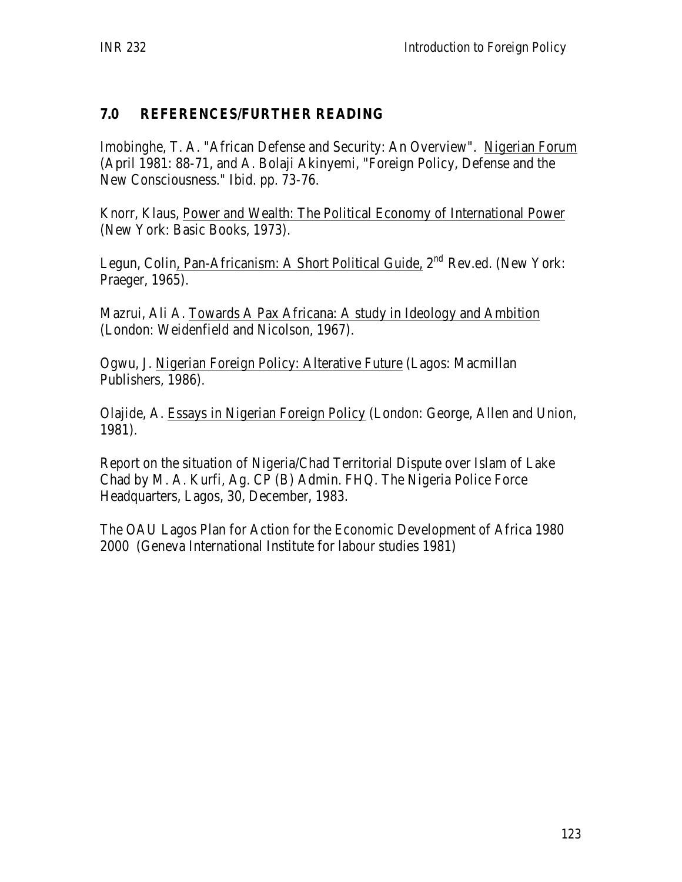### **7.0 REFERENCES/FURTHER READING**

Imobinghe, T. A. "African Defense and Security: An Overview". Nigerian Forum (April 1981: 88-71, and A. Bolaji Akinyemi, "Foreign Policy, Defense and the New Consciousness." Ibid. pp. 73-76.

Knorr, Klaus, Power and Wealth: The Political Economy of International Power (New York: Basic Books, 1973).

Legun, Colin, Pan-Africanism: A Short Political Guide, 2<sup>nd</sup> Rev.ed. (New York: Praeger, 1965).

Mazrui, Ali A. Towards A Pax Africana: A study in Ideology and Ambition (London: Weidenfield and Nicolson, 1967).

Ogwu, J. Nigerian Foreign Policy: Alterative Future (Lagos: Macmillan Publishers, 1986).

Olajide, A. Essays in Nigerian Foreign Policy (London: George, Allen and Union, 1981).

Report on the situation of Nigeria/Chad Territorial Dispute over Islam of Lake Chad by M. A. Kurfi, Ag. CP (B) Admin. FHQ. The Nigeria Police Force Headquarters, Lagos, 30, December, 1983.

The OAU Lagos Plan for Action for the Economic Development of Africa 1980 2000 (Geneva International Institute for labour studies 1981)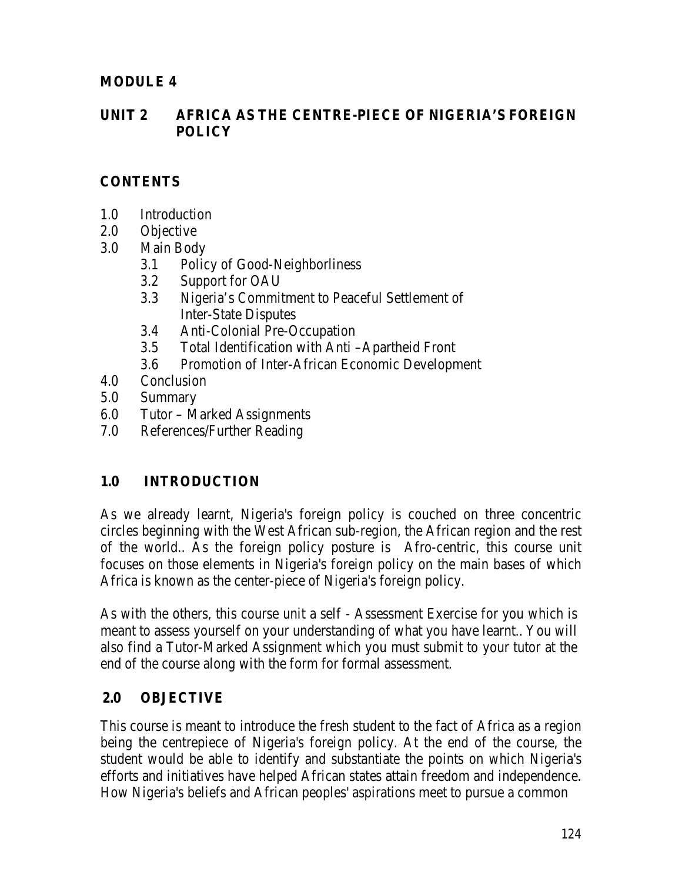## **MODULE 4**

#### **UNIT 2 AFRICA AS THE CENTRE-PIECE OF NIGERIA'S FOREIGN POLICY**

## **CONTENTS**

- 1.0 Introduction
- 2.0 Objective
- 3.0 Main Body
	- 3.1 Policy of Good-Neighborliness
	- 3.2 Support for OAU
	- 3.3 Nigeria's Commitment to Peaceful Settlement of Inter-State Disputes
	- 3.4 Anti-Colonial Pre-Occupation
	- 3.5 Total Identification with Anti –Apartheid Front
	- 3.6 Promotion of Inter-African Economic Development
- 4.0 Conclusion
- 5.0 Summary
- 6.0 Tutor Marked Assignments
- 7.0 References/Further Reading

#### **1.0 INTRODUCTION**

As we already learnt, Nigeria's foreign policy is couched on three concentric circles beginning with the West African sub-region, the African region and the rest of the world.. As the foreign policy posture is Afro-centric, this course unit focuses on those elements in Nigeria's foreign policy on the main bases of which Africa is known as the center-piece of Nigeria's foreign policy.

As with the others, this course unit a self - Assessment Exercise for you which is meant to assess yourself on your understanding of what you have learnt.. You will also find a Tutor-Marked Assignment which you must submit to your tutor at the end of the course along with the form for formal assessment.

#### **2.0 OBJECTIVE**

This course is meant to introduce the fresh student to the fact of Africa as a region being the centrepiece of Nigeria's foreign policy. At the end of the course, the student would be able to identify and substantiate the points on which Nigeria's efforts and initiatives have helped African states attain freedom and independence. How Nigeria's beliefs and African peoples' aspirations meet to pursue a common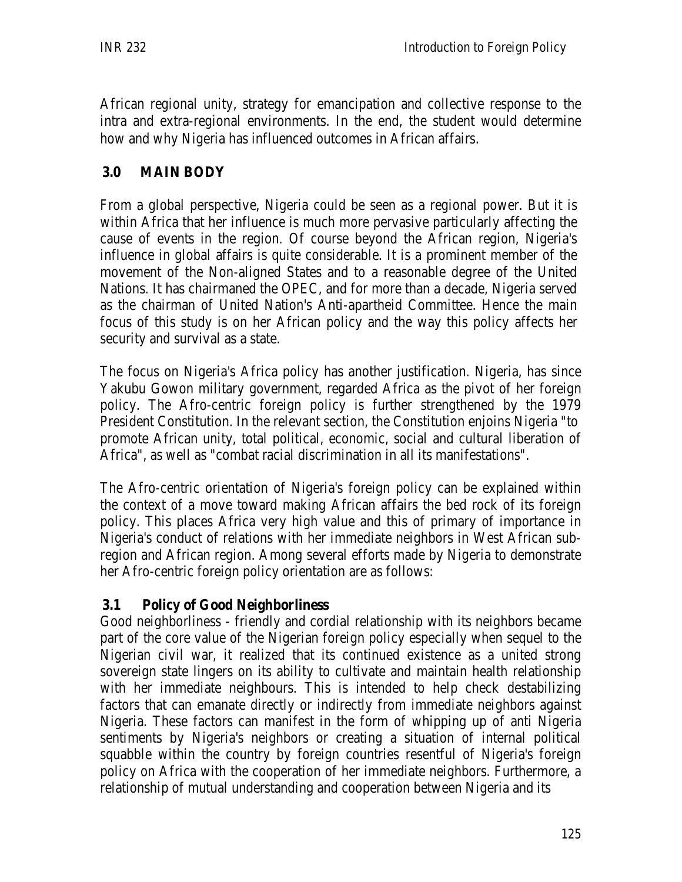African regional unity, strategy for emancipation and collective response to the intra and extra-regional environments. In the end, the student would determine how and why Nigeria has influenced outcomes in African affairs.

# **3.0 MAIN BODY**

From a global perspective, Nigeria could be seen as a regional power. But it is within Africa that her influence is much more pervasive particularly affecting the cause of events in the region. Of course beyond the African region, Nigeria's influence in global affairs is quite considerable. It is a prominent member of the movement of the Non-aligned States and to a reasonable degree of the United Nations. It has chairmaned the OPEC, and for more than a decade, Nigeria served as the chairman of United Nation's Anti-apartheid Committee. Hence the main focus of this study is on her African policy and the way this policy affects her security and survival as a state.

The focus on Nigeria's Africa policy has another justification. Nigeria, has since Yakubu Gowon military government, regarded Africa as the pivot of her foreign policy. The Afro-centric foreign policy is further strengthened by the 1979 President Constitution. In the relevant section, the Constitution enjoins Nigeria "to promote African unity, total political, economic, social and cultural liberation of Africa", as well as "combat racial discrimination in all its manifestations".

The Afro-centric orientation of Nigeria's foreign policy can be explained within the context of a move toward making African affairs the bed rock of its foreign policy. This places Africa very high value and this of primary of importance in Nigeria's conduct of relations with her immediate neighbors in West African subregion and African region. Among several efforts made by Nigeria to demonstrate her Afro-centric foreign policy orientation are as follows:

## **3.1 Policy of Good Neighborliness**

Good neighborliness - friendly and cordial relationship with its neighbors became part of the core value of the Nigerian foreign policy especially when sequel to the Nigerian civil war, it realized that its continued existence as a united strong sovereign state lingers on its ability to cultivate and maintain health relationship with her immediate neighbours. This is intended to help check destabilizing factors that can emanate directly or indirectly from immediate neighbors against Nigeria. These factors can manifest in the form of whipping up of anti Nigeria sentiments by Nigeria's neighbors or creating a situation of internal political squabble within the country by foreign countries resentful of Nigeria's foreign policy on Africa with the cooperation of her immediate neighbors. Furthermore, a relationship of mutual understanding and cooperation between Nigeria and its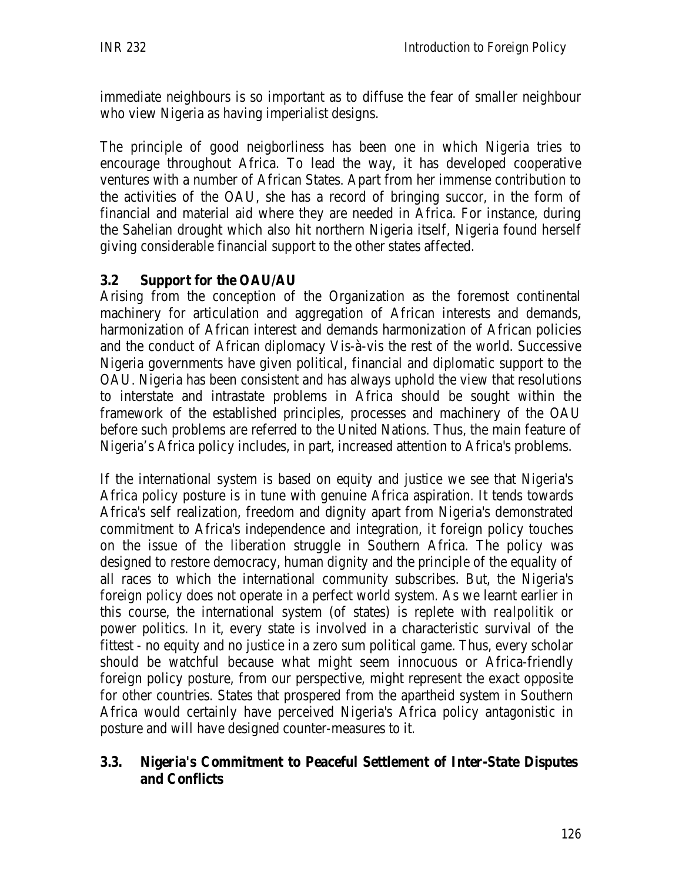immediate neighbours is so important as to diffuse the fear of smaller neighbour who view Nigeria as having imperialist designs.

The principle of good neigborliness has been one in which Nigeria tries to encourage throughout Africa. To lead the way, it has developed cooperative ventures with a number of African States. Apart from her immense contribution to the activities of the OAU, she has a record of bringing succor, in the form of financial and material aid where they are needed in Africa. For instance, during the Sahelian drought which also hit northern Nigeria itself, Nigeria found herself giving considerable financial support to the other states affected.

### **3.2 Support for the OAU/AU**

Arising from the conception of the Organization as the foremost continental machinery for articulation and aggregation of African interests and demands, harmonization of African interest and demands harmonization of African policies and the conduct of African diplomacy Vis-à-vis the rest of the world. Successive Nigeria governments have given political, financial and diplomatic support to the OAU. Nigeria has been consistent and has always uphold the view that resolutions to interstate and intrastate problems in Africa should be sought within the framework of the established principles, processes and machinery of the OAU before such problems are referred to the United Nations. Thus, the main feature of Nigeria's Africa policy includes, in part, increased attention to Africa's problems.

If the international system is based on equity and justice we see that Nigeria's Africa policy posture is in tune with genuine Africa aspiration. It tends towards Africa's self realization, freedom and dignity apart from Nigeria's demonstrated commitment to Africa's independence and integration, it foreign policy touches on the issue of the liberation struggle in Southern Africa. The policy was designed to restore democracy, human dignity and the principle of the equality of all races to which the international community subscribes. But, the Nigeria's foreign policy does not operate in a perfect world system. As we learnt earlier in this course, the international system (of states) is replete with *realpolitik* or power politics. In it, every state is involved in a characteristic survival of the fittest - no equity and no justice in a zero sum political game. Thus, every scholar should be watchful because what might seem innocuous or Africa-friendly foreign policy posture, from our perspective, might represent the exact opposite for other countries. States that prospered from the apartheid system in Southern Africa would certainly have perceived Nigeria's Africa policy antagonistic in posture and will have designed counter-measures to it.

### **3.3. Nigeria's Commitment to Peaceful Settlement of Inter-State Disputes and Conflicts**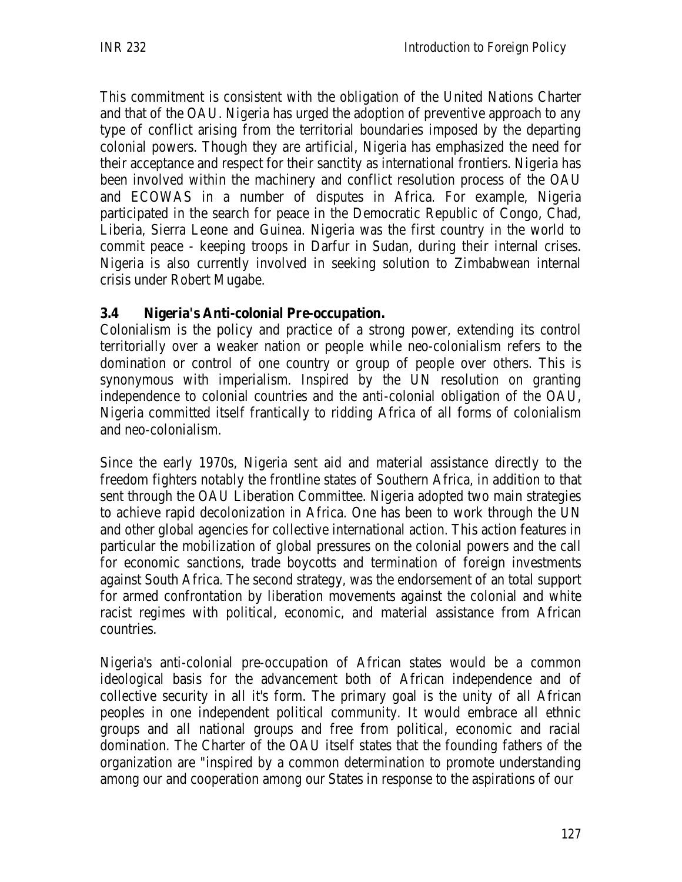This commitment is consistent with the obligation of the United Nations Charter and that of the OAU. Nigeria has urged the adoption of preventive approach to any type of conflict arising from the territorial boundaries imposed by the departing colonial powers. Though they are artificial, Nigeria has emphasized the need for their acceptance and respect for their sanctity as international frontiers. Nigeria has been involved within the machinery and conflict resolution process of the OAU and ECOWAS in a number of disputes in Africa. For example, Nigeria participated in the search for peace in the Democratic Republic of Congo, Chad, Liberia, Sierra Leone and Guinea. Nigeria was the first country in the world to commit peace - keeping troops in Darfur in Sudan, during their internal crises. Nigeria is also currently involved in seeking solution to Zimbabwean internal crisis under Robert Mugabe.

## **3.4 Nigeria's Anti-colonial Pre-occupation.**

Colonialism is the policy and practice of a strong power, extending its control territorially over a weaker nation or people while neo-colonialism refers to the domination or control of one country or group of people over others. This is synonymous with imperialism. Inspired by the UN resolution on granting independence to colonial countries and the anti-colonial obligation of the OAU, Nigeria committed itself frantically to ridding Africa of all forms of colonialism and neo-colonialism.

Since the early 1970s, Nigeria sent aid and material assistance directly to the freedom fighters notably the frontline states of Southern Africa, in addition to that sent through the OAU Liberation Committee. Nigeria adopted two main strategies to achieve rapid decolonization in Africa. One has been to work through the UN and other global agencies for collective international action. This action features in particular the mobilization of global pressures on the colonial powers and the call for economic sanctions, trade boycotts and termination of foreign investments against South Africa. The second strategy, was the endorsement of an total support for armed confrontation by liberation movements against the colonial and white racist regimes with political, economic, and material assistance from African countries.

Nigeria's anti-colonial pre-occupation of African states would be a common ideological basis for the advancement both of African independence and of collective security in all it's form. The primary goal is the unity of all African peoples in one independent political community. It would embrace all ethnic groups and all national groups and free from political, economic and racial domination. The Charter of the OAU itself states that the founding fathers of the organization are "inspired by a common determination to promote understanding among our and cooperation among our States in response to the aspirations of our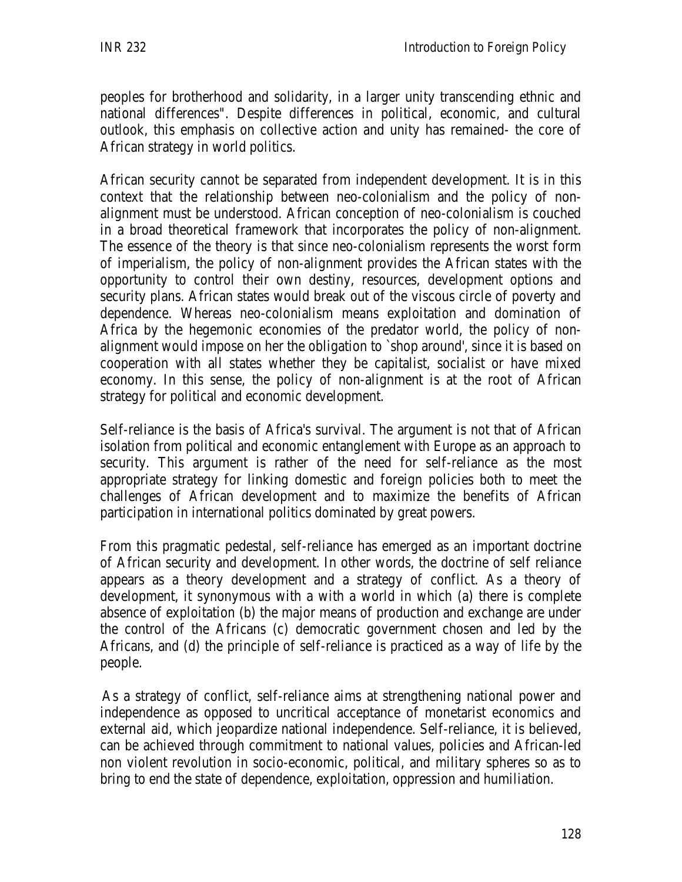peoples for brotherhood and solidarity, in a larger unity transcending ethnic and national differences". Despite differences in political, economic, and cultural outlook, this emphasis on collective action and unity has remained- the core of African strategy in world politics.

African security cannot be separated from independent development. It is in this context that the relationship between neo-colonialism and the policy of nonalignment must be understood. African conception of neo-colonialism is couched in a broad theoretical framework that incorporates the policy of non-alignment. The essence of the theory is that since neo-colonialism represents the worst form of imperialism, the policy of non-alignment provides the African states with the opportunity to control their own destiny, resources, development options and security plans. African states would break out of the viscous circle of poverty and dependence. Whereas neo-colonialism means exploitation and domination of Africa by the hegemonic economies of the predator world, the policy of nonalignment would impose on her the obligation to `shop around', since it is based on cooperation with all states whether they be capitalist, socialist or have mixed economy. In this sense, the policy of non-alignment is at the root of African strategy for political and economic development.

Self-reliance is the basis of Africa's survival. The argument is not that of African isolation from political and economic entanglement with Europe as an approach to security. This argument is rather of the need for self-reliance as the most appropriate strategy for linking domestic and foreign policies both to meet the challenges of African development and to maximize the benefits of African participation in international politics dominated by great powers.

From this pragmatic pedestal, self-reliance has emerged as an important doctrine of African security and development. In other words, the doctrine of self reliance appears as a theory development and a strategy of conflict. As a theory of development, it synonymous with a with a world in which (a) there is complete absence of exploitation (b) the major means of production and exchange are under the control of the Africans (c) democratic government chosen and led by the Africans, and (d) the principle of self-reliance is practiced as a way of life by the people.

As a strategy of conflict, self-reliance aims at strengthening national power and independence as opposed to uncritical acceptance of monetarist economics and external aid, which jeopardize national independence. Self-reliance, it is believed, can be achieved through commitment to national values, policies and African-led non violent revolution in socio-economic, political, and military spheres so as to bring to end the state of dependence, exploitation, oppression and humiliation.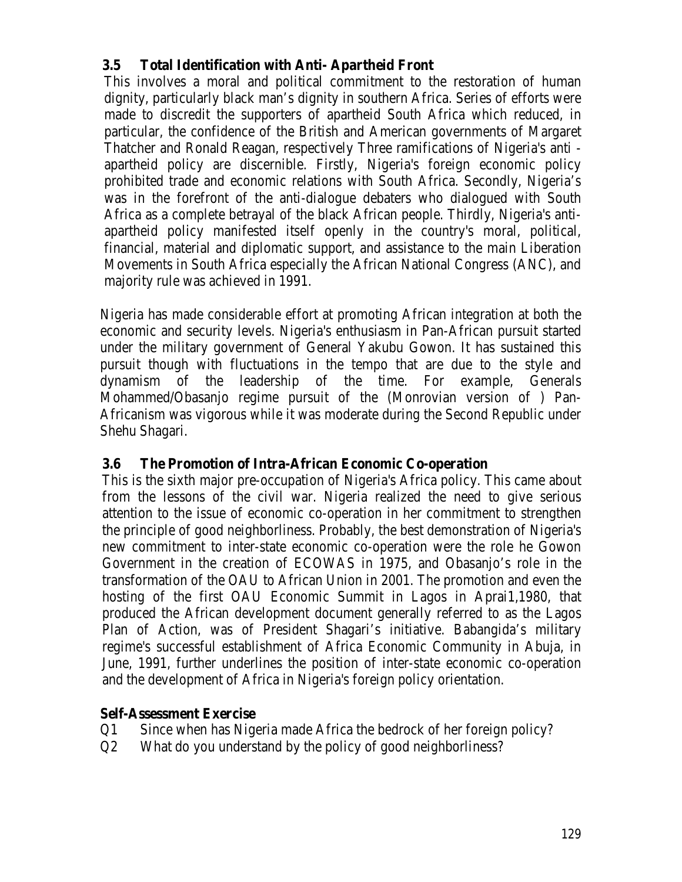## **3.5 Total Identification with Anti- Apartheid Front**

This involves a moral and political commitment to the restoration of human dignity, particularly black man's dignity in southern Africa. Series of efforts were made to discredit the supporters of apartheid South Africa which reduced, in particular, the confidence of the British and American governments of Margaret Thatcher and Ronald Reagan, respectively Three ramifications of Nigeria's anti apartheid policy are discernible. Firstly, Nigeria's foreign economic policy prohibited trade and economic relations with South Africa. Secondly, Nigeria's was in the forefront of the anti-dialogue debaters who dialogued with South Africa as a complete betrayal of the black African people. Thirdly, Nigeria's antiapartheid policy manifested itself openly in the country's moral, political, financial, material and diplomatic support, and assistance to the main Liberation Movements in South Africa especially the African National Congress (ANC), and majority rule was achieved in 1991.

Nigeria has made considerable effort at promoting African integration at both the economic and security levels. Nigeria's enthusiasm in Pan-African pursuit started under the military government of General Yakubu Gowon. It has sustained this pursuit though with fluctuations in the tempo that are due to the style and dynamism of the leadership of the time. For example, Generals Mohammed/Obasanjo regime pursuit of the (Monrovian version of ) Pan-Africanism was vigorous while it was moderate during the Second Republic under Shehu Shagari.

## **3.6 The Promotion of Intra-African Economic Co-operation**

This is the sixth major pre-occupation of Nigeria's Africa policy. This came about from the lessons of the civil war. Nigeria realized the need to give serious attention to the issue of economic co-operation in her commitment to strengthen the principle of good neighborliness. Probably, the best demonstration of Nigeria's new commitment to inter-state economic co-operation were the role he Gowon Government in the creation of ECOWAS in 1975, and Obasanjo's role in the transformation of the OAU to African Union in 2001. The promotion and even the hosting of the first OAU Economic Summit in Lagos in Aprai1,1980, that produced the African development document generally referred to as the Lagos Plan of Action, was of President Shagari's initiative. Babangida's military regime's successful establishment of Africa Economic Community in Abuja, in June, 1991, further underlines the position of inter-state economic co-operation and the development of Africa in Nigeria's foreign policy orientation.

## **Self-Assessment Exercise**

- Q1 Since when has Nigeria made Africa the bedrock of her foreign policy?
- Q2 What do you understand by the policy of good neighborliness?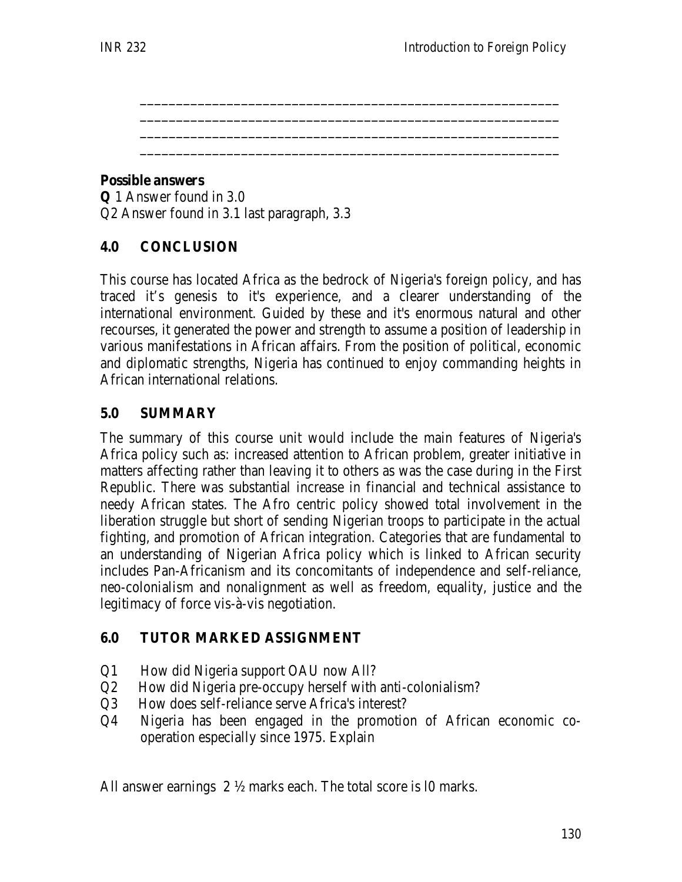**Possible answers Q** 1 Answer found in 3.0 Q2 Answer found in 3.1 last paragraph, 3.3

## **4.0 CONCLUSION**

This course has located Africa as the bedrock of Nigeria's foreign policy, and has traced it's genesis to it's experience, and a clearer understanding of the international environment. Guided by these and it's enormous natural and other recourses, it generated the power and strength to assume a position of leadership in various manifestations in African affairs. From the position of political, economic and diplomatic strengths, Nigeria has continued to enjoy commanding heights in African international relations.

\_\_\_\_\_\_\_\_\_\_\_\_\_\_\_\_\_\_\_\_\_\_\_\_\_\_\_\_\_\_\_\_\_\_\_\_\_\_\_\_\_\_\_\_\_\_\_\_\_\_\_\_\_\_\_\_\_\_ \_\_\_\_\_\_\_\_\_\_\_\_\_\_\_\_\_\_\_\_\_\_\_\_\_\_\_\_\_\_\_\_\_\_\_\_\_\_\_\_\_\_\_\_\_\_\_\_\_\_\_\_\_\_\_\_\_\_ \_\_\_\_\_\_\_\_\_\_\_\_\_\_\_\_\_\_\_\_\_\_\_\_\_\_\_\_\_\_\_\_\_\_\_\_\_\_\_\_\_\_\_\_\_\_\_\_\_\_\_\_\_\_\_\_\_\_ \_\_\_\_\_\_\_\_\_\_\_\_\_\_\_\_\_\_\_\_\_\_\_\_\_\_\_\_\_\_\_\_\_\_\_\_\_\_\_\_\_\_\_\_\_\_\_\_\_\_\_\_\_\_\_\_\_\_

## **5.0 SUMMARY**

The summary of this course unit would include the main features of Nigeria's Africa policy such as: increased attention to African problem, greater initiative in matters affecting rather than leaving it to others as was the case during in the First Republic. There was substantial increase in financial and technical assistance to needy African states. The Afro centric policy showed total involvement in the liberation struggle but short of sending Nigerian troops to participate in the actual fighting, and promotion of African integration. Categories that are fundamental to an understanding of Nigerian Africa policy which is linked to African security includes Pan-Africanism and its concomitants of independence and self-reliance, neo-colonialism and nonalignment as well as freedom, equality, justice and the legitimacy of force vis-à-vis negotiation.

## **6.0 TUTOR MARKED ASSIGNMENT**

- Q1 How did Nigeria support OAU now All?
- Q2 How did Nigeria pre-occupy herself with anti-colonialism?
- Q3 How does self-reliance serve Africa's interest?
- Q4 Nigeria has been engaged in the promotion of African economic cooperation especially since 1975. Explain

All answer earnings  $2\frac{1}{2}$  marks each. The total score is 10 marks.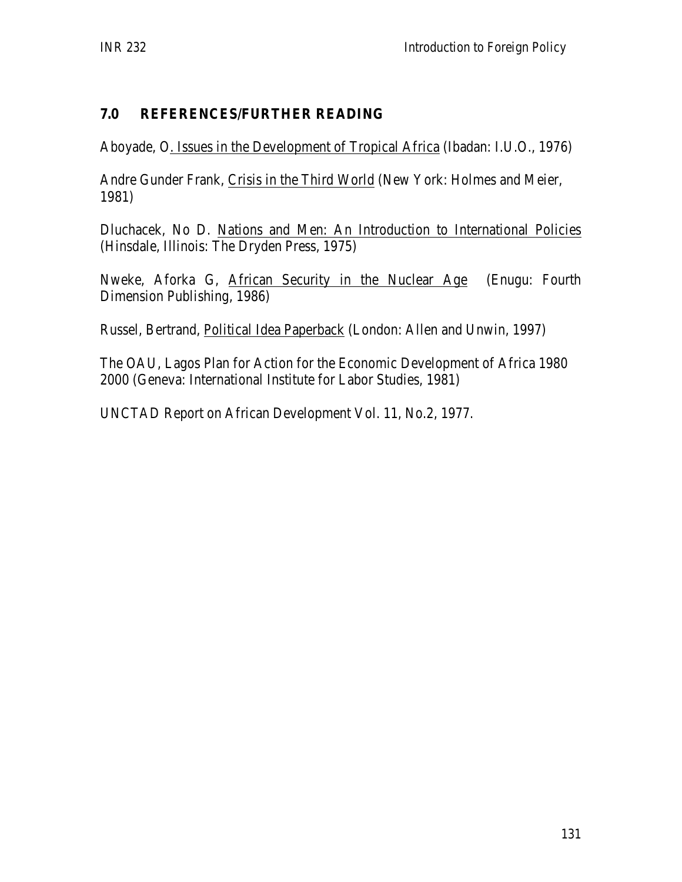## **7.0 REFERENCES/FURTHER READING**

Aboyade, O. Issues in the Development of Tropical Africa (Ibadan: I.U.O., 1976)

Andre Gunder Frank, Crisis in the Third World (New York: Holmes and Meier, 1981)

Dluchacek, No D. Nations and Men: An Introduction to International Policies (Hinsdale, Illinois: The Dryden Press, 1975)

Nweke, Aforka G, African Security in the Nuclear Age (Enugu: Fourth Dimension Publishing, 1986)

Russel, Bertrand, Political Idea Paperback (London: Allen and Unwin, 1997)

The OAU, Lagos Plan for Action for the Economic Development of Africa 1980 2000 (Geneva: International Institute for Labor Studies, 1981)

UNCTAD Report on African Development Vol. 11, No.2, 1977.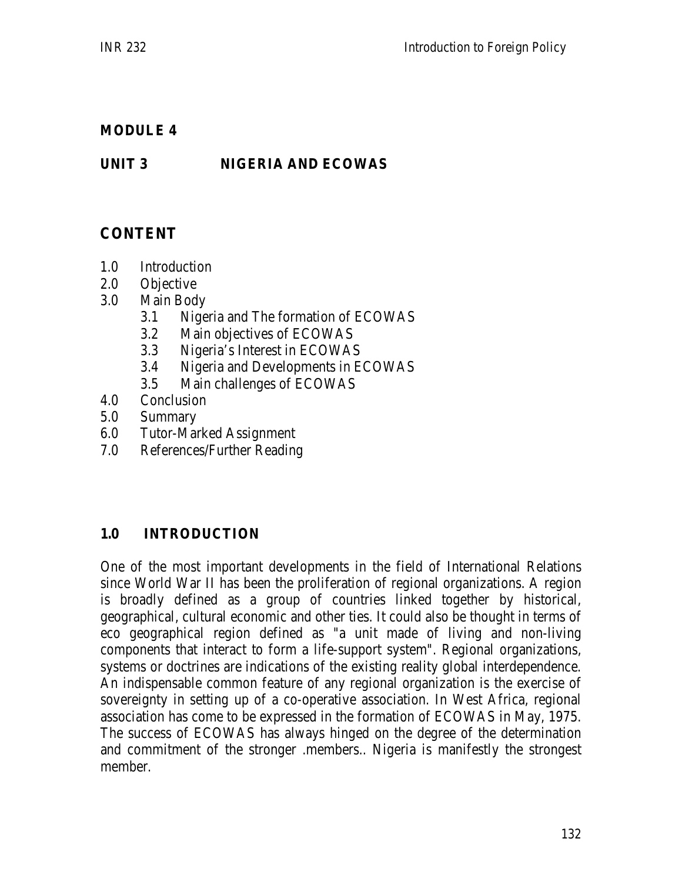# **MODULE 4**

# **UNIT 3 NIGERIA AND ECOWAS**

## **CONTENT**

- 1.0 Introduction
- 2.0 Objective
- 3.0 Main Body
	- 3.1 Nigeria and The formation of ECOWAS
	- 3.2 Main objectives of ECOWAS
	- 3.3 Nigeria's Interest in ECOWAS
	- 3.4 Nigeria and Developments in ECOWAS
	- 3.5 Main challenges of ECOWAS
- 4.0 Conclusion
- 5.0 Summary
- 6.0 Tutor-Marked Assignment
- 7.0 References/Further Reading

## **1.0 INTRODUCTION**

One of the most important developments in the field of International Relations since World War II has been the proliferation of regional organizations. A region is broadly defined as a group of countries linked together by historical, geographical, cultural economic and other ties. It could also be thought in terms of eco geographical region defined as "a unit made of living and non-living components that interact to form a life-support system". Regional organizations, systems or doctrines are indications of the existing reality global interdependence. An indispensable common feature of any regional organization is the exercise of sovereignty in setting up of a co-operative association. In West Africa, regional association has come to be expressed in the formation of ECOWAS in May, 1975. The success of ECOWAS has always hinged on the degree of the determination and commitment of the stronger .members.. Nigeria is manifestly the strongest member.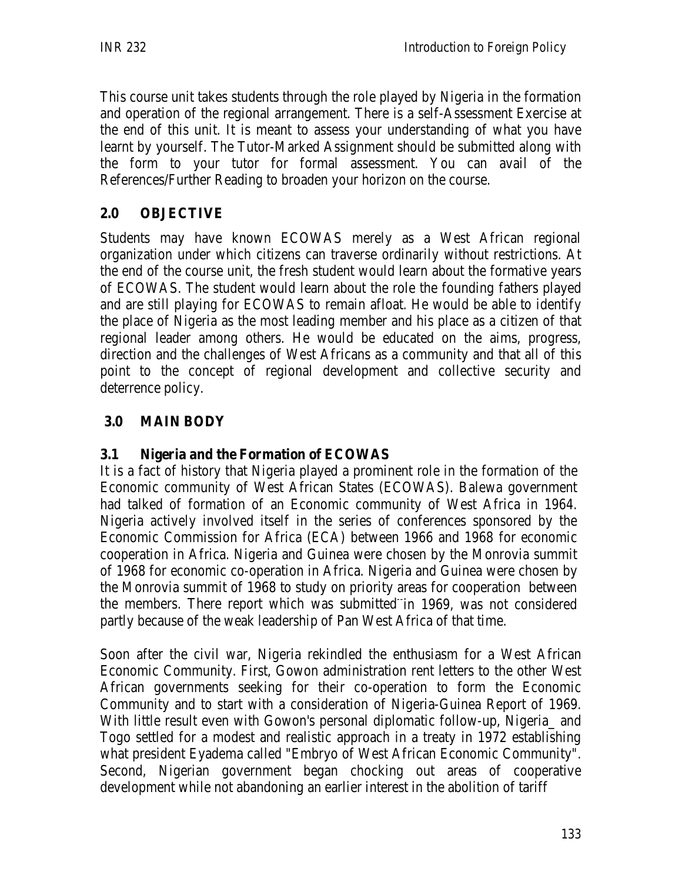This course unit takes students through the role played by Nigeria in the formation and operation of the regional arrangement. There is a self-Assessment Exercise at the end of this unit. It is meant to assess your understanding of what you have learnt by yourself. The Tutor-Marked Assignment should be submitted along with the form to your tutor for formal assessment. You can avail of the References/Further Reading to broaden your horizon on the course.

# **2.0 OBJECTIVE**

Students may have known ECOWAS merely as a West African regional organization under which citizens can traverse ordinarily without restrictions. At the end of the course unit, the fresh student would learn about the formative years of ECOWAS. The student would learn about the role the founding fathers played and are still playing for ECOWAS to remain afloat. He would be able to identify the place of Nigeria as the most leading member and his place as a citizen of that regional leader among others. He would be educated on the aims, progress, direction and the challenges of West Africans as a community and that all of this point to the concept of regional development and collective security and deterrence policy.

## **3.0 MAIN BODY**

## **3.1 Nigeria and the Formation of ECOWAS**

It is a fact of history that Nigeria played a prominent role in the formation of the Economic community of West African States (ECOWAS). Balewa government had talked of formation of an Economic community of West Africa in 1964. Nigeria actively involved itself in the series of conferences sponsored by the Economic Commission for Africa (ECA) between 1966 and 1968 for economic cooperation in Africa. Nigeria and Guinea were chosen by the Monrovia summit of 1968 for economic co-operation in Africa. Nigeria and Guinea were chosen by the Monrovia summit of 1968 to study on priority areas for cooperation between the members. There report which was submitted<sup>--</sup>in 1969, was not considered partly because of the weak leadership of Pan West Africa of that time.

Soon after the civil war, Nigeria rekindled the enthusiasm for a West African Economic Community. First, Gowon administration rent letters to the other West African governments seeking for their co-operation to form the Economic Community and to start with a consideration of Nigeria-Guinea Report of 1969. With little result even with Gowon's personal diplomatic follow-up, Nigeria<sub>l</sub> and Togo settled for a modest and realistic approach in a treaty in 1972 establishing what president Eyadema called "Embryo of West African Economic Community". Second, Nigerian government began chocking out areas of cooperative development while not abandoning an earlier interest in the abolition of tariff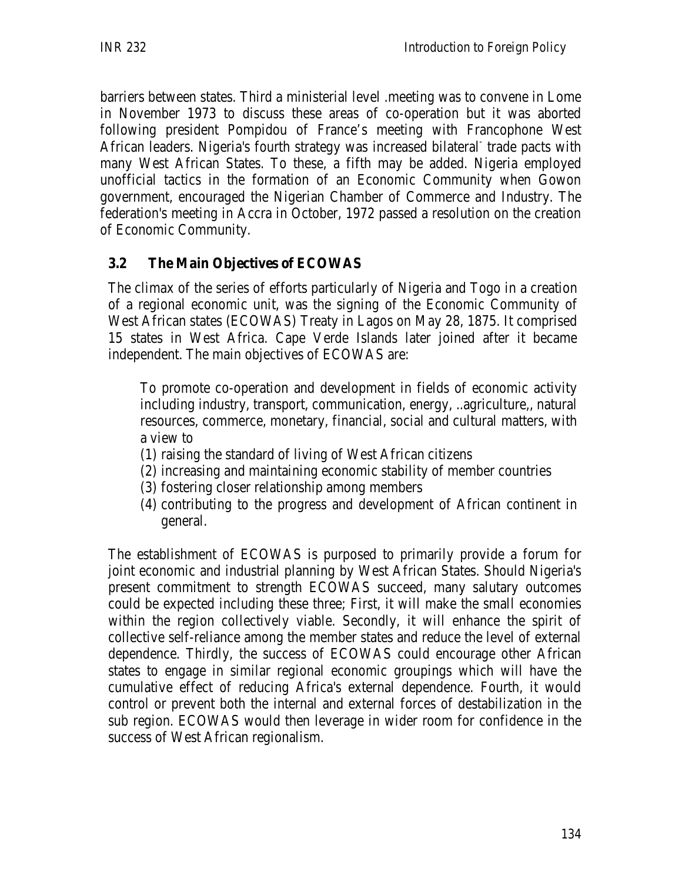barriers between states. Third a ministerial level .meeting was to convene in Lome in November 1973 to discuss these areas of co-operation but it was aborted following president Pompidou of France's meeting with Francophone West African leaders. Nigeria's fourth strategy was increased bilateral trade pacts with many West African States. To these, a fifth may be added. Nigeria employed unofficial tactics in the formation of an Economic Community when Gowon government, encouraged the Nigerian Chamber of Commerce and Industry. The federation's meeting in Accra in October, 1972 passed a resolution on the creation of Economic Community.

## **3.2 The Main Objectives of ECOWAS**

The climax of the series of efforts particularly of Nigeria and Togo in a creation of a regional economic unit, was the signing of the Economic Community of West African states (ECOWAS) Treaty in Lagos on May 28, 1875. It comprised 15 states in West Africa. Cape Verde Islands later joined after it became independent. The main objectives of ECOWAS are:

To promote co-operation and development in fields of economic activity including industry, transport, communication, energy, ..agriculture,, natural resources, commerce, monetary, financial, social and cultural matters, with a view to

- (1) raising the standard of living of West African citizens
- (2) increasing and maintaining economic stability of member countries
- (3) fostering closer relationship among members
- (4) contributing to the progress and development of African continent in general.

The establishment of ECOWAS is purposed to primarily provide a forum for joint economic and industrial planning by West African States. Should Nigeria's present commitment to strength ECOWAS succeed, many salutary outcomes could be expected including these three; First, it will make the small economies within the region collectively viable. Secondly, it will enhance the spirit of collective self-reliance among the member states and reduce the level of external dependence. Thirdly, the success of ECOWAS could encourage other African states to engage in similar regional economic groupings which will have the cumulative effect of reducing Africa's external dependence. Fourth, it would control or prevent both the internal and external forces of destabilization in the sub region. ECOWAS would then leverage in wider room for confidence in the success of West African regionalism.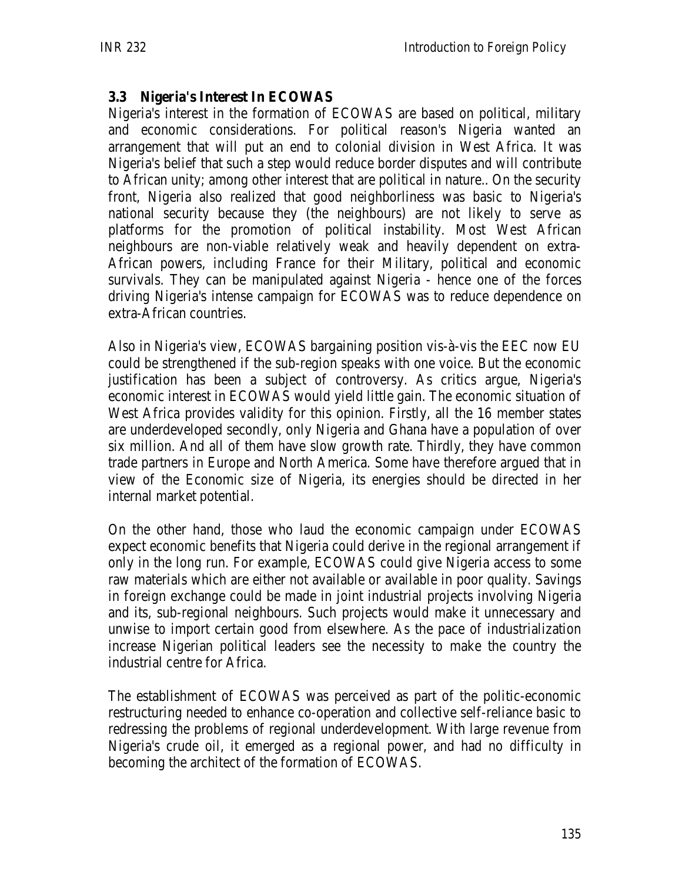### **3.3 Nigeria's Interest In ECOWAS**

Nigeria's interest in the formation of ECOWAS are based on political, military and economic considerations. For political reason's Nigeria wanted an arrangement that will put an end to colonial division in West Africa. It was Nigeria's belief that such a step would reduce border disputes and will contribute to African unity; among other interest that are political in nature.. On the security front, Nigeria also realized that good neighborliness was basic to Nigeria's national security because they (the neighbours) are not likely to serve as platforms for the promotion of political instability. Most West African neighbours are non-viable relatively weak and heavily dependent on extra-African powers, including France for their Military, political and economic survivals. They can be manipulated against Nigeria - hence one of the forces driving Nigeria's intense campaign for ECOWAS was to reduce dependence on extra-African countries.

Also in Nigeria's view, ECOWAS bargaining position vis-à-vis the EEC now EU could be strengthened if the sub-region speaks with one voice. But the economic justification has been a subject of controversy. As critics argue, Nigeria's economic interest in ECOWAS would yield little gain. The economic situation of West Africa provides validity for this opinion. Firstly, all the 16 member states are underdeveloped secondly, only Nigeria and Ghana have a population of over six million. And all of them have slow growth rate. Thirdly, they have common trade partners in Europe and North America. Some have therefore argued that in view of the Economic size of Nigeria, its energies should be directed in her internal market potential.

On the other hand, those who laud the economic campaign under ECOWAS expect economic benefits that Nigeria could derive in the regional arrangement if only in the long run. For example, ECOWAS could give Nigeria access to some raw materials which are either not available or available in poor quality. Savings in foreign exchange could be made in joint industrial projects involving Nigeria and its, sub-regional neighbours. Such projects would make it unnecessary and unwise to import certain good from elsewhere. As the pace of industrialization increase Nigerian political leaders see the necessity to make the country the industrial centre for Africa.

The establishment of ECOWAS was perceived as part of the politic-economic restructuring needed to enhance co-operation and collective self-reliance basic to redressing the problems of regional underdevelopment. With large revenue from Nigeria's crude oil, it emerged as a regional power, and had no difficulty in becoming the architect of the formation of ECOWAS.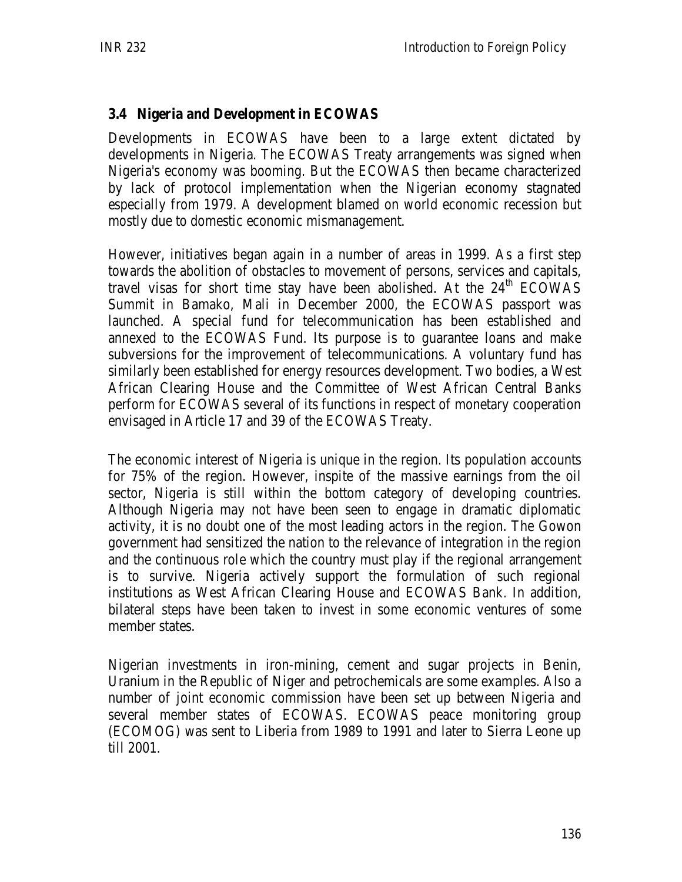# **3.4 Nigeria and Development in ECOWAS**

Developments in ECOWAS have been to a large extent dictated by developments in Nigeria. The ECOWAS Treaty arrangements was signed when Nigeria's economy was booming. But the ECOWAS then became characterized by lack of protocol implementation when the Nigerian economy stagnated especially from 1979. A development blamed on world economic recession but mostly due to domestic economic mismanagement.

However, initiatives began again in a number of areas in 1999. As a first step towards the abolition of obstacles to movement of persons, services and capitals, travel visas for short time stay have been abolished. At the  $24<sup>th</sup>$  ECOWAS Summit in Bamako, Mali in December 2000, the ECOWAS passport was launched. A special fund for telecommunication has been established and annexed to the ECOWAS Fund. Its purpose is to guarantee loans and make subversions for the improvement of telecommunications. A voluntary fund has similarly been established for energy resources development. Two bodies, a West African Clearing House and the Committee of West African Central Banks perform for ECOWAS several of its functions in respect of monetary cooperation envisaged in Article 17 and 39 of the ECOWAS Treaty.

The economic interest of Nigeria is unique in the region. Its population accounts for 75% of the region. However, inspite of the massive earnings from the oil sector, Nigeria is still within the bottom category of developing countries. Although Nigeria may not have been seen to engage in dramatic diplomatic activity, it is no doubt one of the most leading actors in the region. The Gowon government had sensitized the nation to the relevance of integration in the region and the continuous role which the country must play if the regional arrangement is to survive. Nigeria actively support the formulation of such regional institutions as West African Clearing House and ECOWAS Bank. In addition, bilateral steps have been taken to invest in some economic ventures of some member states.

Nigerian investments in iron-mining, cement and sugar projects in Benin, Uranium in the Republic of Niger and petrochemicals are some examples. Also a number of joint economic commission have been set up between Nigeria and several member states of ECOWAS. ECOWAS peace monitoring group (ECOMOG) was sent to Liberia from 1989 to 1991 and later to Sierra Leone up till 2001.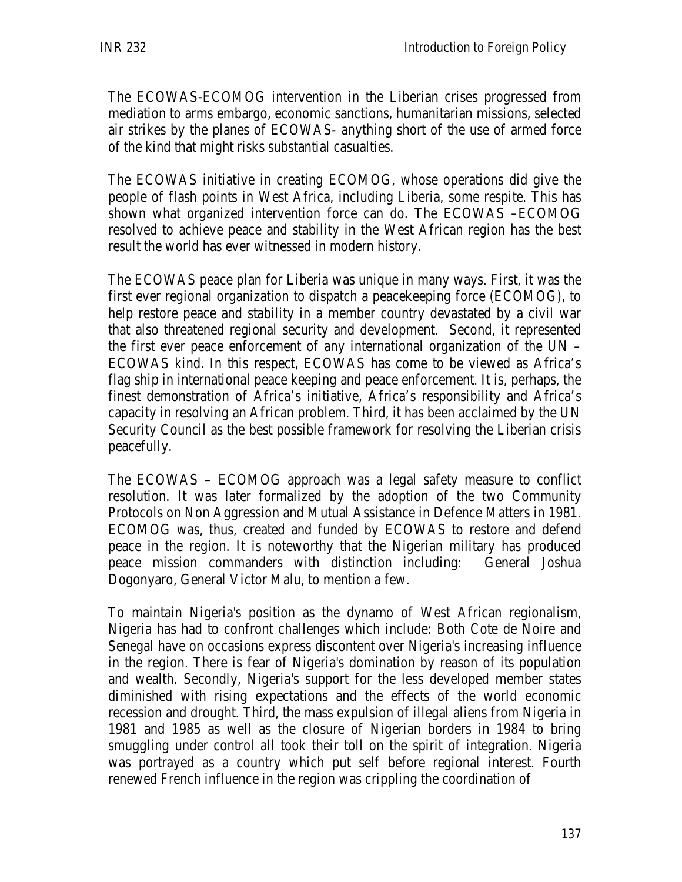The ECOWAS-ECOMOG intervention in the Liberian crises progressed from mediation to arms embargo, economic sanctions, humanitarian missions, selected air strikes by the planes of ECOWAS- anything short of the use of armed force of the kind that might risks substantial casualties.

The ECOWAS initiative in creating ECOMOG, whose operations did give the people of flash points in West Africa, including Liberia, some respite. This has shown what organized intervention force can do. The ECOWAS –ECOMOG resolved to achieve peace and stability in the West African region has the best result the world has ever witnessed in modern history.

The ECOWAS peace plan for Liberia was unique in many ways. First, it was the first ever regional organization to dispatch a peacekeeping force (ECOMOG), to help restore peace and stability in a member country devastated by a civil war that also threatened regional security and development. Second, it represented the first ever peace enforcement of any international organization of the UN – ECOWAS kind. In this respect, ECOWAS has come to be viewed as Africa's flag ship in international peace keeping and peace enforcement. It is, perhaps, the finest demonstration of Africa's initiative, Africa's responsibility and Africa's capacity in resolving an African problem. Third, it has been acclaimed by the UN Security Council as the best possible framework for resolving the Liberian crisis peacefully.

The ECOWAS – ECOMOG approach was a legal safety measure to conflict resolution. It was later formalized by the adoption of the two Community Protocols on Non Aggression and Mutual Assistance in Defence Matters in 1981. ECOMOG was, thus, created and funded by ECOWAS to restore and defend peace in the region. It is noteworthy that the Nigerian military has produced peace mission commanders with distinction including: General Joshua Dogonyaro, General Victor Malu, to mention a few.

To maintain Nigeria's position as the dynamo of West African regionalism, Nigeria has had to confront challenges which include: Both Cote de Noire and Senegal have on occasions express discontent over Nigeria's increasing influence in the region. There is fear of Nigeria's domination by reason of its population and wealth. Secondly, Nigeria's support for the less developed member states diminished with rising expectations and the effects of the world economic recession and drought. Third, the mass expulsion of illegal aliens from Nigeria in 1981 and 1985 as well as the closure of Nigerian borders in 1984 to bring smuggling under control all took their toll on the spirit of integration. Nigeria was portrayed as a country which put self before regional interest. Fourth renewed French influence in the region was crippling the coordination of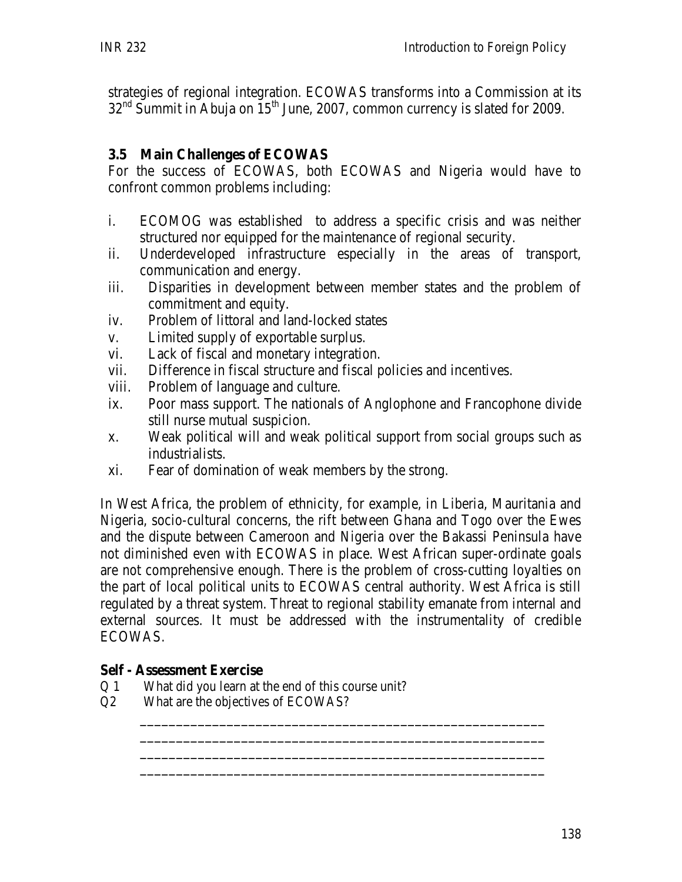strategies of regional integration. ECOWAS transforms into a Commission at its  $32<sup>nd</sup>$  Summit in Abuja on  $15<sup>th</sup>$  June, 2007, common currency is slated for 2009.

### **3.5 Main Challenges of ECOWAS**

For the success of ECOWAS, both ECOWAS and Nigeria would have to confront common problems including:

- i. ECOMOG was established to address a specific crisis and was neither structured nor equipped for the maintenance of regional security.
- ii. Underdeveloped infrastructure especially in the areas of transport, communication and energy.
- iii. Disparities in development between member states and the problem of commitment and equity.
- iv. Problem of littoral and land-locked states
- v. Limited supply of exportable surplus.
- vi. Lack of fiscal and monetary integration.
- vii. Difference in fiscal structure and fiscal policies and incentives.
- viii. Problem of language and culture.
- ix. Poor mass support. The nationals of Anglophone and Francophone divide still nurse mutual suspicion.
- x. Weak political will and weak political support from social groups such as industrialists.
- xi. Fear of domination of weak members by the strong.

In West Africa, the problem of ethnicity, for example, in Liberia, Mauritania and Nigeria, socio-cultural concerns, the rift between Ghana and Togo over the Ewes and the dispute between Cameroon and Nigeria over the Bakassi Peninsula have not diminished even with ECOWAS in place. West African super-ordinate goals are not comprehensive enough. There is the problem of cross-cutting loyalties on the part of local political units to ECOWAS central authority. West Africa is still regulated by a threat system. Threat to regional stability emanate from internal and external sources. It must be addressed with the instrumentality of credible ECOWAS.

\_\_\_\_\_\_\_\_\_\_\_\_\_\_\_\_\_\_\_\_\_\_\_\_\_\_\_\_\_\_\_\_\_\_\_\_\_\_\_\_\_\_\_\_\_\_\_\_\_\_\_\_\_\_\_\_ \_\_\_\_\_\_\_\_\_\_\_\_\_\_\_\_\_\_\_\_\_\_\_\_\_\_\_\_\_\_\_\_\_\_\_\_\_\_\_\_\_\_\_\_\_\_\_\_\_\_\_\_\_\_\_\_ \_\_\_\_\_\_\_\_\_\_\_\_\_\_\_\_\_\_\_\_\_\_\_\_\_\_\_\_\_\_\_\_\_\_\_\_\_\_\_\_\_\_\_\_\_\_\_\_\_\_\_\_\_\_\_\_ \_\_\_\_\_\_\_\_\_\_\_\_\_\_\_\_\_\_\_\_\_\_\_\_\_\_\_\_\_\_\_\_\_\_\_\_\_\_\_\_\_\_\_\_\_\_\_\_\_\_\_\_\_\_\_\_

#### **Self - Assessment Exercise**

- Q 1 What did you learn at the end of this course unit?
- Q2 What are the objectives of ECOWAS?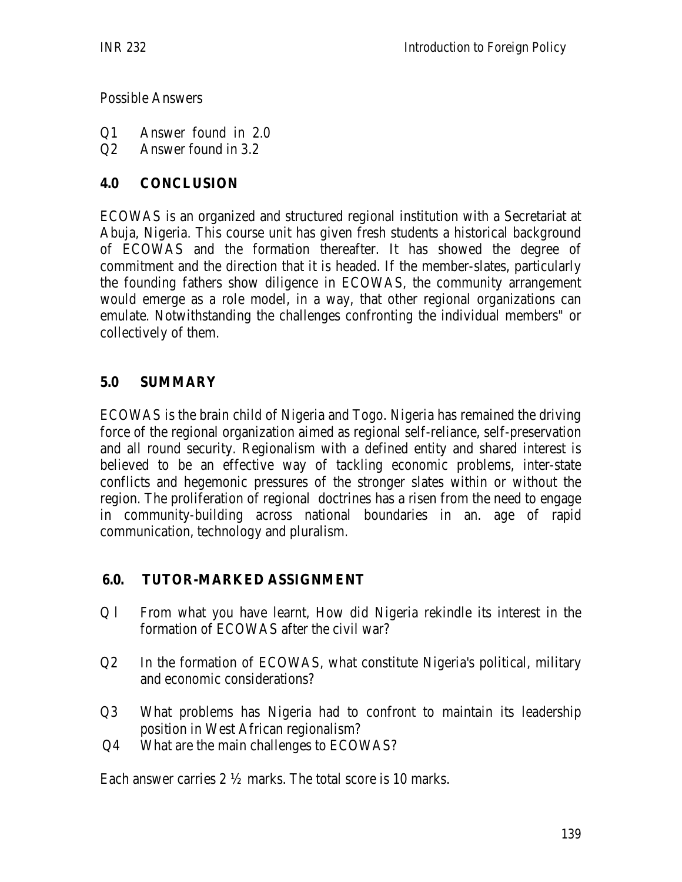Possible Answers

- Q1 Answer found in 2.0
- Q2 Answer found in 3.2

### **4.0 CONCLUSION**

ECOWAS is an organized and structured regional institution with a Secretariat at Abuja, Nigeria. This course unit has given fresh students a historical background of ECOWAS and the formation thereafter. It has showed the degree of commitment and the direction that it is headed. If the member-slates, particularly the founding fathers show diligence in ECOWAS, the community arrangement would emerge as a role model, in a way, that other regional organizations can emulate. Notwithstanding the challenges confronting the individual members" or collectively of them.

### **5.0 SUMMARY**

ECOWAS is the brain child of Nigeria and Togo. Nigeria has remained the driving force of the regional organization aimed as regional self-reliance, self-preservation and all round security. Regionalism with a defined entity and shared interest is believed to be an effective way of tackling economic problems, inter-state conflicts and hegemonic pressures of the stronger slates within or without the region. The proliferation of regional doctrines has a risen from the need to engage in community-building across national boundaries in an. age of rapid communication, technology and pluralism.

#### **6.0. TUTOR-MARKED ASSIGNMENT**

- Q l From what you have learnt, How did Nigeria rekindle its interest in the formation of ECOWAS after the civil war?
- Q2 In the formation of ECOWAS, what constitute Nigeria's political, military and economic considerations?
- Q3 What problems has Nigeria had to confront to maintain its leadership position in West African regionalism?
- Q4 What are the main challenges to ECOWAS?

Each answer carries 2 ½ marks. The total score is 10 marks.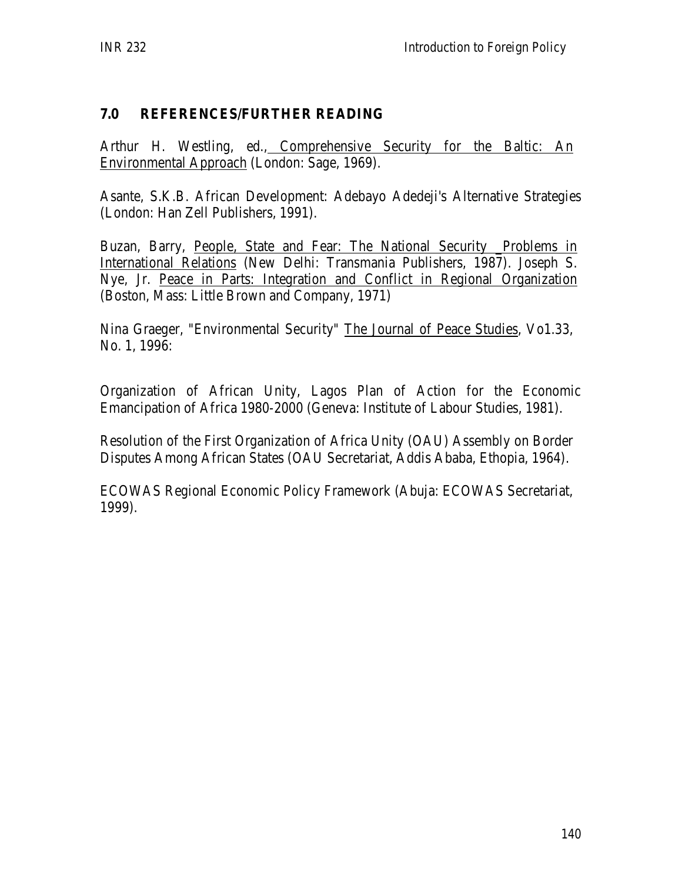#### **7.0 REFERENCES/FURTHER READING**

Arthur H. Westling, ed., Comprehensive Security for the Baltic: An Environmental Approach (London: Sage, 1969).

Asante, S.K.B. African Development: Adebayo Adedeji's Alternative Strategies (London: Han Zell Publishers, 1991).

Buzan, Barry, People, State and Fear: The National Security \_Problems in International Relations (New Delhi: Transmania Publishers, 1987). Joseph S. Nye, Jr. Peace in Parts: Integration and Conflict in Regional Organization (Boston, Mass: Little Brown and Company, 1971)

Nina Graeger, "Environmental Security" The Journal of Peace Studies, Vo1.33, No. 1, 1996:

Organization of African Unity, Lagos Plan of Action for the Economic Emancipation of Africa 1980-2000 (Geneva: Institute of Labour Studies, 1981).

Resolution of the First Organization of Africa Unity (OAU) Assembly on Border Disputes Among African States (OAU Secretariat, Addis Ababa, Ethopia, 1964).

ECOWAS Regional Economic Policy Framework (Abuja: ECOWAS Secretariat, 1999).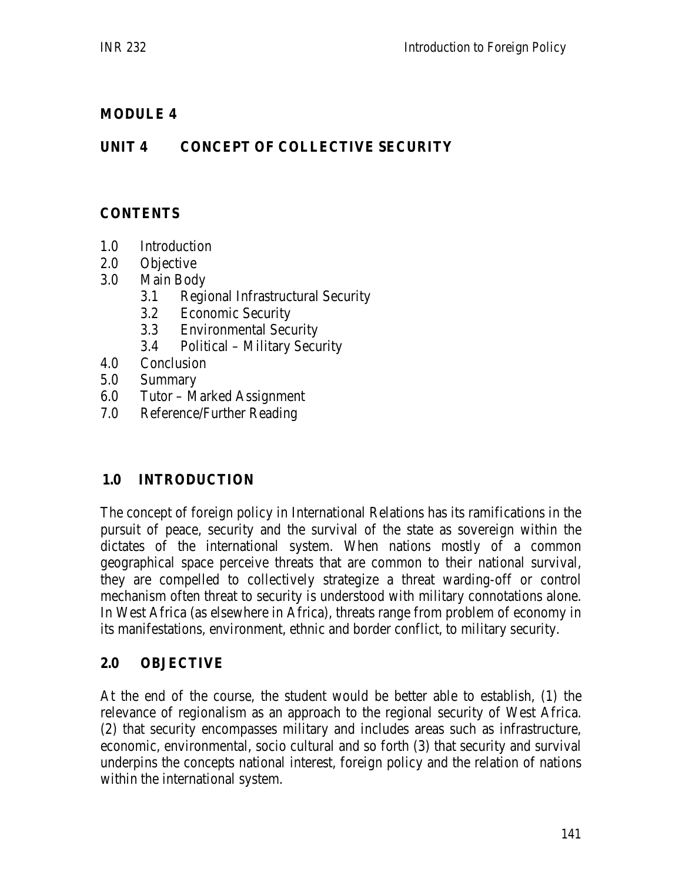## **MODULE 4**

# **UNIT 4 CONCEPT OF COLLECTIVE SECURITY**

### **CONTENTS**

- 1.0 Introduction
- 2.0 Objective
- 3.0 Main Body
	- 3.1 Regional Infrastructural Security
	- 3.2 Economic Security
	- 3.3 Environmental Security
	- 3.4 Political Military Security
- 4.0 Conclusion
- 5.0 Summary
- 6.0 Tutor Marked Assignment
- 7.0 Reference/Further Reading

## **1.0 INTRODUCTION**

The concept of foreign policy in International Relations has its ramifications in the pursuit of peace, security and the survival of the state as sovereign within the dictates of the international system. When nations mostly of a common geographical space perceive threats that are common to their national survival, they are compelled to collectively strategize a threat warding-off or control mechanism often threat to security is understood with military connotations alone. In West Africa (as elsewhere in Africa), threats range from problem of economy in its manifestations, environment, ethnic and border conflict, to military security.

## **2.0 OBJECTIVE**

At the end of the course, the student would be better able to establish, (1) the relevance of regionalism as an approach to the regional security of West Africa. (2) that security encompasses military and includes areas such as infrastructure, economic, environmental, socio cultural and so forth (3) that security and survival underpins the concepts national interest, foreign policy and the relation of nations within the international system.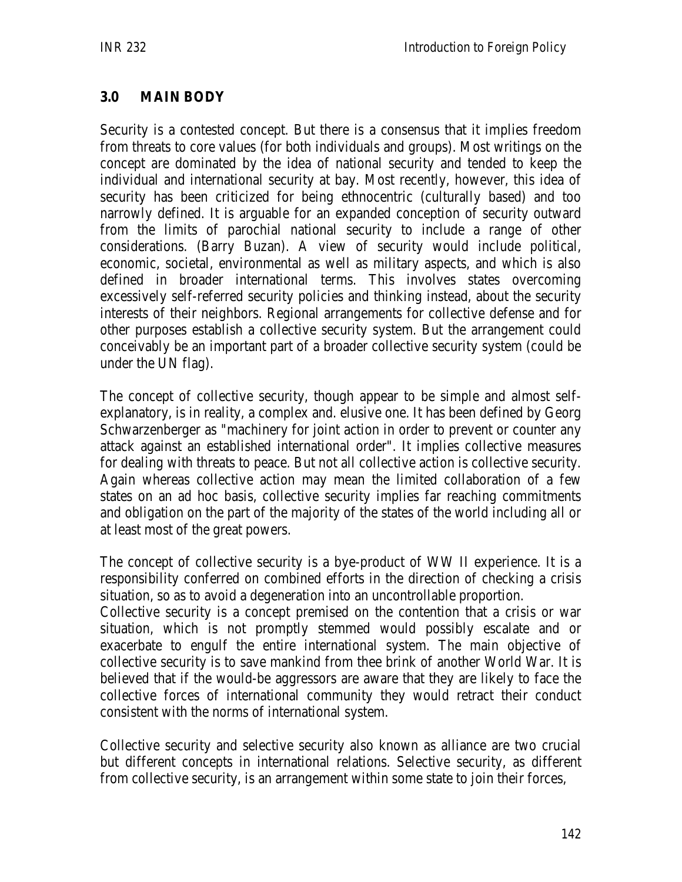# **3.0 MAIN BODY**

Security is a contested concept. But there is a consensus that it implies freedom from threats to core values (for both individuals and groups). Most writings on the concept are dominated by the idea of national security and tended to keep the individual and international security at bay. Most recently, however, this idea of security has been criticized for being ethnocentric (culturally based) and too narrowly defined. It is arguable for an expanded conception of security outward from the limits of parochial national security to include a range of other considerations. (Barry Buzan). A view of security would include political, economic, societal, environmental as well as military aspects, and which is also defined in broader international terms. This involves states overcoming excessively self-referred security policies and thinking instead, about the security interests of their neighbors. Regional arrangements for collective defense and for other purposes establish a collective security system. But the arrangement could conceivably be an important part of a broader collective security system (could be under the UN flag).

The concept of collective security, though appear to be simple and almost selfexplanatory, is in reality, a complex and. elusive one. It has been defined by Georg Schwarzenberger as "machinery for joint action in order to prevent or counter any attack against an established international order". It implies collective measures for dealing with threats to peace. But not all collective action is collective security. Again whereas collective action may mean the limited collaboration of a few states on an ad hoc basis, collective security implies far reaching commitments and obligation on the part of the majority of the states of the world including all or at least most of the great powers.

The concept of collective security is a bye-product of WW II experience. It is a responsibility conferred on combined efforts in the direction of checking a crisis situation, so as to avoid a degeneration into an uncontrollable proportion.

Collective security is a concept premised on the contention that a crisis or war situation, which is not promptly stemmed would possibly escalate and or exacerbate to engulf the entire international system. The main objective of collective security is to save mankind from thee brink of another World War. It is believed that if the would-be aggressors are aware that they are likely to face the collective forces of international community they would retract their conduct consistent with the norms of international system.

Collective security and selective security also known as alliance are two crucial but different concepts in international relations. Selective security, as different from collective security, is an arrangement within some state to join their forces,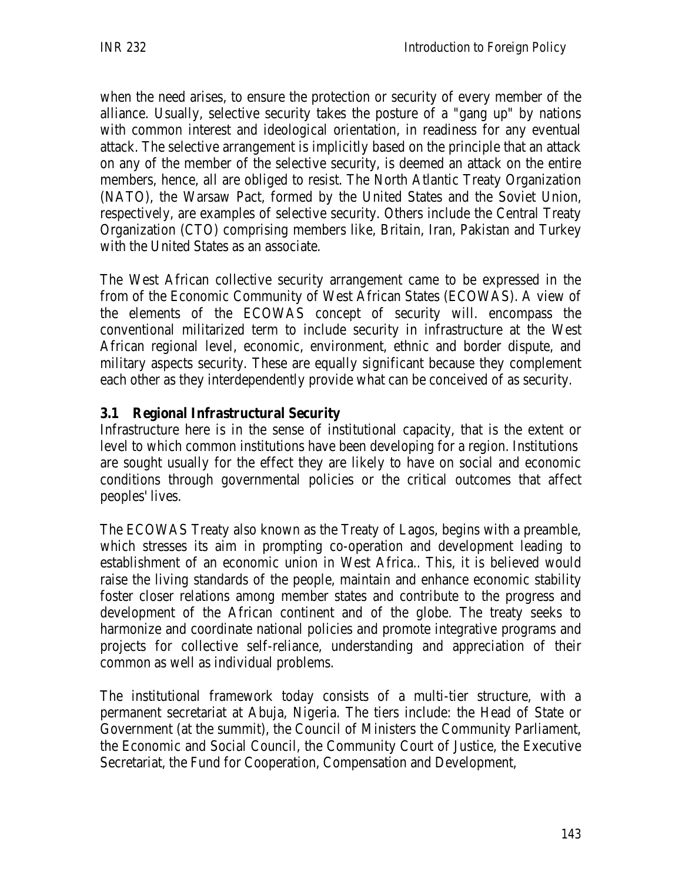when the need arises, to ensure the protection or security of every member of the alliance. Usually, selective security takes the posture of a "gang up" by nations with common interest and ideological orientation, in readiness for any eventual attack. The selective arrangement is implicitly based on the principle that an attack on any of the member of the selective security, is deemed an attack on the entire members, hence, all are obliged to resist. The North Atlantic Treaty Organization (NATO), the Warsaw Pact, formed by the United States and the Soviet Union, respectively, are examples of selective security. Others include the Central Treaty Organization (CTO) comprising members like, Britain, Iran, Pakistan and Turkey with the United States as an associate.

The West African collective security arrangement came to be expressed in the from of the Economic Community of West African States (ECOWAS). A view of the elements of the ECOWAS concept of security will. encompass the conventional militarized term to include security in infrastructure at the West African regional level, economic, environment, ethnic and border dispute, and military aspects security. These are equally significant because they complement each other as they interdependently provide what can be conceived of as security.

## **3.1 Regional Infrastructural Security**

Infrastructure here is in the sense of institutional capacity, that is the extent or level to which common institutions have been developing for a region. Institutions are sought usually for the effect they are likely to have on social and economic conditions through governmental policies or the critical outcomes that affect peoples' lives.

The ECOWAS Treaty also known as the Treaty of Lagos, begins with a preamble, which stresses its aim in prompting co-operation and development leading to establishment of an economic union in West Africa.. This, it is believed would raise the living standards of the people, maintain and enhance economic stability foster closer relations among member states and contribute to the progress and development of the African continent and of the globe. The treaty seeks to harmonize and coordinate national policies and promote integrative programs and projects for collective self-reliance, understanding and appreciation of their common as well as individual problems.

The institutional framework today consists of a multi-tier structure, with a permanent secretariat at Abuja, Nigeria. The tiers include: the Head of State or Government (at the summit), the Council of Ministers the Community Parliament, the Economic and Social Council, the Community Court of Justice, the Executive Secretariat, the Fund for Cooperation, Compensation and Development,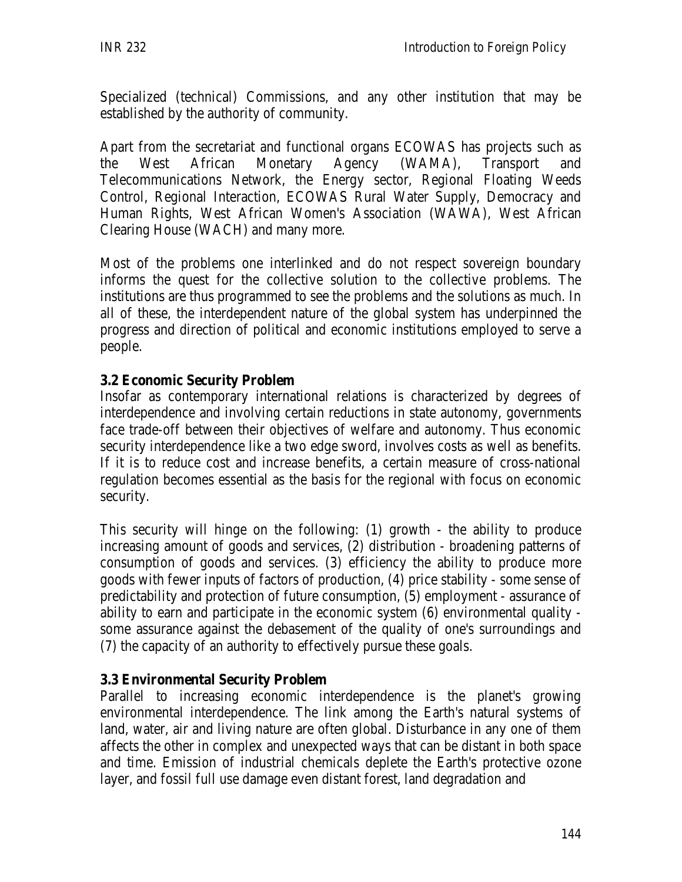Specialized (technical) Commissions, and any other institution that may be established by the authority of community.

Apart from the secretariat and functional organs ECOWAS has projects such as the West African Monetary Agency (WAMA), Transport and Telecommunications Network, the Energy sector, Regional Floating Weeds Control, Regional Interaction, ECOWAS Rural Water Supply, Democracy and Human Rights, West African Women's Association (WAWA), West African Clearing House (WACH) and many more.

Most of the problems one interlinked and do not respect sovereign boundary informs the quest for the collective solution to the collective problems. The institutions are thus programmed to see the problems and the solutions as much. In all of these, the interdependent nature of the global system has underpinned the progress and direction of political and economic institutions employed to serve a people.

## **3.2 Economic Security Problem**

Insofar as contemporary international relations is characterized by degrees of interdependence and involving certain reductions in state autonomy, governments face trade-off between their objectives of welfare and autonomy. Thus economic security interdependence like a two edge sword, involves costs as well as benefits. If it is to reduce cost and increase benefits, a certain measure of cross-national regulation becomes essential as the basis for the regional with focus on economic security.

This security will hinge on the following: (1) growth - the ability to produce increasing amount of goods and services, (2) distribution - broadening patterns of consumption of goods and services. (3) efficiency the ability to produce more goods with fewer inputs of factors of production, (4) price stability - some sense of predictability and protection of future consumption, (5) employment - assurance of ability to earn and participate in the economic system (6) environmental quality some assurance against the debasement of the quality of one's surroundings and (7) the capacity of an authority to effectively pursue these goals.

## **3.3 Environmental Security Problem**

Parallel to increasing economic interdependence is the planet's growing environmental interdependence. The link among the Earth's natural systems of land, water, air and living nature are often global. Disturbance in any one of them affects the other in complex and unexpected ways that can be distant in both space and time. Emission of industrial chemicals deplete the Earth's protective ozone layer, and fossil full use damage even distant forest, land degradation and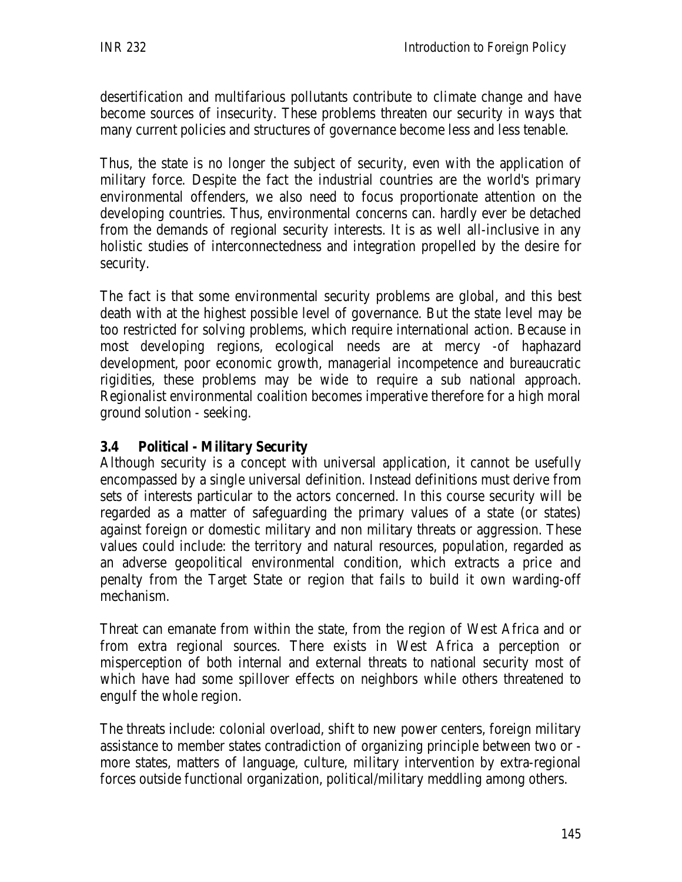desertification and multifarious pollutants contribute to climate change and have become sources of insecurity. These problems threaten our security in ways that many current policies and structures of governance become less and less tenable.

Thus, the state is no longer the subject of security, even with the application of military force. Despite the fact the industrial countries are the world's primary environmental offenders, we also need to focus proportionate attention on the developing countries. Thus, environmental concerns can. hardly ever be detached from the demands of regional security interests. It is as well all-inclusive in any holistic studies of interconnectedness and integration propelled by the desire for security.

The fact is that some environmental security problems are global, and this best death with at the highest possible level of governance. But the state level may be too restricted for solving problems, which require international action. Because in most developing regions, ecological needs are at mercy -of haphazard development, poor economic growth, managerial incompetence and bureaucratic rigidities, these problems may be wide to require a sub national approach. Regionalist environmental coalition becomes imperative therefore for a high moral ground solution - seeking.

### **3.4 Political - Military Security**

Although security is a concept with universal application, it cannot be usefully encompassed by a single universal definition. Instead definitions must derive from sets of interests particular to the actors concerned. In this course security will be regarded as a matter of safeguarding the primary values of a state (or states) against foreign or domestic military and non military threats or aggression. These values could include: the territory and natural resources, population, regarded as an adverse geopolitical environmental condition, which extracts a price and penalty from the Target State or region that fails to build it own warding-off mechanism.

Threat can emanate from within the state, from the region of West Africa and or from extra regional sources. There exists in West Africa a perception or misperception of both internal and external threats to national security most of which have had some spillover effects on neighbors while others threatened to engulf the whole region.

The threats include: colonial overload, shift to new power centers, foreign military assistance to member states contradiction of organizing principle between two or more states, matters of language, culture, military intervention by extra-regional forces outside functional organization, political/military meddling among others.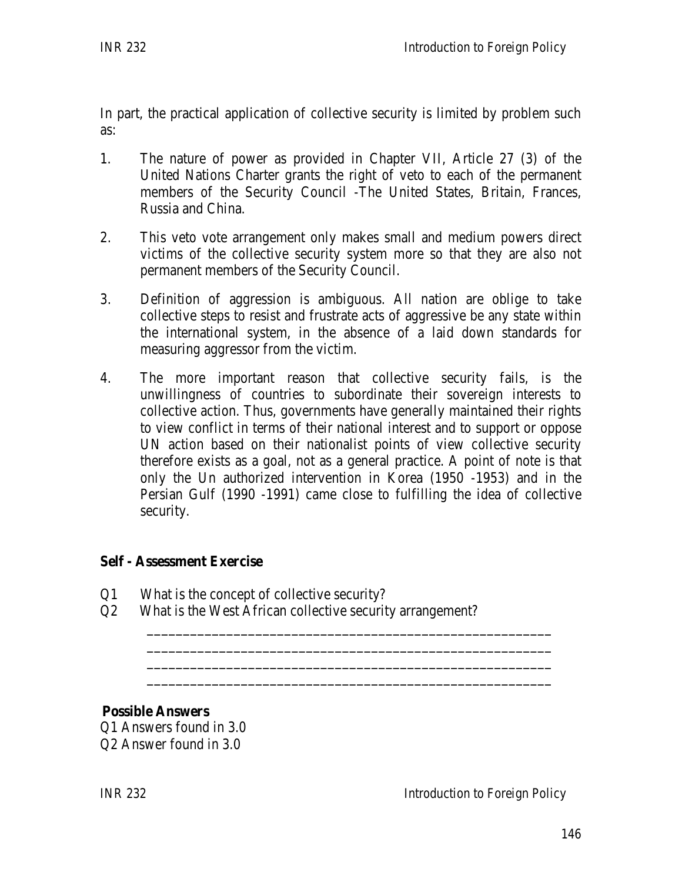In part, the practical application of collective security is limited by problem such as:

- 1. The nature of power as provided in Chapter VII, Article 27 (3) of the United Nations Charter grants the right of veto to each of the permanent members of the Security Council -The United States, Britain, Frances, Russia and China.
- 2. This veto vote arrangement only makes small and medium powers direct victims of the collective security system more so that they are also not permanent members of the Security Council.
- 3. Definition of aggression is ambiguous. All nation are oblige to take collective steps to resist and frustrate acts of aggressive be any state within the international system, in the absence of a laid down standards for measuring aggressor from the victim.
- 4. The more important reason that collective security fails, is the unwillingness of countries to subordinate their sovereign interests to collective action. Thus, governments have generally maintained their rights to view conflict in terms of their national interest and to support or oppose UN action based on their nationalist points of view collective security therefore exists as a goal, not as a general practice. A point of note is that only the Un authorized intervention in Korea (1950 -1953) and in the Persian Gulf (1990 -1991) came close to fulfilling the idea of collective security.

#### **Self - Assessment Exercise**

- Q1 What is the concept of collective security?
- Q2 What is the West African collective security arrangement?

 \_\_\_\_\_\_\_\_\_\_\_\_\_\_\_\_\_\_\_\_\_\_\_\_\_\_\_\_\_\_\_\_\_\_\_\_\_\_\_\_\_\_\_\_\_\_\_\_\_\_\_\_\_\_\_\_ \_\_\_\_\_\_\_\_\_\_\_\_\_\_\_\_\_\_\_\_\_\_\_\_\_\_\_\_\_\_\_\_\_\_\_\_\_\_\_\_\_\_\_\_\_\_\_\_\_\_\_\_\_\_\_\_ \_\_\_\_\_\_\_\_\_\_\_\_\_\_\_\_\_\_\_\_\_\_\_\_\_\_\_\_\_\_\_\_\_\_\_\_\_\_\_\_\_\_\_\_\_\_\_\_\_\_\_\_\_\_\_\_ \_\_\_\_\_\_\_\_\_\_\_\_\_\_\_\_\_\_\_\_\_\_\_\_\_\_\_\_\_\_\_\_\_\_\_\_\_\_\_\_\_\_\_\_\_\_\_\_\_\_\_\_\_\_\_\_

**Possible Answers**

Q1 Answers found in 3.0 Q2 Answer found in 3.0

INR 232 Introduction to Foreign Policy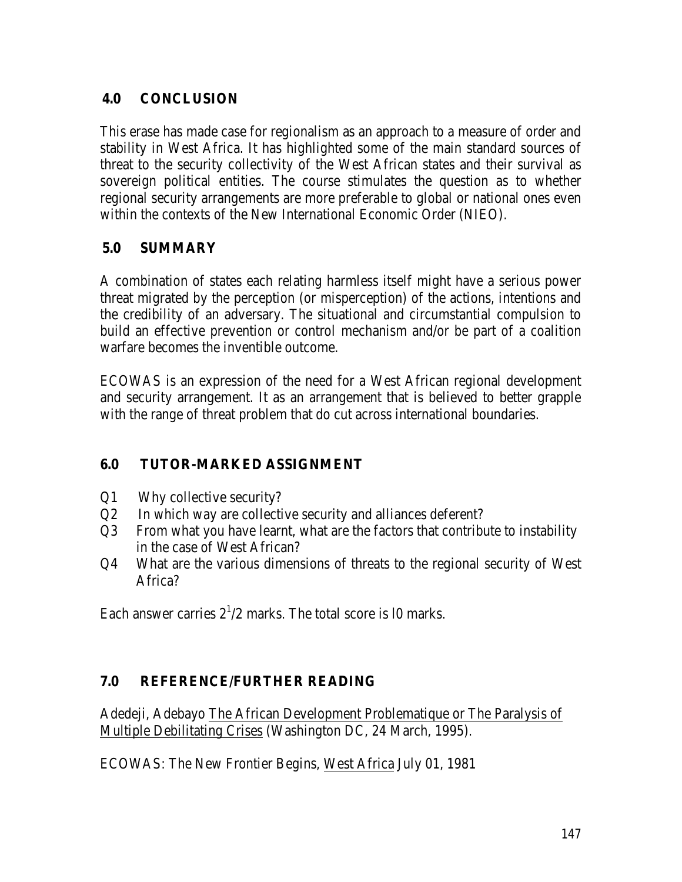# **4.0 CONCLUSION**

This erase has made case for regionalism as an approach to a measure of order and stability in West Africa. It has highlighted some of the main standard sources of threat to the security collectivity of the West African states and their survival as sovereign political entities. The course stimulates the question as to whether regional security arrangements are more preferable to global or national ones even within the contexts of the New International Economic Order (NIEO).

### **5.0 SUMMARY**

A combination of states each relating harmless itself might have a serious power threat migrated by the perception (or misperception) of the actions, intentions and the credibility of an adversary. The situational and circumstantial compulsion to build an effective prevention or control mechanism and/or be part of a coalition warfare becomes the inventible outcome.

ECOWAS is an expression of the need for a West African regional development and security arrangement. It as an arrangement that is believed to better grapple with the range of threat problem that do cut across international boundaries.

### **6.0 TUTOR-MARKED ASSIGNMENT**

- Q1 Why collective security?
- Q2 In which way are collective security and alliances deferent?
- Q3 From what you have learnt, what are the factors that contribute to instability in the case of West African?
- Q4 What are the various dimensions of threats to the regional security of West Africa?

Each answer carries  $2^{1}/2$  marks. The total score is 10 marks.

### **7.0 REFERENCE/FURTHER READING**

Adedeji, Adebayo The African Development Problematique or The Paralysis of Multiple Debilitating Crises (Washington DC, 24 March, 1995).

ECOWAS: The New Frontier Begins, West Africa July 01, 1981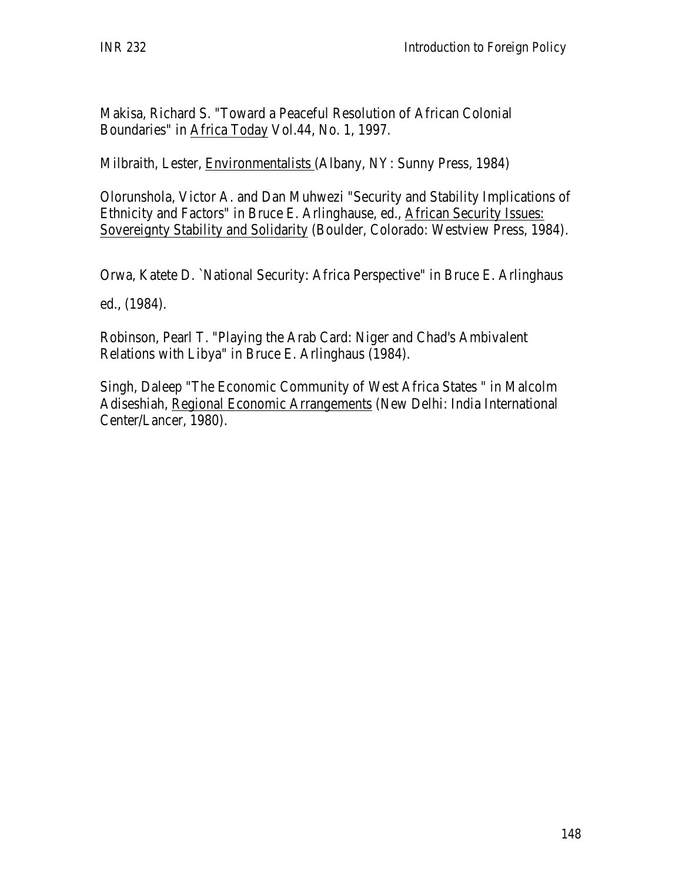Makisa, Richard S. "Toward a Peaceful Resolution of African Colonial Boundaries" in Africa Today Vol.44, No. 1, 1997.

Milbraith, Lester, Environmentalists (Albany, NY: Sunny Press, 1984)

Olorunshola, Victor A. and Dan Muhwezi "Security and Stability Implications of Ethnicity and Factors" in Bruce E. Arlinghause, ed., African Security Issues: Sovereignty Stability and Solidarity (Boulder, Colorado: Westview Press, 1984).

Orwa, Katete D. `National Security: Africa Perspective" in Bruce E. Arlinghaus

ed., (1984).

Robinson, Pearl T. "Playing the Arab Card: Niger and Chad's Ambivalent Relations with Libya" in Bruce E. Arlinghaus (1984).

Singh, Daleep "The Economic Community of West Africa States " in Malcolm Adiseshiah, Regional Economic Arrangements (New Delhi: India International Center/Lancer, 1980).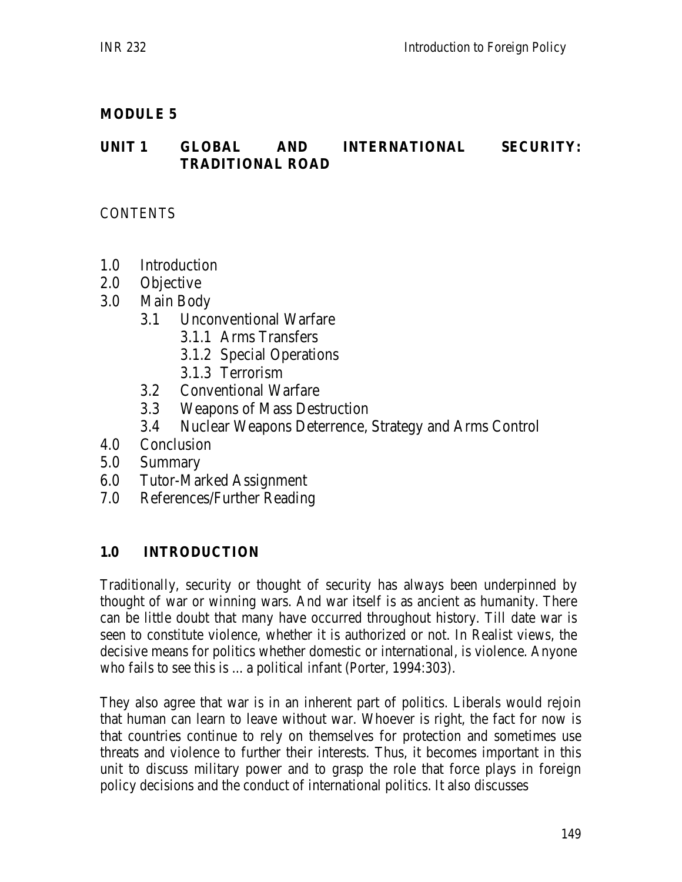### **MODULE 5**

### **UNIT 1 GLOBAL AND INTERNATIONAL SECURITY: TRADITIONAL ROAD**

#### **CONTENTS**

- 1.0 Introduction
- 2.0 Objective
- 3.0 Main Body
	- 3.1 Unconventional Warfare
		- 3.1.1 Arms Transfers
		- 3.1.2 Special Operations
		- 3.1.3 Terrorism
	- 3.2 Conventional Warfare
	- 3.3 Weapons of Mass Destruction
	- 3.4 Nuclear Weapons Deterrence, Strategy and Arms Control
- 4.0 Conclusion
- 5.0 Summary
- 6.0 Tutor-Marked Assignment
- 7.0 References/Further Reading

### **1.0 INTRODUCTION**

Traditionally, security or thought of security has always been underpinned by thought of war or winning wars. And war itself is as ancient as humanity. There can be little doubt that many have occurred throughout history. Till date war is seen to constitute violence, whether it is authorized or not. In Realist views, the decisive means for politics whether domestic or international, is violence. Anyone who fails to see this is ... a political infant (Porter, 1994:303).

They also agree that war is in an inherent part of politics. Liberals would rejoin that human can learn to leave without war. Whoever is right, the fact for now is that countries continue to rely on themselves for protection and sometimes use threats and violence to further their interests. Thus, it becomes important in this unit to discuss military power and to grasp the role that force plays in foreign policy decisions and the conduct of international politics. It also discusses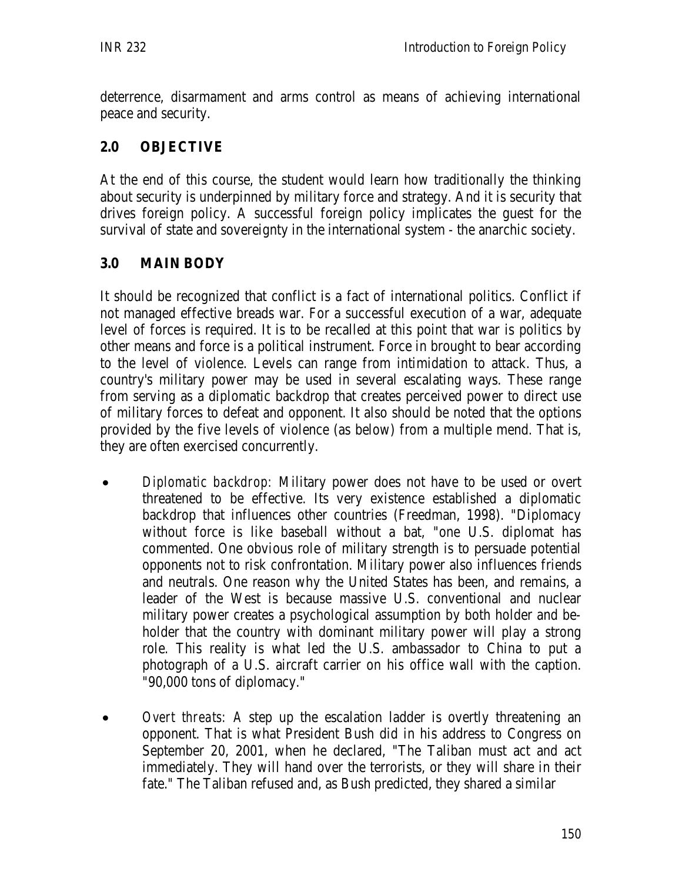deterrence, disarmament and arms control as means of achieving international peace and security.

# **2.0 OBJECTIVE**

At the end of this course, the student would learn how traditionally the thinking about security is underpinned by military force and strategy. And it is security that drives foreign policy. A successful foreign policy implicates the guest for the survival of state and sovereignty in the international system - the anarchic society.

# **3.0 MAIN BODY**

It should be recognized that conflict is a fact of international politics. Conflict if not managed effective breads war. For a successful execution of a war, adequate level of forces is required. It is to be recalled at this point that war is politics by other means and force is a political instrument. Force in brought to bear according to the level of violence. Levels can range from intimidation to attack. Thus, a country's military power may be used in several escalating ways. These range from serving as a diplomatic backdrop that creates perceived power to direct use of military forces to defeat and opponent. It also should be noted that the options provided by the five levels of violence (as below) from a multiple mend. That is, they are often exercised concurrently.

- *Diplomatic backdrop:* Military power does not have to be used or overt threatened to be effective. Its very existence established a diplomatic backdrop that influences other countries (Freedman, 1998). "Diplomacy without force is like baseball without a bat, "one U.S. diplomat has commented. One obvious role of military strength is to persuade potential opponents not to risk confrontation. Military power also influences friends and neutrals. One reason why the United States has been, and remains, a leader of the West is because massive U.S. conventional and nuclear military power creates a psychological assumption by both holder and beholder that the country with dominant military power will play a strong role. This reality is what led the U.S. ambassador to China to put a photograph of a U.S. aircraft carrier on his office wall with the caption. "90,000 tons of diplomacy."
- *Overt threats: A step up the escalation ladder is overtly threatening an* opponent. That is what President Bush did in his address to Congress on September 20, 2001, when he declared, "The Taliban must act and act immediately. They will hand over the terrorists, or they will share in their fate." The Taliban refused and, as Bush predicted, they shared a similar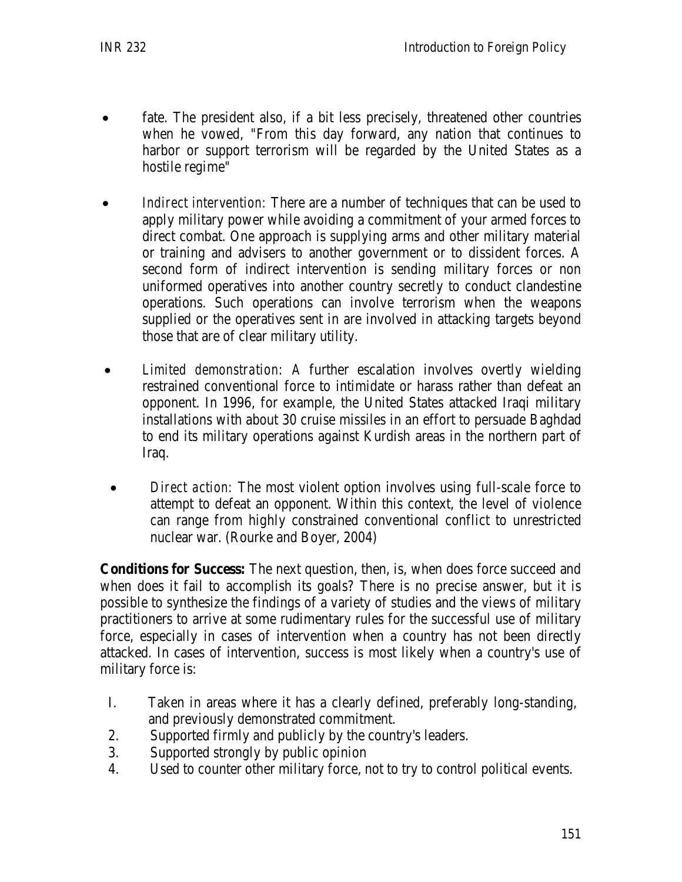- fate. The president also, if a bit less precisely, threatened other countries when he vowed, "From this day forward, any nation that continues to harbor or support terrorism will be regarded by the United States as a hostile regime"
- *Indirect intervention:* There are a number of techniques that can be used to apply military power while avoiding a commitment of your armed forces to direct combat. One approach is supplying arms and other military material or training and advisers to another government or to dissident forces. A second form of indirect intervention is sending military forces or non uniformed operatives into another country secretly to conduct clandestine operations. Such operations can involve terrorism when the weapons supplied or the operatives sent in are involved in attacking targets beyond those that are of clear military utility.
- *Limited demonstration: A* further escalation involves overtly wielding restrained conventional force to intimidate or harass rather than defeat an opponent. In 1996, for example, the United States attacked Iraqi military installations with about 30 cruise missiles in an effort to persuade Baghdad to end its military operations against Kurdish areas in the northern part of Iraq.
- *Direct action:* The most violent option involves using full-scale force to attempt to defeat an opponent. Within this context, the level of violence can range from highly constrained conventional conflict to unrestricted nuclear war. (Rourke and Boyer, 2004)

**Conditions for Success:** The next question, then, is, when does force succeed and when does it fail to accomplish its goals? There is no precise answer, but it is possible to synthesize the findings of a variety of studies and the views of military practitioners to arrive at some rudimentary rules for the successful use of military force, especially in cases of intervention when a country has not been directly attacked. In cases of intervention, success is most likely when a country's use of military force is:

- I. Taken in areas where it has a clearly defined, preferably long-standing, and previously demonstrated commitment.
- 2. Supported firmly and publicly by the country's leaders.
- 3. Supported strongly by public opinion
- 4. Used to counter other military force, not to try to control political events.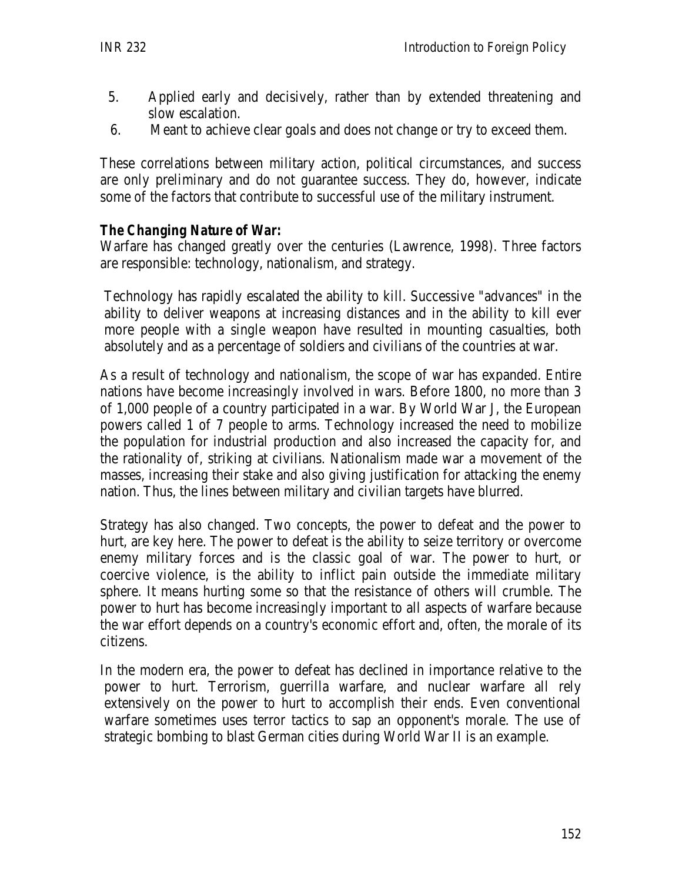- 5. Applied early and decisively, rather than by extended threatening and slow escalation.
- 6. Meant to achieve clear goals and does not change or try to exceed them.

These correlations between military action, political circumstances, and success are only preliminary and do not guarantee success. They do, however, indicate some of the factors that contribute to successful use of the military instrument.

#### *The Changing Nature of War:*

Warfare has changed greatly over the centuries (Lawrence, 1998). Three factors are responsible: technology, nationalism, and strategy.

Technology has rapidly escalated the ability to kill. Successive "advances" in the ability to deliver weapons at increasing distances and in the ability to kill ever more people with a single weapon have resulted in mounting casualties, both absolutely and as a percentage of soldiers and civilians of the countries at war.

As a result of technology and nationalism, the scope of war has expanded. Entire nations have become increasingly involved in wars. Before 1800, no more than 3 of 1,000 people of a country participated in a war. By World War J, the European powers called 1 of 7 people to arms. Technology increased the need to mobilize the population for industrial production and also increased the capacity for, and the rationality of, striking at civilians. Nationalism made war a movement of the masses, increasing their stake and also giving justification for attacking the enemy nation. Thus, the lines between military and civilian targets have blurred.

Strategy has also changed. Two concepts, the power to defeat and the power to hurt, are key here. The power to defeat is the ability to seize territory or overcome enemy military forces and is the classic goal of war. The power to hurt, or coercive violence, is the ability to inflict pain outside the immediate military sphere. It means hurting some so that the resistance of others will crumble. The power to hurt has become increasingly important to all aspects of warfare because the war effort depends on a country's economic effort and, often, the morale of its citizens.

In the modern era, the power to defeat has declined in importance relative to the power to hurt. Terrorism, guerrilla warfare, and nuclear warfare all rely extensively on the power to hurt to accomplish their ends. Even conventional warfare sometimes uses terror tactics to sap an opponent's morale. The use of strategic bombing to blast German cities during World War II is an example.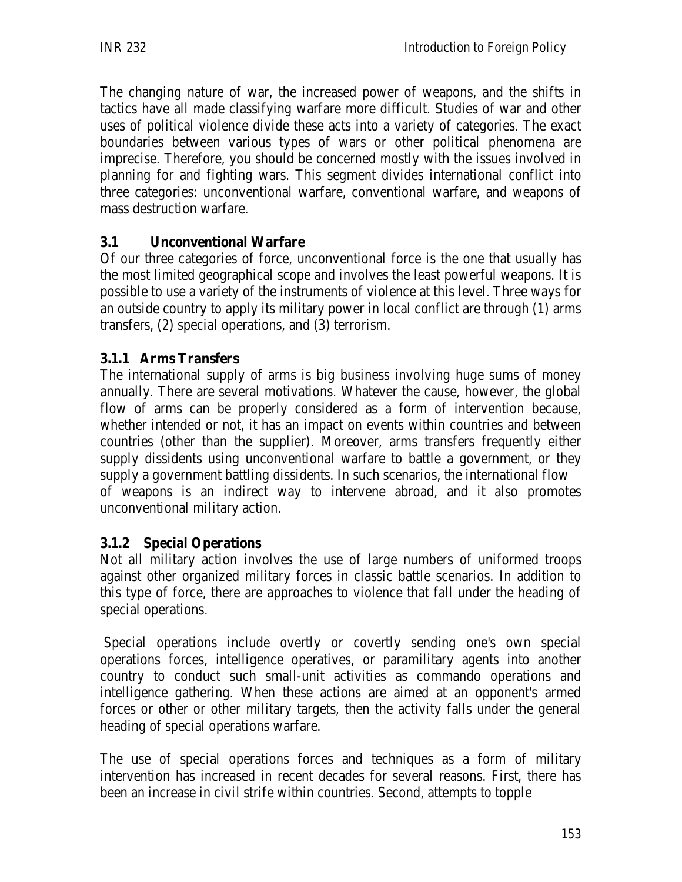The changing nature of war, the increased power of weapons, and the shifts in tactics have all made classifying warfare more difficult. Studies of war and other uses of political violence divide these acts into a variety of categories. The exact boundaries between various types of wars or other political phenomena are imprecise. Therefore, you should be concerned mostly with the issues involved in planning for and fighting wars. This segment divides international conflict into three categories: unconventional warfare, conventional warfare, and weapons of mass destruction warfare.

# **3.1 Unconventional Warfare**

Of our three categories of force, unconventional force is the one that usually has the most limited geographical scope and involves the least powerful weapons. It is possible to use a variety of the instruments of violence at this level. Three ways for an outside country to apply its military power in local conflict are through (1) arms transfers, (2) special operations, and (3) terrorism.

### **3.1.1 Arms Transfers**

The international supply of arms is big business involving huge sums of money annually. There are several motivations. Whatever the cause, however, the global flow of arms can be properly considered as a form of intervention because, whether intended or not, it has an impact on events within countries and between countries (other than the supplier). Moreover, arms transfers frequently either supply dissidents using unconventional warfare to battle a government, or they supply a government battling dissidents. In such scenarios, the international flow of weapons is an indirect way to intervene abroad, and it also promotes unconventional military action.

### **3.1.2 Special Operations**

Not all military action involves the use of large numbers of uniformed troops against other organized military forces in classic battle scenarios. In addition to this type of force, there are approaches to violence that fall under the heading of special operations.

Special operations include overtly or covertly sending one's own special operations forces, intelligence operatives, or paramilitary agents into another country to conduct such small-unit activities as commando operations and intelligence gathering. When these actions are aimed at an opponent's armed forces or other or other military targets, then the activity falls under the general heading of special operations warfare.

The use of special operations forces and techniques as a form of military intervention has increased in recent decades for several reasons. First, there has been an increase in civil strife within countries. Second, attempts to topple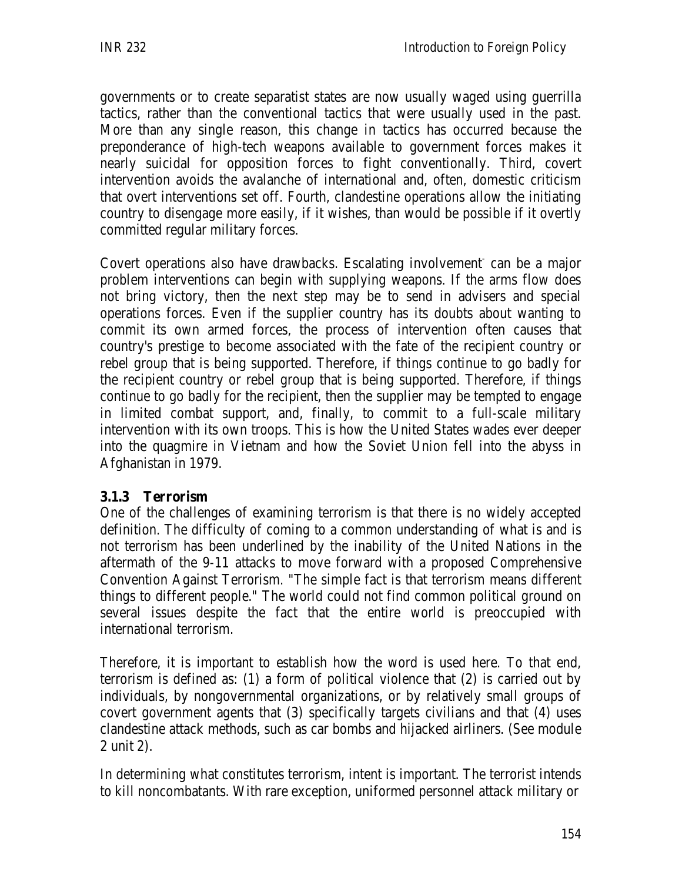governments or to create separatist states are now usually waged using guerrilla tactics, rather than the conventional tactics that were usually used in the past. More than any single reason, this change in tactics has occurred because the preponderance of high-tech weapons available to government forces makes it nearly suicidal for opposition forces to fight conventionally. Third, covert intervention avoids the avalanche of international and, often, domestic criticism that overt interventions set off. Fourth, clandestine operations allow the initiating country to disengage more easily, if it wishes, than would be possible if it overtly committed regular military forces.

Covert operations also have drawbacks. Escalating involvement can be a major problem interventions can begin with supplying weapons. If the arms flow does not bring victory, then the next step may be to send in advisers and special operations forces. Even if the supplier country has its doubts about wanting to commit its own armed forces, the process of intervention often causes that country's prestige to become associated with the fate of the recipient country or rebel group that is being supported. Therefore, if things continue to go badly for the recipient country or rebel group that is being supported. Therefore, if things continue to go badly for the recipient, then the supplier may be tempted to engage in limited combat support, and, finally, to commit to a full-scale military intervention with its own troops. This is how the United States wades ever deeper into the quagmire in Vietnam and how the Soviet Union fell into the abyss in Afghanistan in 1979.

### **3.1.3 Terrorism**

One of the challenges of examining terrorism is that there is no widely accepted definition. The difficulty of coming to a common understanding of what is and is not terrorism has been underlined by the inability of the United Nations in the aftermath of the 9-11 attacks to move forward with a proposed Comprehensive Convention Against Terrorism. "The simple fact is that terrorism means different things to different people." The world could not find common political ground on several issues despite the fact that the entire world is preoccupied with international terrorism.

Therefore, it is important to establish how the word is used here. To that end, terrorism is defined as: (1) a form of political violence that (2) is carried out by individuals, by nongovernmental organizations, or by relatively small groups of covert government agents that (3) specifically targets civilians and that (4) uses clandestine attack methods, such as car bombs and hijacked airliners. (See module 2 unit 2).

In determining what constitutes terrorism, intent is important. The terrorist intends to kill noncombatants. With rare exception, uniformed personnel attack military or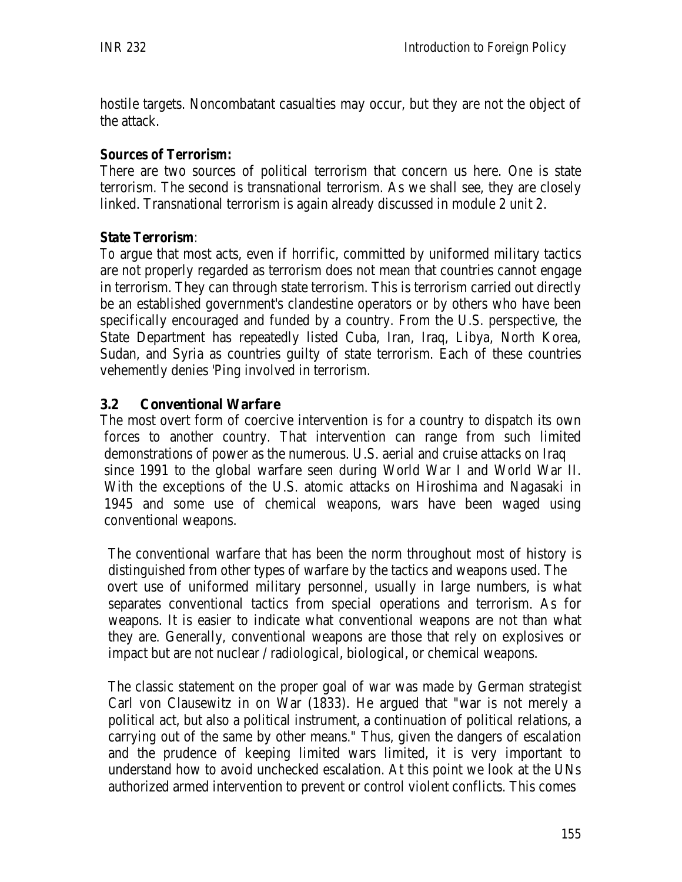hostile targets. Noncombatant casualties may occur, but they are not the object of the attack.

### *Sources of Terrorism:*

There are two sources of political terrorism that concern us here. One is state terrorism. The second is transnational terrorism. As we shall see, they are closely linked. Transnational terrorism is again already discussed in module 2 unit 2.

### *State Terrorism:*

*To* argue that most acts, even if horrific, committed by uniformed military tactics are not properly regarded as terrorism does not mean that countries cannot engage in terrorism. They can through state terrorism. This is terrorism carried out directly be an established government's clandestine operators or by others who have been specifically encouraged and funded by a country. From the U.S. perspective, the State Department has repeatedly listed Cuba, Iran, Iraq, Libya, North Korea, Sudan, and Syria as countries guilty of state terrorism. Each of these countries vehemently denies 'Ping involved in terrorism.

### **3.2 Conventional Warfare**

The most overt form of coercive intervention is for a country to dispatch its own forces to another country. That intervention can range from such limited demonstrations of power as the numerous. U.S. aerial and cruise attacks on Iraq since 1991 to the global warfare seen during World War I and World War II. With the exceptions of the U.S. atomic attacks on Hiroshima and Nagasaki in 1945 and some use of chemical weapons, wars have been waged using conventional weapons.

The conventional warfare that has been the norm throughout most of history is distinguished from other types of warfare by the tactics and weapons used. The overt use of uniformed military personnel, usually in large numbers, is what separates conventional tactics from special operations and terrorism. As for weapons. It is easier to indicate what conventional weapons are not than what they are. Generally, conventional weapons are those that rely on explosives or impact but are not nuclear / radiological, biological, or chemical weapons.

The classic statement on the proper goal of war was made by German strategist Carl von Clausewitz in on War (1833). He argued that "war is not merely a political act, but also a political instrument, a continuation of political relations, a carrying out of the same by other means." Thus, given the dangers of escalation and the prudence of keeping limited wars limited, it is very important to understand how to avoid unchecked escalation. At this point we look at the UNs authorized armed intervention to prevent or control violent conflicts. This comes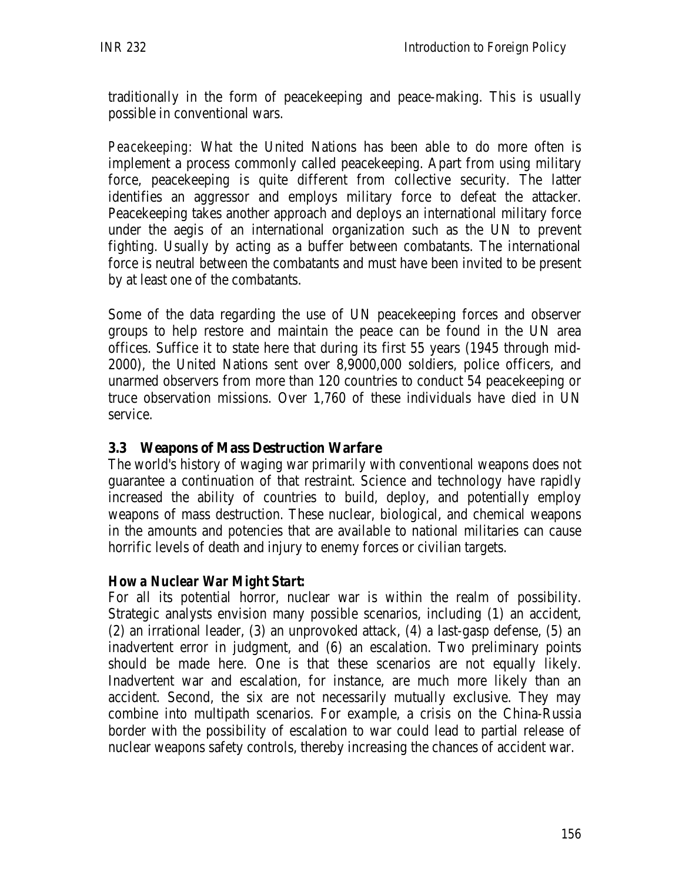traditionally in the form of peacekeeping and peace-making. This is usually possible in conventional wars.

*Peacekeeping:* What the United Nations has been able to do more often is implement a process commonly called peacekeeping. Apart from using military force, peacekeeping is quite different from collective security. The latter identifies an aggressor and employs military force to defeat the attacker. Peacekeeping takes another approach and deploys an international military force under the aegis of an international organization such as the UN to prevent fighting. Usually by acting as a buffer between combatants. The international force is neutral between the combatants and must have been invited to be present by at least one of the combatants.

Some of the data regarding the use of UN peacekeeping forces and observer groups to help restore and maintain the peace can be found in the UN area offices. Suffice it to state here that during its first 55 years (1945 through mid-2000), the United Nations sent over 8,9000,000 soldiers, police officers, and unarmed observers from more than 120 countries to conduct 54 peacekeeping or truce observation missions. Over 1,760 of these individuals have died in UN service.

#### **3.3 Weapons of Mass Destruction Warfare**

The world's history of waging war primarily with conventional weapons does not guarantee a continuation of that restraint. Science and technology have rapidly increased the ability of countries to build, deploy, and potentially employ weapons of mass destruction. These nuclear, biological, and chemical weapons in the amounts and potencies that are available to national militaries can cause horrific levels of death and injury to enemy forces or civilian targets.

#### *How a Nuclear War Might Start:*

For all its potential horror, nuclear war is within the realm of possibility. Strategic analysts envision many possible scenarios, including (1) an accident, (2) an irrational leader, (3) an unprovoked attack, (4) a last-gasp defense, (5) an inadvertent error in judgment, and (6) an escalation. Two preliminary points should be made here. One is that these scenarios are not equally likely. Inadvertent war and escalation, for instance, are much more likely than an accident. Second, the six are not necessarily mutually exclusive. They may combine into multipath scenarios. For example, a crisis on the China-Russia border with the possibility of escalation to war could lead to partial release of nuclear weapons safety controls, thereby increasing the chances of accident war.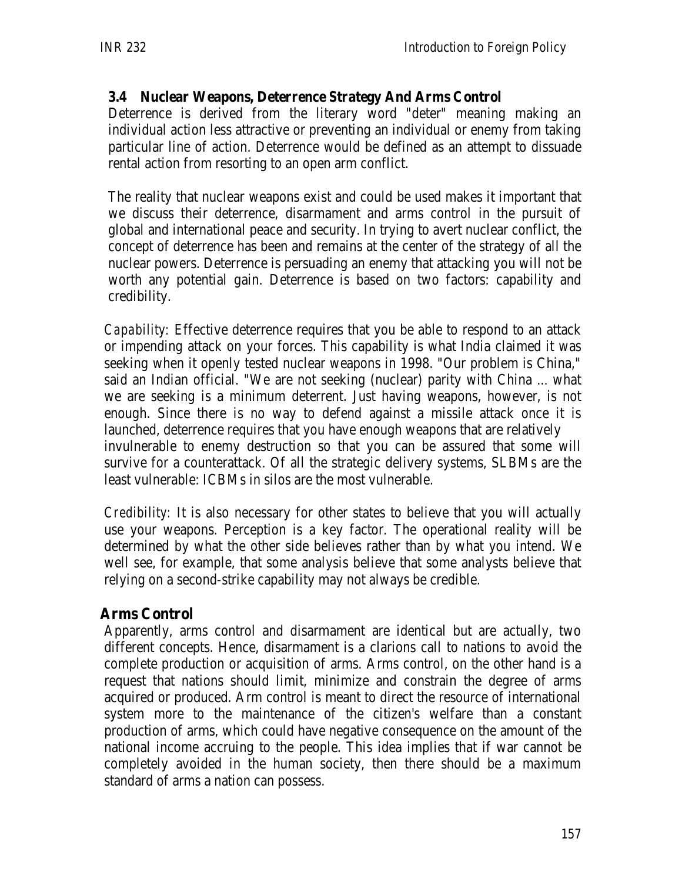#### **3.4 Nuclear Weapons, Deterrence Strategy And Arms Control**

Deterrence is derived from the literary word "deter" meaning making an individual action less attractive or preventing an individual or enemy from taking particular line of action. Deterrence would be defined as an attempt to dissuade rental action from resorting to an open arm conflict.

The reality that nuclear weapons exist and could be used makes it important that we discuss their deterrence, disarmament and arms control in the pursuit of global and international peace and security. In trying to avert nuclear conflict, the concept of deterrence has been and remains at the center of the strategy of all the nuclear powers. Deterrence is persuading an enemy that attacking you will not be worth any potential gain. Deterrence is based on two factors: capability and credibility.

*Capability:* Effective deterrence requires that you be able to respond to an attack or impending attack on your forces. This capability is what India claimed it was seeking when it openly tested nuclear weapons in 1998. "Our problem is China," said an Indian official. "We are not seeking (nuclear) parity with China ... what we are seeking is a minimum deterrent. Just having weapons, however, is not enough. Since there is no way to defend against a missile attack once it is launched, deterrence requires that you have enough weapons that are relatively invulnerable to enemy destruction so that you can be assured that some will survive for a counterattack. Of all the strategic delivery systems, SLBMs are the least vulnerable: ICBMs in silos are the most vulnerable.

*Credibility:* It is also necessary for other states to believe that you will actually use your weapons. Perception is a key factor. The operational reality will be determined by what the other side believes rather than by what you intend. We well see, for example, that some analysis believe that some analysts believe that relying on a second-strike capability may not always be credible.

### **Arms Control**

Apparently, arms control and disarmament are identical but are actually, two different concepts. Hence, disarmament is a clarions call to nations to avoid the complete production or acquisition of arms. Arms control, on the other hand is a request that nations should limit, minimize and constrain the degree of arms acquired or produced. Arm control is meant to direct the resource of international system more to the maintenance of the citizen's welfare than a constant production of arms, which could have negative consequence on the amount of the national income accruing to the people. This idea implies that if war cannot be completely avoided in the human society, then there should be a maximum standard of arms a nation can possess.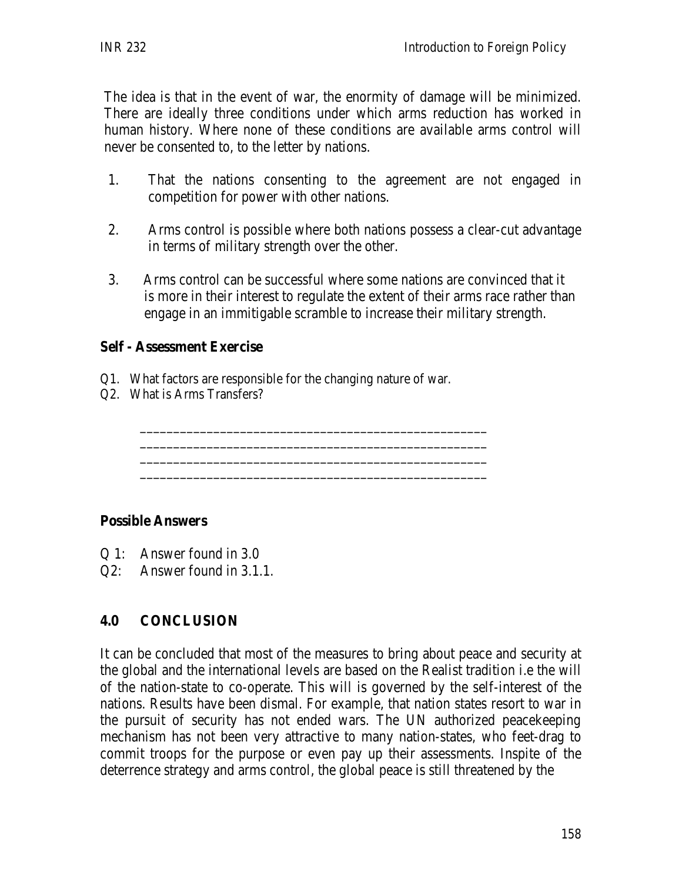The idea is that in the event of war, the enormity of damage will be minimized. There are ideally three conditions under which arms reduction has worked in human history. Where none of these conditions are available arms control will never be consented to, to the letter by nations.

- 1. That the nations consenting to the agreement are not engaged in competition for power with other nations.
- 2. Arms control is possible where both nations possess a clear-cut advantage in terms of military strength over the other.
- 3. Arms control can be successful where some nations are convinced that it is more in their interest to regulate the extent of their arms race rather than engage in an immitigable scramble to increase their military strength.

#### **Self - Assessment Exercise**

Q1. What factors are responsible for the changing nature of war.

\_\_\_\_\_\_\_\_\_\_\_\_\_\_\_\_\_\_\_\_\_\_\_\_\_\_\_\_\_\_\_\_\_\_\_\_\_\_\_\_\_\_\_\_\_\_\_\_\_\_\_\_ \_\_\_\_\_\_\_\_\_\_\_\_\_\_\_\_\_\_\_\_\_\_\_\_\_\_\_\_\_\_\_\_\_\_\_\_\_\_\_\_\_\_\_\_\_\_\_\_\_\_\_\_ \_\_\_\_\_\_\_\_\_\_\_\_\_\_\_\_\_\_\_\_\_\_\_\_\_\_\_\_\_\_\_\_\_\_\_\_\_\_\_\_\_\_\_\_\_\_\_\_\_\_\_\_ \_\_\_\_\_\_\_\_\_\_\_\_\_\_\_\_\_\_\_\_\_\_\_\_\_\_\_\_\_\_\_\_\_\_\_\_\_\_\_\_\_\_\_\_\_\_\_\_\_\_\_\_

Q2. What is Arms Transfers?

#### **Possible Answers**

- Q 1: Answer found in 3.0
- Q2: Answer found in 3.1.1.

### **4.0 CONCLUSION**

It can be concluded that most of the measures to bring about peace and security at the global and the international levels are based on the Realist tradition i.e the will of the nation-state to co-operate. This will is governed by the self-interest of the nations. Results have been dismal. For example, that nation states resort to war in the pursuit of security has not ended wars. The UN authorized peacekeeping mechanism has not been very attractive to many nation-states, who feet-drag to commit troops for the purpose or even pay up their assessments. Inspite of the deterrence strategy and arms control, the global peace is still threatened by the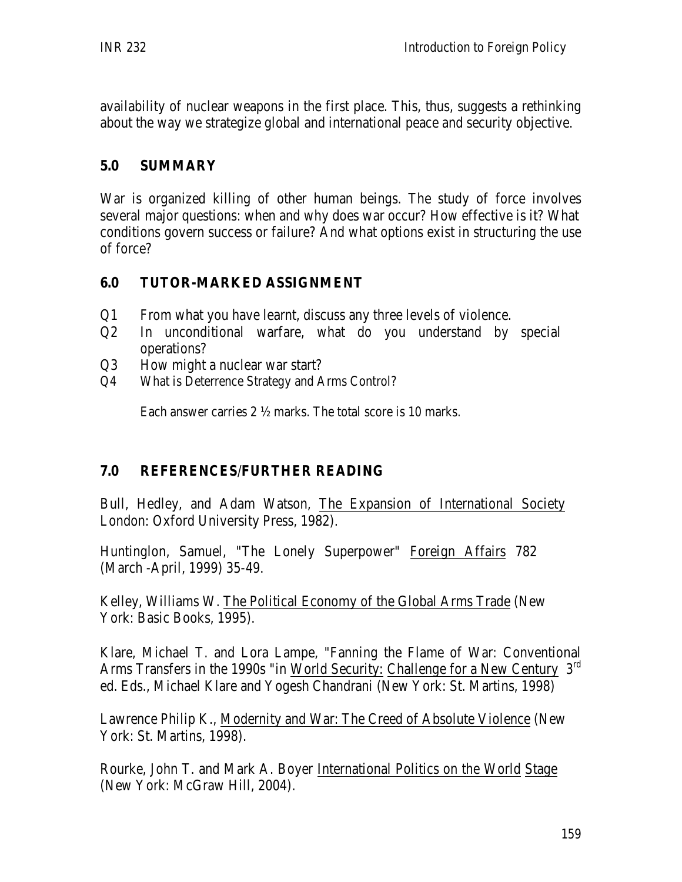availability of nuclear weapons in the first place. This, thus, suggests a rethinking about the way we strategize global and international peace and security objective.

# **5.0 SUMMARY**

War is organized killing of other human beings. The study of force involves several major questions: when and why does war occur? How effective is it? What conditions govern success or failure? And what options exist in structuring the use of force?

### **6.0 TUTOR-MARKED ASSIGNMENT**

- Q1 From what you have learnt, discuss any three levels of violence.
- Q2 In unconditional warfare, what do you understand by special operations?
- Q3 How might a nuclear war start?
- Q4 What is Deterrence Strategy and Arms Control?

Each answer carries 2 ½ marks. The total score is 10 marks.

# **7.0 REFERENCES**/**FURTHER READING**

Bull, Hedley, and Adam Watson, The Expansion of International Society London: Oxford University Press, 1982).

Huntinglon, Samuel, "The Lonely Superpower" Foreign Affairs 782 (March -April, 1999) 35-49.

Kelley, Williams W. The Political Economy of the Global Arms Trade (New York: Basic Books, 1995).

Klare, Michael T. and Lora Lampe, "Fanning the Flame of War: Conventional Arms Transfers in the 1990s "in World Security: Challenge for a New Century  $3<sup>rd</sup>$ ed. Eds., Michael Klare and Yogesh Chandrani (New York: St. Martins, 1998)

Lawrence Philip K., Modernity and War: The Creed of Absolute Violence (New York: St. Martins, 1998).

Rourke, John T. and Mark A. Boyer International Politics on the World Stage (New York: McGraw Hill, 2004).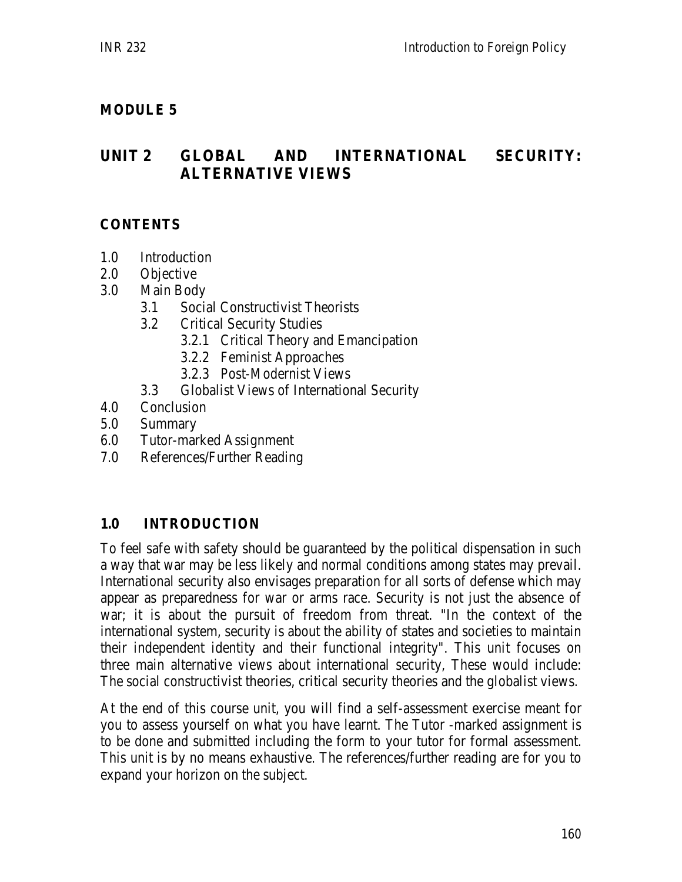# **MODULE 5**

# **UNIT 2 GLOBAL AND INTERNATIONAL SECURITY: ALTERNATIVE VIEWS**

# **CONTENTS**

- 1.0 Introduction
- 2.0 Objective
- 3.0 Main Body
	- 3.1 Social Constructivist Theorists
	- 3.2 Critical Security Studies
		- 3.2.1 Critical Theory and Emancipation
		- 3.2.2 Feminist Approaches
		- 3.2.3 Post-Modernist Views
	- 3.3 Globalist Views of International Security
- 4.0 Conclusion
- 5.0 Summary
- 6.0 Tutor-marked Assignment
- 7.0 References/Further Reading

### **1.0 INTRODUCTION**

To feel safe with safety should be guaranteed by the political dispensation in such a way that war may be less likely and normal conditions among states may prevail. International security also envisages preparation for all sorts of defense which may appear as preparedness for war or arms race. Security is not just the absence of war; it is about the pursuit of freedom from threat. "In the context of the international system, security is about the ability of states and societies to maintain their independent identity and their functional integrity". This unit focuses on three main alternative views about international security, These would include: The social constructivist theories, critical security theories and the globalist views.

At the end of this course unit, you will find a self-assessment exercise meant for you to assess yourself on what you have learnt. The Tutor -marked assignment is to be done and submitted including the form to your tutor for formal assessment. This unit is by no means exhaustive. The references/further reading are for you to expand your horizon on the subject.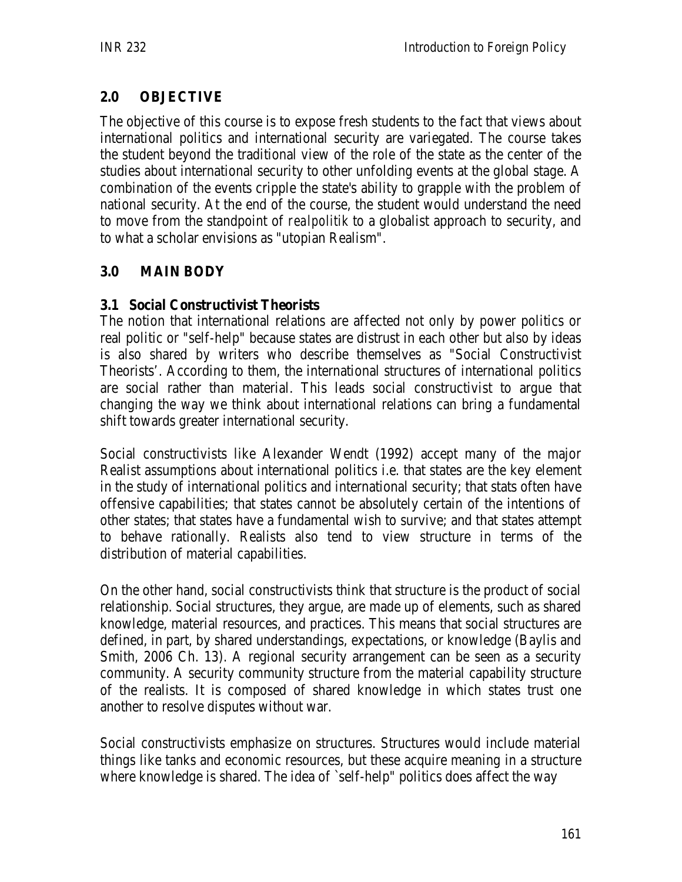# **2.0 OBJECTIVE**

The objective of this course is to expose fresh students to the fact that views about international politics and international security are variegated. The course takes the student beyond the traditional view of the role of the state as the center of the studies about international security to other unfolding events at the global stage. A combination of the events cripple the state's ability to grapple with the problem of national security. At the end of the course, the student would understand the need to move from the standpoint of *realpolitik* to a globalist approach to security, and to what a scholar envisions as "utopian Realism".

# **3.0 MAIN BODY**

# **3.1 Social Constructivist Theorists**

The notion that international relations are affected not only by power politics or real politic or "self-help" because states are distrust in each other but also by ideas is also shared by writers who describe themselves as "Social Constructivist Theorists'. According to them, the international structures of international politics are social rather than material. This leads social constructivist to argue that changing the way we think about international relations can bring a fundamental shift towards greater international security.

Social constructivists like Alexander Wendt (1992) accept many of the major Realist assumptions about international politics i.e. that states are the key element in the study of international politics and international security; that stats often have offensive capabilities; that states cannot be absolutely certain of the intentions of other states; that states have a fundamental wish to survive; and that states attempt to behave rationally. Realists also tend to view structure in terms of the distribution of material capabilities.

On the other hand, social constructivists think that structure is the product of social relationship. Social structures, they argue, are made up of elements, such as shared knowledge, material resources, and practices. This means that social structures are defined, in part, by shared understandings, expectations, or knowledge (Baylis and Smith, 2006 Ch. 13). A regional security arrangement can be seen as a security community. A security community structure from the material capability structure of the realists. It is composed of shared knowledge in which states trust one another to resolve disputes without war.

Social constructivists emphasize on structures. Structures would include material things like tanks and economic resources, but these acquire meaning in a structure where knowledge is shared. The idea of `self-help" politics does affect the way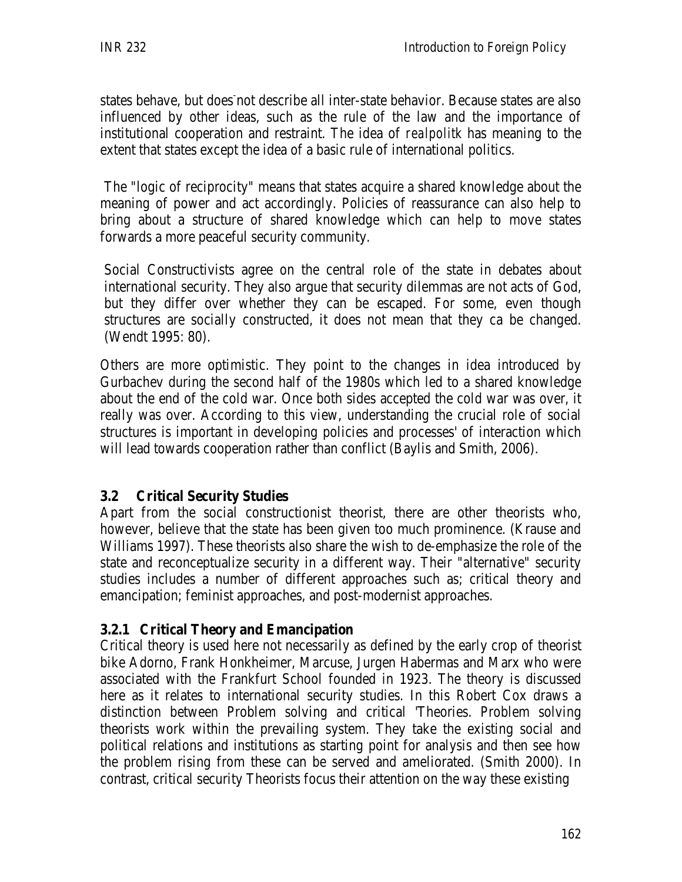states behave, but does not describe all inter-state behavior. Because states are also influenced by other ideas, such as the rule of the law and the importance of institutional cooperation and restraint. The idea of *realpolitk* has meaning to the extent that states except the idea of a basic rule of international politics.

The "logic of reciprocity" means that states acquire a shared knowledge about the meaning of power and act accordingly. Policies of reassurance can also help to bring about a structure of shared knowledge which can help to move states forwards a more peaceful security community.

Social Constructivists agree on the central role of the state in debates about international security. They also argue that security dilemmas are not acts of God, but they differ over whether they can be escaped. For some, even though structures are socially constructed, it does not mean that they ca be changed. (Wendt 1995: 80).

Others are more optimistic. They point to the changes in idea introduced by Gurbachev during the second half of the 1980s which led to a shared knowledge about the end of the cold war. Once both sides accepted the cold war was over, it really was over. According to this view, understanding the crucial role of social structures is important in developing policies and processes' of interaction which will lead towards cooperation rather than conflict (Baylis and Smith, 2006).

### **3.2 Critical Security Studies**

Apart from the social constructionist theorist, there are other theorists who, however, believe that the state has been given too much prominence. (Krause and Williams 1997). These theorists also share the wish to de-emphasize the role of the state and reconceptualize security in a different way. Their "alternative" security studies includes a number of different approaches such as; critical theory and emancipation; feminist approaches, and post-modernist approaches.

### **3.2.1 Critical Theory and Emancipation**

Critical theory is used here not necessarily as defined by the early crop of theorist bike Adorno, Frank Honkheimer, Marcuse, Jurgen Habermas and Marx who were associated with the Frankfurt School founded in 1923. The theory is discussed here as it relates to international security studies. In this Robert Cox draws a distinction between Problem solving and critical 'Theories. Problem solving theorists work within the prevailing system. They take the existing social and political relations and institutions as starting point for analysis and then see how the problem rising from these can be served and ameliorated. (Smith 2000). In contrast, critical security Theorists focus their attention on the way these existing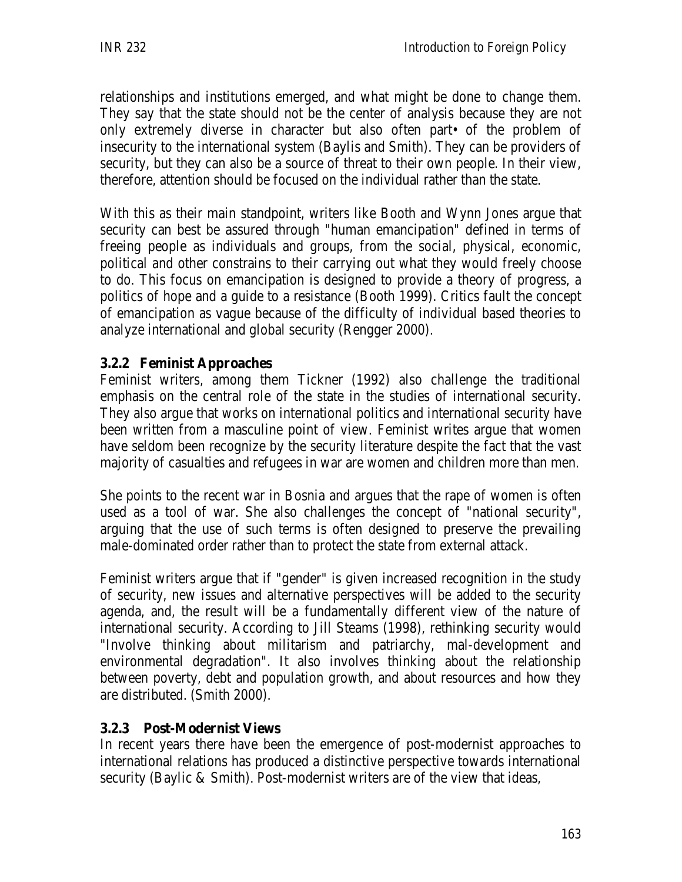relationships and institutions emerged, and what might be done to change them. They say that the state should not be the center of analysis because they are not only extremely diverse in character but also often part• of the problem of insecurity to the international system (Baylis and Smith). They can be providers of security, but they can also be a source of threat to their own people. In their view, therefore, attention should be focused on the individual rather than the state.

With this as their main standpoint, writers like Booth and Wynn Jones argue that security can best be assured through "human emancipation" defined in terms of freeing people as individuals and groups, from the social, physical, economic, political and other constrains to their carrying out what they would freely choose to do. This focus on emancipation is designed to provide a theory of progress, a politics of hope and a guide to a resistance (Booth 1999). Critics fault the concept of emancipation as vague because of the difficulty of individual based theories to analyze international and global security (Rengger 2000).

#### **3.2.2 Feminist Approaches**

Feminist writers, among them Tickner (1992) also challenge the traditional emphasis on the central role of the state in the studies of international security. They also argue that works on international politics and international security have been written from a masculine point of view. Feminist writes argue that women have seldom been recognize by the security literature despite the fact that the vast majority of casualties and refugees in war are women and children more than men.

She points to the recent war in Bosnia and argues that the rape of women is often used as a tool of war. She also challenges the concept of "national security", arguing that the use of such terms is often designed to preserve the prevailing male-dominated order rather than to protect the state from external attack.

Feminist writers argue that if "gender" is given increased recognition in the study of security, new issues and alternative perspectives will be added to the security agenda, and, the result will be a fundamentally different view of the nature of international security. According to Jill Steams (1998), rethinking security would "Involve thinking about militarism and patriarchy, mal-development and environmental degradation". It also involves thinking about the relationship between poverty, debt and population growth, and about resources and how they are distributed. (Smith 2000).

### **3.2.3 Post-Modernist Views**

In recent years there have been the emergence of post-modernist approaches to international relations has produced a distinctive perspective towards international security (Baylic & Smith). Post-modernist writers are of the view that ideas,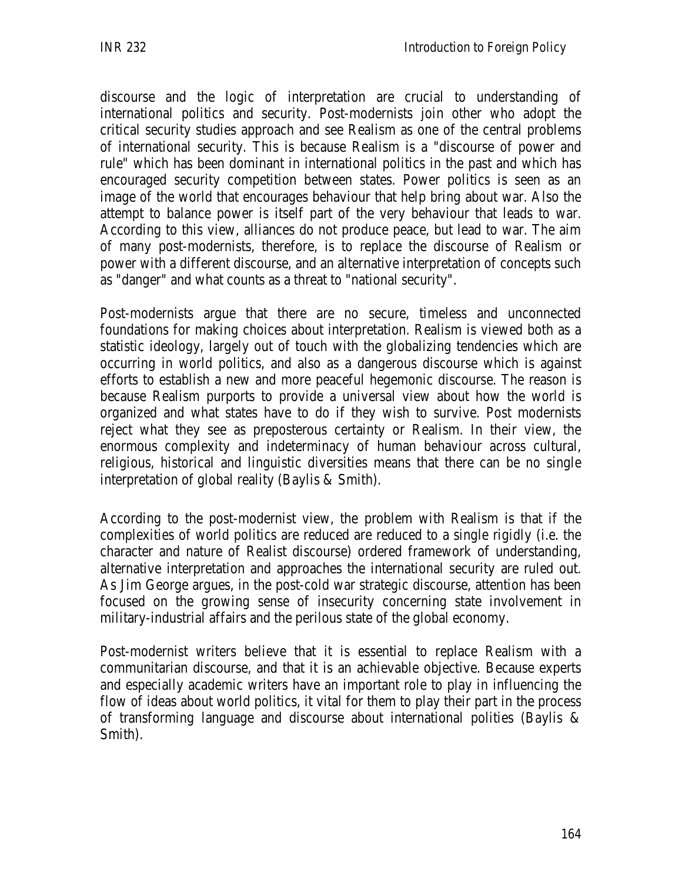discourse and the logic of interpretation are crucial to understanding of international politics and security. Post-modernists join other who adopt the critical security studies approach and see Realism as one of the central problems of international security. This is because Realism is a "discourse of power and rule" which has been dominant in international politics in the past and which has encouraged security competition between states. Power politics is seen as an image of the world that encourages behaviour that help bring about war. Also the attempt to balance power is itself part of the very behaviour that leads to war. According to this view, alliances do not produce peace, but lead to war. The aim of many post-modernists, therefore, is to replace the discourse of Realism or power with a different discourse, and an alternative interpretation of concepts such as "danger" and what counts as a threat to "national security".

Post-modernists argue that there are no secure, timeless and unconnected foundations for making choices about interpretation. Realism is viewed both as a statistic ideology, largely out of touch with the globalizing tendencies which are occurring in world politics, and also as a dangerous discourse which is against efforts to establish a new and more peaceful hegemonic discourse. The reason is because Realism purports to provide a universal view about how the world is organized and what states have to do if they wish to survive. Post modernists reject what they see as preposterous certainty or Realism. In their view, the enormous complexity and indeterminacy of human behaviour across cultural, religious, historical and linguistic diversities means that there can be no single interpretation of global reality (Baylis & Smith).

According to the post-modernist view, the problem with Realism is that if the complexities of world politics are reduced are reduced to a single rigidly (i.e. the character and nature of Realist discourse) ordered framework of understanding, alternative interpretation and approaches the international security are ruled out. As Jim George argues, in the post-cold war strategic discourse, attention has been focused on the growing sense of insecurity concerning state involvement in military-industrial affairs and the perilous state of the global economy.

Post-modernist writers believe that it is essential to replace Realism with a communitarian discourse, and that it is an achievable objective. Because experts and especially academic writers have an important role to play in influencing the flow of ideas about world politics, it vital for them to play their part in the process of transforming language and discourse about international polities (Baylis & Smith).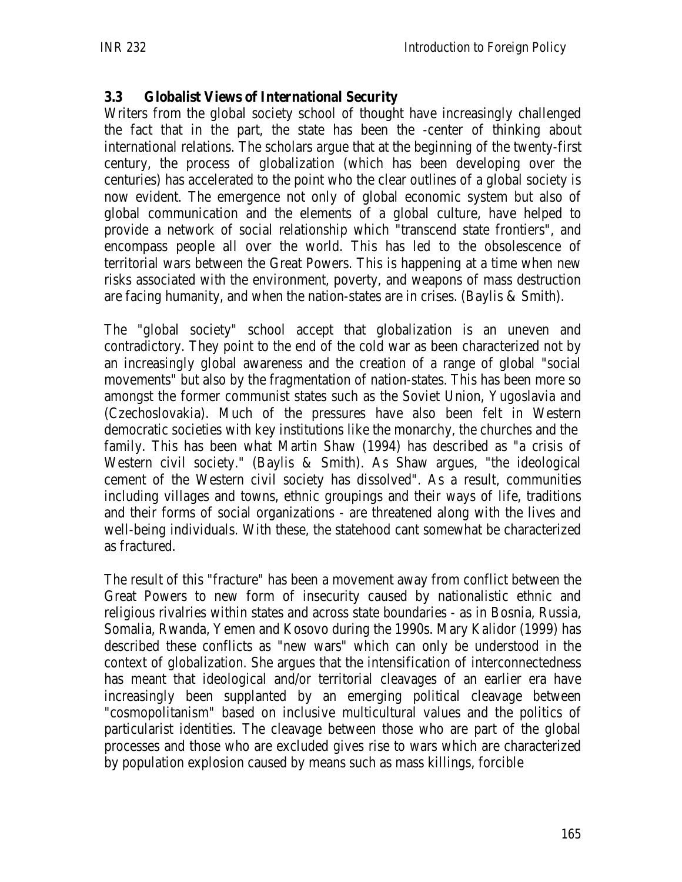#### **3.3 Globalist Views of International Security**

Writers from the global society school of thought have increasingly challenged the fact that in the part, the state has been the -center of thinking about international relations. The scholars argue that at the beginning of the twenty-first century, the process of globalization (which has been developing over the centuries) has accelerated to the point who the clear outlines of a global society is now evident. The emergence not only of global economic system but also of global communication and the elements of a global culture, have helped to provide a network of social relationship which "transcend state frontiers", and encompass people all over the world. This has led to the obsolescence of territorial wars between the Great Powers. This is happening at a time when new risks associated with the environment, poverty, and weapons of mass destruction are facing humanity, and when the nation-states are in crises. (Baylis & Smith).

The "global society" school accept that globalization is an uneven and contradictory. They point to the end of the cold war as been characterized not by an increasingly global awareness and the creation of a range of global "social movements" but also by the fragmentation of nation-states. This has been more so amongst the former communist states such as the Soviet Union, Yugoslavia and (Czechoslovakia). Much of the pressures have also been felt in Western democratic societies with key institutions like the monarchy, the churches and the family. This has been what Martin Shaw (1994) has described as "a crisis of Western civil society." (Baylis & Smith). As Shaw argues, "the ideological cement of the Western civil society has dissolved". As a result, communities including villages and towns, ethnic groupings and their ways of life, traditions and their forms of social organizations - are threatened along with the lives and well-being individuals. With these, the statehood cant somewhat be characterized as fractured.

The result of this "fracture" has been a movement away from conflict between the Great Powers to new form of insecurity caused by nationalistic ethnic and religious rivalries within states and across state boundaries - as in Bosnia, Russia, Somalia, Rwanda, Yemen and Kosovo during the 1990s. Mary Kalidor (1999) has described these conflicts as "new wars" which can only be understood in the context of globalization. She argues that the intensification of interconnectedness has meant that ideological and/or territorial cleavages of an earlier era have increasingly been supplanted by an emerging political cleavage between "cosmopolitanism" based on inclusive multicultural values and the politics of particularist identities. The cleavage between those who are part of the global processes and those who are excluded gives rise to wars which are characterized by population explosion caused by means such as mass killings, forcible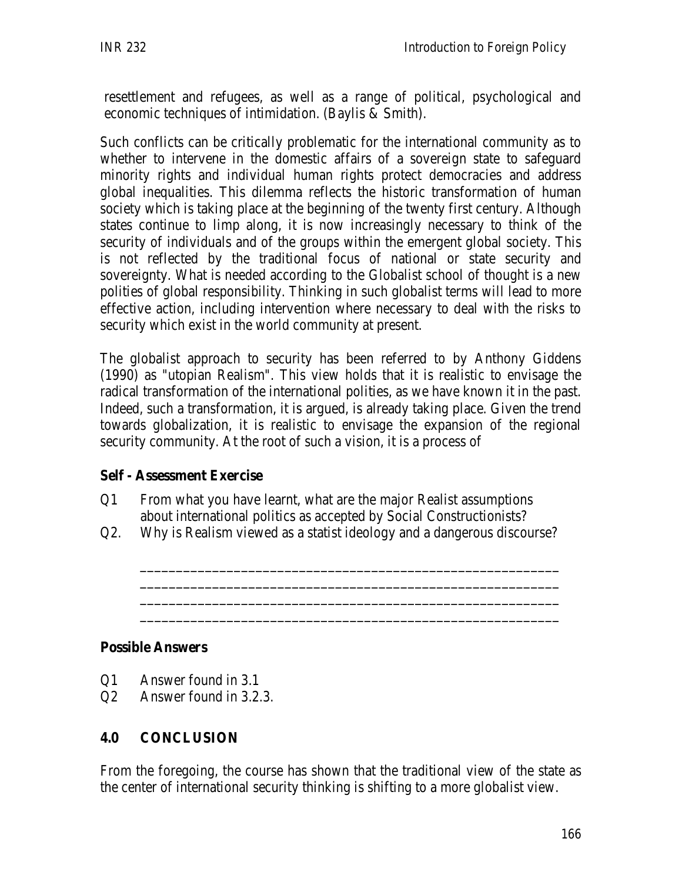resettlement and refugees, as well as a range of political, psychological and economic techniques of intimidation. (Baylis & Smith).

Such conflicts can be critically problematic for the international community as to whether to intervene in the domestic affairs of a sovereign state to safeguard minority rights and individual human rights protect democracies and address global inequalities. This dilemma reflects the historic transformation of human society which is taking place at the beginning of the twenty first century. Although states continue to limp along, it is now increasingly necessary to think of the security of individuals and of the groups within the emergent global society. This is not reflected by the traditional focus of national or state security and sovereignty. What is needed according to the Globalist school of thought is a new polities of global responsibility. Thinking in such globalist terms will lead to more effective action, including intervention where necessary to deal with the risks to security which exist in the world community at present.

The globalist approach to security has been referred to by Anthony Giddens (1990) as "utopian Realism". This view holds that it is realistic to envisage the radical transformation of the international polities, as we have known it in the past. Indeed, such a transformation, it is argued, is already taking place. Given the trend towards globalization, it is realistic to envisage the expansion of the regional security community. At the root of such a vision, it is a process of

#### **Self - Assessment Exercise**

- Q1 From what you have learnt, what are the major Realist assumptions about international politics as accepted by Social Constructionists?
- Q2. Why is Realism viewed as a statist ideology and a dangerous discourse?

\_\_\_\_\_\_\_\_\_\_\_\_\_\_\_\_\_\_\_\_\_\_\_\_\_\_\_\_\_\_\_\_\_\_\_\_\_\_\_\_\_\_\_\_\_\_\_\_\_\_\_\_\_\_\_\_\_\_ \_\_\_\_\_\_\_\_\_\_\_\_\_\_\_\_\_\_\_\_\_\_\_\_\_\_\_\_\_\_\_\_\_\_\_\_\_\_\_\_\_\_\_\_\_\_\_\_\_\_\_\_\_\_\_\_\_\_ \_\_\_\_\_\_\_\_\_\_\_\_\_\_\_\_\_\_\_\_\_\_\_\_\_\_\_\_\_\_\_\_\_\_\_\_\_\_\_\_\_\_\_\_\_\_\_\_\_\_\_\_\_\_\_\_\_\_ \_\_\_\_\_\_\_\_\_\_\_\_\_\_\_\_\_\_\_\_\_\_\_\_\_\_\_\_\_\_\_\_\_\_\_\_\_\_\_\_\_\_\_\_\_\_\_\_\_\_\_\_\_\_\_\_\_\_

#### **Possible Answers**

- Q1 Answer found in 3.1
- Q2 Answer found in 3.2.3.

### **4.0 CONCLUSION**

From the foregoing, the course has shown that the traditional view of the state as the center of international security thinking is shifting to a more globalist view.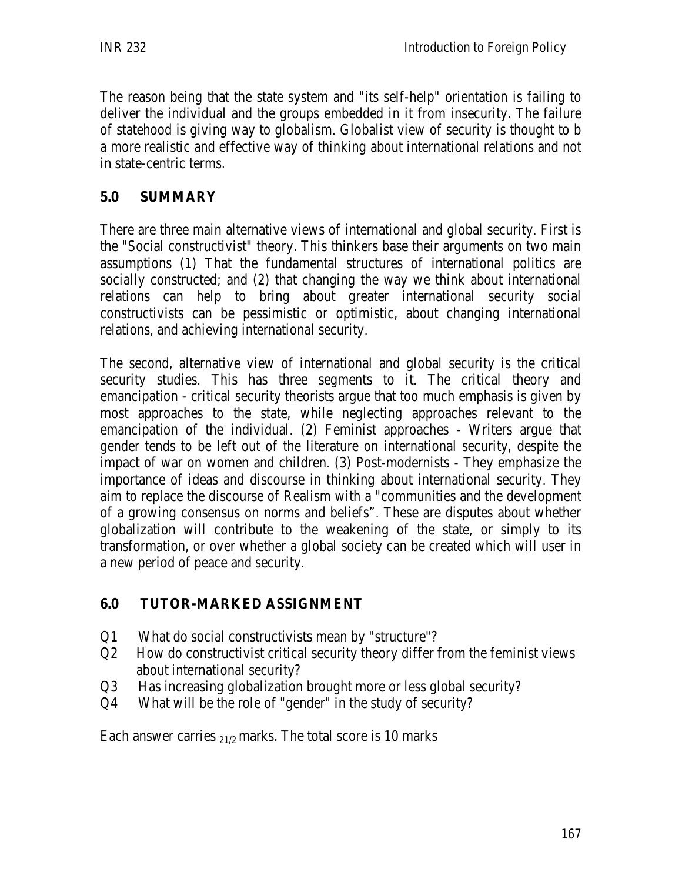The reason being that the state system and "its self-help" orientation is failing to deliver the individual and the groups embedded in it from insecurity. The failure of statehood is giving way to globalism. Globalist view of security is thought to b a more realistic and effective way of thinking about international relations and not in state-centric terms.

# **5.0 SUMMARY**

There are three main alternative views of international and global security. First is the "Social constructivist" theory. This thinkers base their arguments on two main assumptions (1) That the fundamental structures of international politics are socially constructed; and (2) that changing the way we think about international relations can help to bring about greater international security social constructivists can be pessimistic or optimistic, about changing international relations, and achieving international security.

The second, alternative view of international and global security is the critical security studies. This has three segments to it. The critical theory and emancipation - critical security theorists argue that too much emphasis is given by most approaches to the state, while neglecting approaches relevant to the emancipation of the individual. (2) Feminist approaches - Writers argue that gender tends to be left out of the literature on international security, despite the impact of war on women and children. (3) Post-modernists - They emphasize the importance of ideas and discourse in thinking about international security. They aim to replace the discourse of Realism with a "communities and the development of a growing consensus on norms and beliefs". These are disputes about whether globalization will contribute to the weakening of the state, or simply to its transformation, or over whether a global society can be created which will user in a new period of peace and security.

# **6.0 TUTOR-MARKED ASSIGNMENT**

- Q1 What do social constructivists mean by "structure"?
- Q2 How do constructivist critical security theory differ from the feminist views about international security?
- Q3 Has increasing globalization brought more or less global security?
- Q4 What will be the role of "gender" in the study of security?

Each answer carries  $_{21/2}$  marks. The total score is 10 marks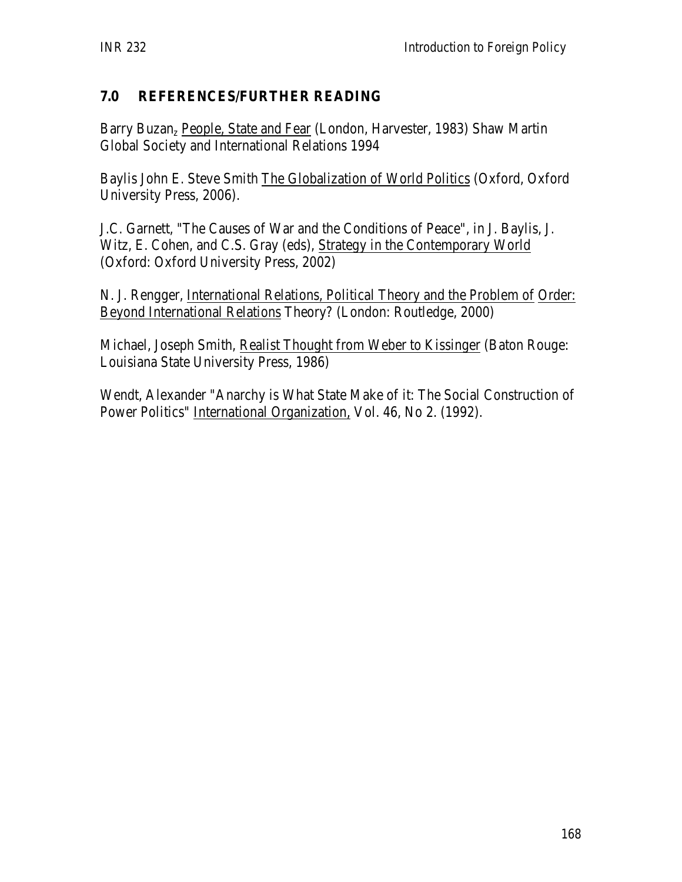#### **7.0 REFERENCES/FURTHER READING**

Barry Buzan, People, State and Fear (London, Harvester, 1983) Shaw Martin Global Society and International Relations 1994

Baylis John E. Steve Smith The Globalization of World Politics (Oxford, Oxford University Press, 2006).

J.C. Garnett, "The Causes of War and the Conditions of Peace", in J. Baylis, J. Witz, E. Cohen, and C.S. Gray (eds), Strategy in the Contemporary World (Oxford: Oxford University Press, 2002)

N. J. Rengger, International Relations, Political Theory and the Problem of Order: Beyond International Relations Theory? (London: Routledge, 2000)

Michael, Joseph Smith, Realist Thought from Weber to Kissinger (Baton Rouge: Louisiana State University Press, 1986)

Wendt, Alexander "Anarchy is What State Make of it: The Social Construction of Power Politics" International Organization, Vol. 46, No 2. (1992).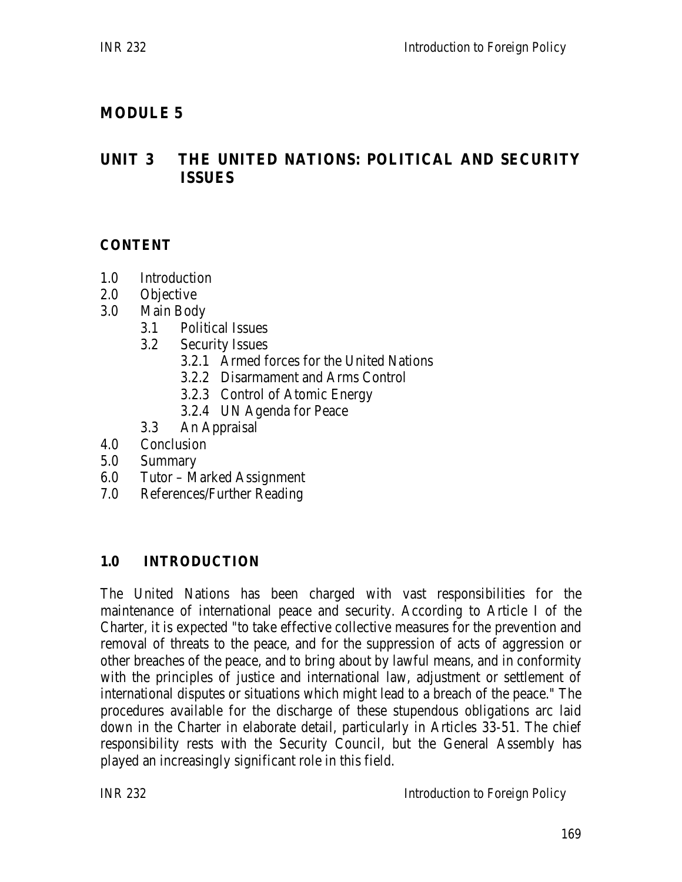# **MODULE 5**

# **UNIT 3 THE UNITED NATIONS: POLITICAL AND SECURITY ISSUES**

#### **CONTENT**

- 1.0 Introduction
- 2.0 Objective
- 3.0 Main Body
	- 3.1 Political Issues
	- 3.2 Security Issues
		- 3.2.1 Armed forces for the United Nations
		- 3.2.2 Disarmament and Arms Control
		- 3.2.3 Control of Atomic Energy
		- 3.2.4 UN Agenda for Peace
	- 3.3 An Appraisal
- 4.0 Conclusion
- 5.0 Summary
- 6.0 Tutor Marked Assignment
- 7.0 References/Further Reading

### **1.0 INTRODUCTION**

The United Nations has been charged with vast responsibilities for the maintenance of international peace and security. According to Article I of the Charter, it is expected "to take effective collective measures for the prevention and removal of threats to the peace, and for the suppression of acts of aggression or other breaches of the peace, and to bring about by lawful means, and in conformity with the principles of justice and international law, adjustment or settlement of international disputes or situations which might lead to a breach of the peace." The procedures available for the discharge of these stupendous obligations arc laid down in the Charter in elaborate detail, particularly in Articles 33-51. The chief responsibility rests with the Security Council, but the General Assembly has played an increasingly significant role in this field.

INR 232 Introduction to Foreign Policy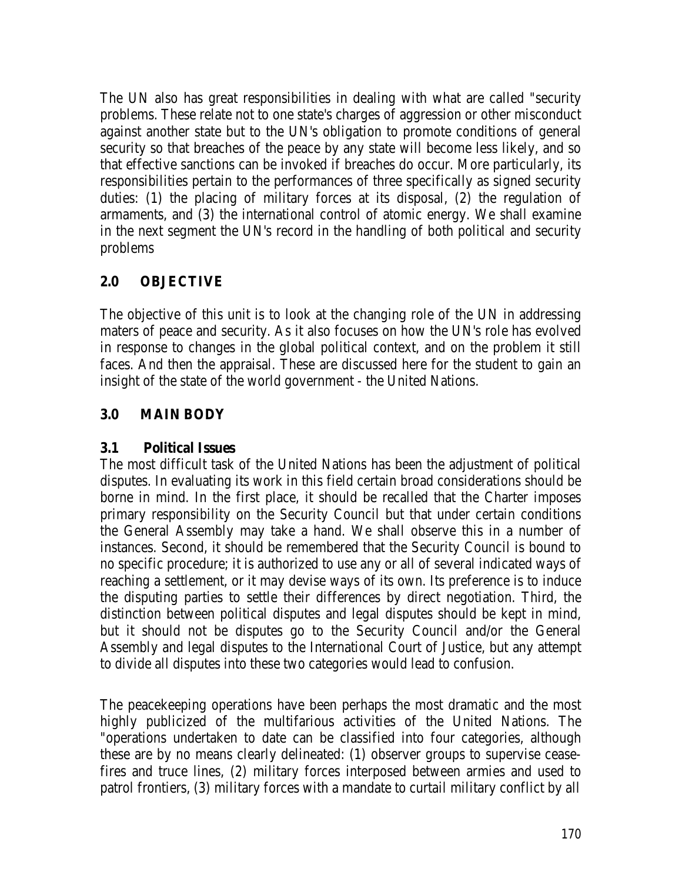The UN also has great responsibilities in dealing with what are called "security problems. These relate not to one state's charges of aggression or other misconduct against another state but to the UN's obligation to promote conditions of general security so that breaches of the peace by any state will become less likely, and so that effective sanctions can be invoked if breaches do occur. More particularly, its responsibilities pertain to the performances of three specifically as signed security duties: (1) the placing of military forces at its disposal, (2) the regulation of armaments, and (3) the international control of atomic energy. We shall examine in the next segment the UN's record in the handling of both political and security problems

### **2.0 OBJECTIVE**

The objective of this unit is to look at the changing role of the UN in addressing maters of peace and security. As it also focuses on how the UN's role has evolved in response to changes in the global political context, and on the problem it still faces. And then the appraisal. These are discussed here for the student to gain an insight of the state of the world government - the United Nations.

# **3.0 MAIN BODY**

#### **3.1 Political Issues**

The most difficult task of the United Nations has been the adjustment of political disputes. In evaluating its work in this field certain broad considerations should be borne in mind. In the first place, it should be recalled that the Charter imposes primary responsibility on the Security Council but that under certain conditions the General Assembly may take a hand. We shall observe this in a number of instances. Second, it should be remembered that the Security Council is bound to no specific procedure; it is authorized to use any or all of several indicated ways of reaching a settlement, or it may devise ways of its own. Its preference is to induce the disputing parties to settle their differences by direct negotiation. Third, the distinction between political disputes and legal disputes should be kept in mind, but it should not be disputes go to the Security Council and/or the General Assembly and legal disputes to the International Court of Justice, but any attempt to divide all disputes into these two categories would lead to confusion.

The peacekeeping operations have been perhaps the most dramatic and the most highly publicized of the multifarious activities of the United Nations. The "operations undertaken to date can be classified into four categories, although these are by no means clearly delineated: (1) observer groups to supervise ceasefires and truce lines, (2) military forces interposed between armies and used to patrol frontiers, (3) military forces with a mandate to curtail military conflict by all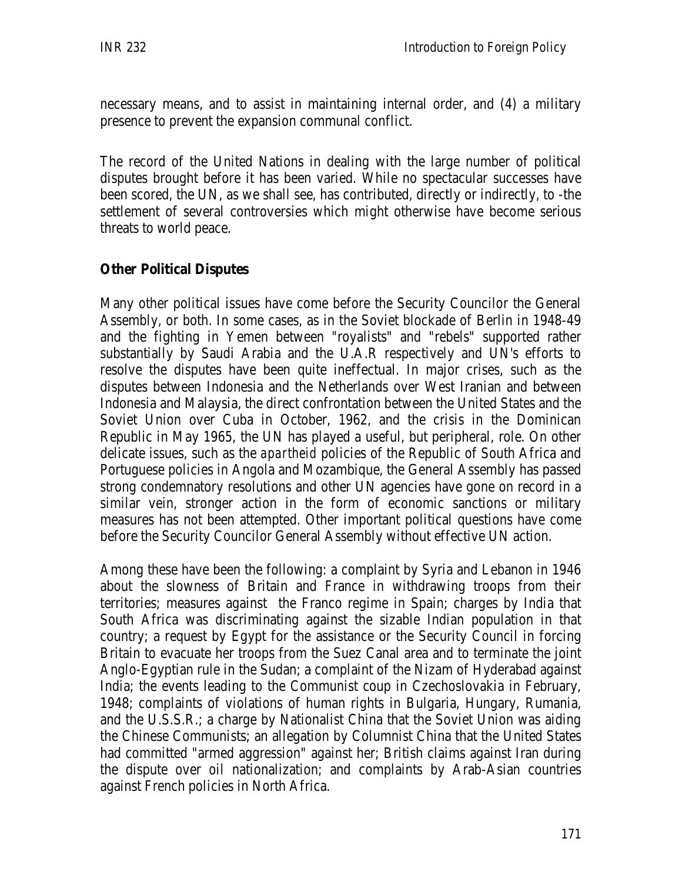necessary means, and to assist in maintaining internal order, and (4) a military presence to prevent the expansion communal conflict.

The record of the United Nations in dealing with the large number of political disputes brought before it has been varied. While no spectacular successes have been scored, the UN, as we shall see, has contributed, directly or indirectly, to -the settlement of several controversies which might otherwise have become serious threats to world peace.

### **Other Political Disputes**

Many other political issues have come before the Security Councilor the General Assembly, or both. In some cases, as in the Soviet blockade of Berlin in 1948-49 and the fighting in Yemen between "royalists" and "rebels" supported rather substantially by Saudi Arabia and the U.A.R respectively and UN's efforts to resolve the disputes have been quite ineffectual. In major crises, such as the disputes between Indonesia and the Netherlands over West Iranian and between Indonesia and Malaysia, the direct confrontation between the United States and the Soviet Union over Cuba in October, 1962, and the crisis in the Dominican Republic in May 1965, the UN has played a useful, but peripheral, role. On other delicate issues, such as the *apartheid* policies of the Republic of South Africa and Portuguese policies in Angola and Mozambique, the General Assembly has passed strong condemnatory resolutions and other UN agencies have gone on record in a similar vein, stronger action in the form of economic sanctions or military measures has not been attempted. Other important political questions have come before the Security Councilor General Assembly without effective UN action.

Among these have been the following: a complaint by Syria and Lebanon in 1946 about the slowness of Britain and France in withdrawing troops from their territories; measures against the Franco regime in Spain; charges by India that South Africa was discriminating against the sizable Indian population in that country; a request by Egypt for the assistance or the Security Council in forcing Britain to evacuate her troops from the Suez Canal area and to terminate the joint Anglo-Egyptian rule in the Sudan; a complaint of the Nizam of Hyderabad against India; the events leading to the Communist coup in Czechoslovakia in February, 1948; complaints of violations of human rights in Bulgaria, Hungary, Rumania, and the U.S.S.R.; a charge by Nationalist China that the Soviet Union was aiding the Chinese Communists; an allegation by Columnist China that the United States had committed "armed aggression" against her; British claims against Iran during the dispute over oil nationalization; and complaints by Arab-Asian countries against French policies in North Africa.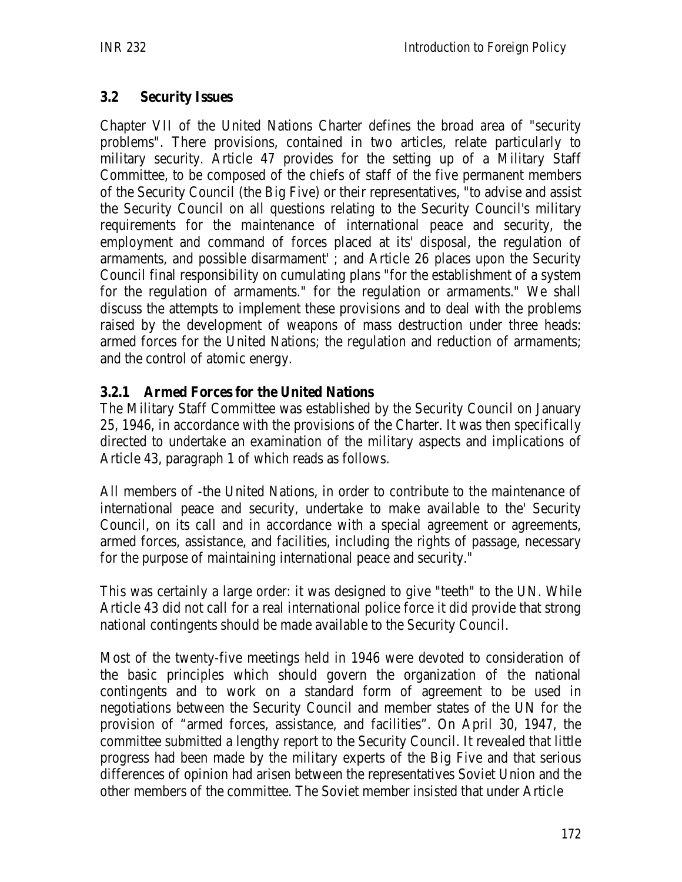# **3.2 Security Issues**

Chapter VII of the United Nations Charter defines the broad area of "security problems". There provisions, contained in two articles, relate particularly to military security. Article 47 provides for the setting up of a Military Staff Committee, to be composed of the chiefs of staff of the five permanent members of the Security Council (the Big Five) or their representatives, "to advise and assist the Security Council on all questions relating to the Security Council's military requirements for the maintenance of international peace and security, the employment and command of forces placed at its' disposal, the regulation of armaments, and possible disarmament' ; and Article 26 places upon the Security Council final responsibility on cumulating plans "for the establishment of a system for the regulation of armaments." for the regulation or armaments." We shall discuss the attempts to implement these provisions and to deal with the problems raised by the development of weapons of mass destruction under three heads: armed forces for the United Nations; the regulation and reduction of armaments; and the control of atomic energy.

### **3.2.1 Armed Forces for the United Nations**

The Military Staff Committee was established by the Security Council on January 25, 1946, in accordance with the provisions of the Charter. It was then specifically directed to undertake an examination of the military aspects and implications of Article 43, paragraph 1 of which reads as follows.

All members of -the United Nations, in order to contribute to the maintenance of international peace and security, undertake to make available to the' Security Council, on its call and in accordance with a special agreement or agreements, armed forces, assistance, and facilities, including the rights of passage, necessary for the purpose of maintaining international peace and security."

This was certainly a large order: it was designed to give "teeth" to the UN. While Article 43 did not call for a real international police force it did provide that strong national contingents should be made available to the Security Council.

Most of the twenty-five meetings held in 1946 were devoted to consideration of the basic principles which should govern the organization of the national contingents and to work on a standard form of agreement to be used in negotiations between the Security Council and member states of the UN for the provision of "armed forces, assistance, and facilities". On April 30, 1947, the committee submitted a lengthy report to the Security Council. It revealed that little progress had been made by the military experts of the Big Five and that serious differences of opinion had arisen between the representatives Soviet Union and the other members of the committee. The Soviet member insisted that under Article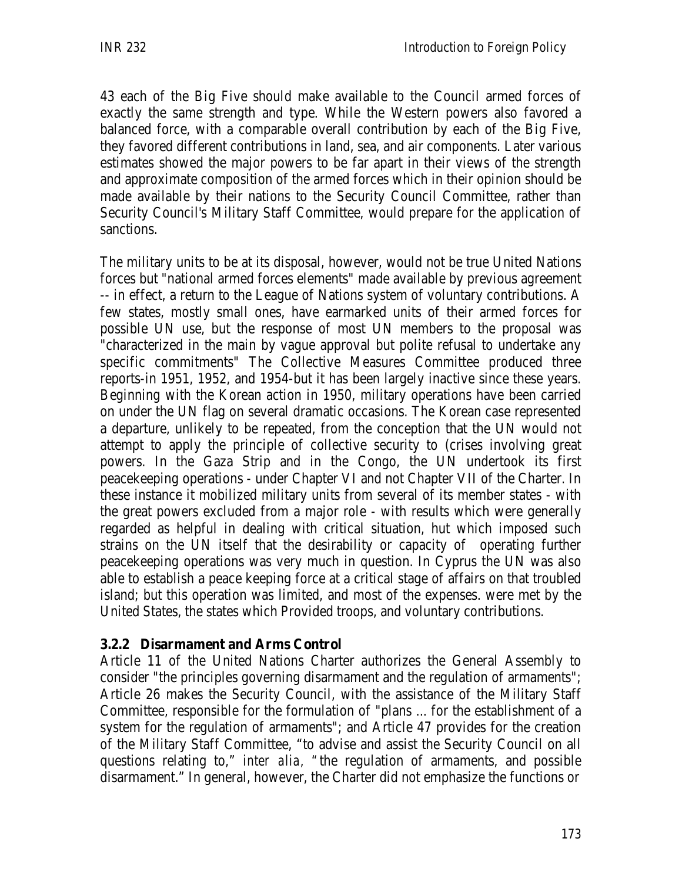43 each of the Big Five should make available to the Council armed forces of exactly the same strength and type. While the Western powers also favored a balanced force, with a comparable overall contribution by each of the Big Five, they favored different contributions in land, sea, and air components. Later various estimates showed the major powers to be far apart in their views of the strength and approximate composition of the armed forces which in their opinion should be made available by their nations to the Security Council Committee, rather than Security Council's Military Staff Committee, would prepare for the application of sanctions.

The military units to be at its disposal, however, would not be true United Nations forces but "national armed forces elements" made available by previous agreement -- in effect, a return to the League of Nations system of voluntary contributions. A few states, mostly small ones, have earmarked units of their armed forces for possible UN use, but the response of most UN members to the proposal was "characterized in the main by vague approval but polite refusal to undertake any specific commitments" The Collective Measures Committee produced three reports-in 1951, 1952, and 1954-but it has been largely inactive since these years. Beginning with the Korean action in 1950, military operations have been carried on under the UN flag on several dramatic occasions. The Korean case represented a departure, unlikely to be repeated, from the conception that the UN would not attempt to apply the principle of collective security to (crises involving great powers. In the Gaza Strip and in the Congo, the UN undertook its first peacekeeping operations - under Chapter VI and not Chapter VII of the Charter. In these instance it mobilized military units from several of its member states - with the great powers excluded from a major role - with results which were generally regarded as helpful in dealing with critical situation, hut which imposed such strains on the UN itself that the desirability or capacity of operating further peacekeeping operations was very much in question. In Cyprus the UN was also able to establish a peace keeping force at a critical stage of affairs on that troubled island; but this operation was limited, and most of the expenses. were met by the United States, the states which Provided troops, and voluntary contributions.

### **3.2.2 Disarmament and Arms Control**

Article 11 of the United Nations Charter authorizes the General Assembly to consider "the principles governing disarmament and the regulation of armaments"; Article 26 makes the Security Council, with the assistance of the Military Staff Committee, responsible for the formulation of "plans ... for the establishment of a system for the regulation of armaments"; and Article 47 provides for the creation of the Military Staff Committee, "to advise and assist the Security Council on all questions relating to," *inter alia, "*the regulation of armaments, and possible disarmament." In general, however, the Charter did not emphasize the functions or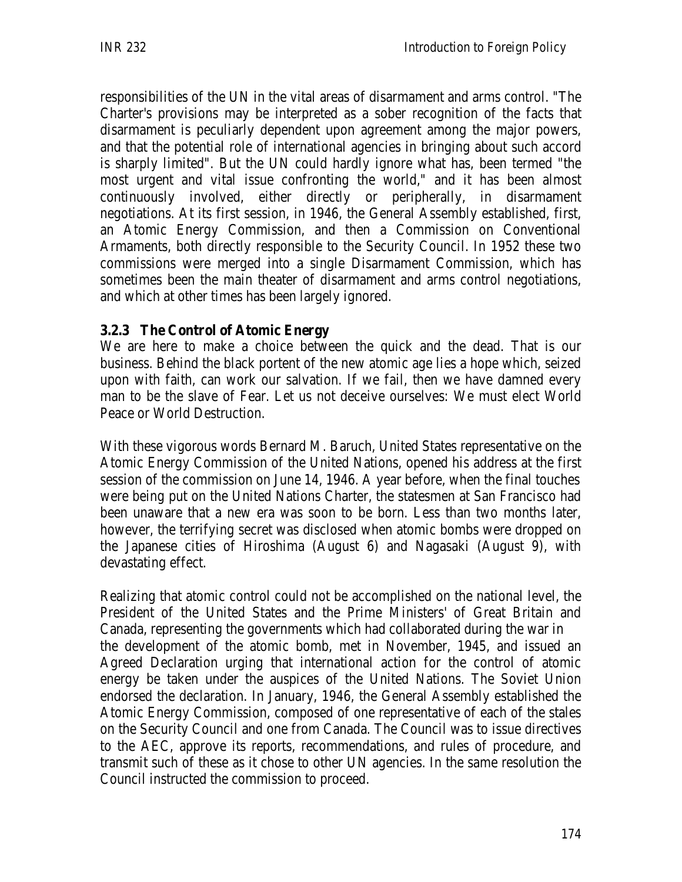responsibilities of the UN in the vital areas of disarmament and arms control. "The Charter's provisions may be interpreted as a sober recognition of the facts that disarmament is peculiarly dependent upon agreement among the major powers, and that the potential role of international agencies in bringing about such accord is sharply limited". But the UN could hardly ignore what has, been termed "the most urgent and vital issue confronting the world," and it has been almost continuously involved, either directly or peripherally, in disarmament negotiations. At its first session, in 1946, the General Assembly established, first, an Atomic Energy Commission, and then a Commission on Conventional Armaments, both directly responsible to the Security Council. In 1952 these two commissions were merged into a single Disarmament Commission, which has sometimes been the main theater of disarmament and arms control negotiations, and which at other times has been largely ignored.

#### **3.2.3 The Control of Atomic Energy**

We are here to make a choice between the quick and the dead. That is our business. Behind the black portent of the new atomic age lies a hope which, seized upon with faith, can work our salvation. If we fail, then we have damned every man to be the slave of Fear. Let us not deceive ourselves: We must elect World Peace or World Destruction.

With these vigorous words Bernard M. Baruch, United States representative on the Atomic Energy Commission of the United Nations, opened his address at the first session of the commission on June 14, 1946. A year before, when the final touches were being put on the United Nations Charter, the statesmen at San Francisco had been unaware that a new era was soon to be born. Less than two months later, however, the terrifying secret was disclosed when atomic bombs were dropped on the Japanese cities of Hiroshima (August 6) and Nagasaki (August 9), with devastating effect.

Realizing that atomic control could not be accomplished on the national level, the President of the United States and the Prime Ministers' of Great Britain and Canada, representing the governments which had collaborated during the war in the development of the atomic bomb, met in November, 1945, and issued an Agreed Declaration urging that international action for the control of atomic energy be taken under the auspices of the United Nations. The Soviet Union endorsed the declaration. In January, 1946, the General Assembly established the Atomic Energy Commission, composed of one representative of each of the stales on the Security Council and one from Canada. The Council was to issue directives to the AEC, approve its reports, recommendations, and rules of procedure, and transmit such of these as it chose to other UN agencies. In the same resolution the Council instructed the commission to proceed.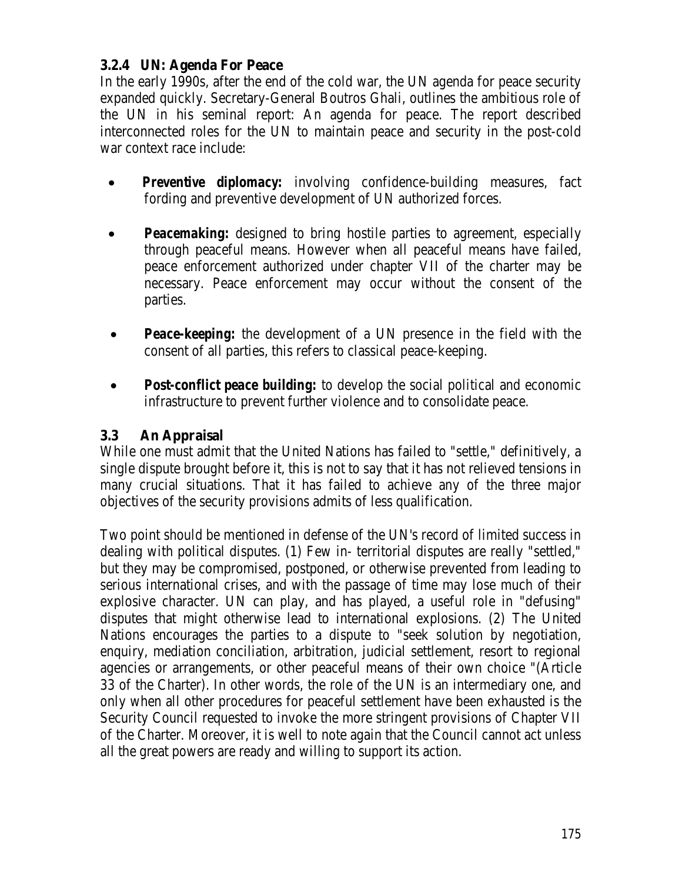#### **3.2.4 UN: Agenda For Peace**

In the early 1990s, after the end of the cold war, the UN agenda for peace security expanded quickly. Secretary-General Boutros Ghali, outlines the ambitious role of the UN in his seminal report: An agenda for peace. The report described interconnected roles for the UN to maintain peace and security in the post-cold war context race include:

- *Preventive diplomacy:* involving confidence-building measures, fact fording and preventive development of UN authorized forces.
- *Peacemaking:* designed to bring hostile parties to agreement, especially through peaceful means. However when all peaceful means have failed, peace enforcement authorized under chapter VII of the charter may be necessary. Peace enforcement may occur without the consent of the parties.
- *Peace-keeping:* the development of a UN presence in the field with the consent of all parties, this refers to classical peace-keeping.
- *Post-conflict peace building:* to develop the social political and economic infrastructure to prevent further violence and to consolidate peace.

#### **3.3 An Appraisal**

While one must admit that the United Nations has failed to "settle," definitively, a single dispute brought before it, this is not to say that it has not relieved tensions in many crucial situations. That it has failed to achieve any of the three major objectives of the security provisions admits of less qualification.

Two point should be mentioned in defense of the UN's record of limited success in dealing with political disputes. (1) Few in- territorial disputes are really "settled," but they may be compromised, postponed, or otherwise prevented from leading to serious international crises, and with the passage of time may lose much of their explosive character. UN can play, and has played, a useful role in "defusing" disputes that might otherwise lead to international explosions. (2) The United Nations encourages the parties to a dispute to "seek solution by negotiation, enquiry, mediation conciliation, arbitration, judicial settlement, resort to regional agencies or arrangements, or other peaceful means of their own choice "(Article 33 of the Charter). In other words, the role of the UN is an intermediary one, and only when all other procedures for peaceful settlement have been exhausted is the Security Council requested to invoke the more stringent provisions of Chapter VII of the Charter. Moreover, it is well to note again that the Council cannot act unless all the great powers are ready and willing to support its action.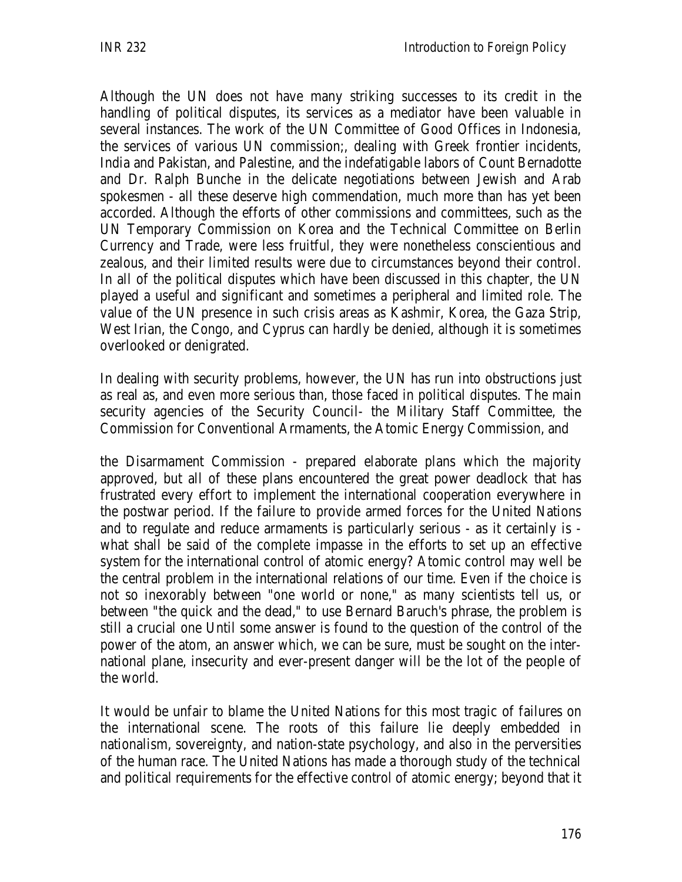Although the UN does not have many striking successes to its credit in the handling of political disputes, its services as a mediator have been valuable in several instances. The work of the UN Committee of Good Offices in Indonesia, the services of various UN commission;, dealing with Greek frontier incidents, India and Pakistan, and Palestine, and the indefatigable labors of Count Bernadotte and Dr. Ralph Bunche in the delicate negotiations between Jewish and Arab spokesmen - all these deserve high commendation, much more than has yet been accorded. Although the efforts of other commissions and committees, such as the UN Temporary Commission on Korea and the Technical Committee on Berlin Currency and Trade, were less fruitful, they were nonetheless conscientious and zealous, and their limited results were due to circumstances beyond their control. In all of the political disputes which have been discussed in this chapter, the UN played a useful and significant and sometimes a peripheral and limited role. The value of the UN presence in such crisis areas as Kashmir, Korea, the Gaza Strip, West Irian, the Congo, and Cyprus can hardly be denied, although it is sometimes overlooked or denigrated.

In dealing with security problems, however, the UN has run into obstructions just as real as, and even more serious than, those faced in political disputes. The main security agencies of the Security Council- the Military Staff Committee, the Commission for Conventional Armaments, the Atomic Energy Commission, and

the Disarmament Commission - prepared elaborate plans which the majority approved, but all of these plans encountered the great power deadlock that has frustrated every effort to implement the international cooperation everywhere in the postwar period. If the failure to provide armed forces for the United Nations and to regulate and reduce armaments is particularly serious - as it certainly is what shall be said of the complete impasse in the efforts to set up an effective system for the international control of atomic energy? Atomic control may well be the central problem in the international relations of our time. Even if the choice is not so inexorably between "one world or none," as many scientists tell us, or between "the quick and the dead," to use Bernard Baruch's phrase, the problem is still a crucial one Until some answer is found to the question of the control of the power of the atom, an answer which, we can be sure, must be sought on the international plane, insecurity and ever-present danger will be the lot of the people of the world.

It would be unfair to blame the United Nations for this most tragic of failures on the international scene. The roots of this failure lie deeply embedded in nationalism, sovereignty, and nation-state psychology, and also in the perversities of the human race. The United Nations has made a thorough study of the technical and political requirements for the effective control of atomic energy; beyond that it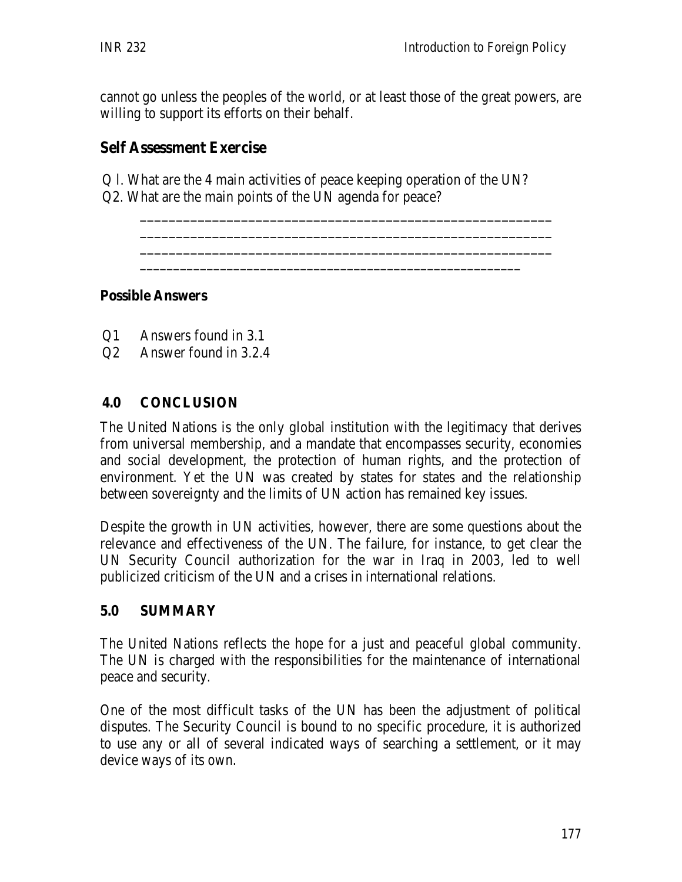cannot go unless the peoples of the world, or at least those of the great powers, are willing to support its efforts on their behalf.

\_\_\_\_\_\_\_\_\_\_\_\_\_\_\_\_\_\_\_\_\_\_\_\_\_\_\_\_\_\_\_\_\_\_\_\_\_\_\_\_\_\_\_\_\_\_\_\_\_\_\_\_\_\_\_\_\_ \_\_\_\_\_\_\_\_\_\_\_\_\_\_\_\_\_\_\_\_\_\_\_\_\_\_\_\_\_\_\_\_\_\_\_\_\_\_\_\_\_\_\_\_\_\_\_\_\_\_\_\_\_\_\_\_\_ \_\_\_\_\_\_\_\_\_\_\_\_\_\_\_\_\_\_\_\_\_\_\_\_\_\_\_\_\_\_\_\_\_\_\_\_\_\_\_\_\_\_\_\_\_\_\_\_\_\_\_\_\_\_\_\_\_

\_\_\_\_\_\_\_\_\_\_\_\_\_\_\_\_\_\_\_\_\_\_\_\_\_\_\_\_\_\_\_\_\_\_\_\_\_\_\_\_\_\_\_\_\_\_\_\_\_\_\_\_\_\_\_\_\_

#### **Self Assessment Exercise**

- Q l. What are the 4 main activities of peace keeping operation of the UN?
- Q2. What are the main points of the UN agenda for peace?

**Possible Answers**

- Q1 Answers found in 3.1
- Q2 Answer found in 3.2.4

#### **4.0 CONCLUSION**

The United Nations is the only global institution with the legitimacy that derives from universal membership, and a mandate that encompasses security, economies and social development, the protection of human rights, and the protection of environment. Yet the UN was created by states for states and the relationship between sovereignty and the limits of UN action has remained key issues.

Despite the growth in UN activities, however, there are some questions about the relevance and effectiveness of the UN. The failure, for instance, to get clear the UN Security Council authorization for the war in Iraq in 2003, led to well publicized criticism of the UN and a crises in international relations.

### **5.0 SUMMARY**

The United Nations reflects the hope for a just and peaceful global community. The UN is charged with the responsibilities for the maintenance of international peace and security.

One of the most difficult tasks of the UN has been the adjustment of political disputes. The Security Council is bound to no specific procedure, it is authorized to use any or all of several indicated ways of searching a settlement, or it may device ways of its own.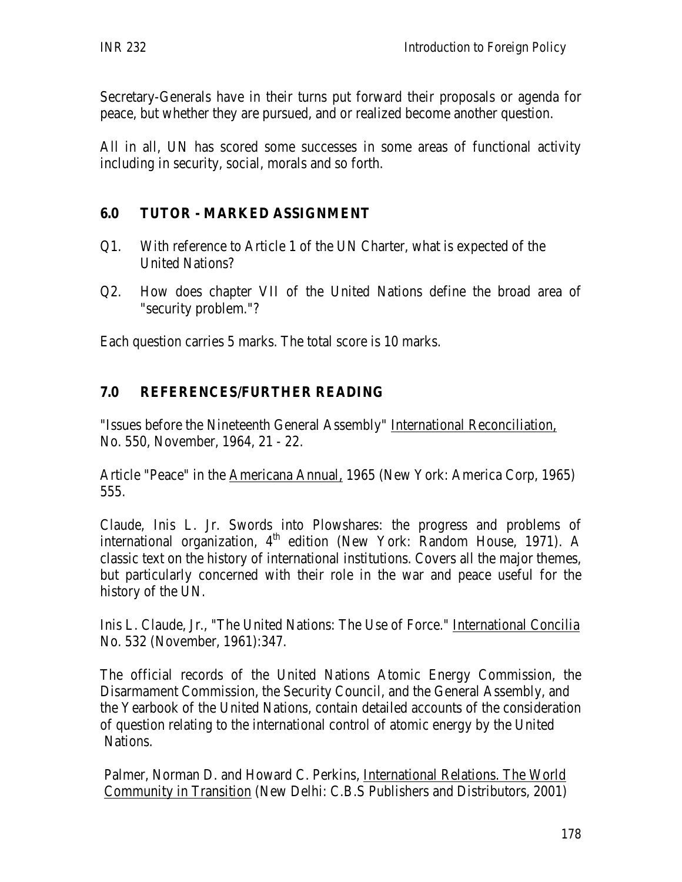Secretary-Generals have in their turns put forward their proposals or agenda for peace, but whether they are pursued, and or realized become another question.

All in all, UN has scored some successes in some areas of functional activity including in security, social, morals and so forth.

# **6.0 TUTOR - MARKED ASSIGNMENT**

- Q1. With reference to Article 1 of the UN Charter, what is expected of the United Nations?
- Q2. How does chapter VII of the United Nations define the broad area of "security problem."?

Each question carries 5 marks. The total score is 10 marks.

### **7.0 REFERENCES/FURTHER READING**

"Issues before the Nineteenth General Assembly" International Reconciliation, No. 550, November, 1964, 21 - 22.

Article "Peace" in the Americana Annual, 1965 (New York: America Corp, 1965) 555.

Claude, Inis L. Jr. Swords into Plowshares: the progress and problems of international organization, 4<sup>th</sup> edition (New York: Random House, 1971). A classic text on the history of international institutions. Covers all the major themes, but particularly concerned with their role in the war and peace useful for the history of the UN.

Inis L. Claude, Jr., "The United Nations: The Use of Force." International Concilia No. 532 (November, 1961):347.

The official records of the United Nations Atomic Energy Commission, the Disarmament Commission, the Security Council, and the General Assembly, and the Yearbook of the United Nations, contain detailed accounts of the consideration of question relating to the international control of atomic energy by the United Nations.

Palmer, Norman D. and Howard C. Perkins, International Relations. The World Community in Transition (New Delhi: C.B.S Publishers and Distributors, 2001)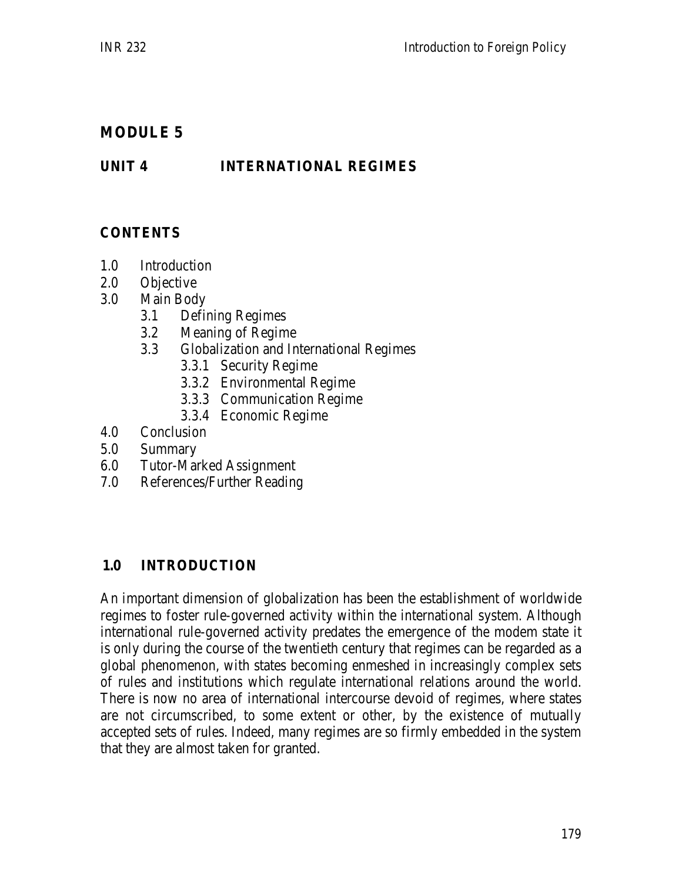# **MODULE 5**

# **UNIT 4 INTERNATIONAL REGIMES**

#### **CONTENTS**

- 1.0 Introduction
- 2.0 Objective
- 3.0 Main Body
	- 3.1 Defining Regimes
	- 3.2 Meaning of Regime
	- 3.3 Globalization and International Regimes
		- 3.3.1 Security Regime
		- 3.3.2 Environmental Regime
		- 3.3.3 Communication Regime
		- 3.3.4 Economic Regime
- 4.0 Conclusion
- 5.0 Summary
- 6.0 Tutor-Marked Assignment
- 7.0 References/Further Reading

#### **1.0 INTRODUCTION**

An important dimension of globalization has been the establishment of worldwide regimes to foster rule-governed activity within the international system. Although international rule-governed activity predates the emergence of the modem state it is only during the course of the twentieth century that regimes can be regarded as a global phenomenon, with states becoming enmeshed in increasingly complex sets of rules and institutions which regulate international relations around the world. There is now no area of international intercourse devoid of regimes, where states are not circumscribed, to some extent or other, by the existence of mutually accepted sets of rules. Indeed, many regimes are so firmly embedded in the system that they are almost taken for granted.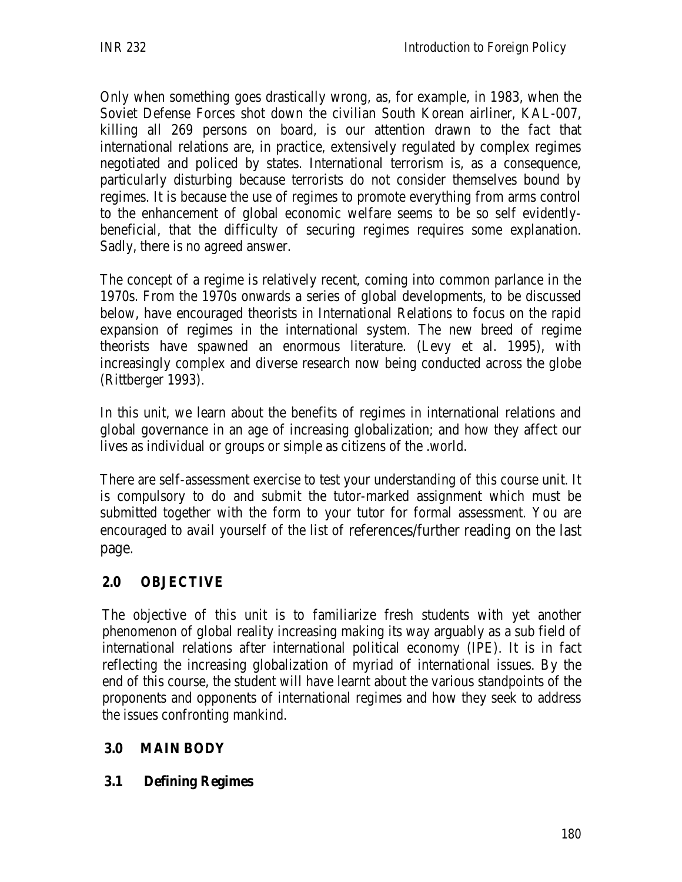Only when something goes drastically wrong, as, for example, in 1983, when the Soviet Defense Forces shot down the civilian South Korean airliner, KAL-007, killing all 269 persons on board, is our attention drawn to the fact that international relations are, in practice, extensively regulated by complex regimes negotiated and policed by states. International terrorism is, as a consequence, particularly disturbing because terrorists do not consider themselves bound by regimes. It is because the use of regimes to promote everything from arms control to the enhancement of global economic welfare seems to be so self evidentlybeneficial, that the difficulty of securing regimes requires some explanation. Sadly, there is no agreed answer.

The concept of a regime is relatively recent, coming into common parlance in the 1970s. From the 1970s onwards a series of global developments, to be discussed below, have encouraged theorists in International Relations to focus on the rapid expansion of regimes in the international system. The new breed of regime theorists have spawned an enormous literature. (Levy et al. 1995), with increasingly complex and diverse research now being conducted across the globe (Rittberger 1993).

In this unit, we learn about the benefits of regimes in international relations and global governance in an age of increasing globalization; and how they affect our lives as individual or groups or simple as citizens of the .world.

There are self-assessment exercise to test your understanding of this course unit. It is compulsory to do and submit the tutor-marked assignment which must be submitted together with the form to your tutor for formal assessment. You are encouraged to avail yourself of the list of references/further reading on the last page.

# **2.0 OBJECTIVE**

The objective of this unit is to familiarize fresh students with yet another phenomenon of global reality increasing making its way arguably as a sub field of international relations after international political economy (IPE). It is in fact reflecting the increasing globalization of myriad of international issues. By the end of this course, the student will have learnt about the various standpoints of the proponents and opponents of international regimes and how they seek to address the issues confronting mankind.

### **3.0 MAIN BODY**

### **3.1 Defining Regimes**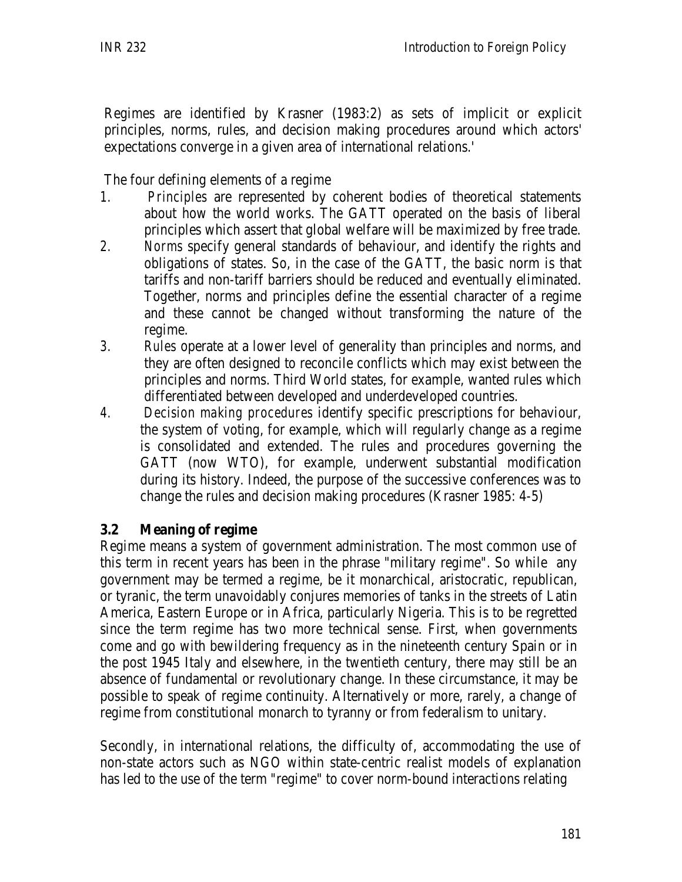Regimes are identified by Krasner (1983:2) as sets of implicit or explicit principles, norms, rules, and decision making procedures around which actors' expectations converge in a given area of international relations.'

The four defining elements of a regime

- *1. Principles* are represented by coherent bodies of theoretical statements about how the world works. The GATT operated on the basis of liberal principles which assert that global welfare will be maximized by free trade.
- *2. Norms* specify general standards of behaviour, and identify the rights and obligations of states. So, in the case of the GATT, the basic norm is that tariffs and non-tariff barriers should be reduced and eventually eliminated. Together, norms and principles define the essential character of a regime and these cannot be changed without transforming the nature of the regime.
- *3. Rules* operate at a lower level of generality than principles and norms, and they are often designed to reconcile conflicts which may exist between the principles and norms. Third World states, for example, wanted rules which differentiated between developed and underdeveloped countries.
- *4. Decision making procedures* identify specific prescriptions for behaviour, the system of voting, for example, which will regularly change as a regime is consolidated and extended. The rules and procedures governing the GATT (now WTO), for example, underwent substantial modification during its history. Indeed, the purpose of the successive conferences was to change the rules and decision making procedures (Krasner 1985: 4-5)

# **3.2 Meaning of regime**

Regime means a system of government administration. The most common use of this term in recent years has been in the phrase "military regime". So while any government may be termed a regime, be it monarchical, aristocratic, republican, or tyranic, the term unavoidably conjures memories of tanks in the streets of Latin America, Eastern Europe or in Africa, particularly Nigeria. This is to be regretted since the term regime has two more technical sense. First, when governments come and go with bewildering frequency as in the nineteenth century Spain or in the post 1945 Italy and elsewhere, in the twentieth century, there may still be an absence of fundamental or revolutionary change. In these circumstance, it may be possible to speak of regime continuity. Alternatively or more, rarely, a change of regime from constitutional monarch to tyranny or from federalism to unitary.

Secondly, in international relations, the difficulty of, accommodating the use of non-state actors such as NGO within state-centric realist models of explanation has led to the use of the term "regime" to cover norm-bound interactions relating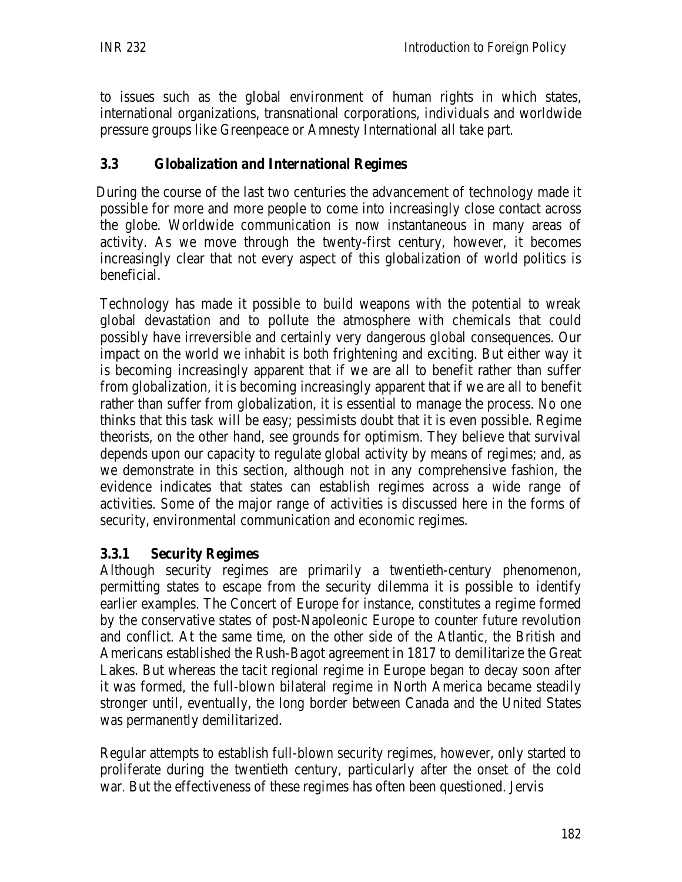to issues such as the global environment of human rights in which states, international organizations, transnational corporations, individuals and worldwide pressure groups like Greenpeace or Amnesty International all take part.

# **3.3 Globalization and International Regimes**

During the course of the last two centuries the advancement of technology made it possible for more and more people to come into increasingly close contact across the globe. Worldwide communication is now instantaneous in many areas of activity. As we move through the twenty-first century, however, it becomes increasingly clear that not every aspect of this globalization of world politics is beneficial.

Technology has made it possible to build weapons with the potential to wreak global devastation and to pollute the atmosphere with chemicals that could possibly have irreversible and certainly very dangerous global consequences. Our impact on the world we inhabit is both frightening and exciting. But either way it is becoming increasingly apparent that if we are all to benefit rather than suffer from globalization, it is becoming increasingly apparent that if we are all to benefit rather than suffer from globalization, it is essential to manage the process. No one thinks that this task will be easy; pessimists doubt that it is even possible. Regime theorists, on the other hand, see grounds for optimism. They believe that survival depends upon our capacity to regulate global activity by means of regimes; and, as we demonstrate in this section, although not in any comprehensive fashion, the evidence indicates that states can establish regimes across a wide range of activities. Some of the major range of activities is discussed here in the forms of security, environmental communication and economic regimes.

# **3.3.1 Security Regimes**

Although security regimes are primarily a twentieth-century phenomenon, permitting states to escape from the security dilemma it is possible to identify earlier examples. The Concert of Europe for instance, constitutes a regime formed by the conservative states of post-Napoleonic Europe to counter future revolution and conflict. At the same time, on the other side of the Atlantic, the British and Americans established the Rush-Bagot agreement in 1817 to demilitarize the Great Lakes. But whereas the tacit regional regime in Europe began to decay soon after it was formed, the full-blown bilateral regime in North America became steadily stronger until, eventually, the long border between Canada and the United States was permanently demilitarized.

Regular attempts to establish full-blown security regimes, however, only started to proliferate during the twentieth century, particularly after the onset of the cold war. But the effectiveness of these regimes has often been questioned. Jervis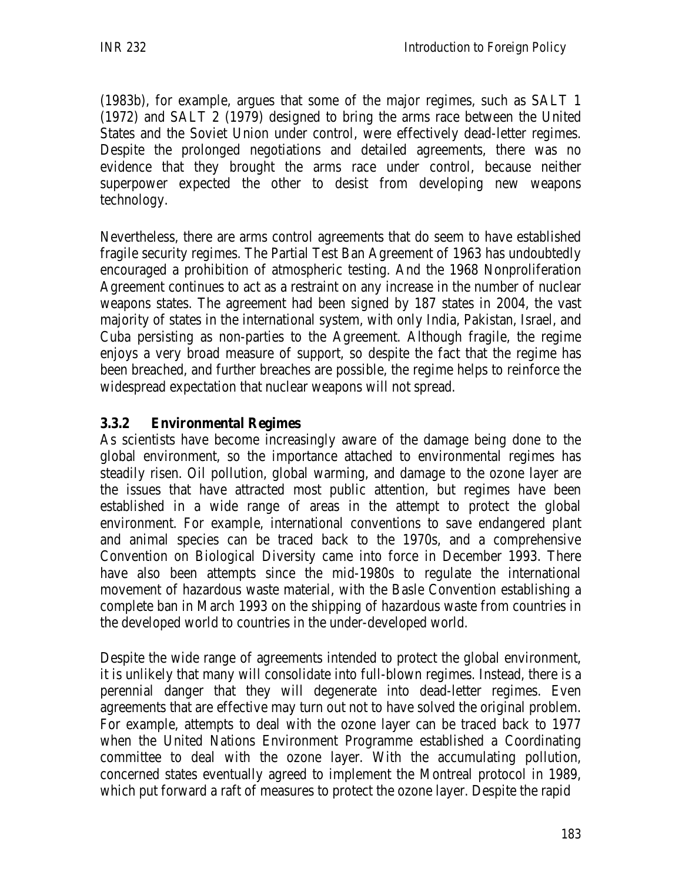(1983b), for example, argues that some of the major regimes, such as SALT 1 (1972) and SALT 2 (1979) designed to bring the arms race between the United States and the Soviet Union under control, were effectively dead-letter regimes. Despite the prolonged negotiations and detailed agreements, there was no evidence that they brought the arms race under control, because neither superpower expected the other to desist from developing new weapons technology.

Nevertheless, there are arms control agreements that do seem to have established fragile security regimes. The Partial Test Ban Agreement of 1963 has undoubtedly encouraged a prohibition of atmospheric testing. And the 1968 Nonproliferation Agreement continues to act as a restraint on any increase in the number of nuclear weapons states. The agreement had been signed by 187 states in 2004, the vast majority of states in the international system, with only India, Pakistan, Israel, and Cuba persisting as non-parties to the Agreement. Although fragile, the regime enjoys a very broad measure of support, so despite the fact that the regime has been breached, and further breaches are possible, the regime helps to reinforce the widespread expectation that nuclear weapons will not spread.

### **3.3.2 Environmental Regimes**

As scientists have become increasingly aware of the damage being done to the global environment, so the importance attached to environmental regimes has steadily risen. Oil pollution, global warming, and damage to the ozone layer are the issues that have attracted most public attention, but regimes have been established in a wide range of areas in the attempt to protect the global environment. For example, international conventions to save endangered plant and animal species can be traced back to the 1970s, and a comprehensive Convention on Biological Diversity came into force in December 1993. There have also been attempts since the mid-1980s to regulate the international movement of hazardous waste material, with the Basle Convention establishing a complete ban in March 1993 on the shipping of hazardous waste from countries in the developed world to countries in the under-developed world.

Despite the wide range of agreements intended to protect the global environment, it is unlikely that many will consolidate into full-blown regimes. Instead, there is a perennial danger that they will degenerate into dead-letter regimes. Even agreements that are effective may turn out not to have solved the original problem. For example, attempts to deal with the ozone layer can be traced back to 1977 when the United Nations Environment Programme established a Coordinating committee to deal with the ozone layer. With the accumulating pollution, concerned states eventually agreed to implement the Montreal protocol in 1989, which put forward a raft of measures to protect the ozone layer. Despite the rapid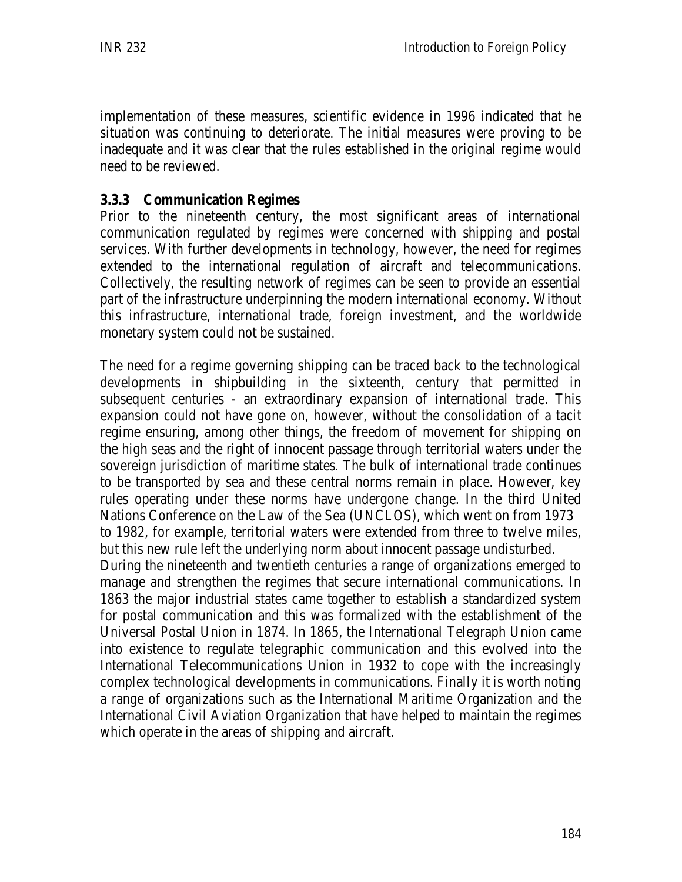implementation of these measures, scientific evidence in 1996 indicated that he situation was continuing to deteriorate. The initial measures were proving to be inadequate and it was clear that the rules established in the original regime would need to be reviewed.

# **3.3.3 Communication Regimes**

Prior to the nineteenth century, the most significant areas of international communication regulated by regimes were concerned with shipping and postal services. With further developments in technology, however, the need for regimes extended to the international regulation of aircraft and telecommunications. Collectively, the resulting network of regimes can be seen to provide an essential part of the infrastructure underpinning the modern international economy. Without this infrastructure, international trade, foreign investment, and the worldwide monetary system could not be sustained.

The need for a regime governing shipping can be traced back to the technological developments in shipbuilding in the sixteenth, century that permitted in subsequent centuries - an extraordinary expansion of international trade. This expansion could not have gone on, however, without the consolidation of a tacit regime ensuring, among other things, the freedom of movement for shipping on the high seas and the right of innocent passage through territorial waters under the sovereign jurisdiction of maritime states. The bulk of international trade continues to be transported by sea and these central norms remain in place. However, key rules operating under these norms have undergone change. In the third United Nations Conference on the Law of the Sea (UNCLOS), which went on from 1973 to 1982, for example, territorial waters were extended from three to twelve miles, but this new rule left the underlying norm about innocent passage undisturbed. During the nineteenth and twentieth centuries a range of organizations emerged to manage and strengthen the regimes that secure international communications. In 1863 the major industrial states came together to establish a standardized system for postal communication and this was formalized with the establishment of the Universal Postal Union in 1874. In 1865, the International Telegraph Union came into existence to regulate telegraphic communication and this evolved into the International Telecommunications Union in 1932 to cope with the increasingly complex technological developments in communications. Finally it is worth noting a range of organizations such as the International Maritime Organization and the International Civil Aviation Organization that have helped to maintain the regimes which operate in the areas of shipping and aircraft.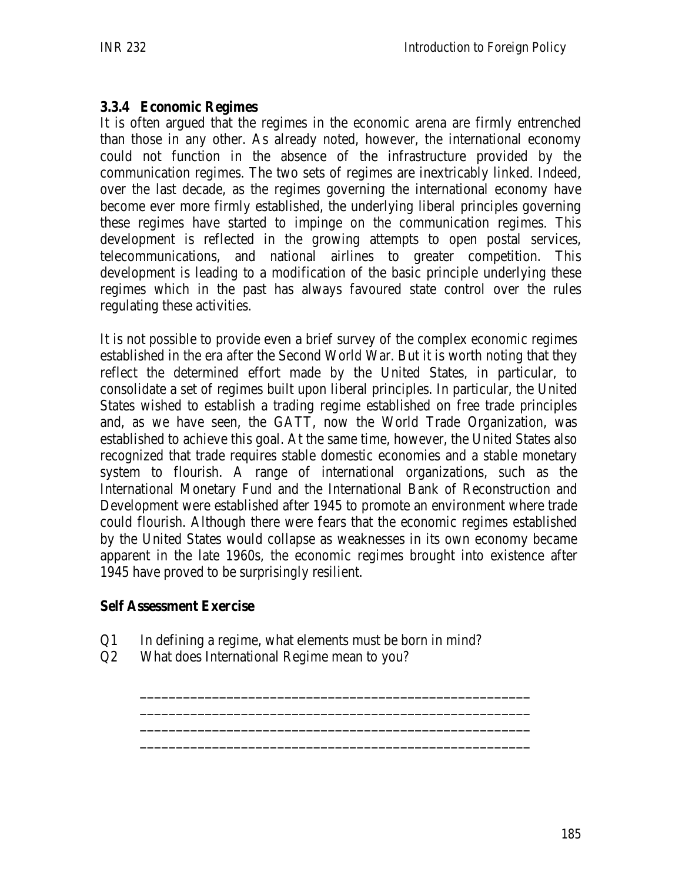### **3.3.4 Economic Regimes**

It is often argued that the regimes in the economic arena are firmly entrenched than those in any other. As already noted, however, the international economy could not function in the absence of the infrastructure provided by the communication regimes. The two sets of regimes are inextricably linked. Indeed, over the last decade, as the regimes governing the international economy have become ever more firmly established, the underlying liberal principles governing these regimes have started to impinge on the communication regimes. This development is reflected in the growing attempts to open postal services, telecommunications, and national airlines to greater competition. This development is leading to a modification of the basic principle underlying these regimes which in the past has always favoured state control over the rules regulating these activities.

It is not possible to provide even a brief survey of the complex economic regimes established in the era after the Second World War. But it is worth noting that they reflect the determined effort made by the United States, in particular, to consolidate a set of regimes built upon liberal principles. In particular, the United States wished to establish a trading regime established on free trade principles and, as we have seen, the GATT, now the World Trade Organization, was established to achieve this goal. At the same time, however, the United States also recognized that trade requires stable domestic economies and a stable monetary system to flourish. A range of international organizations, such as the International Monetary Fund and the International Bank of Reconstruction and Development were established after 1945 to promote an environment where trade could flourish. Although there were fears that the economic regimes established by the United States would collapse as weaknesses in its own economy became apparent in the late 1960s, the economic regimes brought into existence after 1945 have proved to be surprisingly resilient.

\_\_\_\_\_\_\_\_\_\_\_\_\_\_\_\_\_\_\_\_\_\_\_\_\_\_\_\_\_\_\_\_\_\_\_\_\_\_\_\_\_\_\_\_\_\_\_\_\_\_\_\_\_\_ \_\_\_\_\_\_\_\_\_\_\_\_\_\_\_\_\_\_\_\_\_\_\_\_\_\_\_\_\_\_\_\_\_\_\_\_\_\_\_\_\_\_\_\_\_\_\_\_\_\_\_\_\_\_ \_\_\_\_\_\_\_\_\_\_\_\_\_\_\_\_\_\_\_\_\_\_\_\_\_\_\_\_\_\_\_\_\_\_\_\_\_\_\_\_\_\_\_\_\_\_\_\_\_\_\_\_\_\_ \_\_\_\_\_\_\_\_\_\_\_\_\_\_\_\_\_\_\_\_\_\_\_\_\_\_\_\_\_\_\_\_\_\_\_\_\_\_\_\_\_\_\_\_\_\_\_\_\_\_\_\_\_\_

#### **Self Assessment Exercise**

- Q1 In defining a regime, what elements must be born in mind?
- Q2 What does International Regime mean to you?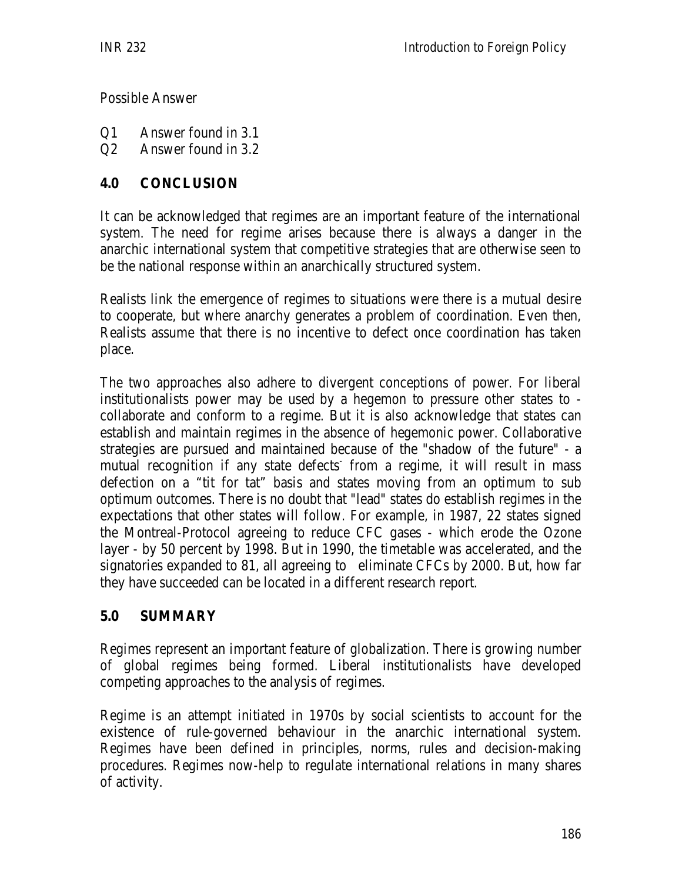Possible Answer

- Q1 Answer found in 3.1
- Q2 Answer found in 3.2

# **4.0 CONCLUSION**

It can be acknowledged that regimes are an important feature of the international system. The need for regime arises because there is always a danger in the anarchic international system that competitive strategies that are otherwise seen to be the national response within an anarchically structured system.

Realists link the emergence of regimes to situations were there is a mutual desire to cooperate, but where anarchy generates a problem of coordination. Even then, Realists assume that there is no incentive to defect once coordination has taken place.

The two approaches also adhere to divergent conceptions of power. For liberal institutionalists power may be used by a hegemon to pressure other states to collaborate and conform to a regime. But it is also acknowledge that states can establish and maintain regimes in the absence of hegemonic power. Collaborative strategies are pursued and maintained because of the "shadow of the future" - a mutual recognition if any state defects from a regime, it will result in mass defection on a "tit for tat" basis and states moving from an optimum to sub optimum outcomes. There is no doubt that "lead" states do establish regimes in the expectations that other states will follow. For example, in 1987, 22 states signed the Montreal-Protocol agreeing to reduce CFC gases - which erode the Ozone layer - by 50 percent by 1998. But in 1990, the timetable was accelerated, and the signatories expanded to 81, all agreeing to eliminate CFCs by 2000. But, how far they have succeeded can be located in a different research report.

# **5.0 SUMMARY**

Regimes represent an important feature of globalization. There is growing number of global regimes being formed. Liberal institutionalists have developed competing approaches to the analysis of regimes.

Regime is an attempt initiated in 1970s by social scientists to account for the existence of rule-governed behaviour in the anarchic international system. Regimes have been defined in principles, norms, rules and decision-making procedures. Regimes now-help to regulate international relations in many shares of activity.